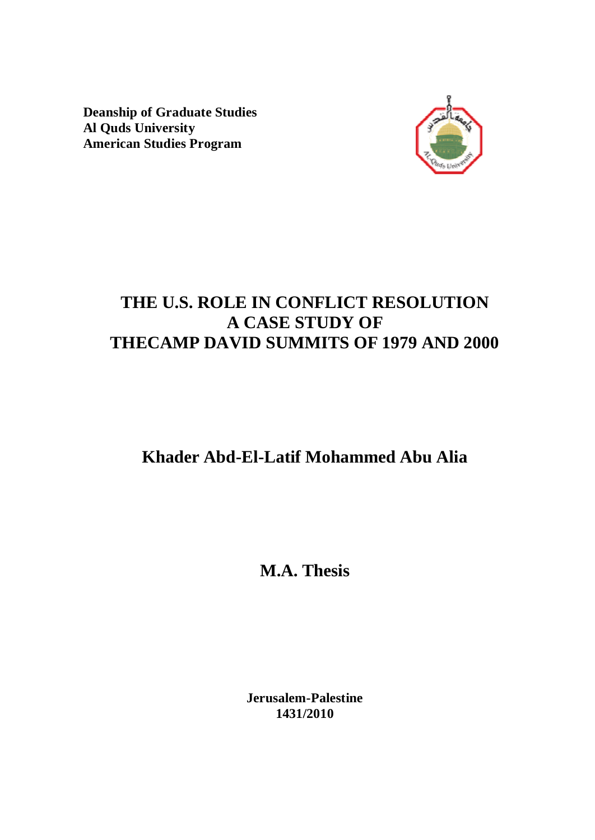**Deanship of Graduate Studies Al Quds University American Studies Program** 



# **THE U.S. ROLE IN CONFLICT RESOLUTION A CASE STUDY OF THECAMP DAVID SUMMITS OF 1979 AND 2000**

# **Khader Abd-El-Latif Mohammed Abu Alia**

**M.A. Thesis** 

**Jerusalem-Palestine 1431/2010**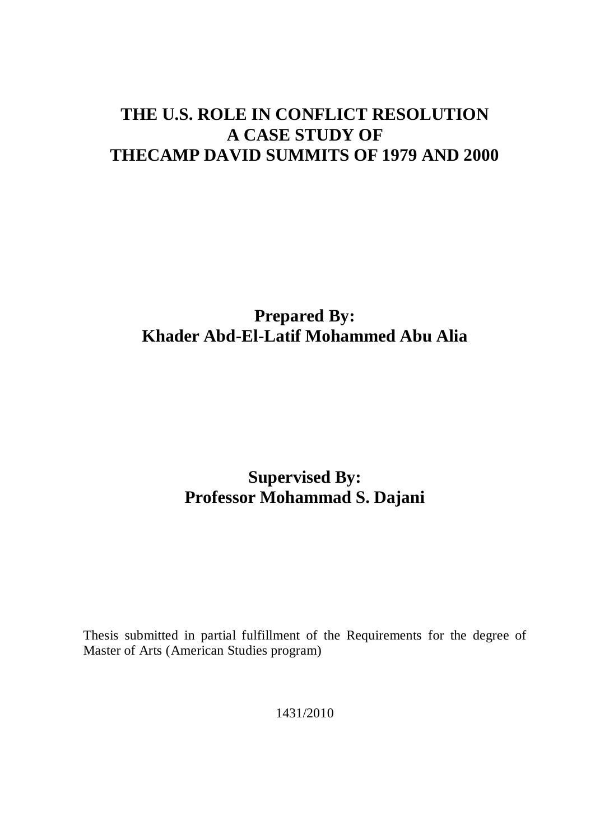# **THE U.S. ROLE IN CONFLICT RESOLUTION A CASE STUDY OF THECAMP DAVID SUMMITS OF 1979 AND 2000**

# **Prepared By: Khader Abd-El-Latif Mohammed Abu Alia**

# **Supervised By: Professor Mohammad S. Dajani**

Thesis submitted in partial fulfillment of the Requirements for the degree of Master of Arts (American Studies program)

1431/2010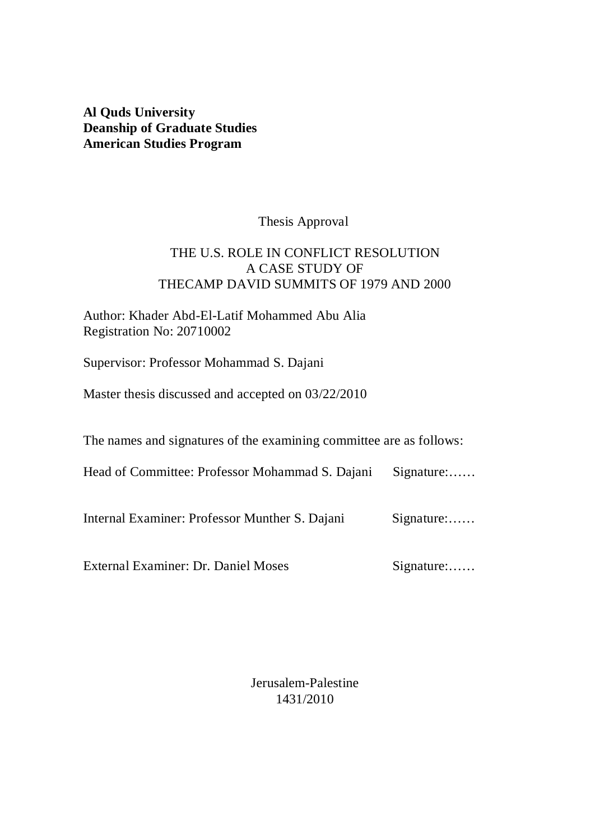# **Al Quds University Deanship of Graduate Studies American Studies Program**

# Thesis Approval

# THE U.S. ROLE IN CONFLICT RESOLUTION A CASE STUDY OF THECAMP DAVID SUMMITS OF 1979 AND 2000

# Author: Khader Abd-El-Latif Mohammed Abu Alia Registration No: 20710002

Supervisor: Professor Mohammad S. Dajani

Master thesis discussed and accepted on 03/22/2010

The names and signatures of the examining committee are as follows:

| Head of Committee: Professor Mohammad S. Dajani | Signature: |
|-------------------------------------------------|------------|
|-------------------------------------------------|------------|

Internal Examiner: Professor Munther S. Dajani Signature:......

External Examiner: Dr. Daniel Moses Signature:......

Jerusalem-Palestine 1431/2010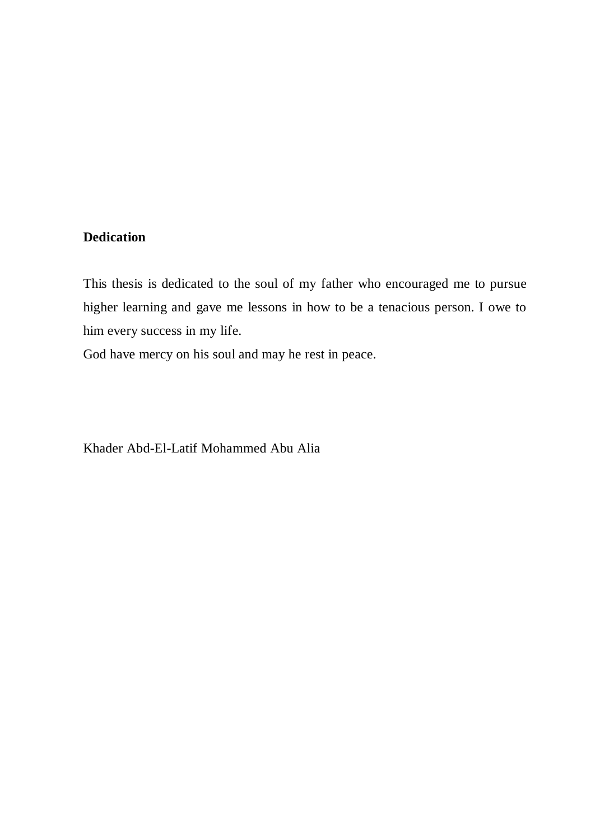# **Dedication**

This thesis is dedicated to the soul of my father who encouraged me to pursue higher learning and gave me lessons in how to be a tenacious person. I owe to him every success in my life.

God have mercy on his soul and may he rest in peace.

Khader Abd-El-Latif Mohammed Abu Alia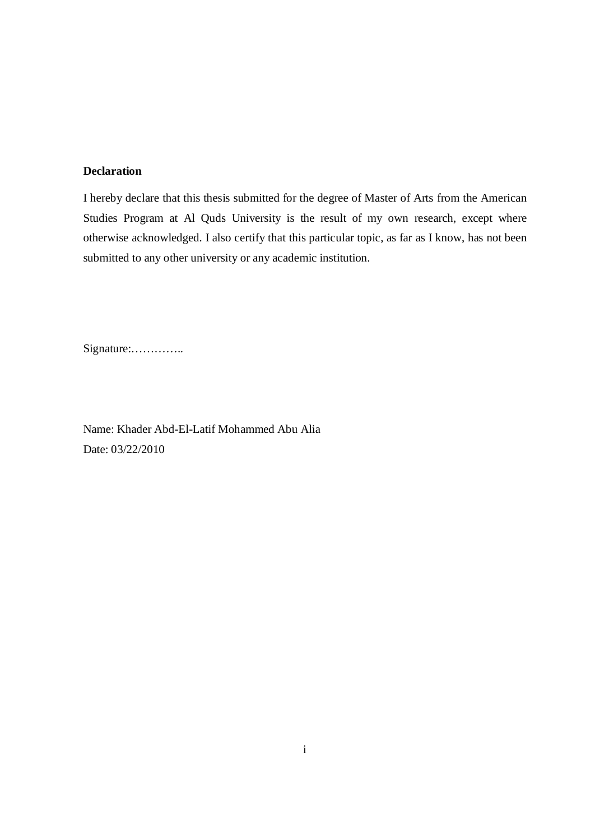## **Declaration**

I hereby declare that this thesis submitted for the degree of Master of Arts from the American Studies Program at Al Quds University is the result of my own research, except where otherwise acknowledged. I also certify that this particular topic, as far as I know, has not been submitted to any other university or any academic institution.

Signature:…………..

Name: Khader Abd-El-Latif Mohammed Abu Alia Date: 03/22/2010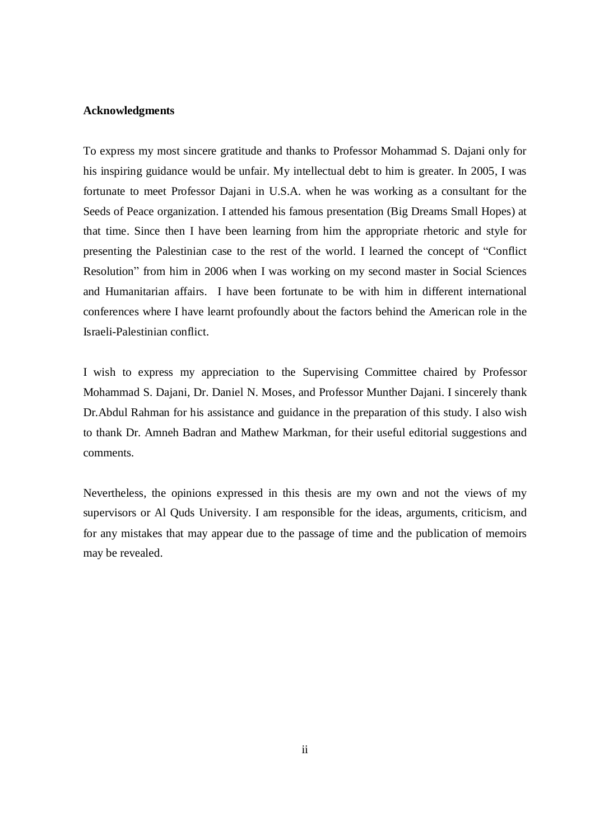### **Acknowledgments**

To express my most sincere gratitude and thanks to Professor Mohammad S. Dajani only for his inspiring guidance would be unfair. My intellectual debt to him is greater. In 2005, I was fortunate to meet Professor Dajani in U.S.A. when he was working as a consultant for the Seeds of Peace organization. I attended his famous presentation (Big Dreams Small Hopes) at that time. Since then I have been learning from him the appropriate rhetoric and style for presenting the Palestinian case to the rest of the world. I learned the concept of "Conflict Resolution" from him in 2006 when I was working on my second master in Social Sciences and Humanitarian affairs. I have been fortunate to be with him in different international conferences where I have learnt profoundly about the factors behind the American role in the Israeli-Palestinian conflict.

I wish to express my appreciation to the Supervising Committee chaired by Professor Mohammad S. Dajani, Dr. Daniel N. Moses, and Professor Munther Dajani. I sincerely thank Dr.Abdul Rahman for his assistance and guidance in the preparation of this study. I also wish to thank Dr. Amneh Badran and Mathew Markman, for their useful editorial suggestions and comments.

Nevertheless, the opinions expressed in this thesis are my own and not the views of my supervisors or Al Quds University. I am responsible for the ideas, arguments, criticism, and for any mistakes that may appear due to the passage of time and the publication of memoirs may be revealed.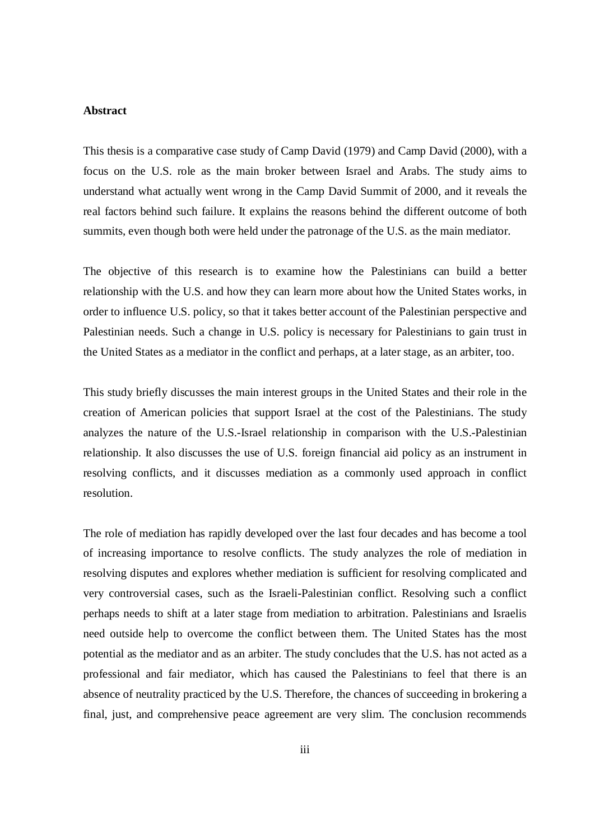### **Abstract**

This thesis is a comparative case study of Camp David (1979) and Camp David (2000), with a focus on the U.S. role as the main broker between Israel and Arabs. The study aims to understand what actually went wrong in the Camp David Summit of 2000, and it reveals the real factors behind such failure. It explains the reasons behind the different outcome of both summits, even though both were held under the patronage of the U.S. as the main mediator.

The objective of this research is to examine how the Palestinians can build a better relationship with the U.S. and how they can learn more about how the United States works, in order to influence U.S. policy, so that it takes better account of the Palestinian perspective and Palestinian needs. Such a change in U.S. policy is necessary for Palestinians to gain trust in the United States as a mediator in the conflict and perhaps, at a later stage, as an arbiter, too.

This study briefly discusses the main interest groups in the United States and their role in the creation of American policies that support Israel at the cost of the Palestinians. The study analyzes the nature of the U.S.-Israel relationship in comparison with the U.S.-Palestinian relationship. It also discusses the use of U.S. foreign financial aid policy as an instrument in resolving conflicts, and it discusses mediation as a commonly used approach in conflict resolution.

The role of mediation has rapidly developed over the last four decades and has become a tool of increasing importance to resolve conflicts. The study analyzes the role of mediation in resolving disputes and explores whether mediation is sufficient for resolving complicated and very controversial cases, such as the Israeli-Palestinian conflict. Resolving such a conflict perhaps needs to shift at a later stage from mediation to arbitration. Palestinians and Israelis need outside help to overcome the conflict between them. The United States has the most potential as the mediator and as an arbiter. The study concludes that the U.S. has not acted as a professional and fair mediator, which has caused the Palestinians to feel that there is an absence of neutrality practiced by the U.S. Therefore, the chances of succeeding in brokering a final, just, and comprehensive peace agreement are very slim. The conclusion recommends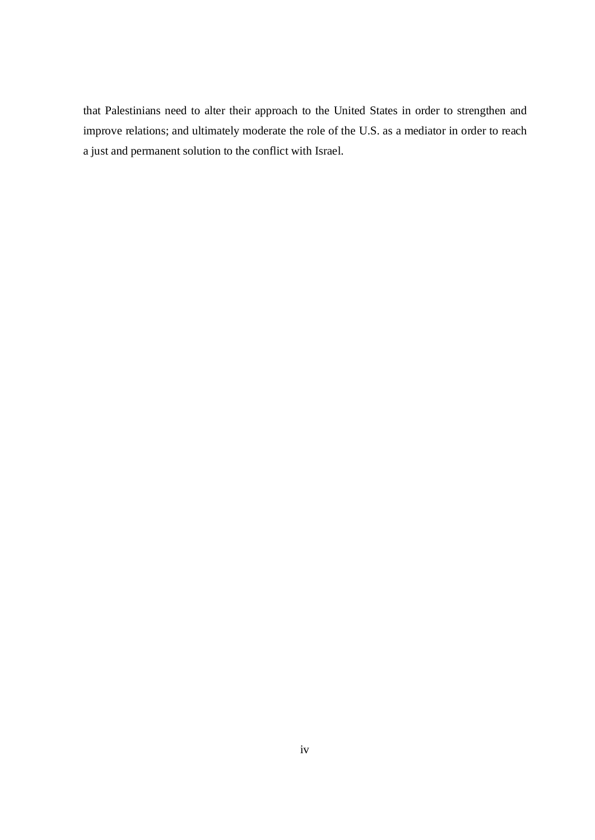that Palestinians need to alter their approach to the United States in order to strengthen and improve relations; and ultimately moderate the role of the U.S. as a mediator in order to reach a just and permanent solution to the conflict with Israel.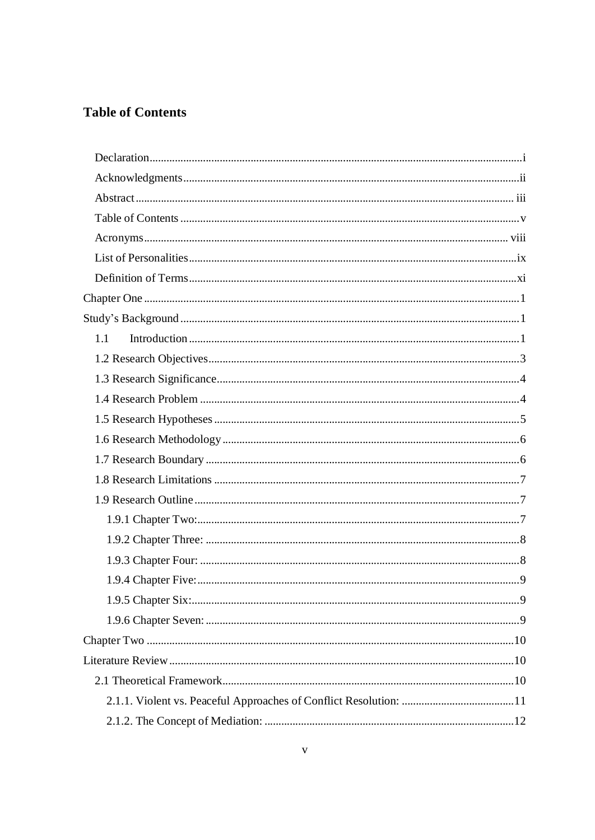# **Table of Contents**

| 1.1 |  |
|-----|--|
|     |  |
|     |  |
|     |  |
|     |  |
|     |  |
|     |  |
|     |  |
|     |  |
|     |  |
|     |  |
|     |  |
|     |  |
|     |  |
|     |  |
|     |  |
|     |  |
|     |  |
|     |  |
|     |  |
|     |  |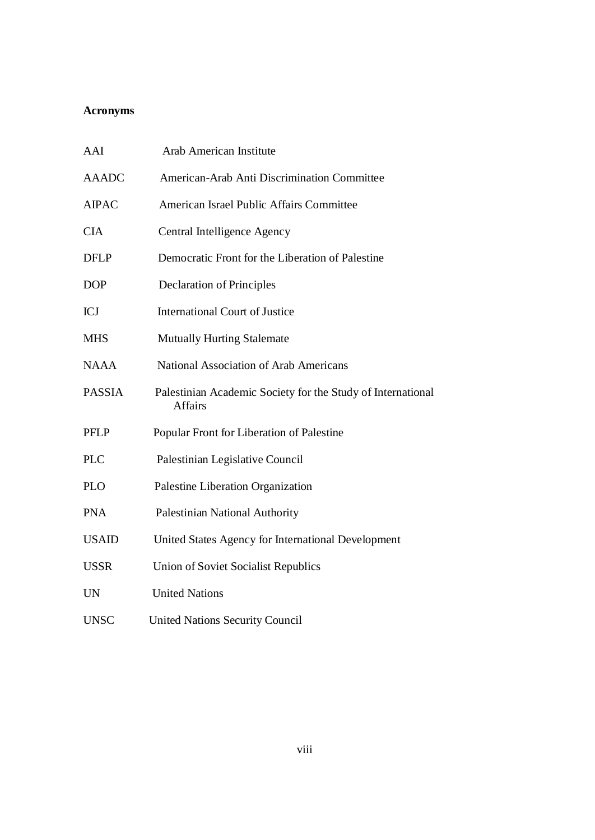## **Acronyms**

| AAI           | <b>Arab American Institute</b>                                                |
|---------------|-------------------------------------------------------------------------------|
| <b>AAADC</b>  | American-Arab Anti Discrimination Committee                                   |
| <b>AIPAC</b>  | American Israel Public Affairs Committee                                      |
| <b>CIA</b>    | Central Intelligence Agency                                                   |
| <b>DFLP</b>   | Democratic Front for the Liberation of Palestine                              |
| <b>DOP</b>    | <b>Declaration of Principles</b>                                              |
| <b>ICJ</b>    | <b>International Court of Justice</b>                                         |
| <b>MHS</b>    | <b>Mutually Hurting Stalemate</b>                                             |
| <b>NAAA</b>   | <b>National Association of Arab Americans</b>                                 |
| <b>PASSIA</b> | Palestinian Academic Society for the Study of International<br><b>Affairs</b> |
| <b>PFLP</b>   | Popular Front for Liberation of Palestine                                     |
| <b>PLC</b>    | Palestinian Legislative Council                                               |
| <b>PLO</b>    | Palestine Liberation Organization                                             |
| <b>PNA</b>    | Palestinian National Authority                                                |
| <b>USAID</b>  | United States Agency for International Development                            |
| <b>USSR</b>   | Union of Soviet Socialist Republics                                           |
| <b>UN</b>     | <b>United Nations</b>                                                         |
| <b>UNSC</b>   | <b>United Nations Security Council</b>                                        |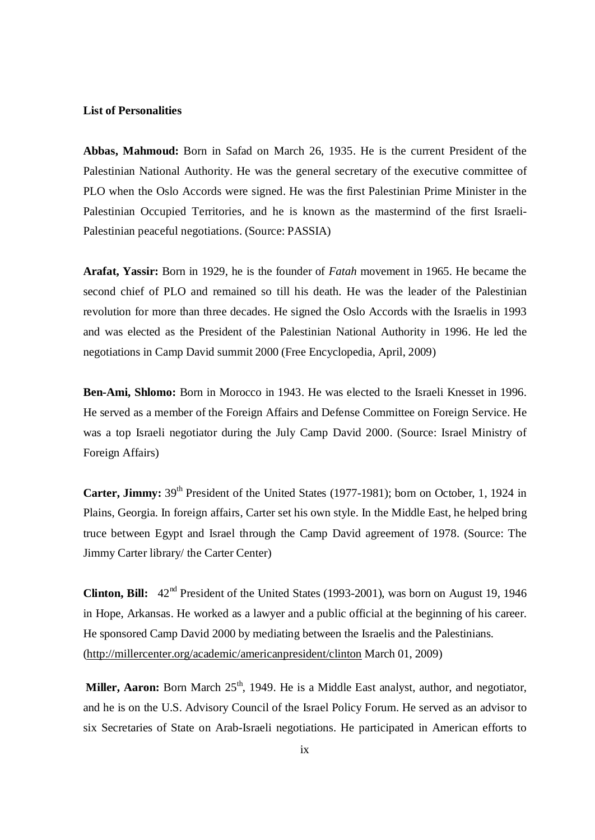### **List of Personalities**

**Abbas, Mahmoud:** Born in Safad on March 26, 1935. He is the current President of the Palestinian National Authority. He was the general secretary of the executive committee of PLO when the Oslo Accords were signed. He was the first Palestinian Prime Minister in the Palestinian Occupied Territories, and he is known as the mastermind of the first Israeli-Palestinian peaceful negotiations. (Source: PASSIA)

**Arafat, Yassir:** Born in 1929, he is the founder of *Fatah* movement in 1965. He became the second chief of PLO and remained so till his death. He was the leader of the Palestinian revolution for more than three decades. He signed the Oslo Accords with the Israelis in 1993 and was elected as the President of the Palestinian National Authority in 1996. He led the negotiations in Camp David summit 2000 (Free Encyclopedia, April, 2009)

**Ben-Ami, Shlomo:** Born in Morocco in 1943. He was elected to the Israeli Knesset in 1996. He served as a member of the Foreign Affairs and Defense Committee on Foreign Service. He was a top Israeli negotiator during the July Camp David 2000. (Source: Israel Ministry of Foreign Affairs)

**Carter, Jimmy:** 39<sup>th</sup> President of the United States (1977-1981); born on October, 1, 1924 in Plains, Georgia. In foreign affairs, Carter set his own style. In the Middle East, he helped bring truce between Egypt and Israel through the Camp David agreement of 1978. (Source: The Jimmy Carter library/ the Carter Center)

**Clinton, Bill:**  $42^{nd}$  President of the United States (1993-2001), was born on August 19, 1946 in Hope, Arkansas. He worked as a lawyer and a public official at the beginning of his career. He sponsored Camp David 2000 by mediating between the Israelis and the Palestinians. [\(http://millercenter.org/academic/americanpresident/clinton](http://millercenter.org/academic/americanpresident/clinton) March 01, 2009)

**Miller, Aaron:** Born March 25<sup>th</sup>, 1949. He is a Middle East analyst, author, and negotiator, and he is on the U.S. Advisory Council of the Israel Policy Forum. He served as an advisor to six Secretaries of State on Arab-Israeli negotiations. He participated in American efforts to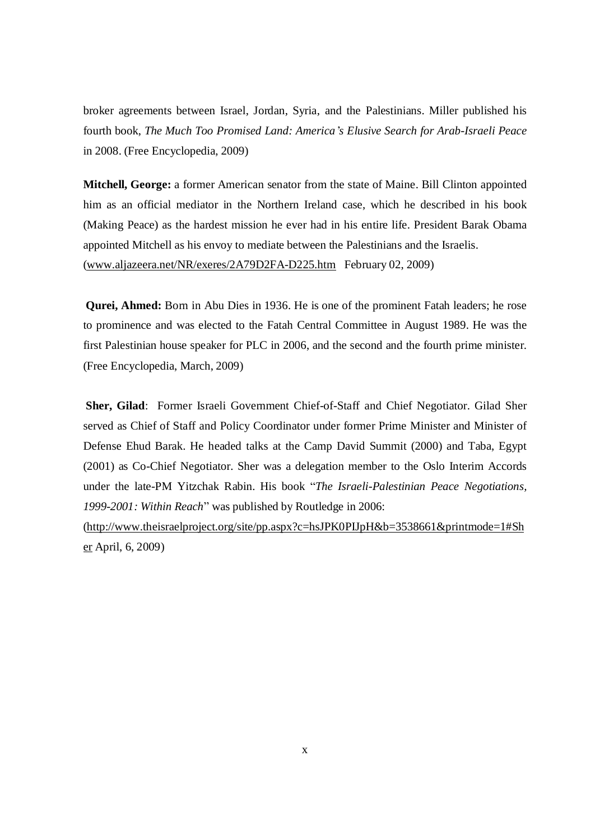broker agreements between Israel, Jordan, Syria, and the Palestinians. Miller published his fourth book, *The Much Too Promised Land: America's Elusive Search for Arab-Israeli Peace* in 2008. (Free Encyclopedia, 2009)

**Mitchell, George:** a former American senator from the state of Maine. Bill Clinton appointed him as an official mediator in the Northern Ireland case, which he described in his book (Making Peace) as the hardest mission he ever had in his entire life. President Barak Obama appointed Mitchell as his envoy to mediate between the Palestinians and the Israelis. [\(www.aljazeera.net/NR/exeres/2A79D2FA-D225.htm](http://www.aljazeera.net/NR/exeres/2A79D2FA-D225.htm) February 02, 2009)

**Qurei, Ahmed:** Born in Abu Dies in 1936. He is one of the prominent Fatah leaders; he rose to prominence and was elected to the Fatah Central Committee in August 1989. He was the first Palestinian house speaker for PLC in 2006, and the second and the fourth prime minister. (Free Encyclopedia, March, 2009)

**Sher, Gilad**: Former Israeli Government Chief-of-Staff and Chief Negotiator. Gilad Sher served as Chief of Staff and Policy Coordinator under former Prime Minister and Minister of Defense Ehud Barak. He headed talks at the Camp David Summit (2000) and Taba, Egypt (2001) as Co-Chief Negotiator. Sher was a delegation member to the Oslo Interim Accords under the late-PM Yitzchak Rabin. His book "*The Israeli-Palestinian Peace Negotiations, 1999-2001: Within Reach*" was published by Routledge in 2006:

[\(http://www.theisraelproject.org/site/pp.aspx?c=hsJPK0PIJpH&b=3538661&printmode=1#Sh](http://www.theisraelproject.org/site/pp.aspx?c=hsJPK0PIJpH&b=3538661&printmode=1#Sh) er April, 6, 2009)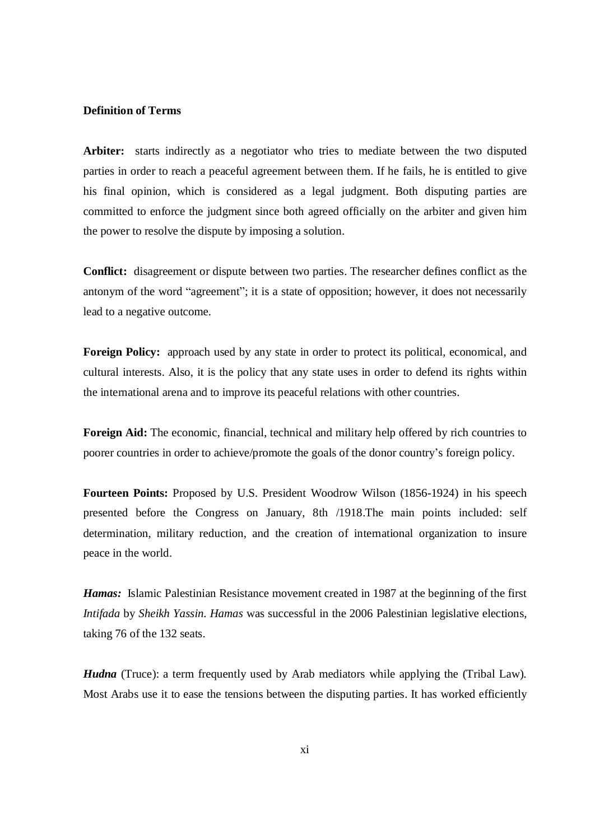### **Definition of Terms**

**Arbiter:** starts indirectly as a negotiator who tries to mediate between the two disputed parties in order to reach a peaceful agreement between them. If he fails, he is entitled to give his final opinion, which is considered as a legal judgment. Both disputing parties are committed to enforce the judgment since both agreed officially on the arbiter and given him the power to resolve the dispute by imposing a solution.

**Conflict:** disagreement or dispute between two parties. The researcher defines conflict as the antonym of the word "agreement"; it is a state of opposition; however, it does not necessarily lead to a negative outcome.

**Foreign Policy:** approach used by any state in order to protect its political, economical, and cultural interests. Also, it is the policy that any state uses in order to defend its rights within the international arena and to improve its peaceful relations with other countries.

**Foreign Aid:** The economic, financial, technical and military help offered by rich countries to poorer countries in order to achieve/promote the goals of the donor country's foreign policy.

**Fourteen Points:** Proposed by U.S. President Woodrow Wilson (1856-1924) in his speech presented before the Congress on January, 8th /1918.The main points included: self determination, military reduction, and the creation of international organization to insure peace in the world.

*Hamas:* Islamic Palestinian Resistance movement created in 1987 at the beginning of the first *Intifada* by *Sheikh Yassin. Hamas* was successful in the 2006 Palestinian legislative elections, taking 76 of the 132 seats.

*Hudna* (Truce): a term frequently used by Arab mediators while applying the (Tribal Law). Most Arabs use it to ease the tensions between the disputing parties. It has worked efficiently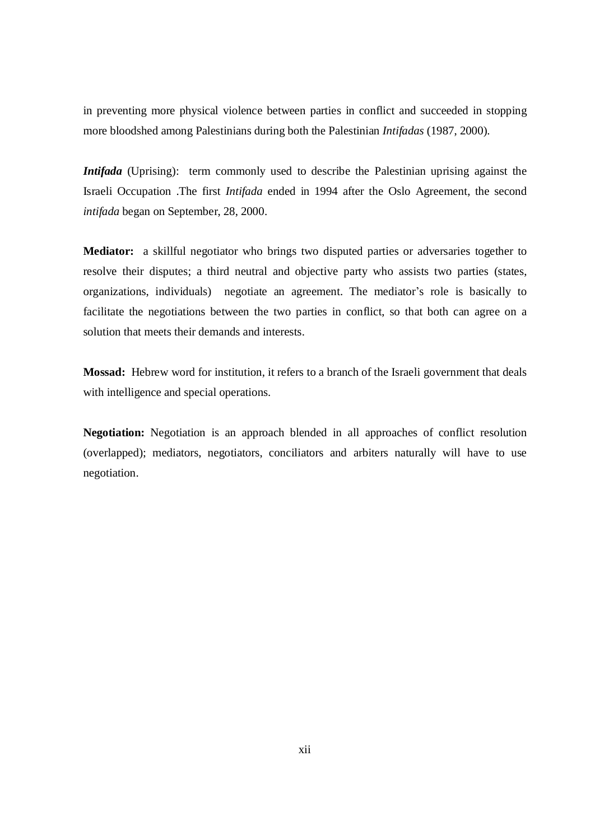in preventing more physical violence between parties in conflict and succeeded in stopping more bloodshed among Palestinians during both the Palestinian *Intifadas* (1987, 2000).

*Intifada* (Uprising): term commonly used to describe the Palestinian uprising against the Israeli Occupation .The first *Intifada* ended in 1994 after the Oslo Agreement, the second *intifada* began on September, 28, 2000.

**Mediator:** a skillful negotiator who brings two disputed parties or adversaries together to resolve their disputes; a third neutral and objective party who assists two parties (states, organizations, individuals) negotiate an agreement. The mediator's role is basically to facilitate the negotiations between the two parties in conflict, so that both can agree on a solution that meets their demands and interests.

**Mossad:** Hebrew word for institution, it refers to a branch of the Israeli government that deals with intelligence and special operations.

**Negotiation:** Negotiation is an approach blended in all approaches of conflict resolution (overlapped); mediators, negotiators, conciliators and arbiters naturally will have to use negotiation.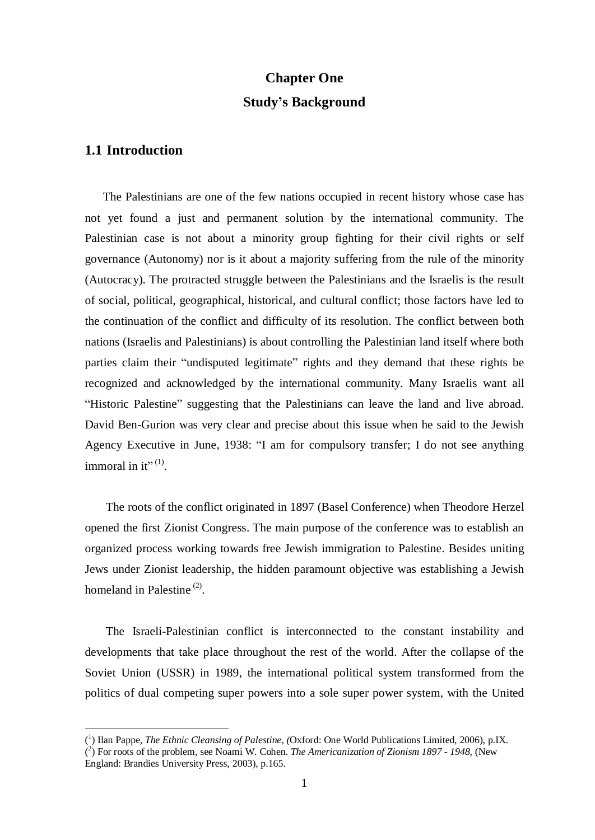# **Chapter One Study's Background**

# **1.1 Introduction**

 $\overline{a}$ 

The Palestinians are one of the few nations occupied in recent history whose case has not yet found a just and permanent solution by the international community. The Palestinian case is not about a minority group fighting for their civil rights or self governance (Autonomy) nor is it about a majority suffering from the rule of the minority (Autocracy). The protracted struggle between the Palestinians and the Israelis is the result of social, political, geographical, historical, and cultural conflict; those factors have led to the continuation of the conflict and difficulty of its resolution. The conflict between both nations (Israelis and Palestinians) is about controlling the Palestinian land itself where both parties claim their "undisputed legitimate" rights and they demand that these rights be recognized and acknowledged by the international community. Many Israelis want all "Historic Palestine" suggesting that the Palestinians can leave the land and live abroad. David Ben-Gurion was very clear and precise about this issue when he said to the Jewish Agency Executive in June, 1938: "I am for compulsory transfer; I do not see anything immoral in it" $^{(1)}$ .

The roots of the conflict originated in 1897 (Basel Conference) when Theodore Herzel opened the first Zionist Congress. The main purpose of the conference was to establish an organized process working towards free Jewish immigration to Palestine. Besides uniting Jews under Zionist leadership, the hidden paramount objective was establishing a Jewish homeland in Palestine<sup>(2)</sup>.

The Israeli-Palestinian conflict is interconnected to the constant instability and developments that take place throughout the rest of the world. After the collapse of the Soviet Union (USSR) in 1989, the international political system transformed from the politics of dual competing super powers into a sole super power system, with the United

<sup>(</sup> 1 ) Ilan Pappe, *The Ethnic Cleansing of Palestine, (*Oxford: One World Publications Limited, 2006), p.IX. ( 2 ) For roots of the problem, see Noami W. Cohen. *The Americanization of Zionism 1897 - 1948,* (New England: Brandies University Press, 2003), p.165.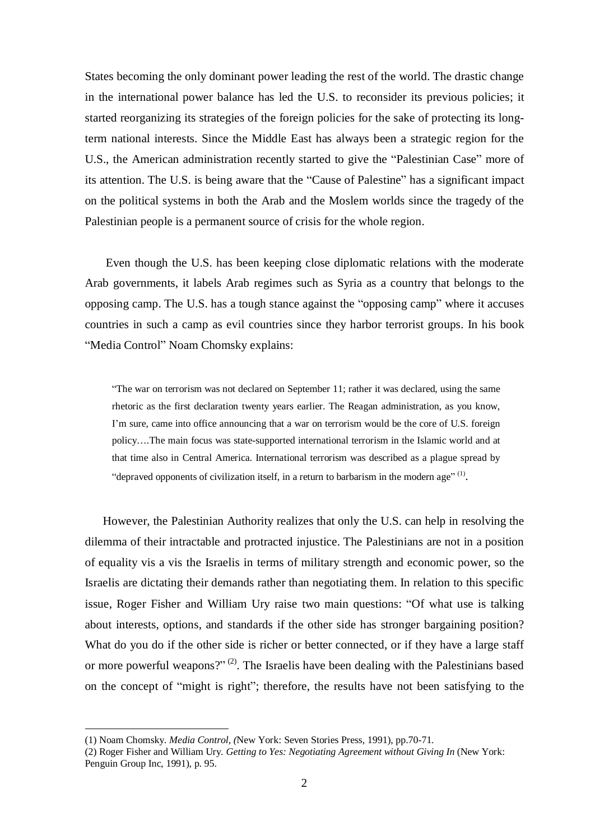States becoming the only dominant power leading the rest of the world. The drastic change in the international power balance has led the U.S. to reconsider its previous policies; it started reorganizing its strategies of the foreign policies for the sake of protecting its longterm national interests. Since the Middle East has always been a strategic region for the U.S., the American administration recently started to give the "Palestinian Case" more of its attention. The U.S. is being aware that the "Cause of Palestine" has a significant impact on the political systems in both the Arab and the Moslem worlds since the tragedy of the Palestinian people is a permanent source of crisis for the whole region.

Even though the U.S. has been keeping close diplomatic relations with the moderate Arab governments, it labels Arab regimes such as Syria as a country that belongs to the opposing camp. The U.S. has a tough stance against the "opposing camp" where it accuses countries in such a camp as evil countries since they harbor terrorist groups. In his book "Media Control" Noam Chomsky explains:

"The war on terrorism was not declared on September 11; rather it was declared, using the same rhetoric as the first declaration twenty years earlier. The Reagan administration, as you know, I'm sure, came into office announcing that a war on terrorism would be the core of U.S. foreign policy….The main focus was state-supported international terrorism in the Islamic world and at that time also in Central America. International terrorism was described as a plague spread by "depraved opponents of civilization itself, in a return to barbarism in the modern age"<sup>(1)</sup>.

However, the Palestinian Authority realizes that only the U.S. can help in resolving the dilemma of their intractable and protracted injustice. The Palestinians are not in a position of equality vis a vis the Israelis in terms of military strength and economic power, so the Israelis are dictating their demands rather than negotiating them. In relation to this specific issue, Roger Fisher and William Ury raise two main questions: "Of what use is talking about interests, options, and standards if the other side has stronger bargaining position? What do you do if the other side is richer or better connected, or if they have a large staff or more powerful weapons?"<sup>(2)</sup>. The Israelis have been dealing with the Palestinians based on the concept of "might is right"; therefore, the results have not been satisfying to the

<sup>(1)</sup> Noam Chomsky. *Media Control, (*New York: Seven Stories Press, 1991), pp.70-71.

<sup>(2)</sup> Roger Fisher and William Ury. *Getting to Yes: Negotiating Agreement without Giving In* (New York: Penguin Group Inc, 1991), p. 95.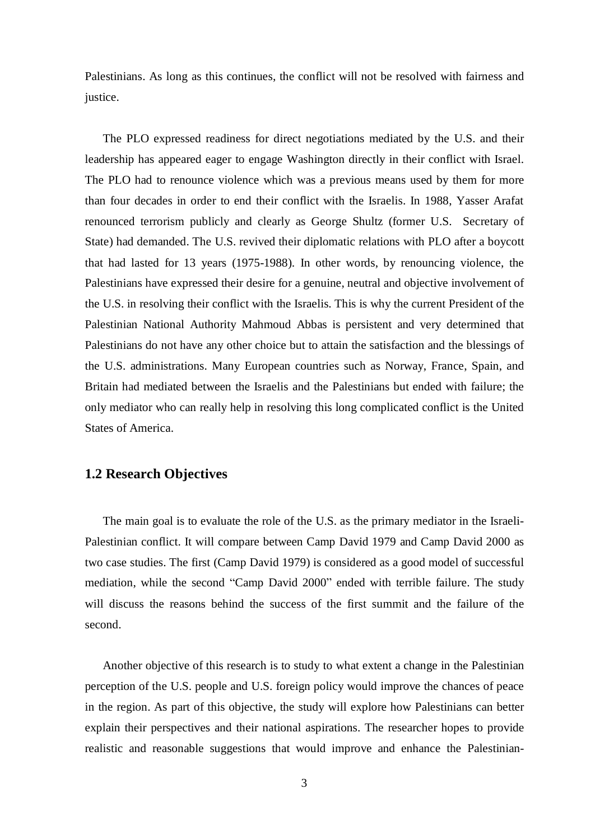Palestinians. As long as this continues, the conflict will not be resolved with fairness and justice.

The PLO expressed readiness for direct negotiations mediated by the U.S. and their leadership has appeared eager to engage Washington directly in their conflict with Israel. The PLO had to renounce violence which was a previous means used by them for more than four decades in order to end their conflict with the Israelis. In 1988, Yasser Arafat renounced terrorism publicly and clearly as George Shultz (former U.S. Secretary of State) had demanded. The U.S. revived their diplomatic relations with PLO after a boycott that had lasted for 13 years (1975-1988). In other words, by renouncing violence, the Palestinians have expressed their desire for a genuine, neutral and objective involvement of the U.S. in resolving their conflict with the Israelis. This is why the current President of the Palestinian National Authority Mahmoud Abbas is persistent and very determined that Palestinians do not have any other choice but to attain the satisfaction and the blessings of the U.S. administrations. Many European countries such as Norway, France, Spain, and Britain had mediated between the Israelis and the Palestinians but ended with failure; the only mediator who can really help in resolving this long complicated conflict is the United States of America.

## **1.2 Research Objectives**

The main goal is to evaluate the role of the U.S. as the primary mediator in the Israeli-Palestinian conflict. It will compare between Camp David 1979 and Camp David 2000 as two case studies. The first (Camp David 1979) is considered as a good model of successful mediation, while the second "Camp David 2000" ended with terrible failure. The study will discuss the reasons behind the success of the first summit and the failure of the second.

Another objective of this research is to study to what extent a change in the Palestinian perception of the U.S. people and U.S. foreign policy would improve the chances of peace in the region. As part of this objective, the study will explore how Palestinians can better explain their perspectives and their national aspirations. The researcher hopes to provide realistic and reasonable suggestions that would improve and enhance the Palestinian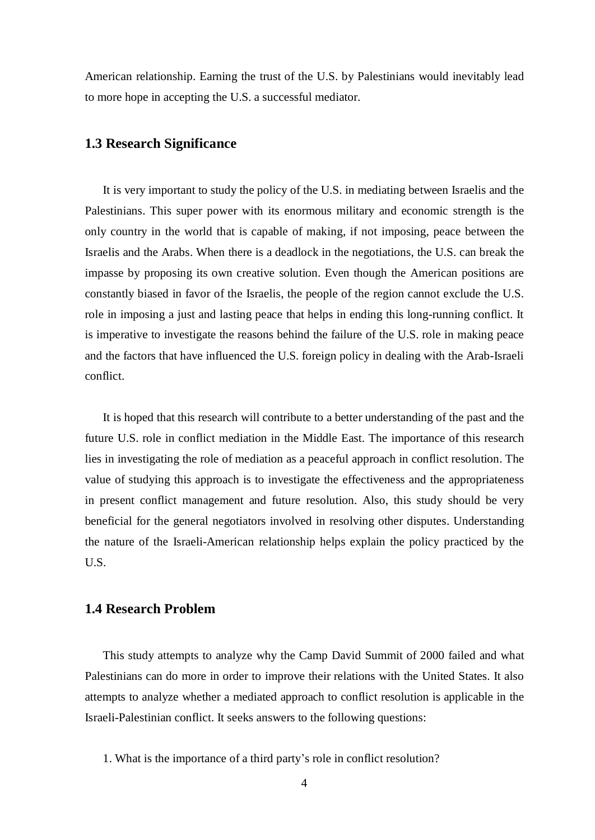American relationship. Earning the trust of the U.S. by Palestinians would inevitably lead to more hope in accepting the U.S. a successful mediator.

## **1.3 Research Significance**

It is very important to study the policy of the U.S. in mediating between Israelis and the Palestinians. This super power with its enormous military and economic strength is the only country in the world that is capable of making, if not imposing, peace between the Israelis and the Arabs. When there is a deadlock in the negotiations, the U.S. can break the impasse by proposing its own creative solution. Even though the American positions are constantly biased in favor of the Israelis, the people of the region cannot exclude the U.S. role in imposing a just and lasting peace that helps in ending this long-running conflict. It is imperative to investigate the reasons behind the failure of the U.S. role in making peace and the factors that have influenced the U.S. foreign policy in dealing with the Arab-Israeli conflict.

It is hoped that this research will contribute to a better understanding of the past and the future U.S. role in conflict mediation in the Middle East. The importance of this research lies in investigating the role of mediation as a peaceful approach in conflict resolution. The value of studying this approach is to investigate the effectiveness and the appropriateness in present conflict management and future resolution. Also, this study should be very beneficial for the general negotiators involved in resolving other disputes. Understanding the nature of the Israeli-American relationship helps explain the policy practiced by the U.S.

# **1.4 Research Problem**

This study attempts to analyze why the Camp David Summit of 2000 failed and what Palestinians can do more in order to improve their relations with the United States. It also attempts to analyze whether a mediated approach to conflict resolution is applicable in the Israeli-Palestinian conflict. It seeks answers to the following questions:

<sup>1.</sup> What is the importance of a third party's role in conflict resolution?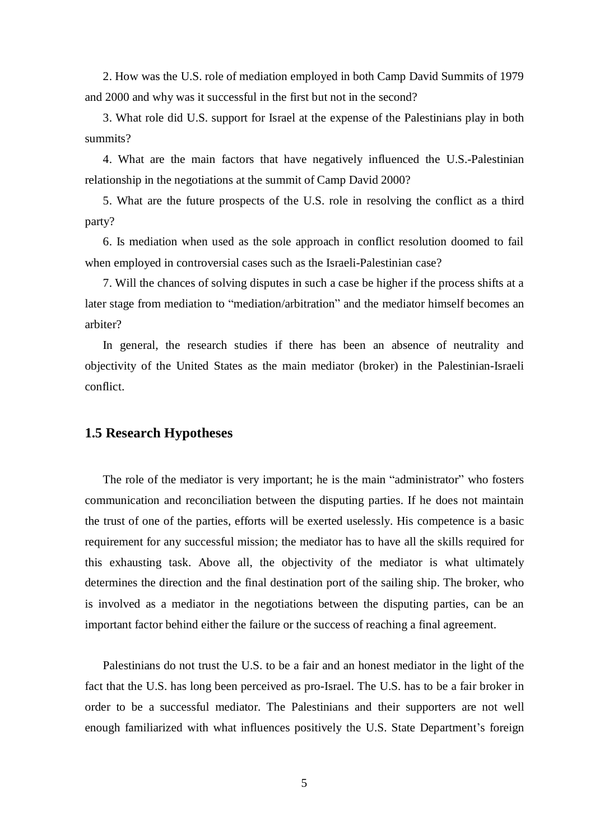2. How was the U.S. role of mediation employed in both Camp David Summits of 1979 and 2000 and why was it successful in the first but not in the second?

3. What role did U.S. support for Israel at the expense of the Palestinians play in both summits?

4. What are the main factors that have negatively influenced the U.S.-Palestinian relationship in the negotiations at the summit of Camp David 2000?

5. What are the future prospects of the U.S. role in resolving the conflict as a third party?

6. Is mediation when used as the sole approach in conflict resolution doomed to fail when employed in controversial cases such as the Israeli-Palestinian case?

7. Will the chances of solving disputes in such a case be higher if the process shifts at a later stage from mediation to "mediation/arbitration" and the mediator himself becomes an arbiter?

In general, the research studies if there has been an absence of neutrality and objectivity of the United States as the main mediator (broker) in the Palestinian-Israeli conflict.

## **1.5 Research Hypotheses**

The role of the mediator is very important; he is the main "administrator" who fosters communication and reconciliation between the disputing parties. If he does not maintain the trust of one of the parties, efforts will be exerted uselessly. His competence is a basic requirement for any successful mission; the mediator has to have all the skills required for this exhausting task. Above all, the objectivity of the mediator is what ultimately determines the direction and the final destination port of the sailing ship. The broker, who is involved as a mediator in the negotiations between the disputing parties, can be an important factor behind either the failure or the success of reaching a final agreement.

Palestinians do not trust the U.S. to be a fair and an honest mediator in the light of the fact that the U.S. has long been perceived as pro-Israel. The U.S. has to be a fair broker in order to be a successful mediator. The Palestinians and their supporters are not well enough familiarized with what influences positively the U.S. State Department's foreign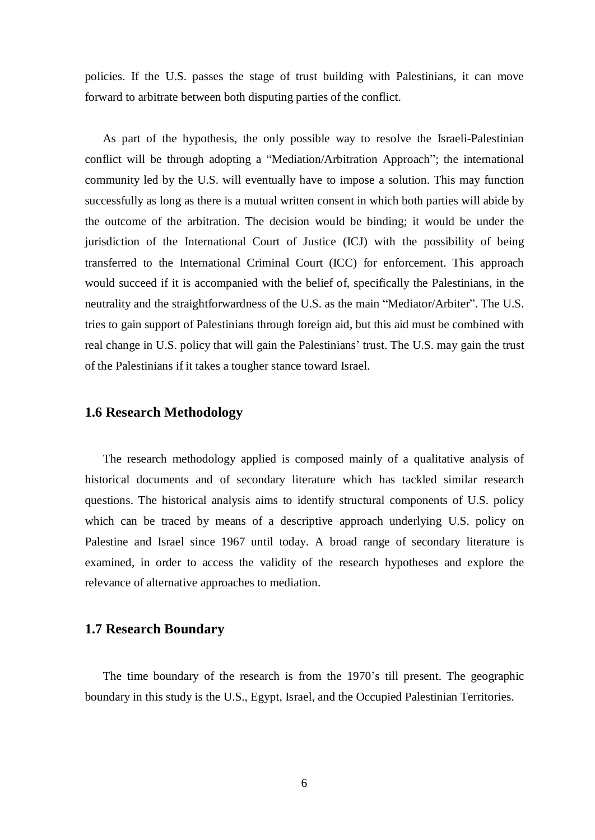policies. If the U.S. passes the stage of trust building with Palestinians, it can move forward to arbitrate between both disputing parties of the conflict.

As part of the hypothesis, the only possible way to resolve the Israeli-Palestinian conflict will be through adopting a "Mediation/Arbitration Approach"; the international community led by the U.S. will eventually have to impose a solution. This may function successfully as long as there is a mutual written consent in which both parties will abide by the outcome of the arbitration. The decision would be binding; it would be under the jurisdiction of the International Court of Justice (ICJ) with the possibility of being transferred to the International Criminal Court (ICC) for enforcement. This approach would succeed if it is accompanied with the belief of, specifically the Palestinians, in the neutrality and the straightforwardness of the U.S. as the main "Mediator/Arbiter". The U.S. tries to gain support of Palestinians through foreign aid, but this aid must be combined with real change in U.S. policy that will gain the Palestinians' trust. The U.S. may gain the trust of the Palestinians if it takes a tougher stance toward Israel.

## **1.6 Research Methodology**

The research methodology applied is composed mainly of a qualitative analysis of historical documents and of secondary literature which has tackled similar research questions. The historical analysis aims to identify structural components of U.S. policy which can be traced by means of a descriptive approach underlying U.S. policy on Palestine and Israel since 1967 until today. A broad range of secondary literature is examined, in order to access the validity of the research hypotheses and explore the relevance of alternative approaches to mediation.

## **1.7 Research Boundary**

The time boundary of the research is from the 1970's till present. The geographic boundary in this study is the U.S., Egypt, Israel, and the Occupied Palestinian Territories.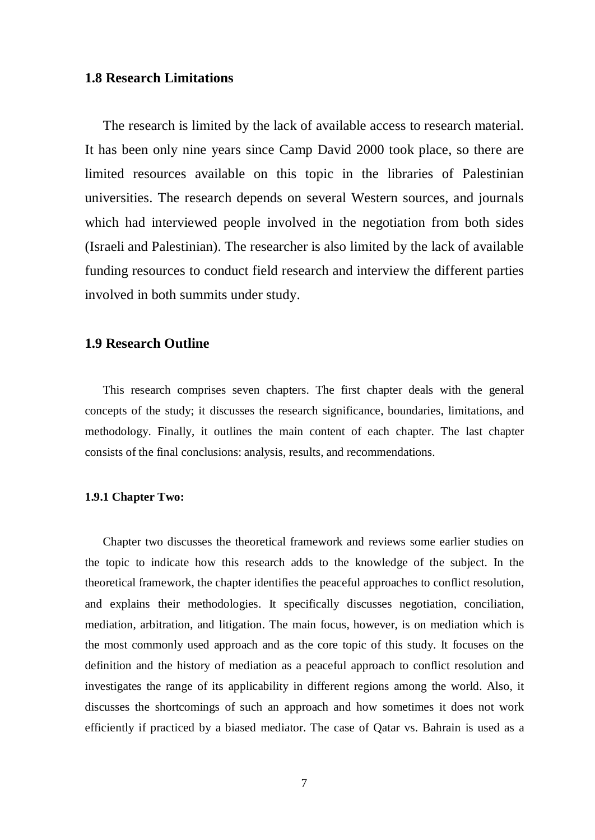## **1.8 Research Limitations**

The research is limited by the lack of available access to research material. It has been only nine years since Camp David 2000 took place, so there are limited resources available on this topic in the libraries of Palestinian universities. The research depends on several Western sources, and journals which had interviewed people involved in the negotiation from both sides (Israeli and Palestinian). The researcher is also limited by the lack of available funding resources to conduct field research and interview the different parties involved in both summits under study.

## **1.9 Research Outline**

This research comprises seven chapters. The first chapter deals with the general concepts of the study; it discusses the research significance, boundaries, limitations, and methodology. Finally, it outlines the main content of each chapter. The last chapter consists of the final conclusions: analysis, results, and recommendations.

### **1.9.1 Chapter Two:**

Chapter two discusses the theoretical framework and reviews some earlier studies on the topic to indicate how this research adds to the knowledge of the subject. In the theoretical framework, the chapter identifies the peaceful approaches to conflict resolution, and explains their methodologies. It specifically discusses negotiation, conciliation, mediation, arbitration, and litigation. The main focus, however, is on mediation which is the most commonly used approach and as the core topic of this study. It focuses on the definition and the history of mediation as a peaceful approach to conflict resolution and investigates the range of its applicability in different regions among the world. Also, it discusses the shortcomings of such an approach and how sometimes it does not work efficiently if practiced by a biased mediator. The case of Qatar vs. Bahrain is used as a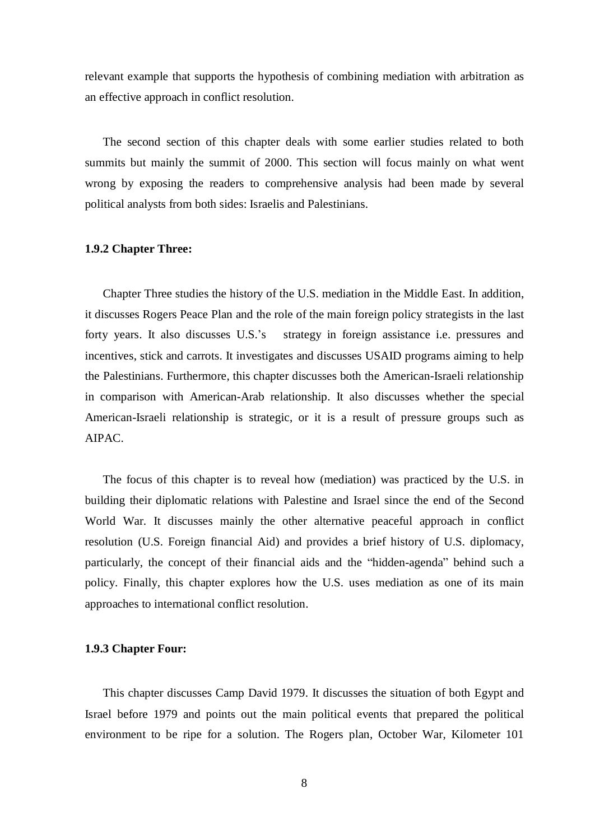relevant example that supports the hypothesis of combining mediation with arbitration as an effective approach in conflict resolution.

The second section of this chapter deals with some earlier studies related to both summits but mainly the summit of 2000. This section will focus mainly on what went wrong by exposing the readers to comprehensive analysis had been made by several political analysts from both sides: Israelis and Palestinians.

#### **1.9.2 Chapter Three:**

Chapter Three studies the history of the U.S. mediation in the Middle East. In addition, it discusses Rogers Peace Plan and the role of the main foreign policy strategists in the last forty years. It also discusses U.S.'s strategy in foreign assistance i.e. pressures and incentives, stick and carrots. It investigates and discusses USAID programs aiming to help the Palestinians. Furthermore, this chapter discusses both the American-Israeli relationship in comparison with American-Arab relationship. It also discusses whether the special American-Israeli relationship is strategic, or it is a result of pressure groups such as AIPAC.

The focus of this chapter is to reveal how (mediation) was practiced by the U.S. in building their diplomatic relations with Palestine and Israel since the end of the Second World War. It discusses mainly the other alternative peaceful approach in conflict resolution (U.S. Foreign financial Aid) and provides a brief history of U.S. diplomacy, particularly, the concept of their financial aids and the "hidden-agenda" behind such a policy. Finally, this chapter explores how the U.S. uses mediation as one of its main approaches to international conflict resolution.

#### **1.9.3 Chapter Four:**

This chapter discusses Camp David 1979. It discusses the situation of both Egypt and Israel before 1979 and points out the main political events that prepared the political environment to be ripe for a solution. The Rogers plan, October War, Kilometer 101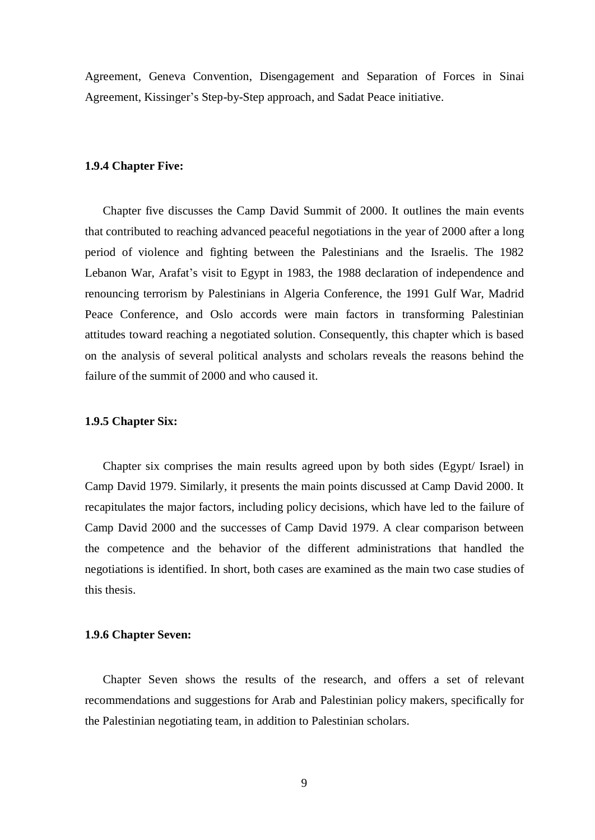Agreement, Geneva Convention, Disengagement and Separation of Forces in Sinai Agreement, Kissinger's Step-by-Step approach, and Sadat Peace initiative.

#### **1.9.4 Chapter Five:**

Chapter five discusses the Camp David Summit of 2000. It outlines the main events that contributed to reaching advanced peaceful negotiations in the year of 2000 after a long period of violence and fighting between the Palestinians and the Israelis. The 1982 Lebanon War, Arafat's visit to Egypt in 1983, the 1988 declaration of independence and renouncing terrorism by Palestinians in Algeria Conference, the 1991 Gulf War, Madrid Peace Conference, and Oslo accords were main factors in transforming Palestinian attitudes toward reaching a negotiated solution. Consequently, this chapter which is based on the analysis of several political analysts and scholars reveals the reasons behind the failure of the summit of 2000 and who caused it.

### **1.9.5 Chapter Six:**

Chapter six comprises the main results agreed upon by both sides (Egypt/ Israel) in Camp David 1979. Similarly, it presents the main points discussed at Camp David 2000. It recapitulates the major factors, including policy decisions, which have led to the failure of Camp David 2000 and the successes of Camp David 1979. A clear comparison between the competence and the behavior of the different administrations that handled the negotiations is identified. In short, both cases are examined as the main two case studies of this thesis.

### **1.9.6 Chapter Seven:**

Chapter Seven shows the results of the research, and offers a set of relevant recommendations and suggestions for Arab and Palestinian policy makers, specifically for the Palestinian negotiating team, in addition to Palestinian scholars.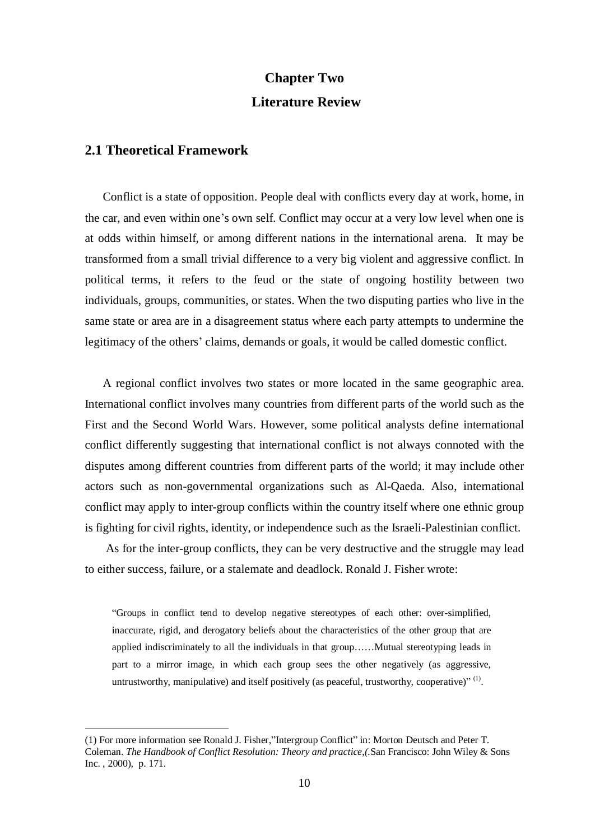# **Chapter Two Literature Review**

## **2.1 Theoretical Framework**

 $\overline{a}$ 

Conflict is a state of opposition. People deal with conflicts every day at work, home, in the car, and even within one's own self. Conflict may occur at a very low level when one is at odds within himself, or among different nations in the international arena. It may be transformed from a small trivial difference to a very big violent and aggressive conflict. In political terms, it refers to the feud or the state of ongoing hostility between two individuals, groups, communities, or states. When the two disputing parties who live in the same state or area are in a disagreement status where each party attempts to undermine the legitimacy of the others' claims, demands or goals, it would be called domestic conflict.

A regional conflict involves two states or more located in the same geographic area. International conflict involves many countries from different parts of the world such as the First and the Second World Wars. However, some political analysts define international conflict differently suggesting that international conflict is not always connoted with the disputes among different countries from different parts of the world; it may include other actors such as non-governmental organizations such as Al-Qaeda. Also, international conflict may apply to inter-group conflicts within the country itself where one ethnic group is fighting for civil rights, identity, or independence such as the Israeli-Palestinian conflict.

As for the inter-group conflicts, they can be very destructive and the struggle may lead to either success, failure, or a stalemate and deadlock. Ronald J. Fisher wrote:

"Groups in conflict tend to develop negative stereotypes of each other: over-simplified, inaccurate, rigid, and derogatory beliefs about the characteristics of the other group that are applied indiscriminately to all the individuals in that group……Mutual stereotyping leads in part to a mirror image, in which each group sees the other negatively (as aggressive, untrustworthy, manipulative) and itself positively (as peaceful, trustworthy, cooperative)"<sup>(1)</sup>.

<sup>(1)</sup> For more information see Ronald J. Fisher,"Intergroup Conflict" in: Morton Deutsch and Peter T. Coleman. *The Handbook of Conflict Resolution: Theory and practice,(.*San Francisco: John Wiley & Sons Inc. , 2000), p. 171.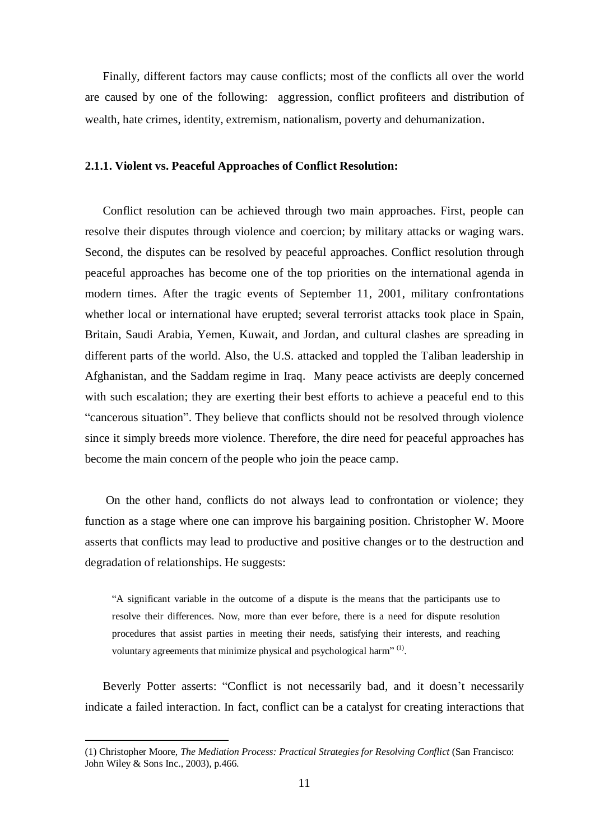Finally, different factors may cause conflicts; most of the conflicts all over the world are caused by one of the following: aggression, conflict profiteers and distribution of wealth, hate crimes, identity, extremism, nationalism, poverty and dehumanization.

#### **2.1.1. Violent vs. Peaceful Approaches of Conflict Resolution:**

Conflict resolution can be achieved through two main approaches. First, people can resolve their disputes through violence and coercion; by military attacks or waging wars. Second, the disputes can be resolved by peaceful approaches. Conflict resolution through peaceful approaches has become one of the top priorities on the international agenda in modern times. After the tragic events of September 11, 2001, military confrontations whether local or international have erupted; several terrorist attacks took place in Spain, Britain, Saudi Arabia, Yemen, Kuwait, and Jordan, and cultural clashes are spreading in different parts of the world. Also, the U.S. attacked and toppled the Taliban leadership in Afghanistan, and the Saddam regime in Iraq. Many peace activists are deeply concerned with such escalation; they are exerting their best efforts to achieve a peaceful end to this "cancerous situation". They believe that conflicts should not be resolved through violence since it simply breeds more violence. Therefore, the dire need for peaceful approaches has become the main concern of the people who join the peace camp.

On the other hand, conflicts do not always lead to confrontation or violence; they function as a stage where one can improve his bargaining position. Christopher W. Moore asserts that conflicts may lead to productive and positive changes or to the destruction and degradation of relationships. He suggests:

"A significant variable in the outcome of a dispute is the means that the participants use to resolve their differences. Now, more than ever before, there is a need for dispute resolution procedures that assist parties in meeting their needs, satisfying their interests, and reaching voluntary agreements that minimize physical and psychological harm"<sup>(1)</sup>.

Beverly Potter asserts: "Conflict is not necessarily bad, and it doesn't necessarily indicate a failed interaction. In fact, conflict can be a catalyst for creating interactions that

<sup>(1)</sup> Christopher Moore, *The Mediation Process: Practical Strategies for Resolving Conflict* (San Francisco: John Wiley & Sons Inc., 2003), p.466.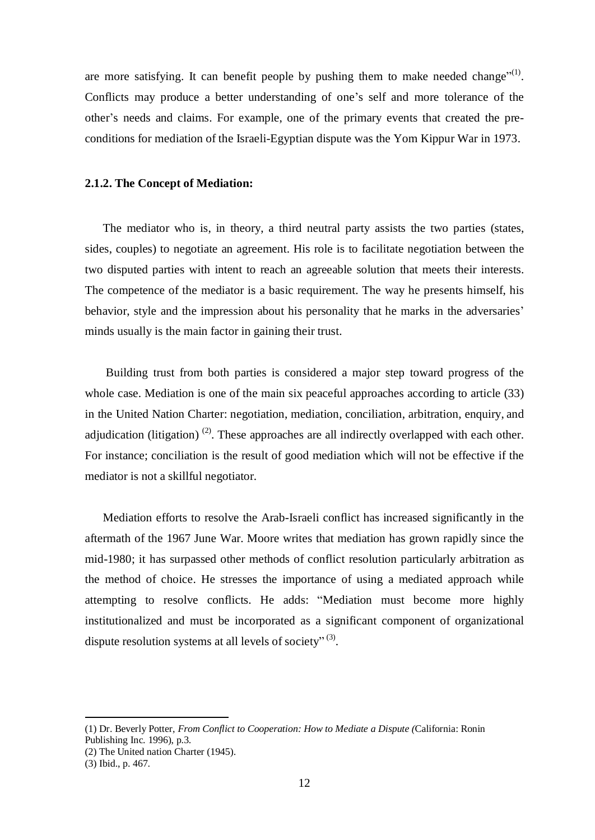are more satisfying. It can benefit people by pushing them to make needed change<sup> $(1)$ </sup>. Conflicts may produce a better understanding of one's self and more tolerance of the other's needs and claims. For example, one of the primary events that created the preconditions for mediation of the Israeli-Egyptian dispute was the Yom Kippur War in 1973.

#### **2.1.2. The Concept of Mediation:**

The mediator who is, in theory, a third neutral party assists the two parties (states, sides, couples) to negotiate an agreement. His role is to facilitate negotiation between the two disputed parties with intent to reach an agreeable solution that meets their interests. The competence of the mediator is a basic requirement. The way he presents himself, his behavior, style and the impression about his personality that he marks in the adversaries' minds usually is the main factor in gaining their trust.

Building trust from both parties is considered a major step toward progress of the whole case. Mediation is one of the main six peaceful approaches according to article (33) in the United Nation Charter: negotiation, mediation, conciliation, arbitration, enquiry, and adjudication (litigation)<sup>(2)</sup>. These approaches are all indirectly overlapped with each other. For instance; conciliation is the result of good mediation which will not be effective if the mediator is not a skillful negotiator.

Mediation efforts to resolve the Arab-Israeli conflict has increased significantly in the aftermath of the 1967 June War. Moore writes that mediation has grown rapidly since the mid-1980; it has surpassed other methods of conflict resolution particularly arbitration as the method of choice. He stresses the importance of using a mediated approach while attempting to resolve conflicts. He adds: "Mediation must become more highly institutionalized and must be incorporated as a significant component of organizational dispute resolution systems at all levels of society" $(3)$ .

<sup>(1)</sup> Dr. Beverly Potter, *From Conflict to Cooperation: How to Mediate a Dispute (*California: Ronin Publishing Inc. 1996), p.3.

<sup>(2)</sup> The United nation Charter (1945).

<sup>(3)</sup> Ibid., p. 467.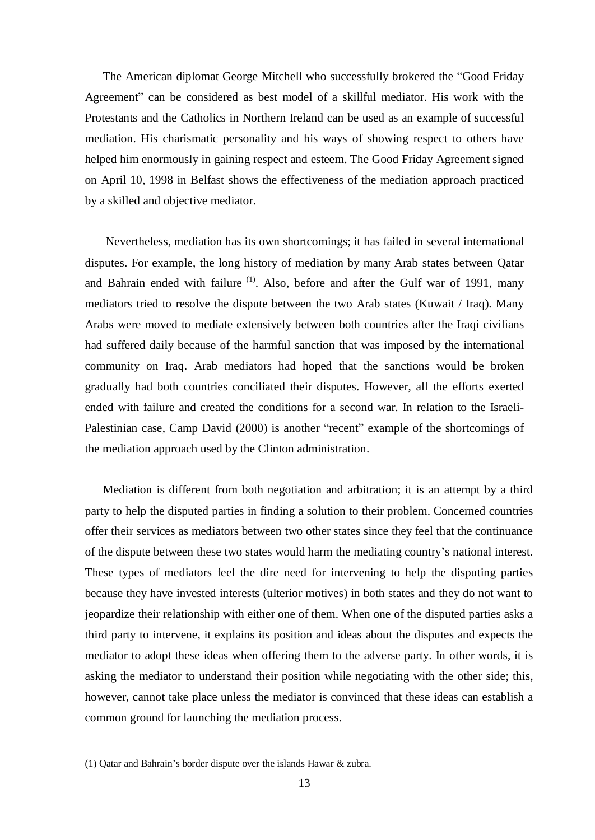The American diplomat George Mitchell who successfully brokered the "Good Friday Agreement" can be considered as best model of a skillful mediator. His work with the Protestants and the Catholics in Northern Ireland can be used as an example of successful mediation. His charismatic personality and his ways of showing respect to others have helped him enormously in gaining respect and esteem. The Good Friday Agreement signed on April 10, 1998 in Belfast shows the effectiveness of the mediation approach practiced by a skilled and objective mediator.

Nevertheless, mediation has its own shortcomings; it has failed in several international disputes. For example, the long history of mediation by many Arab states between Qatar and Bahrain ended with failure  $(1)$ . Also, before and after the Gulf war of 1991, many mediators tried to resolve the dispute between the two Arab states (Kuwait / Iraq). Many Arabs were moved to mediate extensively between both countries after the Iraqi civilians had suffered daily because of the harmful sanction that was imposed by the international community on Iraq. Arab mediators had hoped that the sanctions would be broken gradually had both countries conciliated their disputes. However, all the efforts exerted ended with failure and created the conditions for a second war. In relation to the Israeli-Palestinian case, Camp David (2000) is another "recent" example of the shortcomings of the mediation approach used by the Clinton administration.

Mediation is different from both negotiation and arbitration; it is an attempt by a third party to help the disputed parties in finding a solution to their problem. Concerned countries offer their services as mediators between two other states since they feel that the continuance of the dispute between these two states would harm the mediating country's national interest. These types of mediators feel the dire need for intervening to help the disputing parties because they have invested interests (ulterior motives) in both states and they do not want to jeopardize their relationship with either one of them. When one of the disputed parties asks a third party to intervene, it explains its position and ideas about the disputes and expects the mediator to adopt these ideas when offering them to the adverse party. In other words, it is asking the mediator to understand their position while negotiating with the other side; this, however, cannot take place unless the mediator is convinced that these ideas can establish a common ground for launching the mediation process.

<sup>(1)</sup> Qatar and Bahrain's border dispute over the islands Hawar & zubra.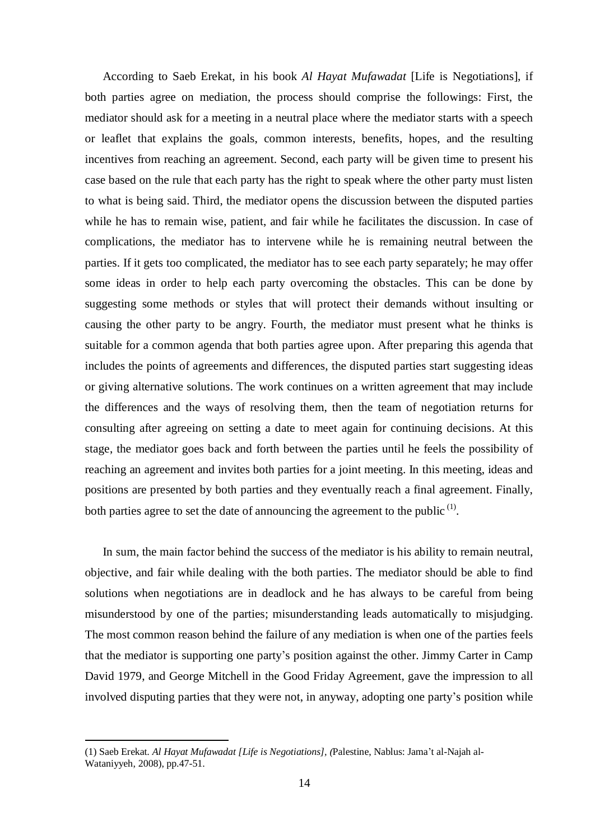According to Saeb Erekat, in his book *Al Hayat Mufawadat* [Life is Negotiations], if both parties agree on mediation, the process should comprise the followings: First, the mediator should ask for a meeting in a neutral place where the mediator starts with a speech or leaflet that explains the goals, common interests, benefits, hopes, and the resulting incentives from reaching an agreement. Second, each party will be given time to present his case based on the rule that each party has the right to speak where the other party must listen to what is being said. Third, the mediator opens the discussion between the disputed parties while he has to remain wise, patient, and fair while he facilitates the discussion. In case of complications, the mediator has to intervene while he is remaining neutral between the parties. If it gets too complicated, the mediator has to see each party separately; he may offer some ideas in order to help each party overcoming the obstacles. This can be done by suggesting some methods or styles that will protect their demands without insulting or causing the other party to be angry. Fourth, the mediator must present what he thinks is suitable for a common agenda that both parties agree upon. After preparing this agenda that includes the points of agreements and differences, the disputed parties start suggesting ideas or giving alternative solutions. The work continues on a written agreement that may include the differences and the ways of resolving them, then the team of negotiation returns for consulting after agreeing on setting a date to meet again for continuing decisions. At this stage, the mediator goes back and forth between the parties until he feels the possibility of reaching an agreement and invites both parties for a joint meeting. In this meeting, ideas and positions are presented by both parties and they eventually reach a final agreement. Finally, both parties agree to set the date of announcing the agreement to the public  $(1)$ .

In sum, the main factor behind the success of the mediator is his ability to remain neutral, objective, and fair while dealing with the both parties. The mediator should be able to find solutions when negotiations are in deadlock and he has always to be careful from being misunderstood by one of the parties; misunderstanding leads automatically to misjudging. The most common reason behind the failure of any mediation is when one of the parties feels that the mediator is supporting one party's position against the other. Jimmy Carter in Camp David 1979, and George Mitchell in the Good Friday Agreement, gave the impression to all involved disputing parties that they were not, in anyway, adopting one party's position while

<sup>(1)</sup> Saeb Erekat*. Al Hayat Mufawadat [Life is Negotiations], (*Palestine, Nablus: Jama't al-Najah al-Wataniyyeh, 2008), pp.47-51.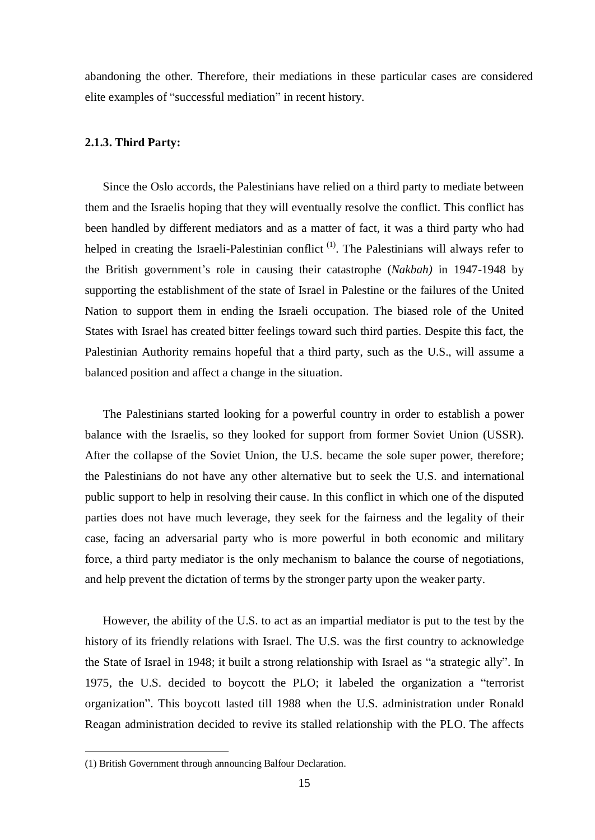abandoning the other. Therefore, their mediations in these particular cases are considered elite examples of "successful mediation" in recent history.

#### **2.1.3. Third Party:**

Since the Oslo accords, the Palestinians have relied on a third party to mediate between them and the Israelis hoping that they will eventually resolve the conflict. This conflict has been handled by different mediators and as a matter of fact, it was a third party who had helped in creating the Israeli-Palestinian conflict<sup>(1)</sup>. The Palestinians will always refer to the British government's role in causing their catastrophe (*Nakbah)* in 1947-1948 by supporting the establishment of the state of Israel in Palestine or the failures of the United Nation to support them in ending the Israeli occupation. The biased role of the United States with Israel has created bitter feelings toward such third parties. Despite this fact, the Palestinian Authority remains hopeful that a third party, such as the U.S., will assume a balanced position and affect a change in the situation.

The Palestinians started looking for a powerful country in order to establish a power balance with the Israelis, so they looked for support from former Soviet Union (USSR). After the collapse of the Soviet Union, the U.S. became the sole super power, therefore; the Palestinians do not have any other alternative but to seek the U.S. and international public support to help in resolving their cause. In this conflict in which one of the disputed parties does not have much leverage, they seek for the fairness and the legality of their case, facing an adversarial party who is more powerful in both economic and military force, a third party mediator is the only mechanism to balance the course of negotiations, and help prevent the dictation of terms by the stronger party upon the weaker party.

However, the ability of the U.S. to act as an impartial mediator is put to the test by the history of its friendly relations with Israel. The U.S. was the first country to acknowledge the State of Israel in 1948; it built a strong relationship with Israel as "a strategic ally". In 1975, the U.S. decided to boycott the PLO; it labeled the organization a "terrorist organization". This boycott lasted till 1988 when the U.S. administration under Ronald Reagan administration decided to revive its stalled relationship with the PLO. The affects

<sup>(1)</sup> British Government through announcing Balfour Declaration.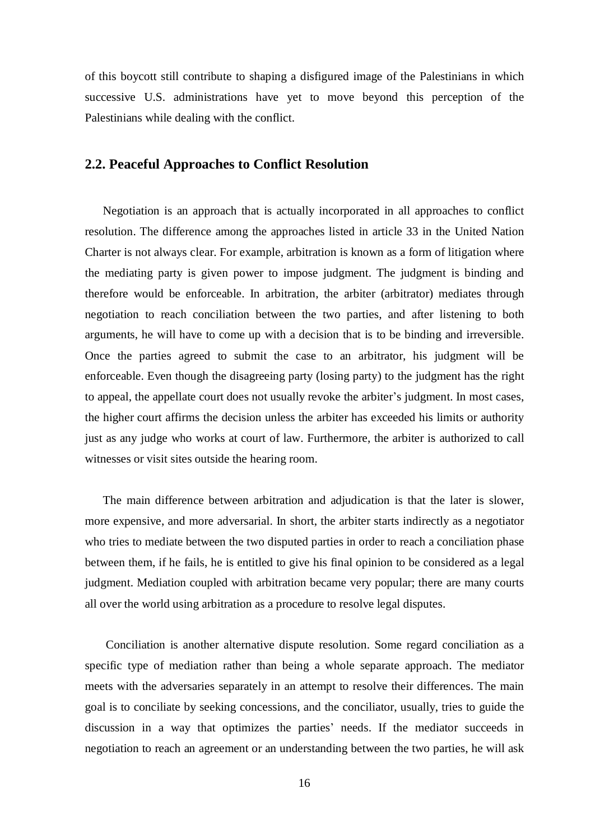of this boycott still contribute to shaping a disfigured image of the Palestinians in which successive U.S. administrations have yet to move beyond this perception of the Palestinians while dealing with the conflict.

## **2.2. Peaceful Approaches to Conflict Resolution**

Negotiation is an approach that is actually incorporated in all approaches to conflict resolution. The difference among the approaches listed in article 33 in the United Nation Charter is not always clear. For example, arbitration is known as a form of litigation where the mediating party is given power to impose judgment. The judgment is binding and therefore would be enforceable. In arbitration, the arbiter (arbitrator) mediates through negotiation to reach conciliation between the two parties, and after listening to both arguments, he will have to come up with a decision that is to be binding and irreversible. Once the parties agreed to submit the case to an arbitrator, his judgment will be enforceable. Even though the disagreeing party (losing party) to the judgment has the right to appeal, the appellate court does not usually revoke the arbiter's judgment. In most cases, the higher court affirms the decision unless the arbiter has exceeded his limits or authority just as any judge who works at court of law. Furthermore, the arbiter is authorized to call witnesses or visit sites outside the hearing room.

The main difference between arbitration and adjudication is that the later is slower, more expensive, and more adversarial. In short, the arbiter starts indirectly as a negotiator who tries to mediate between the two disputed parties in order to reach a conciliation phase between them, if he fails, he is entitled to give his final opinion to be considered as a legal judgment. Mediation coupled with arbitration became very popular; there are many courts all over the world using arbitration as a procedure to resolve legal disputes.

Conciliation is another alternative dispute resolution. Some regard conciliation as a specific type of mediation rather than being a whole separate approach. The mediator meets with the adversaries separately in an attempt to resolve their differences. The main goal is to conciliate by seeking concessions, and the conciliator, usually, tries to guide the discussion in a way that optimizes the parties' needs. If the mediator succeeds in negotiation to reach an agreement or an understanding between the two parties, he will ask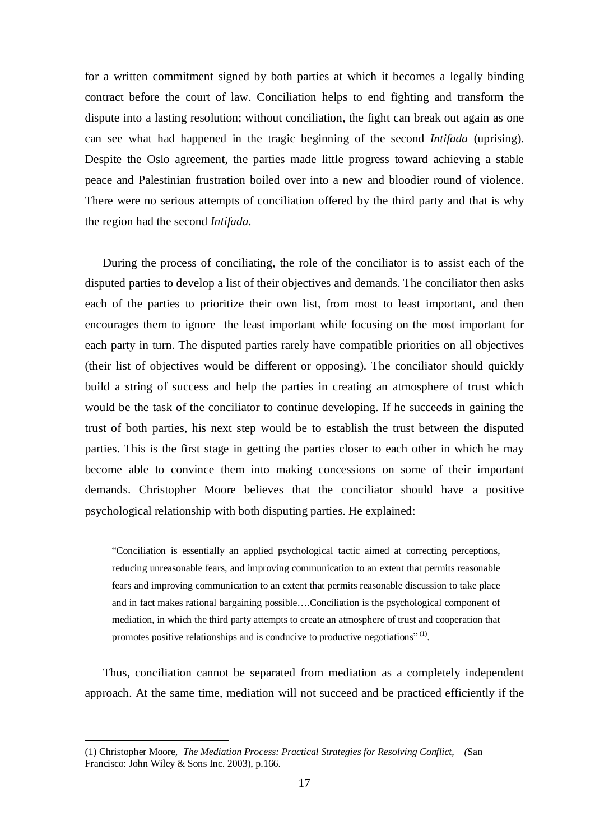for a written commitment signed by both parties at which it becomes a legally binding contract before the court of law. Conciliation helps to end fighting and transform the dispute into a lasting resolution; without conciliation, the fight can break out again as one can see what had happened in the tragic beginning of the second *Intifada* (uprising). Despite the Oslo agreement, the parties made little progress toward achieving a stable peace and Palestinian frustration boiled over into a new and bloodier round of violence. There were no serious attempts of conciliation offered by the third party and that is why the region had the second *Intifada.* 

During the process of conciliating, the role of the conciliator is to assist each of the disputed parties to develop a list of their objectives and demands. The conciliator then asks each of the parties to prioritize their own list, from most to least important, and then encourages them to ignore the least important while focusing on the most important for each party in turn. The disputed parties rarely have compatible priorities on all objectives (their list of objectives would be different or opposing). The conciliator should quickly build a string of success and help the parties in creating an atmosphere of trust which would be the task of the conciliator to continue developing. If he succeeds in gaining the trust of both parties, his next step would be to establish the trust between the disputed parties. This is the first stage in getting the parties closer to each other in which he may become able to convince them into making concessions on some of their important demands. Christopher Moore believes that the conciliator should have a positive psychological relationship with both disputing parties. He explained:

"Conciliation is essentially an applied psychological tactic aimed at correcting perceptions, reducing unreasonable fears, and improving communication to an extent that permits reasonable fears and improving communication to an extent that permits reasonable discussion to take place and in fact makes rational bargaining possible….Conciliation is the psychological component of mediation, in which the third party attempts to create an atmosphere of trust and cooperation that promotes positive relationships and is conducive to productive negotiations" $(1)$ .

Thus, conciliation cannot be separated from mediation as a completely independent approach. At the same time, mediation will not succeed and be practiced efficiently if the

<sup>(1)</sup> Christopher Moore*, The Mediation Process: Practical Strategies for Resolving Conflict, (*San Francisco: John Wiley & Sons Inc. 2003), p.166.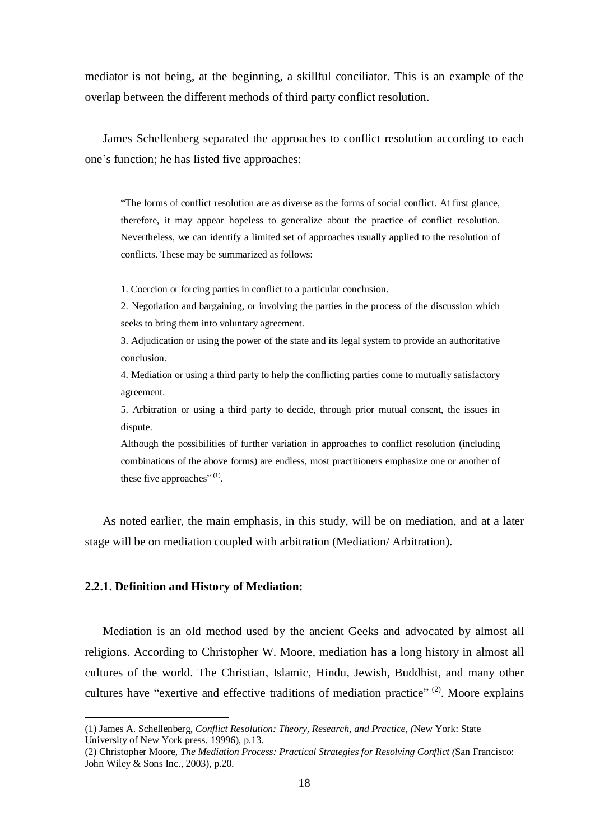mediator is not being, at the beginning, a skillful conciliator. This is an example of the overlap between the different methods of third party conflict resolution.

James Schellenberg separated the approaches to conflict resolution according to each one's function; he has listed five approaches:

"The forms of conflict resolution are as diverse as the forms of social conflict. At first glance, therefore, it may appear hopeless to generalize about the practice of conflict resolution. Nevertheless, we can identify a limited set of approaches usually applied to the resolution of conflicts. These may be summarized as follows:

1. Coercion or forcing parties in conflict to a particular conclusion.

2. Negotiation and bargaining, or involving the parties in the process of the discussion which seeks to bring them into voluntary agreement.

3. Adjudication or using the power of the state and its legal system to provide an authoritative conclusion.

4. Mediation or using a third party to help the conflicting parties come to mutually satisfactory agreement.

5. Arbitration or using a third party to decide, through prior mutual consent, the issues in dispute.

Although the possibilities of further variation in approaches to conflict resolution (including combinations of the above forms) are endless, most practitioners emphasize one or another of these five approaches" $^{(1)}$ .

As noted earlier, the main emphasis, in this study, will be on mediation, and at a later stage will be on mediation coupled with arbitration (Mediation/ Arbitration).

#### **2.2.1. Definition and History of Mediation:**

 $\overline{a}$ 

Mediation is an old method used by the ancient Geeks and advocated by almost all religions. According to Christopher W. Moore, mediation has a long history in almost all cultures of the world. The Christian, Islamic, Hindu, Jewish, Buddhist, and many other cultures have "exertive and effective traditions of mediation practice"  $^{(2)}$ . Moore explains

<sup>(1)</sup> James A. Schellenberg, *Conflict Resolution: Theory, Research, and Practice, (*New York: State University of New York press. 19996), p.13.

<sup>(2)</sup> Christopher Moore, *The Mediation Process: Practical Strategies for Resolving Conflict (*San Francisco: John Wiley & Sons Inc., 2003), p.20.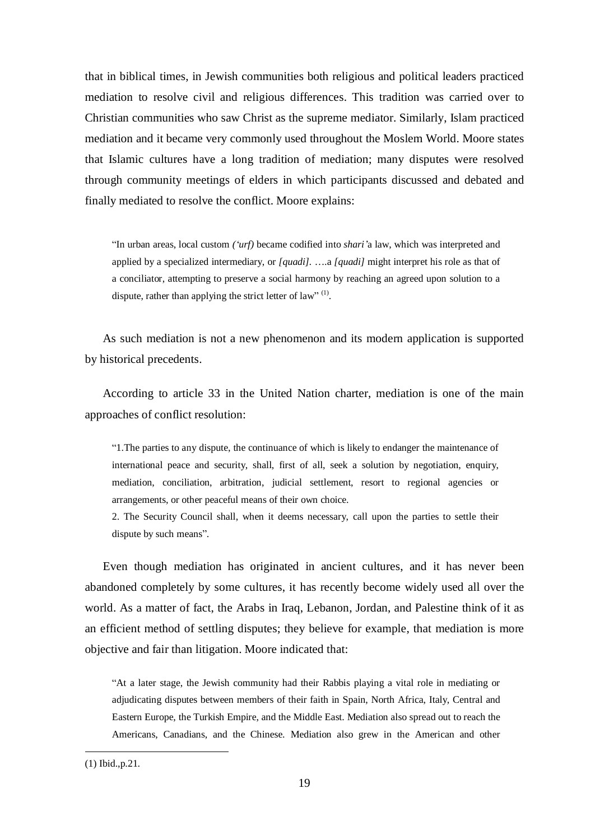that in biblical times, in Jewish communities both religious and political leaders practiced mediation to resolve civil and religious differences. This tradition was carried over to Christian communities who saw Christ as the supreme mediator. Similarly, Islam practiced mediation and it became very commonly used throughout the Moslem World. Moore states that Islamic cultures have a long tradition of mediation; many disputes were resolved through community meetings of elders in which participants discussed and debated and finally mediated to resolve the conflict. Moore explains:

"In urban areas, local custom *('urf)* became codified into *shari'*a law, which was interpreted and applied by a specialized intermediary, or *[quadi].* ….a *[quadi]* might interpret his role as that of a conciliator, attempting to preserve a social harmony by reaching an agreed upon solution to a dispute, rather than applying the strict letter of law"  $^{(1)}$ .

As such mediation is not a new phenomenon and its modern application is supported by historical precedents.

According to article 33 in the United Nation charter, mediation is one of the main approaches of conflict resolution:

"1.The parties to any dispute, the continuance of which is likely to endanger the maintenance of international peace and security, shall, first of all, seek a solution by negotiation, enquiry, mediation, conciliation, arbitration, judicial settlement, resort to regional agencies or arrangements, or other peaceful means of their own choice.

2. The Security Council shall, when it deems necessary, call upon the parties to settle their dispute by such means".

Even though mediation has originated in ancient cultures, and it has never been abandoned completely by some cultures, it has recently become widely used all over the world. As a matter of fact, the Arabs in Iraq, Lebanon, Jordan, and Palestine think of it as an efficient method of settling disputes; they believe for example, that mediation is more objective and fair than litigation. Moore indicated that:

"At a later stage, the Jewish community had their Rabbis playing a vital role in mediating or adjudicating disputes between members of their faith in Spain, North Africa, Italy, Central and Eastern Europe, the Turkish Empire, and the Middle East. Mediation also spread out to reach the Americans, Canadians, and the Chinese. Mediation also grew in the American and other

<sup>(1)</sup> Ibid.,p.21.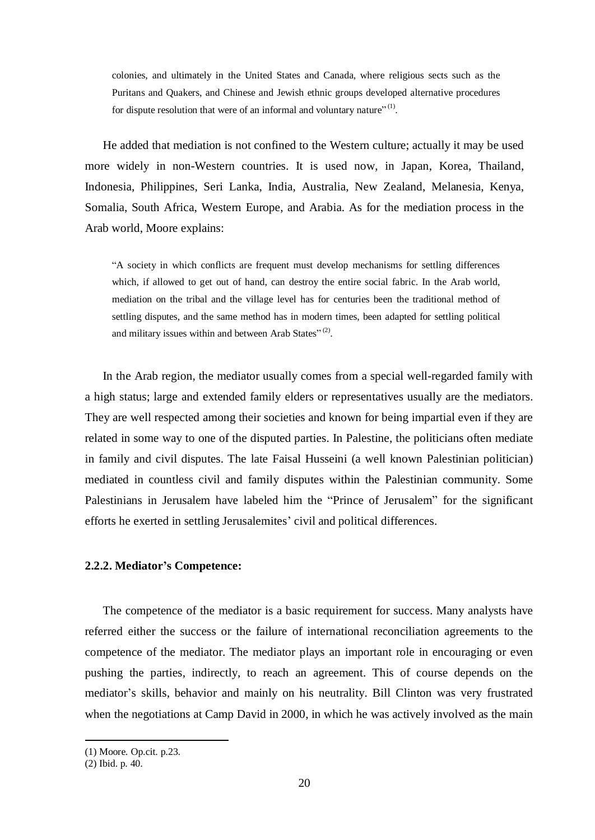colonies, and ultimately in the United States and Canada, where religious sects such as the Puritans and Quakers, and Chinese and Jewish ethnic groups developed alternative procedures for dispute resolution that were of an informal and voluntary nature" $^{(1)}$ .

He added that mediation is not confined to the Western culture; actually it may be used more widely in non-Western countries. It is used now, in Japan, Korea, Thailand, Indonesia, Philippines, Seri Lanka, India, Australia, New Zealand, Melanesia, Kenya, Somalia, South Africa, Western Europe, and Arabia. As for the mediation process in the Arab world, Moore explains:

"A society in which conflicts are frequent must develop mechanisms for settling differences which, if allowed to get out of hand, can destroy the entire social fabric. In the Arab world, mediation on the tribal and the village level has for centuries been the traditional method of settling disputes, and the same method has in modern times, been adapted for settling political and military issues within and between Arab States" $(2)$ .

In the Arab region, the mediator usually comes from a special well-regarded family with a high status; large and extended family elders or representatives usually are the mediators. They are well respected among their societies and known for being impartial even if they are related in some way to one of the disputed parties. In Palestine, the politicians often mediate in family and civil disputes. The late Faisal Husseini (a well known Palestinian politician) mediated in countless civil and family disputes within the Palestinian community. Some Palestinians in Jerusalem have labeled him the "Prince of Jerusalem" for the significant efforts he exerted in settling Jerusalemites' civil and political differences.

### **2.2.2. Mediator's Competence:**

The competence of the mediator is a basic requirement for success. Many analysts have referred either the success or the failure of international reconciliation agreements to the competence of the mediator. The mediator plays an important role in encouraging or even pushing the parties, indirectly, to reach an agreement. This of course depends on the mediator's skills, behavior and mainly on his neutrality. Bill Clinton was very frustrated when the negotiations at Camp David in 2000, in which he was actively involved as the main

<sup>(1)</sup> Moore*.* Op.cit. p.23.

<sup>(2)</sup> Ibid. p. 40.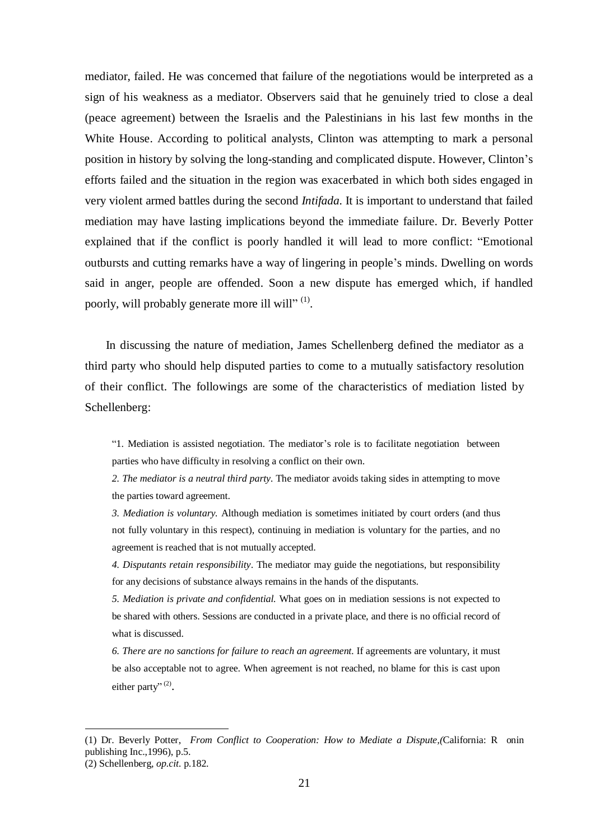mediator, failed. He was concerned that failure of the negotiations would be interpreted as a sign of his weakness as a mediator. Observers said that he genuinely tried to close a deal (peace agreement) between the Israelis and the Palestinians in his last few months in the White House. According to political analysts, Clinton was attempting to mark a personal position in history by solving the long-standing and complicated dispute. However, Clinton's efforts failed and the situation in the region was exacerbated in which both sides engaged in very violent armed battles during the second *Intifada.* It is important to understand that failed mediation may have lasting implications beyond the immediate failure. Dr. Beverly Potter explained that if the conflict is poorly handled it will lead to more conflict: "Emotional outbursts and cutting remarks have a way of lingering in people's minds. Dwelling on words said in anger, people are offended. Soon a new dispute has emerged which, if handled poorly, will probably generate more ill will"<sup>(1)</sup>.

In discussing the nature of mediation, James Schellenberg defined the mediator as a third party who should help disputed parties to come to a mutually satisfactory resolution of their conflict. The followings are some of the characteristics of mediation listed by Schellenberg:

"1. Mediation is assisted negotiation. The mediator's role is to facilitate negotiation between parties who have difficulty in resolving a conflict on their own.

*2. The mediator is a neutral third party.* The mediator avoids taking sides in attempting to move the parties toward agreement.

*3. Mediation is voluntary.* Although mediation is sometimes initiated by court orders (and thus not fully voluntary in this respect), continuing in mediation is voluntary for the parties, and no agreement is reached that is not mutually accepted.

*4. Disputants retain responsibility*. The mediator may guide the negotiations, but responsibility for any decisions of substance always remains in the hands of the disputants.

*5. Mediation is private and confidential.* What goes on in mediation sessions is not expected to be shared with others. Sessions are conducted in a private place, and there is no official record of what is discussed.

*6. There are no sanctions for failure to reach an agreement.* If agreements are voluntary, it must be also acceptable not to agree. When agreement is not reached, no blame for this is cast upon either party"<sup>(2)</sup>.

<sup>(1)</sup> Dr. Beverly Potter, *From Conflict to Cooperation: How to Mediate a Dispute,(*California: R onin publishing Inc.,1996), p.5.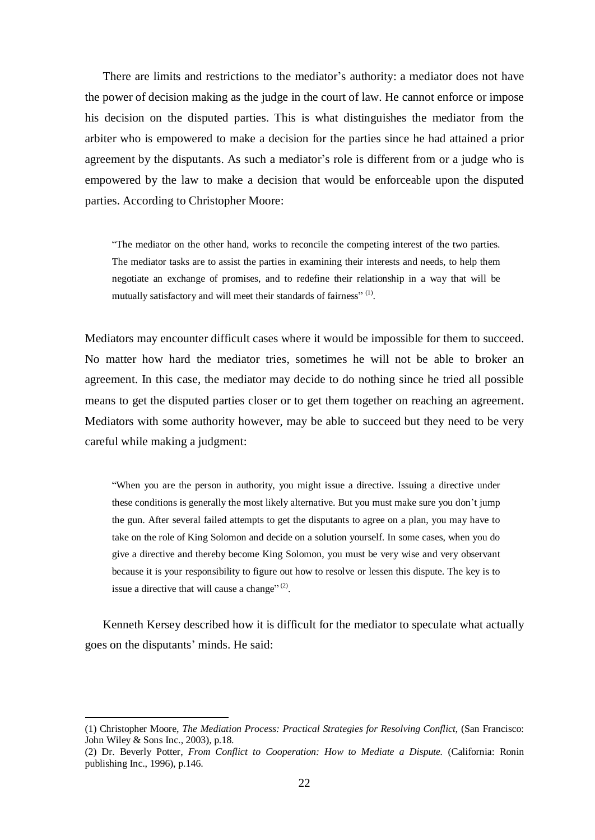There are limits and restrictions to the mediator's authority: a mediator does not have the power of decision making as the judge in the court of law. He cannot enforce or impose his decision on the disputed parties. This is what distinguishes the mediator from the arbiter who is empowered to make a decision for the parties since he had attained a prior agreement by the disputants. As such a mediator's role is different from or a judge who is empowered by the law to make a decision that would be enforceable upon the disputed parties. According to Christopher Moore:

"The mediator on the other hand, works to reconcile the competing interest of the two parties. The mediator tasks are to assist the parties in examining their interests and needs, to help them negotiate an exchange of promises, and to redefine their relationship in a way that will be mutually satisfactory and will meet their standards of fairness"<sup>(1)</sup>.

Mediators may encounter difficult cases where it would be impossible for them to succeed. No matter how hard the mediator tries, sometimes he will not be able to broker an agreement. In this case, the mediator may decide to do nothing since he tried all possible means to get the disputed parties closer or to get them together on reaching an agreement. Mediators with some authority however, may be able to succeed but they need to be very careful while making a judgment:

"When you are the person in authority, you might issue a directive. Issuing a directive under these conditions is generally the most likely alternative. But you must make sure you don't jump the gun. After several failed attempts to get the disputants to agree on a plan, you may have to take on the role of King Solomon and decide on a solution yourself. In some cases, when you do give a directive and thereby become King Solomon, you must be very wise and very observant because it is your responsibility to figure out how to resolve or lessen this dispute. The key is to issue a directive that will cause a change" $^{(2)}$ .

Kenneth Kersey described how it is difficult for the mediator to speculate what actually goes on the disputants' minds. He said:

<sup>(1)</sup> Christopher Moore, *The Mediation Process: Practical Strategies for Resolving Conflict,* (San Francisco: John Wiley & Sons Inc., 2003), p.18.

<sup>(2)</sup> Dr. Beverly Potter, *From Conflict to Cooperation: How to Mediate a Dispute.* (California: Ronin publishing Inc., 1996), p.146.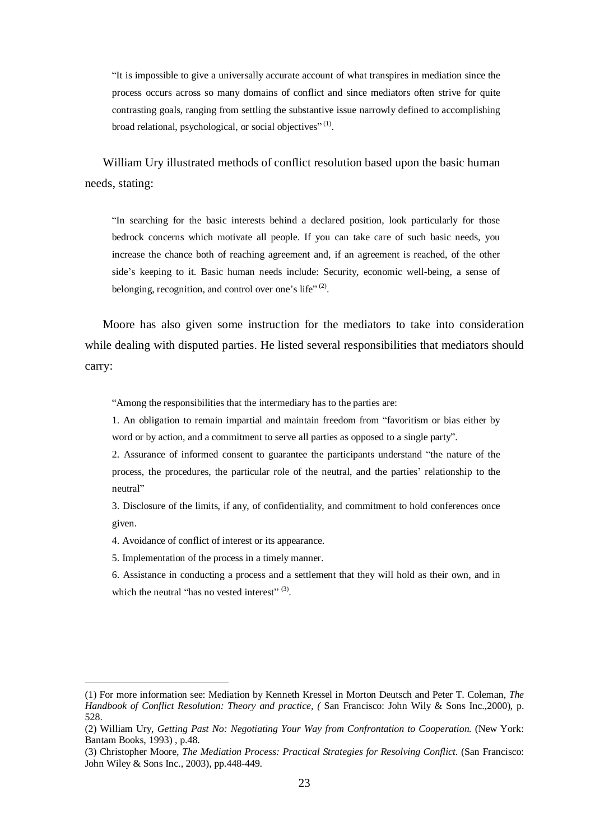"It is impossible to give a universally accurate account of what transpires in mediation since the process occurs across so many domains of conflict and since mediators often strive for quite contrasting goals, ranging from settling the substantive issue narrowly defined to accomplishing broad relational, psychological, or social objectives"<sup>(1)</sup>.

William Ury illustrated methods of conflict resolution based upon the basic human needs, stating:

"In searching for the basic interests behind a declared position, look particularly for those bedrock concerns which motivate all people. If you can take care of such basic needs, you increase the chance both of reaching agreement and, if an agreement is reached, of the other side's keeping to it. Basic human needs include: Security, economic well-being, a sense of belonging, recognition, and control over one's life" $^{(2)}$ .

Moore has also given some instruction for the mediators to take into consideration while dealing with disputed parties. He listed several responsibilities that mediators should carry:

"Among the responsibilities that the intermediary has to the parties are:

1. An obligation to remain impartial and maintain freedom from "favoritism or bias either by word or by action, and a commitment to serve all parties as opposed to a single party".

2. Assurance of informed consent to guarantee the participants understand "the nature of the process, the procedures, the particular role of the neutral, and the parties' relationship to the neutral"

3. Disclosure of the limits, if any, of confidentiality, and commitment to hold conferences once given.

4. Avoidance of conflict of interest or its appearance.

5. Implementation of the process in a timely manner.

 $\overline{a}$ 

6. Assistance in conducting a process and a settlement that they will hold as their own, and in which the neutral "has no vested interest"  $(3)$ .

<sup>(1)</sup> For more information see: Mediation by Kenneth Kressel in Morton Deutsch and Peter T. Coleman, *The Handbook of Conflict Resolution: Theory and practice, (* San Francisco: John Wily & Sons Inc.,2000), p. 528.

<sup>(2)</sup> William Ury, *Getting Past No: Negotiating Your Way from Confrontation to Cooperation.* (New York: Bantam Books, 1993) , p.48.

<sup>(3)</sup> Christopher Moore, *The Mediation Process: Practical Strategies for Resolving Conflict*. (San Francisco: John Wiley & Sons Inc., 2003), pp.448-449.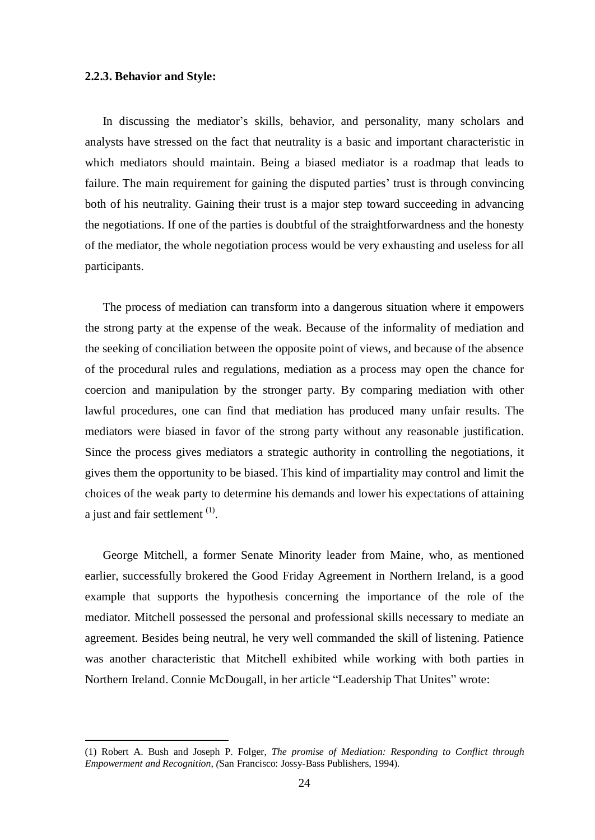#### **2.2.3. Behavior and Style:**

 $\overline{a}$ 

In discussing the mediator's skills, behavior, and personality, many scholars and analysts have stressed on the fact that neutrality is a basic and important characteristic in which mediators should maintain. Being a biased mediator is a roadmap that leads to failure. The main requirement for gaining the disputed parties' trust is through convincing both of his neutrality. Gaining their trust is a major step toward succeeding in advancing the negotiations. If one of the parties is doubtful of the straightforwardness and the honesty of the mediator, the whole negotiation process would be very exhausting and useless for all participants.

The process of mediation can transform into a dangerous situation where it empowers the strong party at the expense of the weak. Because of the informality of mediation and the seeking of conciliation between the opposite point of views, and because of the absence of the procedural rules and regulations, mediation as a process may open the chance for coercion and manipulation by the stronger party. By comparing mediation with other lawful procedures, one can find that mediation has produced many unfair results. The mediators were biased in favor of the strong party without any reasonable justification. Since the process gives mediators a strategic authority in controlling the negotiations, it gives them the opportunity to be biased. This kind of impartiality may control and limit the choices of the weak party to determine his demands and lower his expectations of attaining a just and fair settlement <sup>(1)</sup>.

George Mitchell, a former Senate Minority leader from Maine, who, as mentioned earlier, successfully brokered the Good Friday Agreement in Northern Ireland, is a good example that supports the hypothesis concerning the importance of the role of the mediator. Mitchell possessed the personal and professional skills necessary to mediate an agreement. Besides being neutral, he very well commanded the skill of listening. Patience was another characteristic that Mitchell exhibited while working with both parties in Northern Ireland. Connie McDougall, in her article "Leadership That Unites" wrote:

<sup>(1)</sup> Robert A. Bush and Joseph P. Folger, *The promise of Mediation: Responding to Conflict through Empowerment and Recognition, (*San Francisco: Jossy-Bass Publishers, 1994).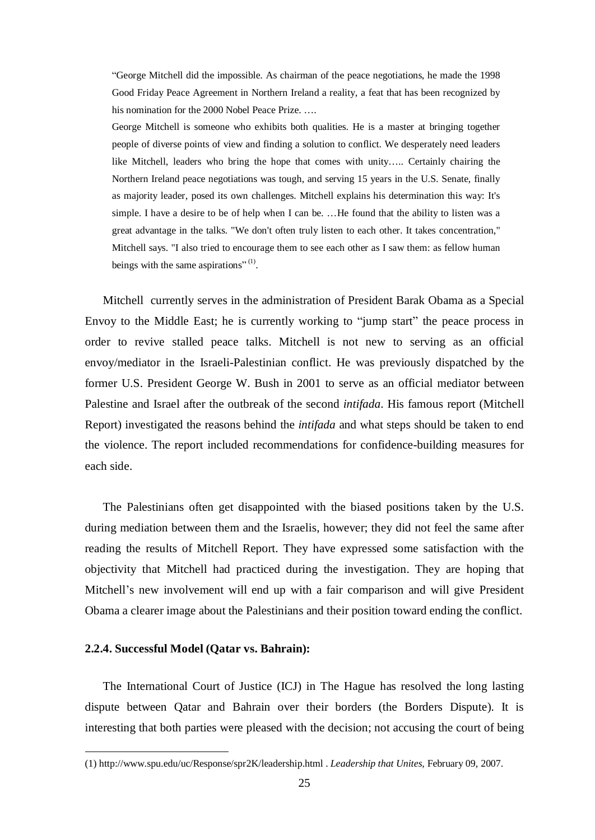"George Mitchell did the impossible. As chairman of the peace negotiations, he made the 1998 Good Friday Peace Agreement in Northern Ireland a reality, a feat that has been recognized by his nomination for the 2000 Nobel Peace Prize. ….

George Mitchell is someone who exhibits both qualities. He is a master at bringing together people of diverse points of view and finding a solution to conflict. We desperately need leaders like Mitchell, leaders who bring the hope that comes with unity….. Certainly chairing the Northern Ireland peace negotiations was tough, and serving 15 years in the U.S. Senate, finally as majority leader, posed its own challenges. Mitchell explains his determination this way: It's simple. I have a desire to be of help when I can be. …He found that the ability to listen was a great advantage in the talks. "We don't often truly listen to each other. It takes concentration," Mitchell says. "I also tried to encourage them to see each other as I saw them: as fellow human beings with the same aspirations" $^{(1)}$ .

Mitchell currently serves in the administration of President Barak Obama as a Special Envoy to the Middle East; he is currently working to "jump start" the peace process in order to revive stalled peace talks. Mitchell is not new to serving as an official envoy/mediator in the Israeli-Palestinian conflict. He was previously dispatched by the former U.S. President George W. Bush in 2001 to serve as an official mediator between Palestine and Israel after the outbreak of the second *intifada.* His famous report (Mitchell Report) investigated the reasons behind the *intifada* and what steps should be taken to end the violence. The report included recommendations for confidence-building measures for each side.

The Palestinians often get disappointed with the biased positions taken by the U.S. during mediation between them and the Israelis, however; they did not feel the same after reading the results of Mitchell Report. They have expressed some satisfaction with the objectivity that Mitchell had practiced during the investigation. They are hoping that Mitchell's new involvement will end up with a fair comparison and will give President Obama a clearer image about the Palestinians and their position toward ending the conflict.

#### **2.2.4. Successful Model (Qatar vs. Bahrain):**

 $\overline{a}$ 

The International Court of Justice (ICJ) in The Hague has resolved the long lasting dispute between Qatar and Bahrain over their borders (the Borders Dispute). It is interesting that both parties were pleased with the decision; not accusing the court of being

<sup>(1)</sup><http://www.spu.edu/uc/Response/spr2K/leadership.html> . *Leadership that Unites,* February 09, 2007.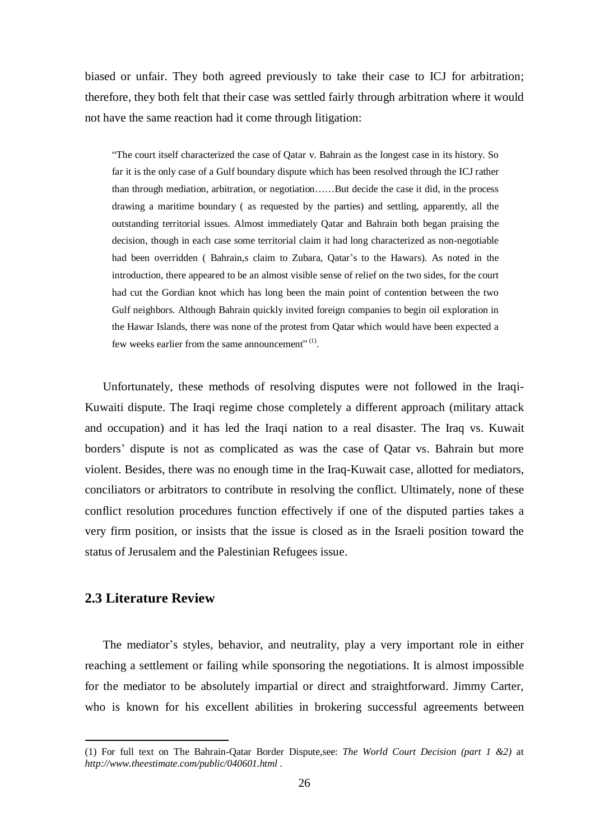biased or unfair. They both agreed previously to take their case to ICJ for arbitration; therefore, they both felt that their case was settled fairly through arbitration where it would not have the same reaction had it come through litigation:

"The court itself characterized the case of Qatar v. Bahrain as the longest case in its history. So far it is the only case of a Gulf boundary dispute which has been resolved through the ICJ rather than through mediation, arbitration, or negotiation……But decide the case it did, in the process drawing a maritime boundary ( as requested by the parties) and settling, apparently, all the outstanding territorial issues. Almost immediately Qatar and Bahrain both began praising the decision, though in each case some territorial claim it had long characterized as non-negotiable had been overridden ( Bahrain,s claim to Zubara, Qatar's to the Hawars). As noted in the introduction, there appeared to be an almost visible sense of relief on the two sides, for the court had cut the Gordian knot which has long been the main point of contention between the two Gulf neighbors. Although Bahrain quickly invited foreign companies to begin oil exploration in the Hawar Islands, there was none of the protest from Qatar which would have been expected a few weeks earlier from the same announcement".<sup>(1)</sup>.

Unfortunately, these methods of resolving disputes were not followed in the Iraqi-Kuwaiti dispute. The Iraqi regime chose completely a different approach (military attack and occupation) and it has led the Iraqi nation to a real disaster. The Iraq vs. Kuwait borders' dispute is not as complicated as was the case of Qatar vs. Bahrain but more violent. Besides, there was no enough time in the Iraq-Kuwait case, allotted for mediators, conciliators or arbitrators to contribute in resolving the conflict. Ultimately, none of these conflict resolution procedures function effectively if one of the disputed parties takes a very firm position, or insists that the issue is closed as in the Israeli position toward the status of Jerusalem and the Palestinian Refugees issue.

### **2.3 Literature Review**

 $\overline{a}$ 

The mediator's styles, behavior, and neutrality, play a very important role in either reaching a settlement or failing while sponsoring the negotiations. It is almost impossible for the mediator to be absolutely impartial or direct and straightforward. Jimmy Carter, who is known for his excellent abilities in brokering successful agreements between

<sup>(1)</sup> For full text on The Bahrain-Qatar Border Dispute,see: *The World Court Decision (part 1 &2)* at *<http://www.theestimate.com/public/040601.html>* .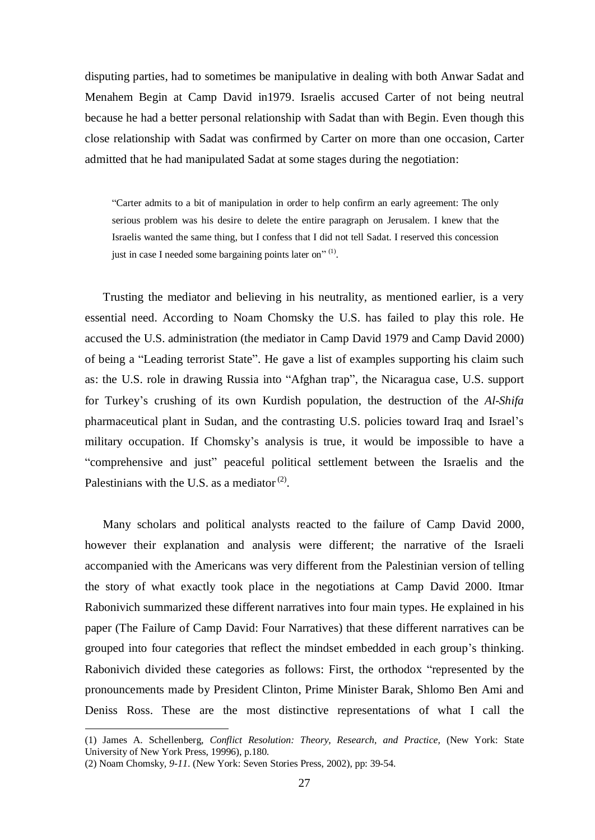disputing parties, had to sometimes be manipulative in dealing with both Anwar Sadat and Menahem Begin at Camp David in1979. Israelis accused Carter of not being neutral because he had a better personal relationship with Sadat than with Begin. Even though this close relationship with Sadat was confirmed by Carter on more than one occasion, Carter admitted that he had manipulated Sadat at some stages during the negotiation:

"Carter admits to a bit of manipulation in order to help confirm an early agreement: The only serious problem was his desire to delete the entire paragraph on Jerusalem. I knew that the Israelis wanted the same thing, but I confess that I did not tell Sadat. I reserved this concession just in case I needed some bargaining points later on" $^{(1)}$ .

Trusting the mediator and believing in his neutrality, as mentioned earlier, is a very essential need. According to Noam Chomsky the U.S. has failed to play this role. He accused the U.S. administration (the mediator in Camp David 1979 and Camp David 2000) of being a "Leading terrorist State". He gave a list of examples supporting his claim such as: the U.S. role in drawing Russia into "Afghan trap", the Nicaragua case, U.S. support for Turkey's crushing of its own Kurdish population, the destruction of the *Al-Shifa*  pharmaceutical plant in Sudan, and the contrasting U.S. policies toward Iraq and Israel's military occupation. If Chomsky's analysis is true, it would be impossible to have a "comprehensive and just" peaceful political settlement between the Israelis and the Palestinians with the U.S. as a mediator<sup>(2)</sup>.

Many scholars and political analysts reacted to the failure of Camp David 2000, however their explanation and analysis were different; the narrative of the Israeli accompanied with the Americans was very different from the Palestinian version of telling the story of what exactly took place in the negotiations at Camp David 2000. Itmar Rabonivich summarized these different narratives into four main types. He explained in his paper (The Failure of Camp David: Four Narratives) that these different narratives can be grouped into four categories that reflect the mindset embedded in each group's thinking. Rabonivich divided these categories as follows: First, the orthodox "represented by the pronouncements made by President Clinton, Prime Minister Barak, Shlomo Ben Ami and Deniss Ross. These are the most distinctive representations of what I call the

<sup>(1)</sup> James A. Schellenberg, *Conflict Resolution: Theory, Research, and Practice,* (New York: State University of New York Press, 19996), p.180.

<sup>(2)</sup> Noam Chomsky*, 9-11*. (New York: Seven Stories Press, 2002), pp: 39-54.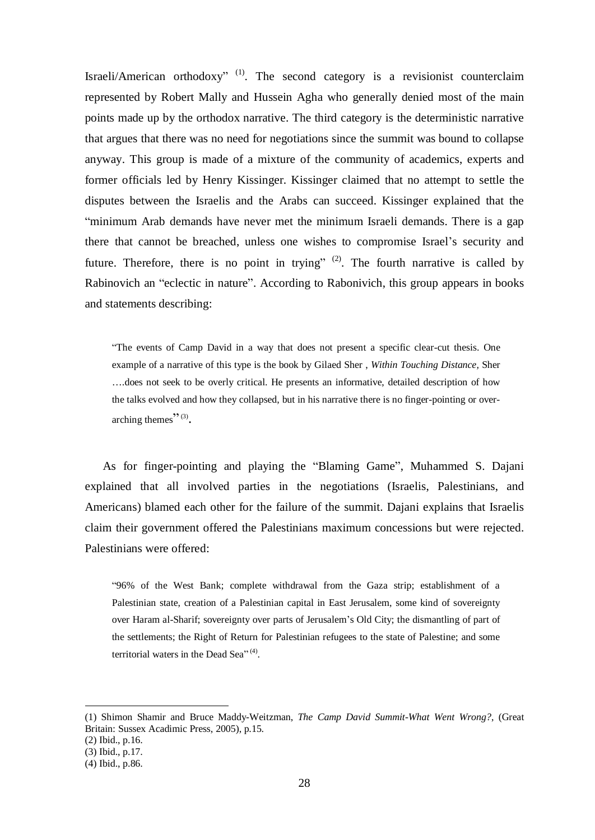Israeli/American orthodoxy"  $(1)$ . The second category is a revisionist counterclaim represented by Robert Mally and Hussein Agha who generally denied most of the main points made up by the orthodox narrative. The third category is the deterministic narrative that argues that there was no need for negotiations since the summit was bound to collapse anyway. This group is made of a mixture of the community of academics, experts and former officials led by Henry Kissinger. Kissinger claimed that no attempt to settle the disputes between the Israelis and the Arabs can succeed. Kissinger explained that the "minimum Arab demands have never met the minimum Israeli demands. There is a gap there that cannot be breached, unless one wishes to compromise Israel's security and future. Therefore, there is no point in trying"  $(2)$ . The fourth narrative is called by Rabinovich an "eclectic in nature". According to Rabonivich, this group appears in books and statements describing:

"The events of Camp David in a way that does not present a specific clear-cut thesis. One example of a narrative of this type is the book by Gilaed Sher , *Within Touching Distance,* Sher ….does not seek to be overly critical. He presents an informative, detailed description of how the talks evolved and how they collapsed, but in his narrative there is no finger-pointing or overarching themes" $\cdot$ <sup>"(3)</sup>.

As for finger-pointing and playing the "Blaming Game", Muhammed S. Dajani explained that all involved parties in the negotiations (Israelis, Palestinians, and Americans) blamed each other for the failure of the summit. Dajani explains that Israelis claim their government offered the Palestinians maximum concessions but were rejected. Palestinians were offered:

"96% of the West Bank; complete withdrawal from the Gaza strip; establishment of a Palestinian state, creation of a Palestinian capital in East Jerusalem, some kind of sovereignty over Haram al-Sharif; sovereignty over parts of Jerusalem's Old City; the dismantling of part of the settlements; the Right of Return for Palestinian refugees to the state of Palestine; and some territorial waters in the Dead Sea"<sup>(4)</sup>.

<sup>(1)</sup> Shimon Shamir and Bruce Maddy-Weitzman, *The Camp David Summit-What Went Wrong?*, (Great Britain: Sussex Acadimic Press, 2005), p.15.

<sup>(2)</sup> Ibid., p.16.

<sup>(3)</sup> Ibid., p.17.

<sup>(4)</sup> Ibid., p.86.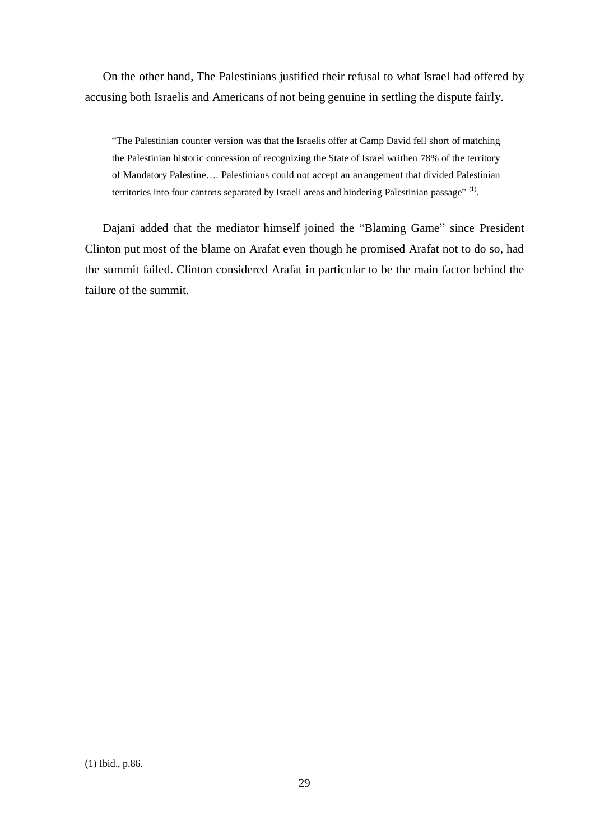On the other hand, The Palestinians justified their refusal to what Israel had offered by accusing both Israelis and Americans of not being genuine in settling the dispute fairly.

"The Palestinian counter version was that the Israelis offer at Camp David fell short of matching the Palestinian historic concession of recognizing the State of Israel writhen 78% of the territory of Mandatory Palestine…. Palestinians could not accept an arrangement that divided Palestinian territories into four cantons separated by Israeli areas and hindering Palestinian passage"<sup>(1)</sup>.

Dajani added that the mediator himself joined the "Blaming Game" since President Clinton put most of the blame on Arafat even though he promised Arafat not to do so, had the summit failed. Clinton considered Arafat in particular to be the main factor behind the failure of the summit.

<sup>(1)</sup> Ibid., p.86.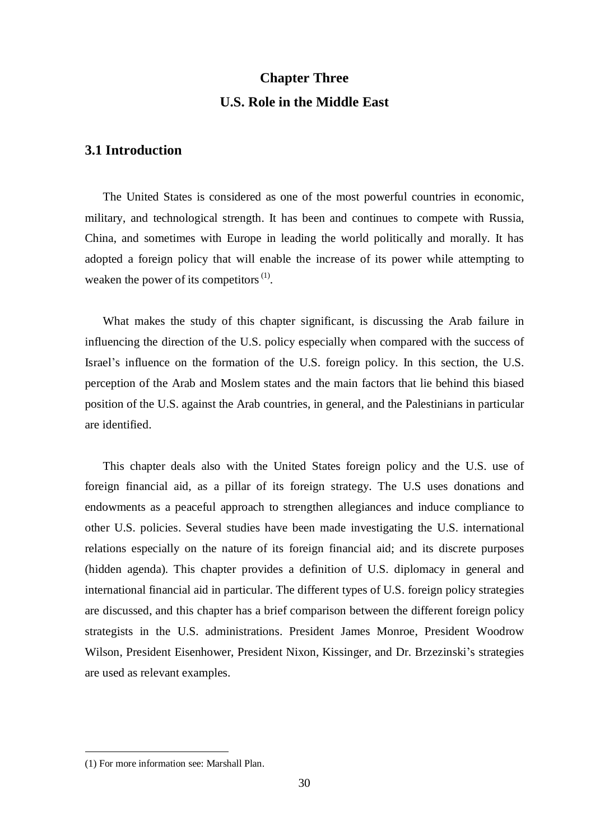# **Chapter Three U.S. Role in the Middle East**

# **3.1 Introduction**

The United States is considered as one of the most powerful countries in economic, military, and technological strength. It has been and continues to compete with Russia, China, and sometimes with Europe in leading the world politically and morally. It has adopted a foreign policy that will enable the increase of its power while attempting to weaken the power of its competitors  $(1)$ .

What makes the study of this chapter significant, is discussing the Arab failure in influencing the direction of the U.S. policy especially when compared with the success of Israel's influence on the formation of the U.S. foreign policy. In this section, the U.S. perception of the Arab and Moslem states and the main factors that lie behind this biased position of the U.S. against the Arab countries, in general, and the Palestinians in particular are identified.

This chapter deals also with the United States foreign policy and the U.S. use of foreign financial aid, as a pillar of its foreign strategy. The U.S uses donations and endowments as a peaceful approach to strengthen allegiances and induce compliance to other U.S. policies. Several studies have been made investigating the U.S. international relations especially on the nature of its foreign financial aid; and its discrete purposes (hidden agenda). This chapter provides a definition of U.S. diplomacy in general and international financial aid in particular. The different types of U.S. foreign policy strategies are discussed, and this chapter has a brief comparison between the different foreign policy strategists in the U.S. administrations. President James Monroe, President Woodrow Wilson, President Eisenhower, President Nixon, Kissinger, and Dr. Brzezinski's strategies are used as relevant examples.

<sup>(1)</sup> For more information see: Marshall Plan.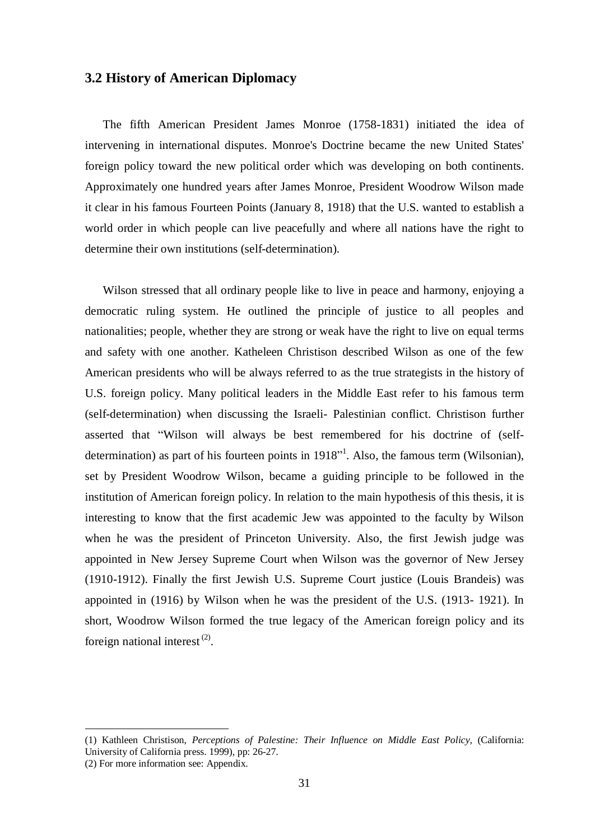#### **3.2 History of American Diplomacy**

The fifth American President James Monroe (1758-1831) initiated the idea of intervening in international disputes. Monroe's Doctrine became the new United States' foreign policy toward the new political order which was developing on both continents. Approximately one hundred years after James Monroe, President Woodrow Wilson made it clear in his famous Fourteen Points (January 8, 1918) that the U.S. wanted to establish a world order in which people can live peacefully and where all nations have the right to determine their own institutions (self-determination).

Wilson stressed that all ordinary people like to live in peace and harmony, enjoying a democratic ruling system. He outlined the principle of justice to all peoples and nationalities; people, whether they are strong or weak have the right to live on equal terms and safety with one another. Katheleen Christison described Wilson as one of the few American presidents who will be always referred to as the true strategists in the history of U.S. foreign policy. Many political leaders in the Middle East refer to his famous term (self-determination) when discussing the Israeli- Palestinian conflict. Christison further asserted that "Wilson will always be best remembered for his doctrine of (selfdetermination) as part of his fourteen points in 1918<sup>\*\*</sup>. Also, the famous term (Wilsonian), set by President Woodrow Wilson, became a guiding principle to be followed in the institution of American foreign policy. In relation to the main hypothesis of this thesis, it is interesting to know that the first academic Jew was appointed to the faculty by Wilson when he was the president of Princeton University. Also, the first Jewish judge was appointed in New Jersey Supreme Court when Wilson was the governor of New Jersey (1910-1912). Finally the first Jewish U.S. Supreme Court justice (Louis Brandeis) was appointed in (1916) by Wilson when he was the president of the U.S. (1913- 1921). In short, Woodrow Wilson formed the true legacy of the American foreign policy and its foreign national interest  $(2)$ .

<sup>(1)</sup> Kathleen Christison, *Perceptions of Palestine: Their Influence on Middle East Policy,* (California: University of California press. 1999), pp: 26-27.

<sup>(2)</sup> For more information see: Appendix.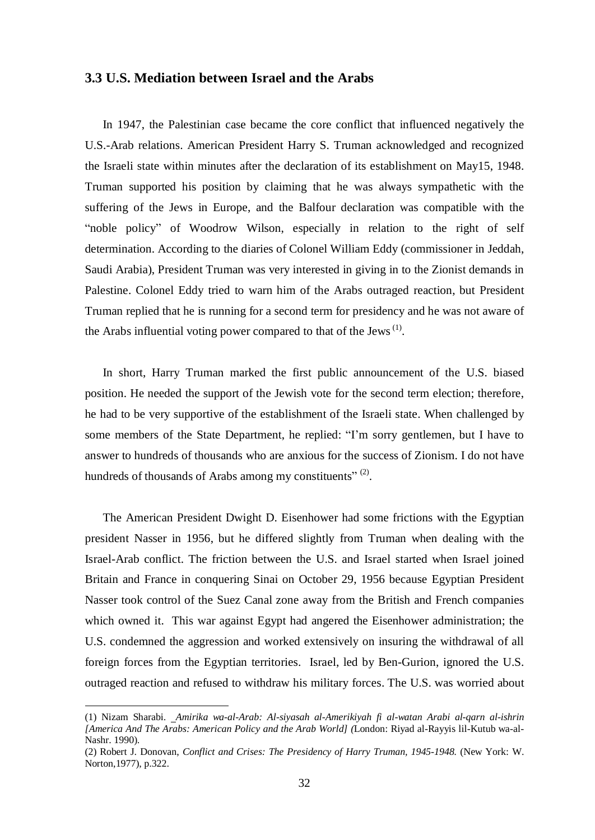### **3.3 U.S. Mediation between Israel and the Arabs**

In 1947, the Palestinian case became the core conflict that influenced negatively the U.S.-Arab relations. American President Harry S. Truman acknowledged and recognized the Israeli state within minutes after the declaration of its establishment on May15, 1948. Truman supported his position by claiming that he was always sympathetic with the suffering of the Jews in Europe, and the Balfour declaration was compatible with the "noble policy" of Woodrow Wilson, especially in relation to the right of self determination. According to the diaries of Colonel William Eddy (commissioner in Jeddah, Saudi Arabia), President Truman was very interested in giving in to the Zionist demands in Palestine. Colonel Eddy tried to warn him of the Arabs outraged reaction, but President Truman replied that he is running for a second term for presidency and he was not aware of the Arabs influential voting power compared to that of the Jews<sup> $<sup>(1)</sup>$ .</sup></sup>

In short, Harry Truman marked the first public announcement of the U.S. biased position. He needed the support of the Jewish vote for the second term election; therefore, he had to be very supportive of the establishment of the Israeli state. When challenged by some members of the State Department, he replied: "I'm sorry gentlemen, but I have to answer to hundreds of thousands who are anxious for the success of Zionism. I do not have hundreds of thousands of Arabs among my constituents" $^{(2)}$ .

The American President Dwight D. Eisenhower had some frictions with the Egyptian president Nasser in 1956, but he differed slightly from Truman when dealing with the Israel-Arab conflict. The friction between the U.S. and Israel started when Israel joined Britain and France in conquering Sinai on October 29, 1956 because Egyptian President Nasser took control of the Suez Canal zone away from the British and French companies which owned it. This war against Egypt had angered the Eisenhower administration; the U.S. condemned the aggression and worked extensively on insuring the withdrawal of all foreign forces from the Egyptian territories. Israel, led by Ben-Gurion, ignored the U.S. outraged reaction and refused to withdraw his military forces. The U.S. was worried about

<sup>(1)</sup> Nizam Sharabi. *Amirika wa-al-Arab: Al-siyasah al-Amerikiyah fi al-watan Arabi al-qarn al-ishrin [America And The Arabs: American Policy and the Arab World] (*London: Riyad al-Rayyis lil-Kutub wa-al-Nashr. 1990).

<sup>(2)</sup> Robert J. Donovan, *Conflict and Crises: The Presidency of Harry Truman, 1945-1948.* (New York: W. Norton,1977), p.322.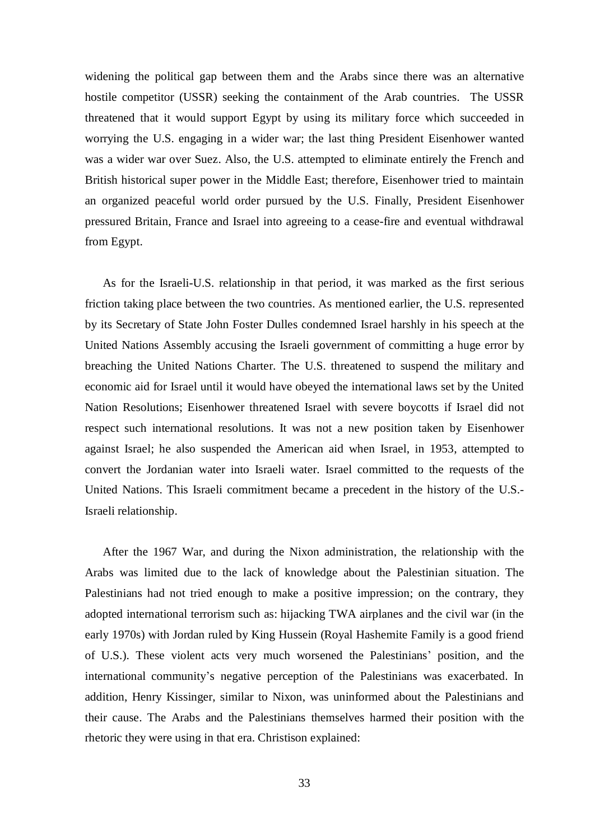widening the political gap between them and the Arabs since there was an alternative hostile competitor (USSR) seeking the containment of the Arab countries. The USSR threatened that it would support Egypt by using its military force which succeeded in worrying the U.S. engaging in a wider war; the last thing President Eisenhower wanted was a wider war over Suez. Also, the U.S. attempted to eliminate entirely the French and British historical super power in the Middle East; therefore, Eisenhower tried to maintain an organized peaceful world order pursued by the U.S. Finally, President Eisenhower pressured Britain, France and Israel into agreeing to a cease-fire and eventual withdrawal from Egypt.

As for the Israeli-U.S. relationship in that period, it was marked as the first serious friction taking place between the two countries. As mentioned earlier, the U.S. represented by its Secretary of State John Foster Dulles condemned Israel harshly in his speech at the United Nations Assembly accusing the Israeli government of committing a huge error by breaching the United Nations Charter. The U.S. threatened to suspend the military and economic aid for Israel until it would have obeyed the international laws set by the United Nation Resolutions; Eisenhower threatened Israel with severe boycotts if Israel did not respect such international resolutions. It was not a new position taken by Eisenhower against Israel; he also suspended the American aid when Israel, in 1953, attempted to convert the Jordanian water into Israeli water. Israel committed to the requests of the United Nations. This Israeli commitment became a precedent in the history of the U.S.- Israeli relationship.

After the 1967 War, and during the Nixon administration, the relationship with the Arabs was limited due to the lack of knowledge about the Palestinian situation. The Palestinians had not tried enough to make a positive impression; on the contrary, they adopted international terrorism such as: hijacking TWA airplanes and the civil war (in the early 1970s) with Jordan ruled by King Hussein (Royal Hashemite Family is a good friend of U.S.). These violent acts very much worsened the Palestinians' position, and the international community's negative perception of the Palestinians was exacerbated. In addition, Henry Kissinger, similar to Nixon, was uninformed about the Palestinians and their cause. The Arabs and the Palestinians themselves harmed their position with the rhetoric they were using in that era. Christison explained: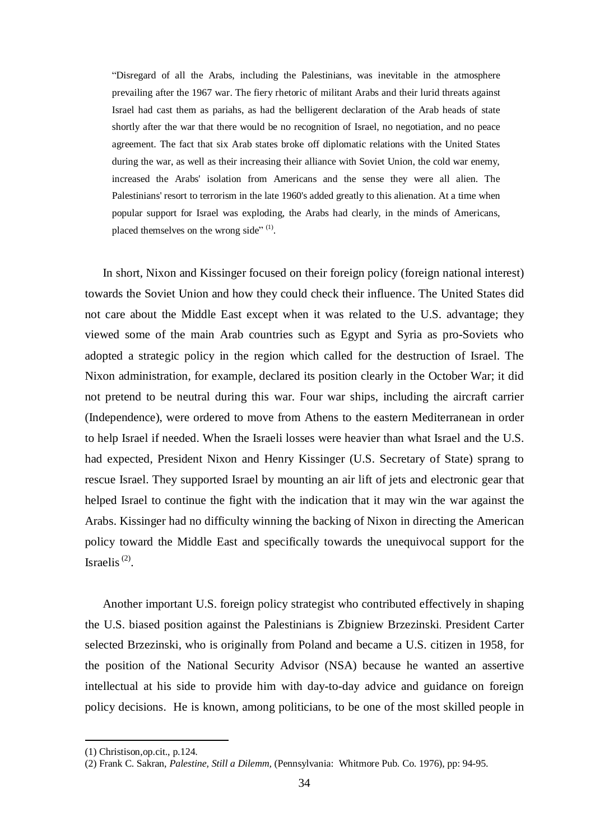"Disregard of all the Arabs, including the Palestinians, was inevitable in the atmosphere prevailing after the 1967 war. The fiery rhetoric of militant Arabs and their lurid threats against Israel had cast them as pariahs, as had the belligerent declaration of the Arab heads of state shortly after the war that there would be no recognition of Israel, no negotiation, and no peace agreement. The fact that six Arab states broke off diplomatic relations with the United States during the war, as well as their increasing their alliance with Soviet Union, the cold war enemy, increased the Arabs' isolation from Americans and the sense they were all alien. The Palestinians' resort to terrorism in the late 1960's added greatly to this alienation. At a time when popular support for Israel was exploding, the Arabs had clearly, in the minds of Americans, placed themselves on the wrong side" $^{(1)}$ .

In short, Nixon and Kissinger focused on their foreign policy (foreign national interest) towards the Soviet Union and how they could check their influence. The United States did not care about the Middle East except when it was related to the U.S. advantage; they viewed some of the main Arab countries such as Egypt and Syria as pro-Soviets who adopted a strategic policy in the region which called for the destruction of Israel. The Nixon administration, for example, declared its position clearly in the October War; it did not pretend to be neutral during this war. Four war ships, including the aircraft carrier (Independence), were ordered to move from Athens to the eastern Mediterranean in order to help Israel if needed. When the Israeli losses were heavier than what Israel and the U.S. had expected, President Nixon and Henry Kissinger (U.S. Secretary of State) sprang to rescue Israel. They supported Israel by mounting an air lift of jets and electronic gear that helped Israel to continue the fight with the indication that it may win the war against the Arabs. Kissinger had no difficulty winning the backing of Nixon in directing the American policy toward the Middle East and specifically towards the unequivocal support for the Israelis $^{(2)}$ .

Another important U.S. foreign policy strategist who contributed effectively in shaping the U.S. biased position against the Palestinians is Zbigniew Brzezinski. President Carter selected Brzezinski, who is originally from Poland and became a U.S. citizen in 1958*,* for the position of the National Security Advisor (NSA) because he wanted an assertive intellectual at his side to provide him with day-to-day advice and guidance on foreign policy decisions. He is known, among politicians, to be one of the most skilled people in

<sup>(1)</sup> Christison,op.cit., p.124.

<sup>(2)</sup> Frank C. Sakran, *Palestine, Still a Dilemm,* (Pennsylvania: Whitmore Pub. Co. 1976), pp: 94-95.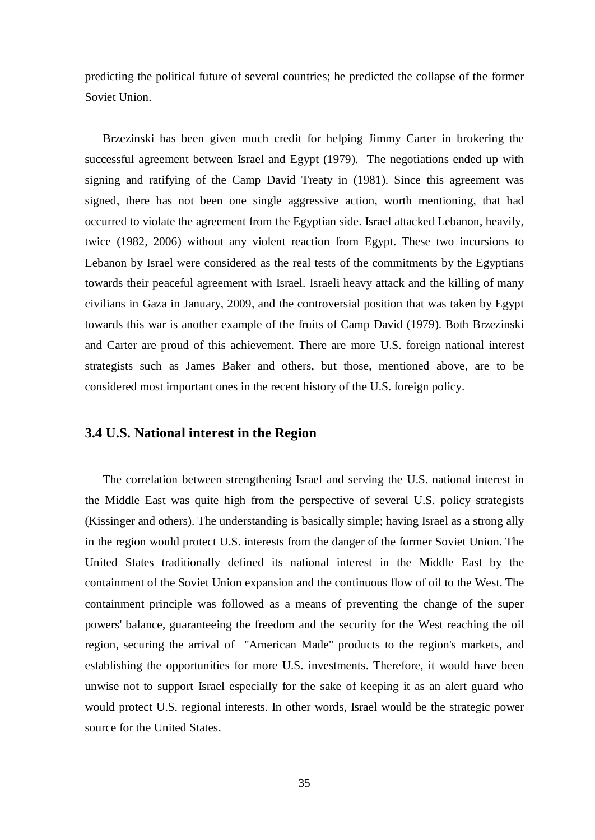predicting the political future of several countries; he predicted the collapse of the former Soviet Union.

Brzezinski has been given much credit for helping Jimmy Carter in brokering the successful agreement between Israel and Egypt (1979). The negotiations ended up with signing and ratifying of the Camp David Treaty in (1981). Since this agreement was signed, there has not been one single aggressive action, worth mentioning, that had occurred to violate the agreement from the Egyptian side. Israel attacked Lebanon, heavily, twice (1982, 2006) without any violent reaction from Egypt. These two incursions to Lebanon by Israel were considered as the real tests of the commitments by the Egyptians towards their peaceful agreement with Israel. Israeli heavy attack and the killing of many civilians in Gaza in January, 2009, and the controversial position that was taken by Egypt towards this war is another example of the fruits of Camp David (1979). Both Brzezinski and Carter are proud of this achievement. There are more U.S. foreign national interest strategists such as James Baker and others, but those, mentioned above, are to be considered most important ones in the recent history of the U.S. foreign policy.

### **3.4 U.S. National interest in the Region**

The correlation between strengthening Israel and serving the U.S. national interest in the Middle East was quite high from the perspective of several U.S. policy strategists (Kissinger and others). The understanding is basically simple; having Israel as a strong ally in the region would protect U.S. interests from the danger of the former Soviet Union. The United States traditionally defined its national interest in the Middle East by the containment of the Soviet Union expansion and the continuous flow of oil to the West. The containment principle was followed as a means of preventing the change of the super powers' balance, guaranteeing the freedom and the security for the West reaching the oil region, securing the arrival of "American Made" products to the region's markets, and establishing the opportunities for more U.S. investments. Therefore, it would have been unwise not to support Israel especially for the sake of keeping it as an alert guard who would protect U.S. regional interests. In other words, Israel would be the strategic power source for the United States.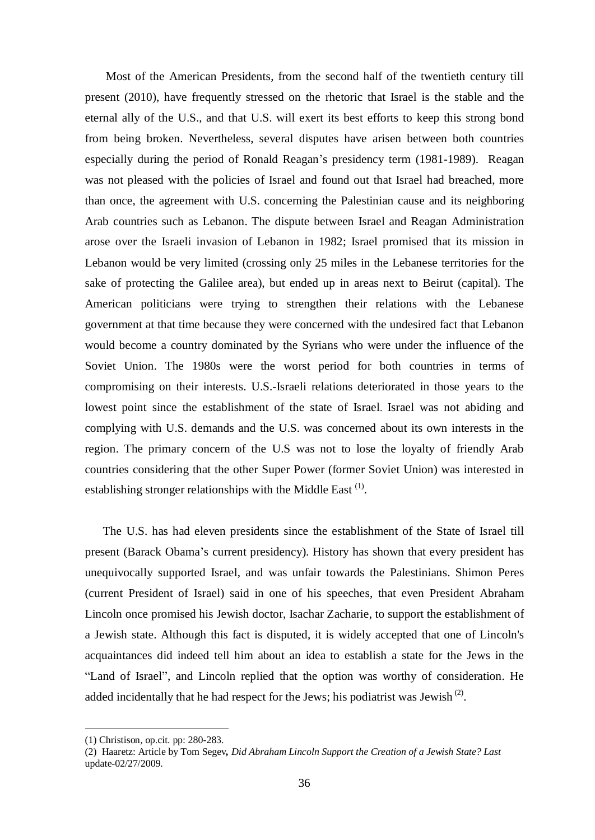Most of the American Presidents, from the second half of the twentieth century till present (2010), have frequently stressed on the rhetoric that Israel is the stable and the eternal ally of the U.S., and that U.S. will exert its best efforts to keep this strong bond from being broken. Nevertheless, several disputes have arisen between both countries especially during the period of Ronald Reagan's presidency term (1981-1989). Reagan was not pleased with the policies of Israel and found out that Israel had breached, more than once, the agreement with U.S. concerning the Palestinian cause and its neighboring Arab countries such as Lebanon. The dispute between Israel and Reagan Administration arose over the Israeli invasion of Lebanon in 1982; Israel promised that its mission in Lebanon would be very limited (crossing only 25 miles in the Lebanese territories for the sake of protecting the Galilee area), but ended up in areas next to Beirut (capital). The American politicians were trying to strengthen their relations with the Lebanese government at that time because they were concerned with the undesired fact that Lebanon would become a country dominated by the Syrians who were under the influence of the Soviet Union. The 1980s were the worst period for both countries in terms of compromising on their interests. U.S.-Israeli relations deteriorated in those years to the lowest point since the establishment of the state of Israel. Israel was not abiding and complying with U.S. demands and the U.S. was concerned about its own interests in the region. The primary concern of the U.S was not to lose the loyalty of friendly Arab countries considering that the other Super Power (former Soviet Union) was interested in establishing stronger relationships with the Middle East  $<sup>(1)</sup>$ .</sup>

The U.S. has had eleven presidents since the establishment of the State of Israel till present (Barack Obama's current presidency). History has shown that every president has unequivocally supported Israel, and was unfair towards the Palestinians. Shimon Peres (current President of Israel) said in one of his speeches, that even President Abraham Lincoln once promised his Jewish doctor, Isachar Zacharie, to support the establishment of a Jewish state. Although this fact is disputed, it is widely accepted that one of Lincoln's acquaintances did indeed tell him about an idea to establish a state for the Jews in the "Land of Israel", and Lincoln replied that the option was worthy of consideration. He added incidentally that he had respect for the Jews; his podiatrist was Jewish<sup> $(2)$ </sup>.

<sup>(1)</sup> Christison, op.cit. pp: 280-283.

<sup>(2)</sup> Haaretz: Article by Tom Segev*, Did Abraham Lincoln Support the Creation of a Jewish State? Last* update-02/27/2009.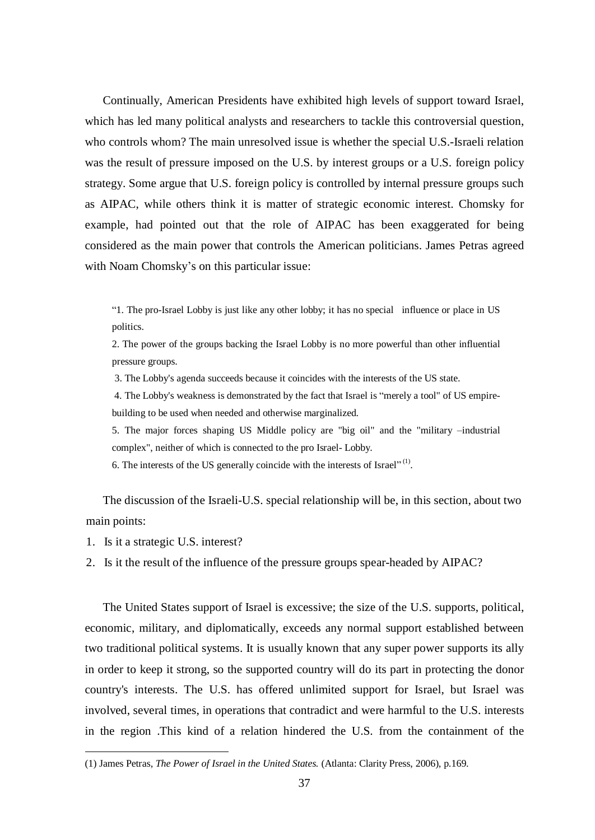Continually, American Presidents have exhibited high levels of support toward Israel, which has led many political analysts and researchers to tackle this controversial question, who controls whom? The main unresolved issue is whether the special U.S.-Israeli relation was the result of pressure imposed on the U.S. by interest groups or a U.S. foreign policy strategy. Some argue that U.S. foreign policy is controlled by internal pressure groups such as AIPAC, while others think it is matter of strategic economic interest. Chomsky for example, had pointed out that the role of AIPAC has been exaggerated for being considered as the main power that controls the American politicians. James Petras agreed with Noam Chomsky's on this particular issue:

"1. The pro-Israel Lobby is just like any other lobby; it has no special influence or place in US politics.

2. The power of the groups backing the Israel Lobby is no more powerful than other influential pressure groups.

3. The Lobby's agenda succeeds because it coincides with the interests of the US state.

4. The Lobby's weakness is demonstrated by the fact that Israel is "merely a tool" of US empirebuilding to be used when needed and otherwise marginalized.

5. The major forces shaping US Middle policy are "big oil" and the "military –industrial complex", neither of which is connected to the pro Israel- Lobby.

6. The interests of the US generally coincide with the interests of Israel" $^{(1)}$ .

The discussion of the Israeli-U.S. special relationship will be, in this section, about two main points:

1. Is it a strategic U.S. interest?

 $\overline{a}$ 

2. Is it the result of the influence of the pressure groups spear-headed by AIPAC?

The United States support of Israel is excessive; the size of the U.S. supports, political, economic, military, and diplomatically, exceeds any normal support established between two traditional political systems. It is usually known that any super power supports its ally in order to keep it strong, so the supported country will do its part in protecting the donor country's interests. The U.S. has offered unlimited support for Israel, but Israel was involved, several times, in operations that contradict and were harmful to the U.S. interests in the region .This kind of a relation hindered the U.S. from the containment of the

<sup>(1)</sup> James Petras, *The Power of Israel in the United States.* (Atlanta: Clarity Press, 2006), p.169.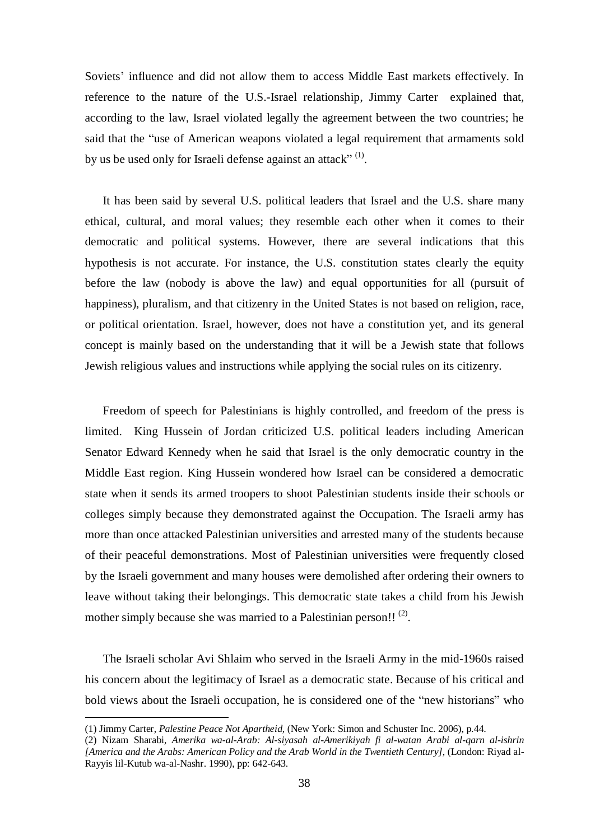Soviets' influence and did not allow them to access Middle East markets effectively. In reference to the nature of the U.S.-Israel relationship, Jimmy Carter explained that, according to the law, Israel violated legally the agreement between the two countries; he said that the "use of American weapons violated a legal requirement that armaments sold by us be used only for Israeli defense against an attack"<sup>(1)</sup>.

It has been said by several U.S. political leaders that Israel and the U.S. share many ethical, cultural, and moral values; they resemble each other when it comes to their democratic and political systems. However, there are several indications that this hypothesis is not accurate. For instance, the U.S. constitution states clearly the equity before the law (nobody is above the law) and equal opportunities for all (pursuit of happiness), pluralism, and that citizenry in the United States is not based on religion, race, or political orientation. Israel, however, does not have a constitution yet, and its general concept is mainly based on the understanding that it will be a Jewish state that follows Jewish religious values and instructions while applying the social rules on its citizenry.

Freedom of speech for Palestinians is highly controlled, and freedom of the press is limited. King Hussein of Jordan criticized U.S. political leaders including American Senator Edward Kennedy when he said that Israel is the only democratic country in the Middle East region. King Hussein wondered how Israel can be considered a democratic state when it sends its armed troopers to shoot Palestinian students inside their schools or colleges simply because they demonstrated against the Occupation. The Israeli army has more than once attacked Palestinian universities and arrested many of the students because of their peaceful demonstrations. Most of Palestinian universities were frequently closed by the Israeli government and many houses were demolished after ordering their owners to leave without taking their belongings. This democratic state takes a child from his Jewish mother simply because she was married to a Palestinian person!!  $(2)$ .

The Israeli scholar Avi Shlaim who served in the Israeli Army in the mid-1960s raised his concern about the legitimacy of Israel as a democratic state. Because of his critical and bold views about the Israeli occupation, he is considered one of the "new historians" who

<sup>(1)</sup> Jimmy Carter, *Palestine Peace Not Apartheid,* (New York: Simon and Schuster Inc. 2006), p.44.

<sup>(2)</sup> Nizam Sharabi, *Amerika wa-al-Arab: Al-siyasah al-Amerikiyah fi al-watan Arabi al-qarn al-ishrin [America and the Arabs: American Policy and the Arab World in the Twentieth Century],* (London: Riyad al-Rayyis lil-Kutub wa-al-Nashr. 1990), pp: 642-643.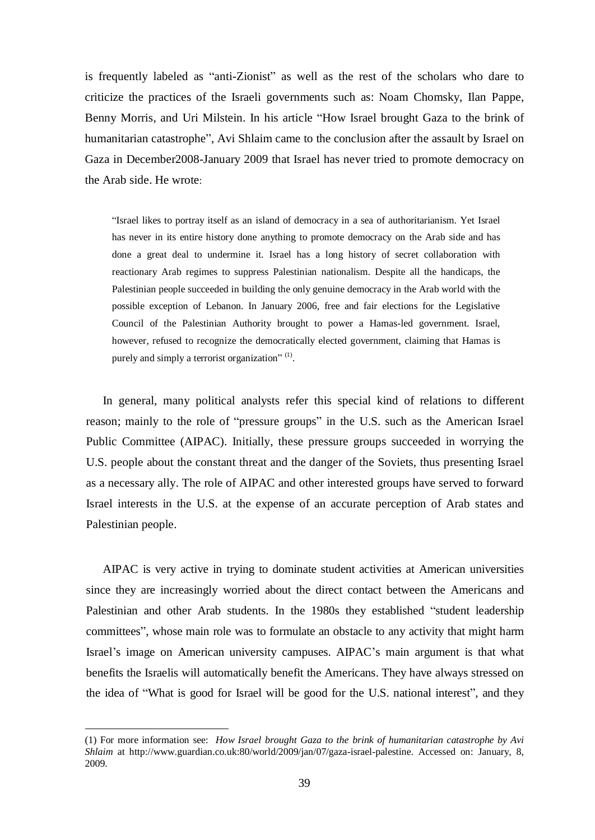is frequently labeled as "anti-Zionist" as well as the rest of the scholars who dare to criticize the practices of the Israeli governments such as: Noam Chomsky, Ilan Pappe, Benny Morris, and Uri Milstein. In his article "How Israel brought Gaza to the brink of humanitarian catastrophe", Avi Shlaim came to the conclusion after the assault by Israel on Gaza in December2008-January 2009 that Israel has never tried to promote democracy on the Arab side. He wrote:

"Israel likes to portray itself as an island of democracy in a sea of authoritarianism. Yet Israel has never in its entire history done anything to promote democracy on the Arab side and has done a great deal to undermine it. Israel has a long history of secret collaboration with reactionary Arab regimes to suppress Palestinian nationalism. Despite all the handicaps, the Palestinian people succeeded in building the only genuine democracy in the Arab world with the possible exception of Lebanon. In January 2006, free and fair elections for the Legislative Council of the Palestinian Authority brought to power a Hamas-led government. Israel, however, refused to recognize the democratically elected government, claiming that Hamas is purely and simply a terrorist organization" $^{(1)}$ .

In general, many political analysts refer this special kind of relations to different reason; mainly to the role of "pressure groups" in the U.S. such as the American Israel Public Committee (AIPAC). Initially, these pressure groups succeeded in worrying the U.S. people about the constant threat and the danger of the Soviets, thus presenting Israel as a necessary ally. The role of AIPAC and other interested groups have served to forward Israel interests in the U.S. at the expense of an accurate perception of Arab states and Palestinian people.

AIPAC is very active in trying to dominate student activities at American universities since they are increasingly worried about the direct contact between the Americans and Palestinian and other Arab students. In the 1980s they established "student leadership committees", whose main role was to formulate an obstacle to any activity that might harm Israel's image on American university campuses. AIPAC's main argument is that what benefits the Israelis will automatically benefit the Americans. They have always stressed on the idea of "What is good for Israel will be good for the U.S. national interest", and they

<sup>(1)</sup> For more information see: *How Israel brought Gaza to the brink of humanitarian catastrophe by Avi Shlaim* at <http://www.guardian.co.uk:80/world/2009/jan/07/gaza-israel-palestine>. Accessed on: January, 8, 2009.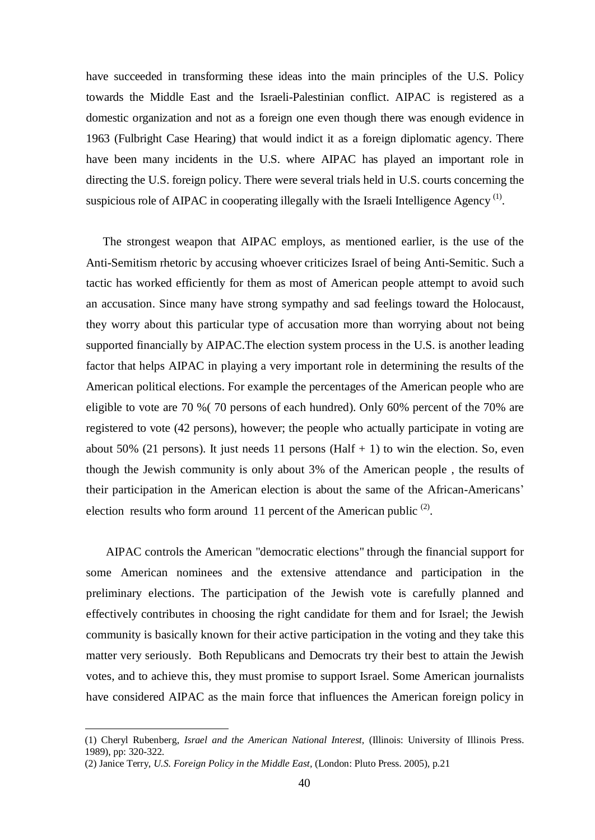have succeeded in transforming these ideas into the main principles of the U.S. Policy towards the Middle East and the Israeli-Palestinian conflict. AIPAC is registered as a domestic organization and not as a foreign one even though there was enough evidence in 1963 (Fulbright Case Hearing) that would indict it as a foreign diplomatic agency. There have been many incidents in the U.S. where AIPAC has played an important role in directing the U.S. foreign policy. There were several trials held in U.S. courts concerning the suspicious role of AIPAC in cooperating illegally with the Israeli Intelligence Agency<sup>(1)</sup>.

The strongest weapon that AIPAC employs, as mentioned earlier, is the use of the Anti-Semitism rhetoric by accusing whoever criticizes Israel of being Anti-Semitic. Such a tactic has worked efficiently for them as most of American people attempt to avoid such an accusation. Since many have strong sympathy and sad feelings toward the Holocaust, they worry about this particular type of accusation more than worrying about not being supported financially by AIPAC.The election system process in the U.S. is another leading factor that helps AIPAC in playing a very important role in determining the results of the American political elections. For example the percentages of the American people who are eligible to vote are 70 %( 70 persons of each hundred). Only 60% percent of the 70% are registered to vote (42 persons), however; the people who actually participate in voting are about 50% (21 persons). It just needs 11 persons (Half  $+$  1) to win the election. So, even though the Jewish community is only about 3% of the American people , the results of their participation in the American election is about the same of the African-Americans' election results who form around 11 percent of the American public  $(2)$ .

AIPAC controls the American "democratic elections" through the financial support for some American nominees and the extensive attendance and participation in the preliminary elections. The participation of the Jewish vote is carefully planned and effectively contributes in choosing the right candidate for them and for Israel; the Jewish community is basically known for their active participation in the voting and they take this matter very seriously. Both Republicans and Democrats try their best to attain the Jewish votes, and to achieve this, they must promise to support Israel. Some American journalists have considered AIPAC as the main force that influences the American foreign policy in

<sup>(1)</sup> Cheryl Rubenberg, *Israel and the American National Interest,* (Illinois: University of Illinois Press. 1989), pp: 320-322.

<sup>(2)</sup> Janice Terry, *U.S. Foreign Policy in the Middle East,* (London: Pluto Press. 2005), p.21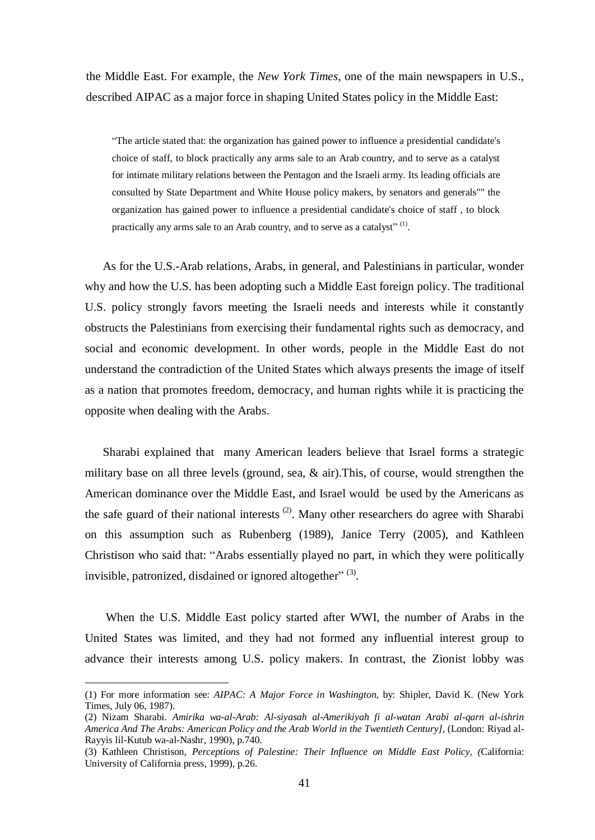the Middle East. For example, the *New York Times*, one of the main newspapers in U.S., described AIPAC as a major force in shaping United States policy in the Middle East:

"The article stated that: the organization has gained power to influence a presidential candidate's choice of staff, to block practically any arms sale to an Arab country, and to serve as a catalyst for intimate military relations between the Pentagon and the Israeli army. Its leading officials are consulted by State Department and White House policy makers, by senators and generals"" the organization has gained power to influence a presidential candidate's choice of staff , to block practically any arms sale to an Arab country, and to serve as a catalyst"<sup>(1)</sup>.

As for the U.S.-Arab relations, Arabs, in general, and Palestinians in particular, wonder why and how the U.S. has been adopting such a Middle East foreign policy. The traditional U.S. policy strongly favors meeting the Israeli needs and interests while it constantly obstructs the Palestinians from exercising their fundamental rights such as democracy, and social and economic development. In other words, people in the Middle East do not understand the contradiction of the United States which always presents the image of itself as a nation that promotes freedom, democracy, and human rights while it is practicing the opposite when dealing with the Arabs.

Sharabi explained that many American leaders believe that Israel forms a strategic military base on all three levels (ground, sea,  $\&$  air). This, of course, would strengthen the American dominance over the Middle East, and Israel would be used by the Americans as the safe guard of their national interests  $(2)$ . Many other researchers do agree with Sharabi on this assumption such as Rubenberg (1989), Janice Terry (2005), and Kathleen Christison who said that: "Arabs essentially played no part, in which they were politically invisible, patronized, disdained or ignored altogether" $^{(3)}$ .

When the U.S. Middle East policy started after WWI, the number of Arabs in the United States was limited, and they had not formed any influential interest group to advance their interests among U.S. policy makers. In contrast, the Zionist lobby was

<sup>(1)</sup> For more information see: *AIPAC: A Major Force in Washington,* by: Shipler, David K. (New York Times, July 06, 1987).

<sup>(2)</sup> Nizam Sharabi. *Amirika wa-al-Arab: Al-siyasah al-Amerikiyah fi al-watan Arabi al-qarn al-ishrin America And The Arabs: American Policy and the Arab World in the Twentieth Century],* (London: Riyad al-Rayyis lil-Kutub wa-al-Nashr, 1990), p.740.

<sup>(3)</sup> Kathleen Christison, *Perceptions of Palestine: Their Influence on Middle East Policy, (*California: University of California press, 1999), p.26.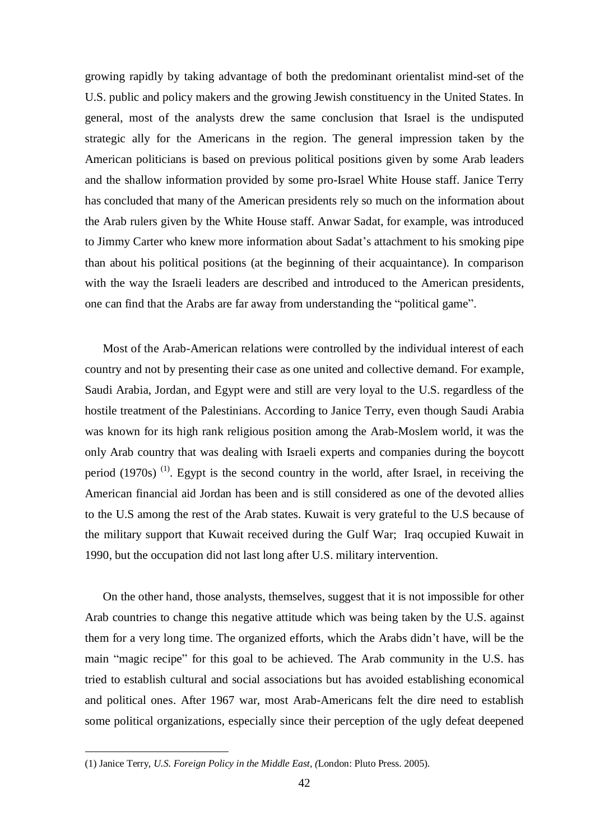growing rapidly by taking advantage of both the predominant orientalist mind-set of the U.S. public and policy makers and the growing Jewish constituency in the United States. In general, most of the analysts drew the same conclusion that Israel is the undisputed strategic ally for the Americans in the region. The general impression taken by the American politicians is based on previous political positions given by some Arab leaders and the shallow information provided by some pro-Israel White House staff. Janice Terry has concluded that many of the American presidents rely so much on the information about the Arab rulers given by the White House staff. Anwar Sadat, for example, was introduced to Jimmy Carter who knew more information about Sadat's attachment to his smoking pipe than about his political positions (at the beginning of their acquaintance). In comparison with the way the Israeli leaders are described and introduced to the American presidents, one can find that the Arabs are far away from understanding the "political game".

Most of the Arab-American relations were controlled by the individual interest of each country and not by presenting their case as one united and collective demand. For example, Saudi Arabia, Jordan, and Egypt were and still are very loyal to the U.S. regardless of the hostile treatment of the Palestinians. According to Janice Terry, even though Saudi Arabia was known for its high rank religious position among the Arab-Moslem world, it was the only Arab country that was dealing with Israeli experts and companies during the boycott period  $(1970s)$ <sup>(1)</sup>. Egypt is the second country in the world, after Israel, in receiving the American financial aid Jordan has been and is still considered as one of the devoted allies to the U.S among the rest of the Arab states. Kuwait is very grateful to the U.S because of the military support that Kuwait received during the Gulf War; Iraq occupied Kuwait in 1990, but the occupation did not last long after U.S. military intervention.

On the other hand, those analysts, themselves, suggest that it is not impossible for other Arab countries to change this negative attitude which was being taken by the U.S. against them for a very long time. The organized efforts, which the Arabs didn't have, will be the main "magic recipe" for this goal to be achieved. The Arab community in the U.S. has tried to establish cultural and social associations but has avoided establishing economical and political ones. After 1967 war, most Arab-Americans felt the dire need to establish some political organizations, especially since their perception of the ugly defeat deepened

<sup>(1)</sup> Janice Terry*, U.S. Foreign Policy in the Middle East, (*London: Pluto Press. 2005).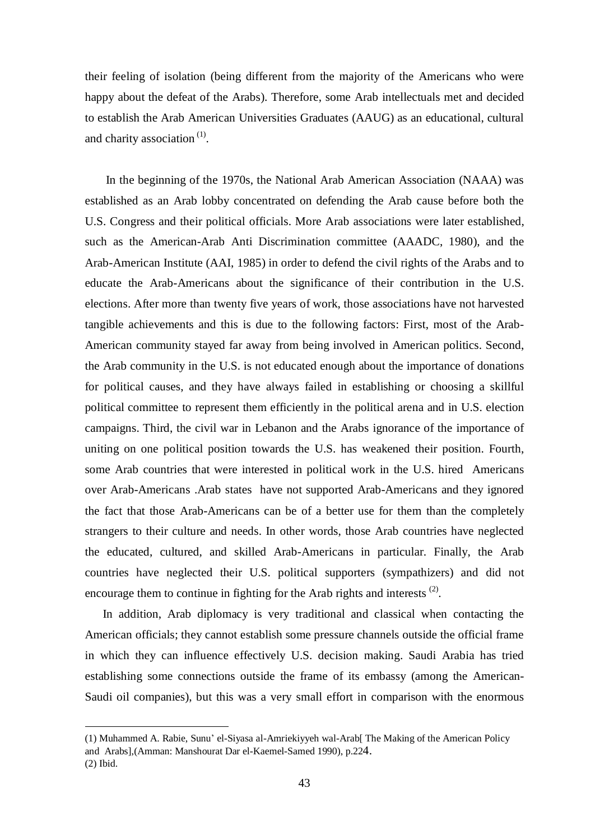their feeling of isolation (being different from the majority of the Americans who were happy about the defeat of the Arabs). Therefore, some Arab intellectuals met and decided to establish the Arab American Universities Graduates (AAUG) as an educational, cultural and charity association<sup>(1)</sup>.

In the beginning of the 1970s, the National Arab American Association (NAAA) was established as an Arab lobby concentrated on defending the Arab cause before both the U.S. Congress and their political officials. More Arab associations were later established, such as the American-Arab Anti Discrimination committee (AAADC, 1980), and the Arab-American Institute (AAI, 1985) in order to defend the civil rights of the Arabs and to educate the Arab-Americans about the significance of their contribution in the U.S. elections. After more than twenty five years of work, those associations have not harvested tangible achievements and this is due to the following factors: First, most of the Arab-American community stayed far away from being involved in American politics. Second, the Arab community in the U.S. is not educated enough about the importance of donations for political causes, and they have always failed in establishing or choosing a skillful political committee to represent them efficiently in the political arena and in U.S. election campaigns. Third, the civil war in Lebanon and the Arabs ignorance of the importance of uniting on one political position towards the U.S. has weakened their position. Fourth, some Arab countries that were interested in political work in the U.S. hired Americans over Arab-Americans .Arab states have not supported Arab-Americans and they ignored the fact that those Arab-Americans can be of a better use for them than the completely strangers to their culture and needs. In other words, those Arab countries have neglected the educated, cultured, and skilled Arab-Americans in particular. Finally, the Arab countries have neglected their U.S. political supporters (sympathizers) and did not encourage them to continue in fighting for the Arab rights and interests  $(2)$ .

In addition, Arab diplomacy is very traditional and classical when contacting the American officials; they cannot establish some pressure channels outside the official frame in which they can influence effectively U.S. decision making. Saudi Arabia has tried establishing some connections outside the frame of its embassy (among the American-Saudi oil companies), but this was a very small effort in comparison with the enormous

<sup>(1)</sup> Muhammed A. Rabie, Sunu' el-Siyasa al-Amriekiyyeh wal-Arab[ The Making of the American Policy and Arabs],(Amman: Manshourat Dar el-Kaemel-Samed 1990), p.224. (2) Ibid.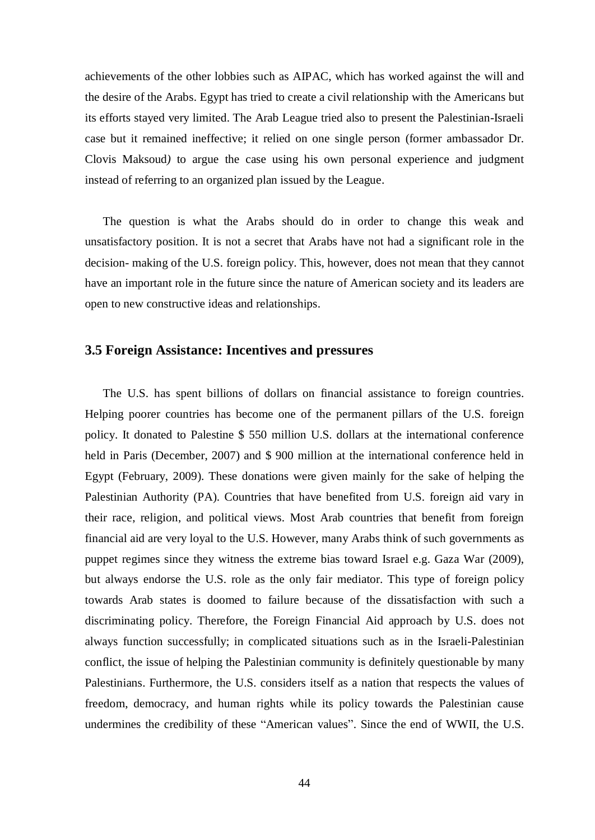achievements of the other lobbies such as AIPAC, which has worked against the will and the desire of the Arabs. Egypt has tried to create a civil relationship with the Americans but its efforts stayed very limited. The Arab League tried also to present the Palestinian-Israeli case but it remained ineffective; it relied on one single person (former ambassador Dr. Clovis Maksoud*)* to argue the case using his own personal experience and judgment instead of referring to an organized plan issued by the League.

The question is what the Arabs should do in order to change this weak and unsatisfactory position. It is not a secret that Arabs have not had a significant role in the decision- making of the U.S. foreign policy. This, however, does not mean that they cannot have an important role in the future since the nature of American society and its leaders are open to new constructive ideas and relationships.

## **3.5 Foreign Assistance: Incentives and pressures**

The U.S. has spent billions of dollars on financial assistance to foreign countries. Helping poorer countries has become one of the permanent pillars of the U.S. foreign policy. It donated to Palestine \$ 550 million U.S. dollars at the international conference held in Paris (December, 2007) and \$ 900 million at the international conference held in Egypt (February, 2009). These donations were given mainly for the sake of helping the Palestinian Authority (PA). Countries that have benefited from U.S. foreign aid vary in their race, religion, and political views. Most Arab countries that benefit from foreign financial aid are very loyal to the U.S. However, many Arabs think of such governments as puppet regimes since they witness the extreme bias toward Israel e.g. Gaza War (2009), but always endorse the U.S. role as the only fair mediator. This type of foreign policy towards Arab states is doomed to failure because of the dissatisfaction with such a discriminating policy. Therefore, the Foreign Financial Aid approach by U.S. does not always function successfully; in complicated situations such as in the Israeli-Palestinian conflict, the issue of helping the Palestinian community is definitely questionable by many Palestinians. Furthermore, the U.S. considers itself as a nation that respects the values of freedom, democracy, and human rights while its policy towards the Palestinian cause undermines the credibility of these "American values". Since the end of WWII, the U.S.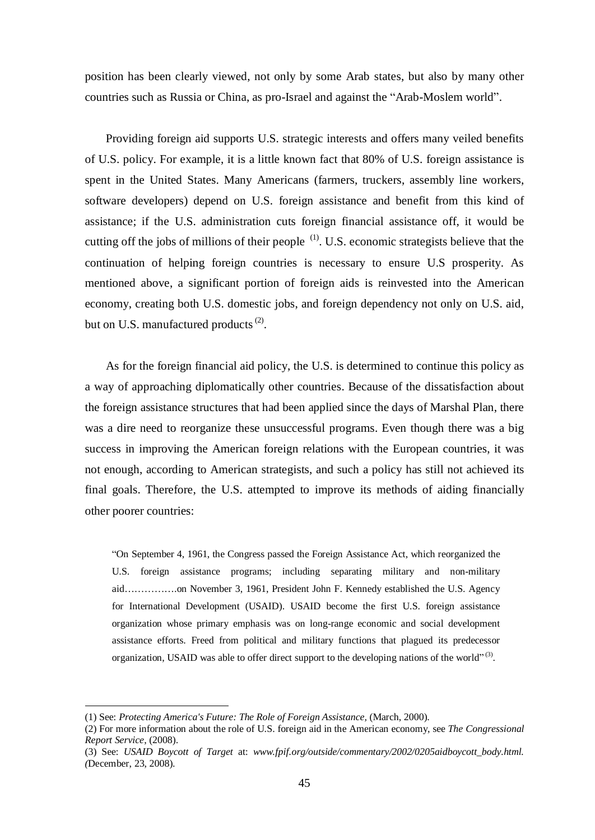position has been clearly viewed, not only by some Arab states, but also by many other countries such as Russia or China, as pro-Israel and against the "Arab-Moslem world".

Providing foreign aid supports U.S. strategic interests and offers many veiled benefits of U.S. policy. For example, it is a little known fact that 80% of U.S. foreign assistance is spent in the United States. Many Americans (farmers, truckers, assembly line workers, software developers) depend on U.S. foreign assistance and benefit from this kind of assistance; if the U.S. administration cuts foreign financial assistance off, it would be cutting off the jobs of millions of their people  $(1)$ . U.S. economic strategists believe that the continuation of helping foreign countries is necessary to ensure U.S prosperity. As mentioned above, a significant portion of foreign aids is reinvested into the American economy, creating both U.S. domestic jobs, and foreign dependency not only on U.S. aid, but on U.S. manufactured products $^{(2)}$ .

As for the foreign financial aid policy, the U.S. is determined to continue this policy as a way of approaching diplomatically other countries. Because of the dissatisfaction about the foreign assistance structures that had been applied since the days of Marshal Plan, there was a dire need to reorganize these unsuccessful programs. Even though there was a big success in improving the American foreign relations with the European countries, it was not enough, according to American strategists, and such a policy has still not achieved its final goals. Therefore, the U.S. attempted to improve its methods of aiding financially other poorer countries:

"On September 4, 1961, the Congress passed the Foreign Assistance Act, which reorganized the U.S. foreign assistance programs; including separating military and non-military aid…………….on November 3, 1961, President John F. Kennedy established the U.S. Agency for International Development (USAID). USAID become the first U.S. foreign assistance organization whose primary emphasis was on long-range economic and social development assistance efforts. Freed from political and military functions that plagued its predecessor organization, USAID was able to offer direct support to the developing nations of the world" $^{(3)}$ .

<sup>(1)</sup> See: *Protecting America's Future: The Role of Foreign Assistance,* (March, 2000).

<sup>(2)</sup> For more information about the role of U.S. foreign aid in the American economy, see *The Congressional Report Service*, (2008).

<sup>(3)</sup> See: *USAID Boycott of Target* at: *[www.fpif.org/outside/commentary/2002/0205aidboycott\\_body.html.](http://www.fpif.org/outside/commentary/2002/0205aidboycott_body.html) (*December, 23, 2008).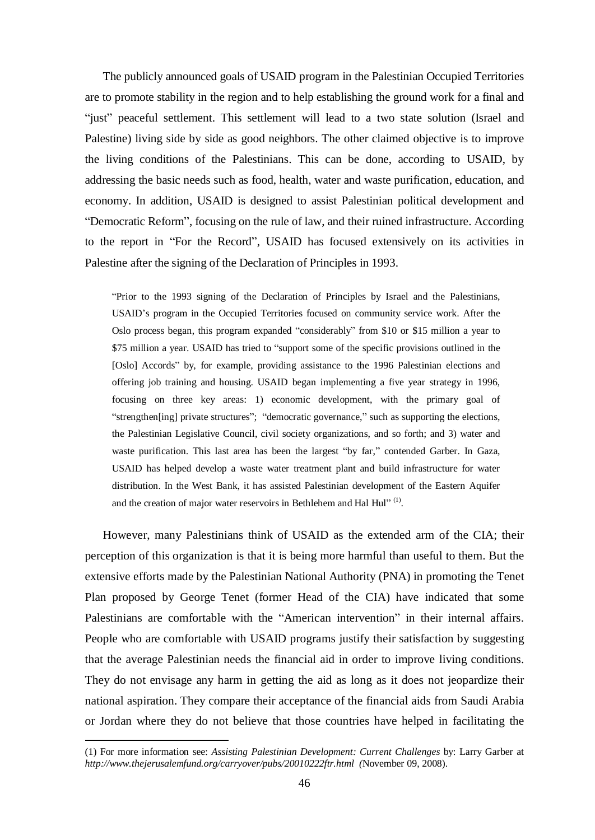The publicly announced goals of USAID program in the Palestinian Occupied Territories are to promote stability in the region and to help establishing the ground work for a final and "just" peaceful settlement. This settlement will lead to a two state solution (Israel and Palestine) living side by side as good neighbors. The other claimed objective is to improve the living conditions of the Palestinians. This can be done, according to USAID, by addressing the basic needs such as food, health, water and waste purification, education, and economy. In addition, USAID is designed to assist Palestinian political development and "Democratic Reform", focusing on the rule of law, and their ruined infrastructure. According to the report in "For the Record", USAID has focused extensively on its activities in Palestine after the signing of the Declaration of Principles in 1993.

"Prior to the 1993 signing of the Declaration of Principles by Israel and the Palestinians, USAID's program in the Occupied Territories focused on community service work. After the Oslo process began, this program expanded "considerably" from \$10 or \$15 million a year to \$75 million a year. USAID has tried to "support some of the specific provisions outlined in the [Oslo] Accords" by, for example, providing assistance to the 1996 Palestinian elections and offering job training and housing. USAID began implementing a five year strategy in 1996, focusing on three key areas: 1) economic development, with the primary goal of "strengthen[ing] private structures"; "democratic governance," such as supporting the elections, the Palestinian Legislative Council, civil society organizations, and so forth; and 3) water and waste purification. This last area has been the largest "by far," contended Garber. In Gaza, USAID has helped develop a waste water treatment plant and build infrastructure for water distribution. In the West Bank, it has assisted Palestinian development of the Eastern Aquifer and the creation of major water reservoirs in Bethlehem and Hal Hul" $^{(1)}$ .

However, many Palestinians think of USAID as the extended arm of the CIA; their perception of this organization is that it is being more harmful than useful to them. But the extensive efforts made by the Palestinian National Authority (PNA) in promoting the Tenet Plan proposed by George Tenet (former Head of the CIA) have indicated that some Palestinians are comfortable with the "American intervention" in their internal affairs. People who are comfortable with USAID programs justify their satisfaction by suggesting that the average Palestinian needs the financial aid in order to improve living conditions. They do not envisage any harm in getting the aid as long as it does not jeopardize their national aspiration. They compare their acceptance of the financial aids from Saudi Arabia or Jordan where they do not believe that those countries have helped in facilitating the

<sup>(1)</sup> For more information see: *Assisting Palestinian Development: Current Challenges* by: Larry Garber at *<http://www.thejerusalemfund.org/carryover/pubs/20010222ftr.html> (*November 09, 2008).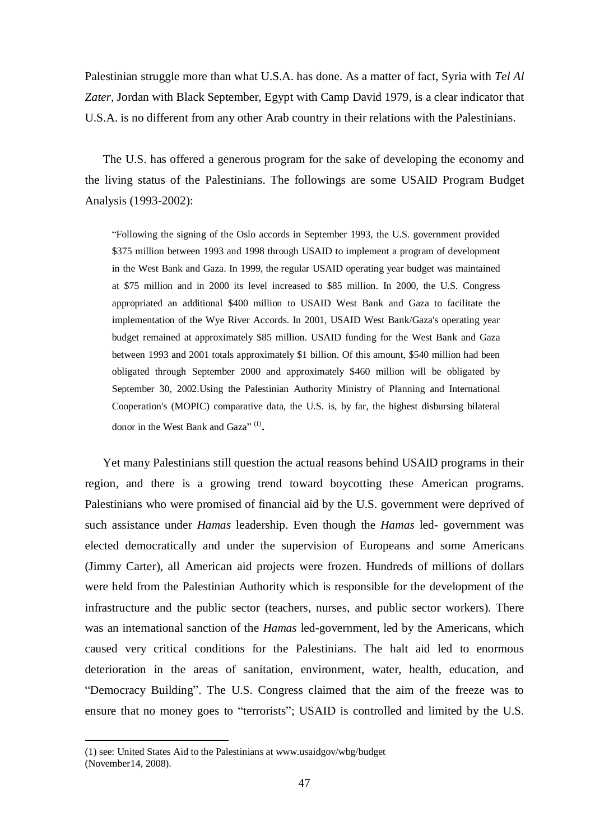Palestinian struggle more than what U.S.A. has done. As a matter of fact, Syria with *Tel Al Zater,* Jordan with Black September, Egypt with Camp David 1979, is a clear indicator that U.S.A. is no different from any other Arab country in their relations with the Palestinians.

The U.S. has offered a generous program for the sake of developing the economy and the living status of the Palestinians. The followings are some USAID Program Budget Analysis (1993-2002):

"Following the signing of the Oslo accords in September 1993, the U.S. government provided \$375 million between 1993 and 1998 through USAID to implement a program of development in the West Bank and Gaza. In 1999, the regular USAID operating year budget was maintained at \$75 million and in 2000 its level increased to \$85 million. In 2000, the U.S. Congress appropriated an additional \$400 million to USAID West Bank and Gaza to facilitate the implementation of the Wye River Accords. In 2001, USAID West Bank/Gaza's operating year budget remained at approximately \$85 million. USAID funding for the West Bank and Gaza between 1993 and 2001 totals approximately \$1 billion. Of this amount, \$540 million had been obligated through September 2000 and approximately \$460 million will be obligated by September 30, 2002.Using the Palestinian Authority Ministry of Planning and International Cooperation's (MOPIC) comparative data, the U.S. is, by far, the highest disbursing bilateral donor in the West Bank and Gaza"<sup>(1)</sup>.

Yet many Palestinians still question the actual reasons behind USAID programs in their region, and there is a growing trend toward boycotting these American programs. Palestinians who were promised of financial aid by the U.S. government were deprived of such assistance under *Hamas* leadership. Even though the *Hamas* led- government was elected democratically and under the supervision of Europeans and some Americans (Jimmy Carter), all American aid projects were frozen. Hundreds of millions of dollars were held from the Palestinian Authority which is responsible for the development of the infrastructure and the public sector (teachers, nurses, and public sector workers). There was an international sanction of the *Hamas* led-government, led by the Americans, which caused very critical conditions for the Palestinians. The halt aid led to enormous deterioration in the areas of sanitation, environment, water, health, education, and "Democracy Building". The U.S. Congress claimed that the aim of the freeze was to ensure that no money goes to "terrorists"; USAID is controlled and limited by the U.S.

<sup>(1)</sup> see: United States Aid to the Palestinians at www.usaidgov/wbg/budget (November14, 2008).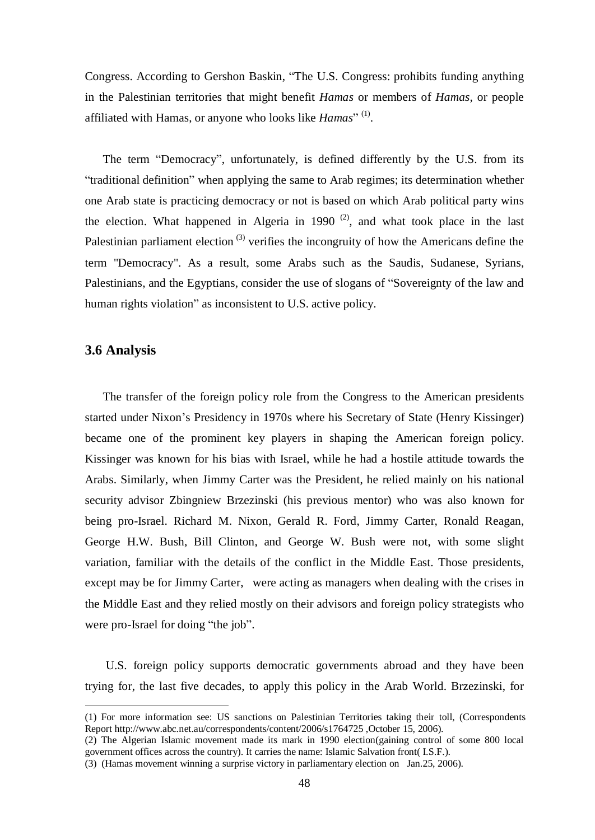Congress. According to Gershon Baskin, "The U.S. Congress: prohibits funding anything in the Palestinian territories that might benefit *Hamas* or members of *Hamas,* or people affiliated with Hamas, or anyone who looks like *Hamas*"<sup>(1)</sup>.

The term "Democracy", unfortunately, is defined differently by the U.S. from its "traditional definition" when applying the same to Arab regimes; its determination whether one Arab state is practicing democracy or not is based on which Arab political party wins the election. What happened in Algeria in 1990<sup> $(2)$ </sup>, and what took place in the last Palestinian parliament election<sup>(3)</sup> verifies the incongruity of how the Americans define the term "Democracy". As a result, some Arabs such as the Saudis, Sudanese, Syrians, Palestinians, and the Egyptians, consider the use of slogans of "Sovereignty of the law and human rights violation" as inconsistent to U.S. active policy.

## **3.6 Analysis**

 $\overline{a}$ 

The transfer of the foreign policy role from the Congress to the American presidents started under Nixon's Presidency in 1970s where his Secretary of State (Henry Kissinger) became one of the prominent key players in shaping the American foreign policy. Kissinger was known for his bias with Israel, while he had a hostile attitude towards the Arabs. Similarly, when Jimmy Carter was the President, he relied mainly on his national security advisor Zbingniew Brzezinski (his previous mentor) who was also known for being pro-Israel. Richard M. Nixon, Gerald R. Ford, Jimmy Carter, Ronald Reagan, George H.W. Bush, Bill Clinton, and George W. Bush were not, with some slight variation, familiar with the details of the conflict in the Middle East. Those presidents, except may be for Jimmy Carter, were acting as managers when dealing with the crises in the Middle East and they relied mostly on their advisors and foreign policy strategists who were pro-Israel for doing "the job".

U.S. foreign policy supports democratic governments abroad and they have been trying for, the last five decades, to apply this policy in the Arab World. Brzezinski, for

<sup>(1)</sup> For more information see: US sanctions on Palestinian Territories taking their toll, (Correspondents Report <http://www.abc.net.au/correspondents/content/2006/s1764725> ,October 15, 2006).

<sup>(2)</sup> The Algerian Islamic movement made its mark in 1990 election(gaining control of some 800 local government offices across the country). It carries the name: Islamic Salvation front( I.S.F.).

<sup>(3)</sup> (Hamas movement winning a surprise victory in parliamentary election on Jan.25, 2006).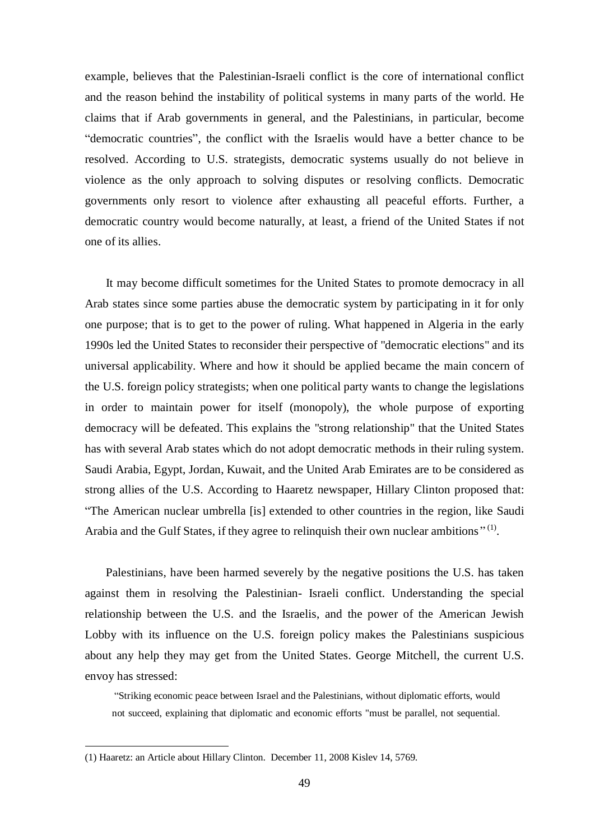example, believes that the Palestinian-Israeli conflict is the core of international conflict and the reason behind the instability of political systems in many parts of the world. He claims that if Arab governments in general, and the Palestinians, in particular, become "democratic countries", the conflict with the Israelis would have a better chance to be resolved. According to U.S. strategists, democratic systems usually do not believe in violence as the only approach to solving disputes or resolving conflicts. Democratic governments only resort to violence after exhausting all peaceful efforts. Further, a democratic country would become naturally, at least, a friend of the United States if not one of its allies.

It may become difficult sometimes for the United States to promote democracy in all Arab states since some parties abuse the democratic system by participating in it for only one purpose; that is to get to the power of ruling. What happened in Algeria in the early 1990s led the United States to reconsider their perspective of "democratic elections" and its universal applicability. Where and how it should be applied became the main concern of the U.S. foreign policy strategists; when one political party wants to change the legislations in order to maintain power for itself (monopoly), the whole purpose of exporting democracy will be defeated. This explains the "strong relationship" that the United States has with several Arab states which do not adopt democratic methods in their ruling system. Saudi Arabia, Egypt, Jordan, Kuwait, and the United Arab Emirates are to be considered as strong allies of the U.S. According to Haaretz newspaper, Hillary Clinton proposed that: "The American nuclear umbrella [is] extended to other countries in the region, like Saudi Arabia and the Gulf States, if they agree to relinquish their own nuclear ambitions<sup>"(1)</sup>.

Palestinians, have been harmed severely by the negative positions the U.S. has taken against them in resolving the Palestinian- Israeli conflict. Understanding the special relationship between the U.S. and the Israelis, and the power of the American Jewish Lobby with its influence on the U.S. foreign policy makes the Palestinians suspicious about any help they may get from the United States. George Mitchell, the current U.S. envoy has stressed:

"Striking economic peace between Israel and the Palestinians, without diplomatic efforts, would not succeed, explaining that diplomatic and economic efforts "must be parallel, not sequential.

<sup>(1)</sup> Haaretz: an Article about Hillary Clinton. December 11, 2008 Kislev 14, 5769.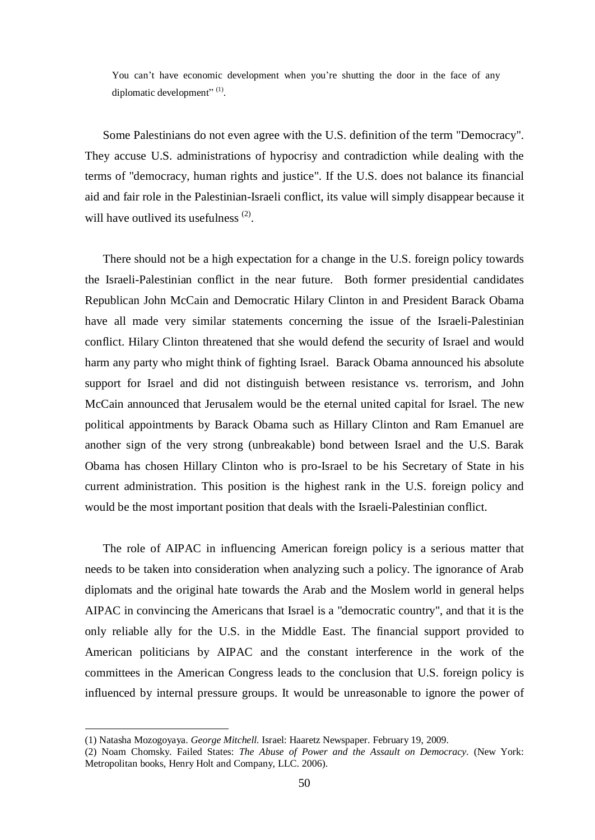You can't have economic development when you're shutting the door in the face of any diplomatic development" $^{(1)}$ .

Some Palestinians do not even agree with the U.S. definition of the term "Democracy". They accuse U.S. administrations of hypocrisy and contradiction while dealing with the terms of "democracy, human rights and justice". If the U.S. does not balance its financial aid and fair role in the Palestinian-Israeli conflict, its value will simply disappear because it will have outlived its usefulness  $(2)$ .

There should not be a high expectation for a change in the U.S. foreign policy towards the Israeli-Palestinian conflict in the near future. Both former presidential candidates Republican John McCain and Democratic Hilary Clinton in and President Barack Obama have all made very similar statements concerning the issue of the Israeli-Palestinian conflict. Hilary Clinton threatened that she would defend the security of Israel and would harm any party who might think of fighting Israel. Barack Obama announced his absolute support for Israel and did not distinguish between resistance vs. terrorism, and John McCain announced that Jerusalem would be the eternal united capital for Israel*.* The new political appointments by Barack Obama such as Hillary Clinton and Ram Emanuel are another sign of the very strong (unbreakable) bond between Israel and the U.S. Barak Obama has chosen Hillary Clinton who is pro-Israel to be his Secretary of State in his current administration. This position is the highest rank in the U.S. foreign policy and would be the most important position that deals with the Israeli-Palestinian conflict.

The role of AIPAC in influencing American foreign policy is a serious matter that needs to be taken into consideration when analyzing such a policy. The ignorance of Arab diplomats and the original hate towards the Arab and the Moslem world in general helps AIPAC in convincing the Americans that Israel is a "democratic country", and that it is the only reliable ally for the U.S. in the Middle East. The financial support provided to American politicians by AIPAC and the constant interference in the work of the committees in the American Congress leads to the conclusion that U.S. foreign policy is influenced by internal pressure groups. It would be unreasonable to ignore the power of

<sup>(1)</sup> Natasha Mozogoyaya. *George Mitchell.* Israel: Haaretz Newspaper. February 19, 2009.

<sup>(2)</sup> Noam Chomsky. Failed States: *The Abuse of Power and the Assault on Democracy.* (New York: Metropolitan books, Henry Holt and Company, LLC. 2006).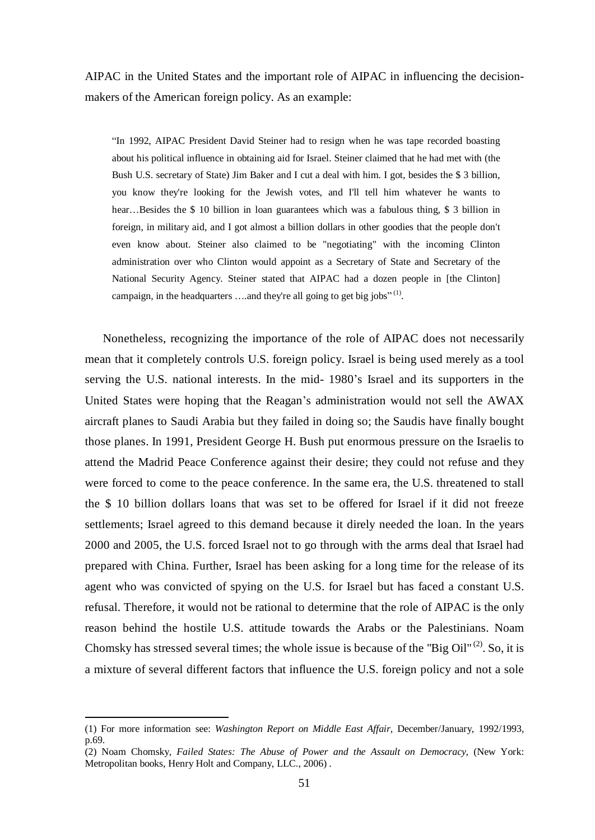AIPAC in the United States and the important role of AIPAC in influencing the decisionmakers of the American foreign policy. As an example:

"In 1992, AIPAC President David Steiner had to resign when he was tape recorded boasting about his political influence in obtaining aid for Israel. Steiner claimed that he had met with (the Bush U.S. secretary of State) Jim Baker and I cut a deal with him. I got, besides the \$ 3 billion, you know they're looking for the Jewish votes, and I'll tell him whatever he wants to hear…Besides the \$ 10 billion in loan guarantees which was a fabulous thing, \$ 3 billion in foreign, in military aid, and I got almost a billion dollars in other goodies that the people don't even know about. Steiner also claimed to be "negotiating" with the incoming Clinton administration over who Clinton would appoint as a Secretary of State and Secretary of the National Security Agency. Steiner stated that AIPAC had a dozen people in [the Clinton] campaign, in the headquarters ....and they're all going to get big jobs"<sup>(1)</sup>.

Nonetheless, recognizing the importance of the role of AIPAC does not necessarily mean that it completely controls U.S. foreign policy. Israel is being used merely as a tool serving the U.S. national interests. In the mid- 1980's Israel and its supporters in the United States were hoping that the Reagan's administration would not sell the AWAX aircraft planes to Saudi Arabia but they failed in doing so; the Saudis have finally bought those planes. In 1991, President George H. Bush put enormous pressure on the Israelis to attend the Madrid Peace Conference against their desire; they could not refuse and they were forced to come to the peace conference. In the same era, the U.S. threatened to stall the \$ 10 billion dollars loans that was set to be offered for Israel if it did not freeze settlements; Israel agreed to this demand because it direly needed the loan. In the years 2000 and 2005, the U.S. forced Israel not to go through with the arms deal that Israel had prepared with China. Further, Israel has been asking for a long time for the release of its agent who was convicted of spying on the U.S. for Israel but has faced a constant U.S. refusal. Therefore, it would not be rational to determine that the role of AIPAC is the only reason behind the hostile U.S. attitude towards the Arabs or the Palestinians. Noam Chomsky has stressed several times; the whole issue is because of the "Big  $\text{Oil}^{(2)}$ . So, it is a mixture of several different factors that influence the U.S. foreign policy and not a sole

<sup>(1)</sup> For more information see: *Washington Report on Middle East Affair,* December/January, 1992/1993, p.69.

<sup>(2)</sup> Noam Chomsky, *Failed States: The Abuse of Power and the Assault on Democracy*, (New York: Metropolitan books, Henry Holt and Company, LLC., 2006) .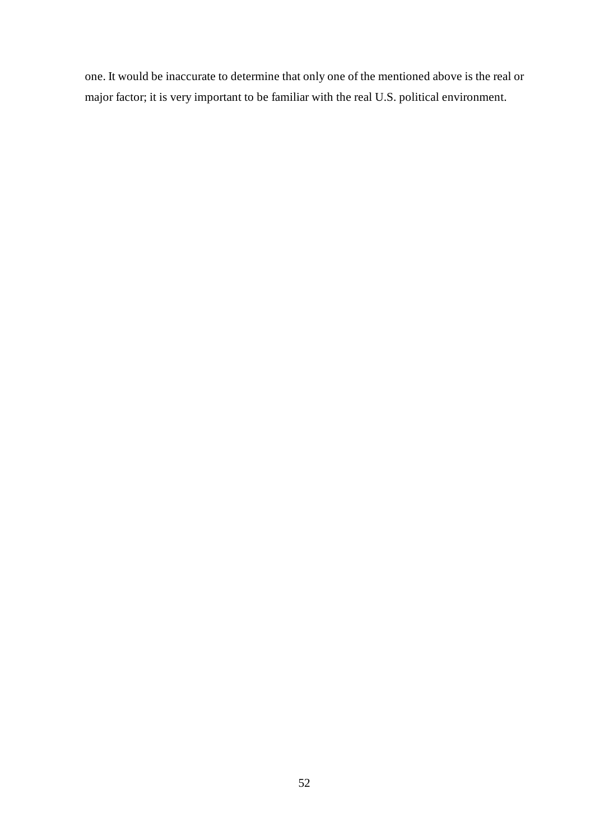one. It would be inaccurate to determine that only one of the mentioned above is the real or major factor; it is very important to be familiar with the real U.S. political environment.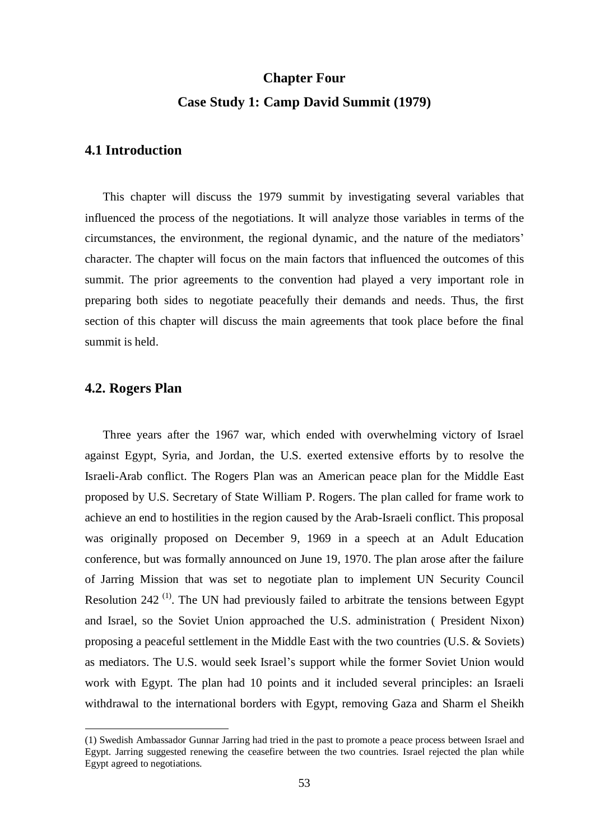# **Chapter Four Case Study 1: Camp David Summit (1979)**

# **4.1 Introduction**

This chapter will discuss the 1979 summit by investigating several variables that influenced the process of the negotiations. It will analyze those variables in terms of the circumstances, the environment, the regional dynamic, and the nature of the mediators' character. The chapter will focus on the main factors that influenced the outcomes of this summit. The prior agreements to the convention had played a very important role in preparing both sides to negotiate peacefully their demands and needs. Thus, the first section of this chapter will discuss the main agreements that took place before the final summit is held.

### **4.2. Rogers Plan**

 $\overline{a}$ 

Three years after the 1967 war, which ended with overwhelming victory of Israel against Egypt, Syria, and Jordan, the U.S. exerted extensive efforts by to resolve the Israeli-Arab conflict. The Rogers Plan was an American peace plan for the Middle East proposed by U.S. Secretary of State William P. Rogers. The plan called for frame work to achieve an end to hostilities in the region caused by the Arab-Israeli conflict. This proposal was originally proposed on December 9, 1969 in a speech at an Adult Education conference, but was formally announced on June 19, 1970. The plan arose after the failure of Jarring Mission that was set to negotiate plan to implement UN Security Council Resolution 242<sup>(1)</sup>. The UN had previously failed to arbitrate the tensions between Egypt and Israel, so the Soviet Union approached the U.S. administration ( President Nixon) proposing a peaceful settlement in the Middle East with the two countries (U.S. & Soviets) as mediators. The U.S. would seek Israel's support while the former Soviet Union would work with Egypt. The plan had 10 points and it included several principles: an Israeli withdrawal to the international borders with Egypt, removing Gaza and Sharm el Sheikh

<sup>(1)</sup> Swedish Ambassador Gunnar Jarring had tried in the past to promote a peace process between Israel and Egypt. Jarring suggested renewing the ceasefire between the two countries. Israel rejected the plan while Egypt agreed to negotiations.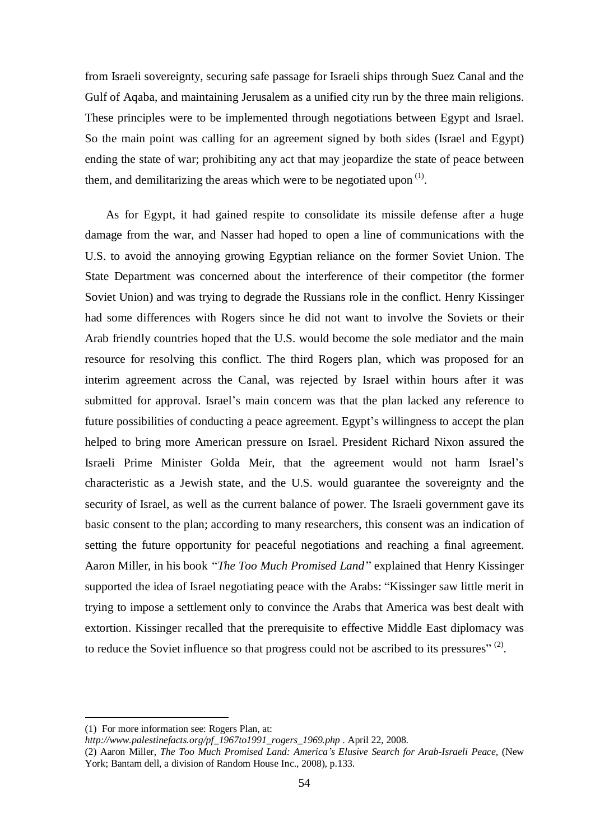from Israeli sovereignty, securing safe passage for Israeli ships through Suez Canal and the Gulf of Aqaba, and maintaining Jerusalem as a unified city run by the three main religions. These principles were to be implemented through negotiations between Egypt and Israel. So the main point was calling for an agreement signed by both sides (Israel and Egypt) ending the state of war; prohibiting any act that may jeopardize the state of peace between them, and demilitarizing the areas which were to be negotiated upon  $(1)$ .

As for Egypt, it had gained respite to consolidate its missile defense after a huge damage from the war, and Nasser had hoped to open a line of communications with the U.S. to avoid the annoying growing Egyptian reliance on the former Soviet Union. The State Department was concerned about the interference of their competitor (the former Soviet Union) and was trying to degrade the Russians role in the conflict. Henry Kissinger had some differences with Rogers since he did not want to involve the Soviets or their Arab friendly countries hoped that the U.S. would become the sole mediator and the main resource for resolving this conflict. The third Rogers plan, which was proposed for an interim agreement across the Canal, was rejected by Israel within hours after it was submitted for approval. Israel's main concern was that the plan lacked any reference to future possibilities of conducting a peace agreement. Egypt's willingness to accept the plan helped to bring more American pressure on Israel. President Richard Nixon assured the Israeli Prime Minister Golda Meir, that the agreement would not harm Israel's characteristic as a Jewish state, and the U.S. would guarantee the sovereignty and the security of Israel, as well as the current balance of power. The Israeli government gave its basic consent to the plan; according to many researchers, this consent was an indication of setting the future opportunity for peaceful negotiations and reaching a final agreement. Aaron Miller, in his book *"The Too Much Promised Land"* explained that Henry Kissinger supported the idea of Israel negotiating peace with the Arabs: "Kissinger saw little merit in trying to impose a settlement only to convince the Arabs that America was best dealt with extortion. Kissinger recalled that the prerequisite to effective Middle East diplomacy was to reduce the Soviet influence so that progress could not be ascribed to its pressures" $(2)$ .

<sup>(1)</sup> For more information see: Rogers Plan, at:

*[http://www.palestinefacts.org/pf\\_1967to1991\\_rogers\\_1969.php](http://www.palestinefacts.org/pf_1967to1991_rogers_1969.php)* . April 22, 2008.

<sup>(2)</sup> Aaron Miller, *The Too Much Promised Land: America's Elusive Search for Arab-Israeli Peace,* (New York; Bantam dell, a division of Random House Inc., 2008), p.133.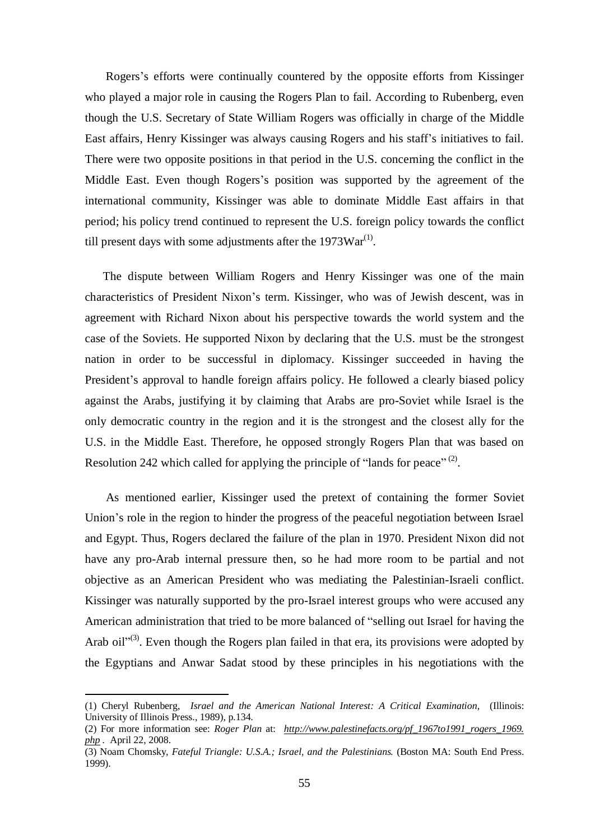Rogers's efforts were continually countered by the opposite efforts from Kissinger who played a major role in causing the Rogers Plan to fail. According to Rubenberg, even though the U.S. Secretary of State William Rogers was officially in charge of the Middle East affairs, Henry Kissinger was always causing Rogers and his staff's initiatives to fail. There were two opposite positions in that period in the U.S. concerning the conflict in the Middle East. Even though Rogers's position was supported by the agreement of the international community, Kissinger was able to dominate Middle East affairs in that period; his policy trend continued to represent the U.S. foreign policy towards the conflict till present days with some adjustments after the  $1973\text{War}^{(1)}$ .

The dispute between William Rogers and Henry Kissinger was one of the main characteristics of President Nixon's term. Kissinger, who was of Jewish descent, was in agreement with Richard Nixon about his perspective towards the world system and the case of the Soviets. He supported Nixon by declaring that the U.S. must be the strongest nation in order to be successful in diplomacy. Kissinger succeeded in having the President's approval to handle foreign affairs policy. He followed a clearly biased policy against the Arabs, justifying it by claiming that Arabs are pro-Soviet while Israel is the only democratic country in the region and it is the strongest and the closest ally for the U.S. in the Middle East. Therefore, he opposed strongly Rogers Plan that was based on Resolution 242 which called for applying the principle of "lands for peace"<sup>(2)</sup>.

As mentioned earlier, Kissinger used the pretext of containing the former Soviet Union's role in the region to hinder the progress of the peaceful negotiation between Israel and Egypt. Thus, Rogers declared the failure of the plan in 1970. President Nixon did not have any pro-Arab internal pressure then, so he had more room to be partial and not objective as an American President who was mediating the Palestinian-Israeli conflict. Kissinger was naturally supported by the pro-Israel interest groups who were accused any American administration that tried to be more balanced of "selling out Israel for having the Arab oil"<sup>(3)</sup>. Even though the Rogers plan failed in that era, its provisions were adopted by the Egyptians and Anwar Sadat stood by these principles in his negotiations with the

<sup>(1)</sup> Cheryl Rubenberg, *Israel and the American National Interest: A Critical Examination,* (Illinois: University of Illinois Press., 1989), p.134.

<sup>(2)</sup> For more information see: *Roger Plan* at: *[http://www.palestinefacts.org/pf\\_1967to1991\\_rogers\\_1969.](http://www.palestinefacts.org/pf_1967to1991_rogers_1969) php .* April 22, 2008.

<sup>(3)</sup> Noam Chomsky, *Fateful Triangle: U.S.A.; Israel, and the Palestinians.* (Boston MA: South End Press. 1999).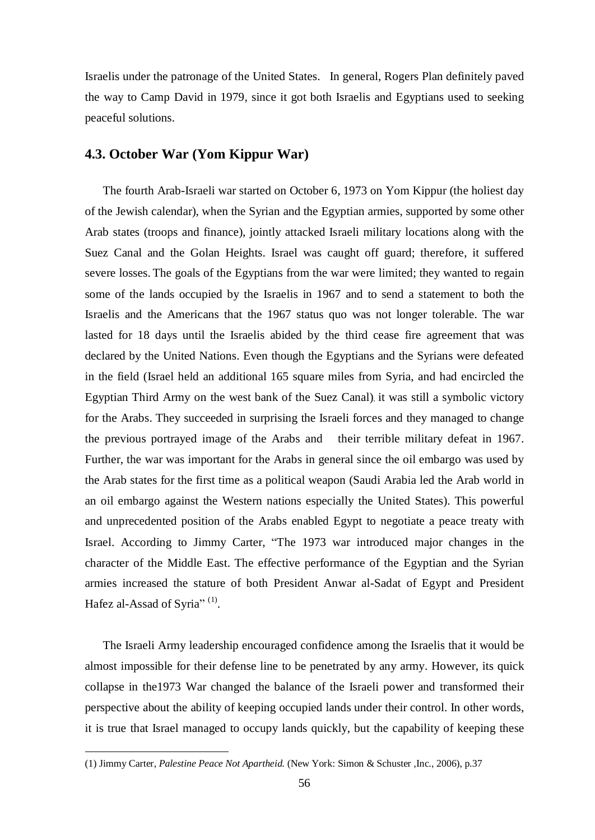Israelis under the patronage of the United States. In general, Rogers Plan definitely paved the way to Camp David in 1979, since it got both Israelis and Egyptians used to seeking peaceful solutions.

#### **4.3. October War (Yom Kippur War)**

The fourth Arab-Israeli war started on October 6, 1973 on Yom Kippur (the holiest day of the Jewish calendar), when the Syrian and the Egyptian armies, supported by some other Arab states (troops and finance), jointly attacked Israeli military locations along with the Suez Canal and the Golan Heights. Israel was caught off guard; therefore, it suffered severe losses. The goals of the Egyptians from the war were limited; they wanted to regain some of the lands occupied by the Israelis in 1967 and to send a statement to both the Israelis and the Americans that the 1967 status quo was not longer tolerable. The war lasted for 18 days until the Israelis abided by the third cease fire agreement that was declared by the United Nations. Even though the Egyptians and the Syrians were defeated in the field (Israel held an additional 165 square miles from Syria, and had encircled the Egyptian Third Army on the west bank of the Suez Canal), it was still a symbolic victory for the Arabs. They succeeded in surprising the Israeli forces and they managed to change the previous portrayed image of the Arabs and their terrible military defeat in 1967. Further, the war was important for the Arabs in general since the oil embargo was used by the Arab states for the first time as a political weapon (Saudi Arabia led the Arab world in an oil embargo against the Western nations especially the United States). This powerful and unprecedented position of the Arabs enabled Egypt to negotiate a peace treaty with Israel. According to Jimmy Carter, "The 1973 war introduced major changes in the character of the Middle East. The effective performance of the Egyptian and the Syrian armies increased the stature of both President Anwar al-Sadat of Egypt and President Hafez al-Assad of Syria"<sup>(1)</sup>.

The Israeli Army leadership encouraged confidence among the Israelis that it would be almost impossible for their defense line to be penetrated by any army. However, its quick collapse in the1973 War changed the balance of the Israeli power and transformed their perspective about the ability of keeping occupied lands under their control. In other words, it is true that Israel managed to occupy lands quickly, but the capability of keeping these

<sup>(1)</sup> Jimmy Carter, *Palestine Peace Not Apartheid.* (New York: Simon & Schuster ,Inc., 2006), p.37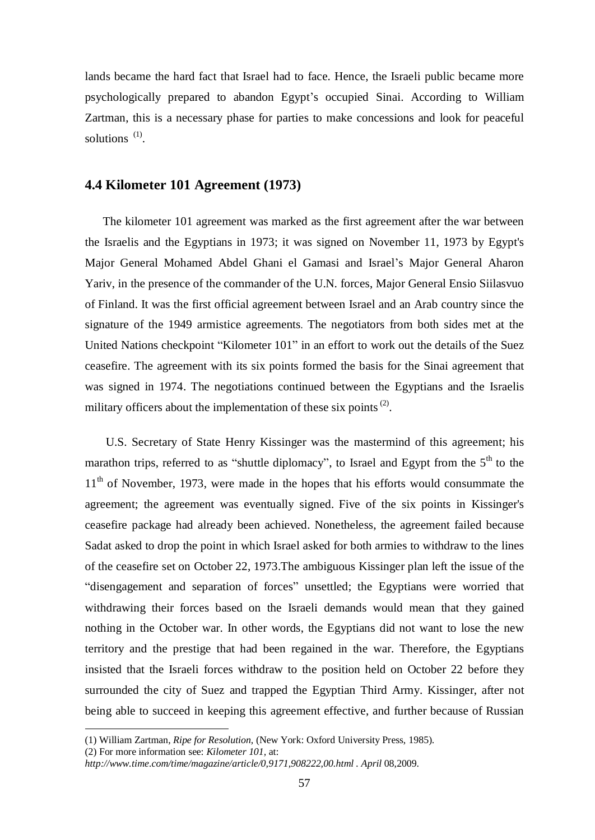lands became the hard fact that Israel had to face. Hence, the Israeli public became more psychologically prepared to abandon Egypt's occupied Sinai. According to William Zartman, this is a necessary phase for parties to make concessions and look for peaceful solutions  $(1)$ .

## **4.4 Kilometer 101 Agreement (1973)**

The kilometer 101 agreement was marked as the first agreement after the war between the Israelis and the Egyptians in 1973; it was signed on November 11, 1973 by Egypt's Major General Mohamed Abdel Ghani el Gamasi and Israel's Major General Aharon Yariv, in the presence of the commander of the U.N. forces, Major General Ensio Siilasvuo of Finland. It was the first official agreement between Israel and an Arab country since the signature of the 1949 armistice agreements. The negotiators from both sides met at the United Nations checkpoint "Kilometer 101" in an effort to work out the details of the Suez ceasefire. The agreement with its six points formed the basis for the Sinai agreement that was signed in 1974. The negotiations continued between the Egyptians and the Israelis military officers about the implementation of these six points<sup>(2)</sup>.

U.S. Secretary of State Henry Kissinger was the mastermind of this agreement; his marathon trips, referred to as "shuttle diplomacy", to Israel and Egypt from the  $5<sup>th</sup>$  to the  $11<sup>th</sup>$  of November, 1973, were made in the hopes that his efforts would consummate the agreement; the agreement was eventually signed. Five of the six points in Kissinger's ceasefire package had already been achieved. Nonetheless, the agreement failed because Sadat asked to drop the point in which Israel asked for both armies to withdraw to the lines of the ceasefire set on October 22, 1973.The ambiguous Kissinger plan left the issue of the "disengagement and separation of forces" unsettled; the Egyptians were worried that withdrawing their forces based on the Israeli demands would mean that they gained nothing in the October war. In other words, the Egyptians did not want to lose the new territory and the prestige that had been regained in the war. Therefore, the Egyptians insisted that the Israeli forces withdraw to the position held on October 22 before they surrounded the city of Suez and trapped the Egyptian Third Army. Kissinger, after not being able to succeed in keeping this agreement effective, and further because of Russian

<sup>(1)</sup> William Zartman, *Ripe for Resolution,* (New York: Oxford University Press, 1985).

<sup>(2)</sup> For more information see: *Kilometer 101,* at:

*<http://www.time.com/time/magazine/article/0,9171,908222,00.html> . April* 08,2009.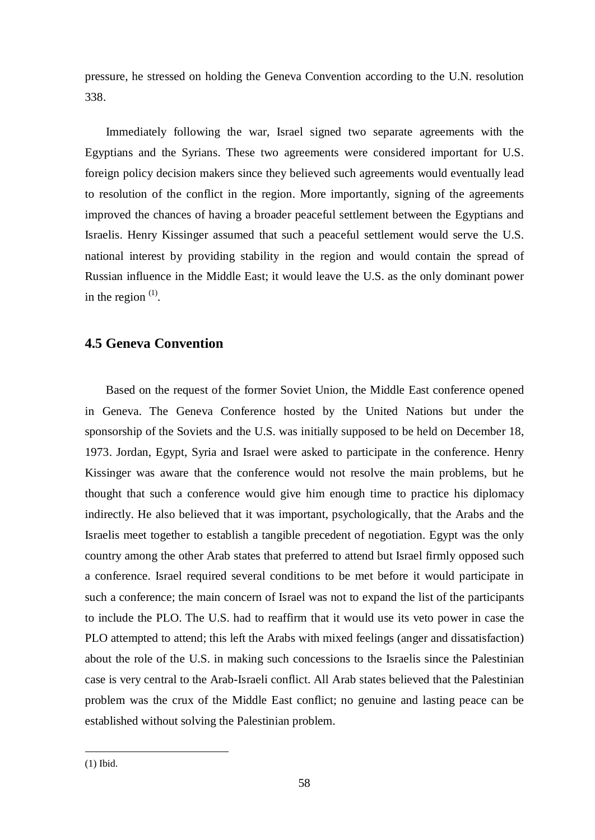pressure, he stressed on holding the Geneva Convention according to the U.N. resolution 338.

Immediately following the war, Israel signed two separate agreements with the Egyptians and the Syrians. These two agreements were considered important for U.S. foreign policy decision makers since they believed such agreements would eventually lead to resolution of the conflict in the region. More importantly, signing of the agreements improved the chances of having a broader peaceful settlement between the Egyptians and Israelis. Henry Kissinger assumed that such a peaceful settlement would serve the U.S. national interest by providing stability in the region and would contain the spread of Russian influence in the Middle East; it would leave the U.S. as the only dominant power in the region  $(1)$ .

# **4.5 Geneva Convention**

Based on the request of the former Soviet Union, the Middle East conference opened in Geneva. The Geneva Conference hosted by the United Nations but under the sponsorship of the Soviets and the U.S. was initially supposed to be held on December 18, 1973. Jordan, Egypt, Syria and Israel were asked to participate in the conference. Henry Kissinger was aware that the conference would not resolve the main problems, but he thought that such a conference would give him enough time to practice his diplomacy indirectly. He also believed that it was important, psychologically, that the Arabs and the Israelis meet together to establish a tangible precedent of negotiation. Egypt was the only country among the other Arab states that preferred to attend but Israel firmly opposed such a conference. Israel required several conditions to be met before it would participate in such a conference; the main concern of Israel was not to expand the list of the participants to include the PLO. The U.S. had to reaffirm that it would use its veto power in case the PLO attempted to attend; this left the Arabs with mixed feelings (anger and dissatisfaction) about the role of the U.S. in making such concessions to the Israelis since the Palestinian case is very central to the Arab-Israeli conflict. All Arab states believed that the Palestinian problem was the crux of the Middle East conflict; no genuine and lasting peace can be established without solving the Palestinian problem.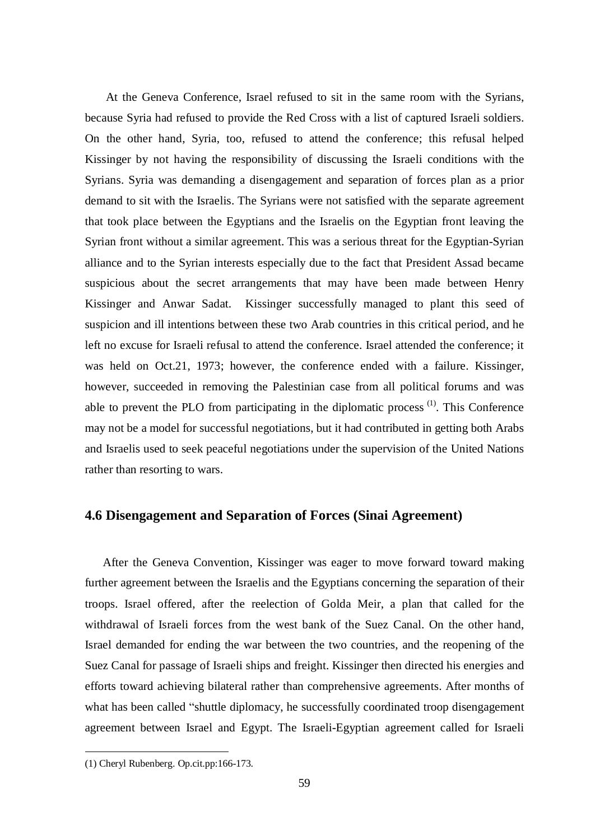At the Geneva Conference, Israel refused to sit in the same room with the Syrians, because Syria had refused to provide the Red Cross with a list of captured Israeli soldiers. On the other hand, Syria, too, refused to attend the conference; this refusal helped Kissinger by not having the responsibility of discussing the Israeli conditions with the Syrians. Syria was demanding a disengagement and separation of forces plan as a prior demand to sit with the Israelis. The Syrians were not satisfied with the separate agreement that took place between the Egyptians and the Israelis on the Egyptian front leaving the Syrian front without a similar agreement. This was a serious threat for the Egyptian-Syrian alliance and to the Syrian interests especially due to the fact that President Assad became suspicious about the secret arrangements that may have been made between Henry Kissinger and Anwar Sadat. Kissinger successfully managed to plant this seed of suspicion and ill intentions between these two Arab countries in this critical period, and he left no excuse for Israeli refusal to attend the conference. Israel attended the conference; it was held on Oct.21, 1973; however, the conference ended with a failure. Kissinger, however, succeeded in removing the Palestinian case from all political forums and was able to prevent the PLO from participating in the diplomatic process  $(1)$ . This Conference may not be a model for successful negotiations, but it had contributed in getting both Arabs and Israelis used to seek peaceful negotiations under the supervision of the United Nations rather than resorting to wars.

# **4.6 Disengagement and Separation of Forces (Sinai Agreement)**

After the Geneva Convention, Kissinger was eager to move forward toward making further agreement between the Israelis and the Egyptians concerning the separation of their troops. Israel offered, after the reelection of Golda Meir, a plan that called for the withdrawal of Israeli forces from the west bank of the Suez Canal. On the other hand, Israel demanded for ending the war between the two countries, and the reopening of the Suez Canal for passage of Israeli ships and freight. Kissinger then directed his energies and efforts toward achieving bilateral rather than comprehensive agreements. After months of what has been called "shuttle diplomacy, he successfully coordinated troop disengagement agreement between Israel and Egypt. The Israeli-Egyptian agreement called for Israeli

<sup>(1)</sup> Cheryl Rubenberg. Op.cit.pp:166-173.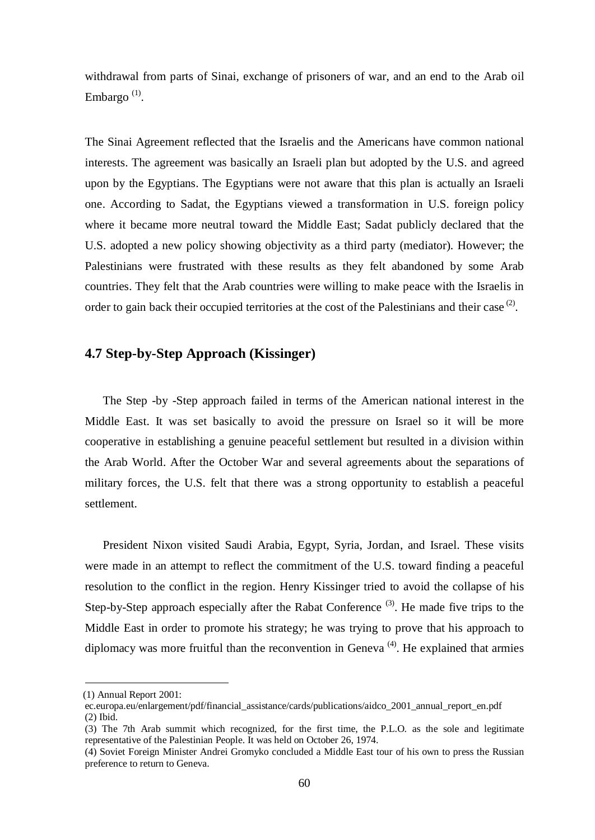withdrawal from parts of Sinai, exchange of prisoners of war, and an end to the Arab oil Embargo  $(1)$ .

The Sinai Agreement reflected that the Israelis and the Americans have common national interests. The agreement was basically an Israeli plan but adopted by the U.S. and agreed upon by the Egyptians. The Egyptians were not aware that this plan is actually an Israeli one. According to Sadat, the Egyptians viewed a transformation in U.S. foreign policy where it became more neutral toward the Middle East; Sadat publicly declared that the U.S. adopted a new policy showing objectivity as a third party (mediator). However; the Palestinians were frustrated with these results as they felt abandoned by some Arab countries. They felt that the Arab countries were willing to make peace with the Israelis in order to gain back their occupied territories at the cost of the Palestinians and their case  $(2)$ .

# **4.7 Step-by-Step Approach (Kissinger)**

The Step -by -Step approach failed in terms of the American national interest in the Middle East. It was set basically to avoid the pressure on Israel so it will be more cooperative in establishing a genuine peaceful settlement but resulted in a division within the Arab World. After the October War and several agreements about the separations of military forces, the U.S. felt that there was a strong opportunity to establish a peaceful settlement.

President Nixon visited Saudi Arabia, Egypt, Syria, Jordan, and Israel. These visits were made in an attempt to reflect the commitment of the U.S. toward finding a peaceful resolution to the conflict in the region. Henry Kissinger tried to avoid the collapse of his Step-by-Step approach especially after the Rabat Conference<sup>(3)</sup>. He made five trips to the Middle East in order to promote his strategy; he was trying to prove that his approach to diplomacy was more fruitful than the reconvention in Geneva<sup> $(4)$ </sup>. He explained that armies

(1) Annual Report 2001:

ec.europa.eu/enlargement/pdf/financial\_assistance/cards/publications/aidco\_2001\_annual\_report\_en.pdf (2) Ibid.

<sup>(3)</sup> The 7th Arab summit which recognized, for the first time, the P.L.O. as the sole and legitimate representative of the Palestinian People. It was held on October 26, 1974.

<sup>(4)</sup> Soviet Foreign Minister Andrei Gromyko concluded a Middle East tour of his own to press the Russian preference to return to Geneva.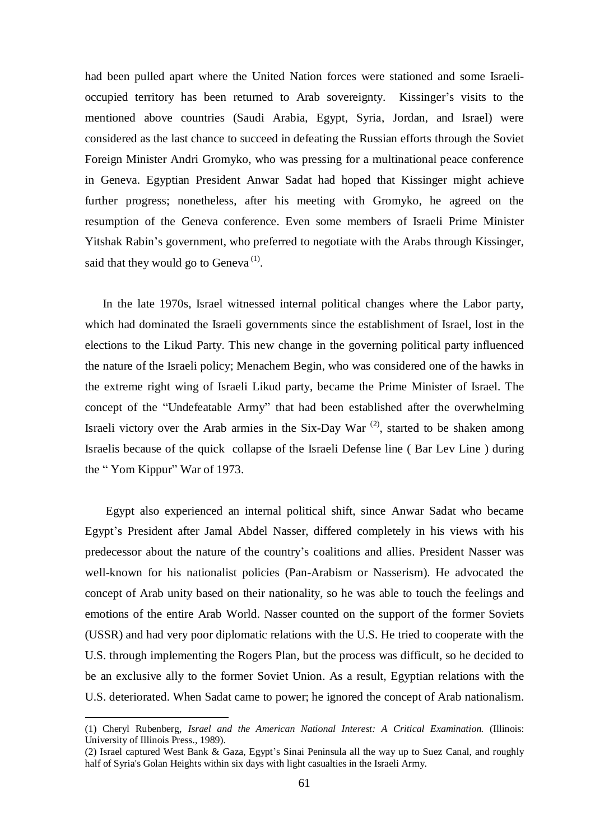had been pulled apart where the United Nation forces were stationed and some Israelioccupied territory has been returned to Arab sovereignty. Kissinger's visits to the mentioned above countries (Saudi Arabia, Egypt, Syria, Jordan, and Israel) were considered as the last chance to succeed in defeating the Russian efforts through the Soviet Foreign Minister Andri Gromyko, who was pressing for a multinational peace conference in Geneva. Egyptian President Anwar Sadat had hoped that Kissinger might achieve further progress; nonetheless, after his meeting with Gromyko, he agreed on the resumption of the Geneva conference. Even some members of Israeli Prime Minister Yitshak Rabin's government, who preferred to negotiate with the Arabs through Kissinger, said that they would go to Geneva<sup> $(1)$ </sup>.

In the late 1970s, Israel witnessed internal political changes where the Labor party, which had dominated the Israeli governments since the establishment of Israel, lost in the elections to the Likud Party. This new change in the governing political party influenced the nature of the Israeli policy; Menachem Begin, who was considered one of the hawks in the extreme right wing of Israeli Likud party, became the Prime Minister of Israel. The concept of the "Undefeatable Army" that had been established after the overwhelming Israeli victory over the Arab armies in the Six-Day War<sup>(2)</sup>, started to be shaken among Israelis because of the quick collapse of the Israeli Defense line ( Bar Lev Line ) during the " Yom Kippur" War of 1973.

Egypt also experienced an internal political shift, since Anwar Sadat who became Egypt's President after Jamal Abdel Nasser, differed completely in his views with his predecessor about the nature of the country's coalitions and allies. President Nasser was well-known for his nationalist policies (Pan-Arabism or Nasserism). He advocated the concept of Arab unity based on their nationality, so he was able to touch the feelings and emotions of the entire Arab World. Nasser counted on the support of the former Soviets (USSR) and had very poor diplomatic relations with the U.S. He tried to cooperate with the U.S. through implementing the Rogers Plan, but the process was difficult, so he decided to be an exclusive ally to the former Soviet Union. As a result, Egyptian relations with the U.S. deteriorated. When Sadat came to power; he ignored the concept of Arab nationalism.

<sup>(1)</sup> Cheryl Rubenberg, *Israel and the American National Interest: A Critical Examination.* (Illinois: University of Illinois Press., 1989).

<sup>(2)</sup> Israel captured West Bank & Gaza, Egypt's Sinai Peninsula all the way up to Suez Canal, and roughly half of Syria's Golan Heights within six days with light casualties in the Israeli Army.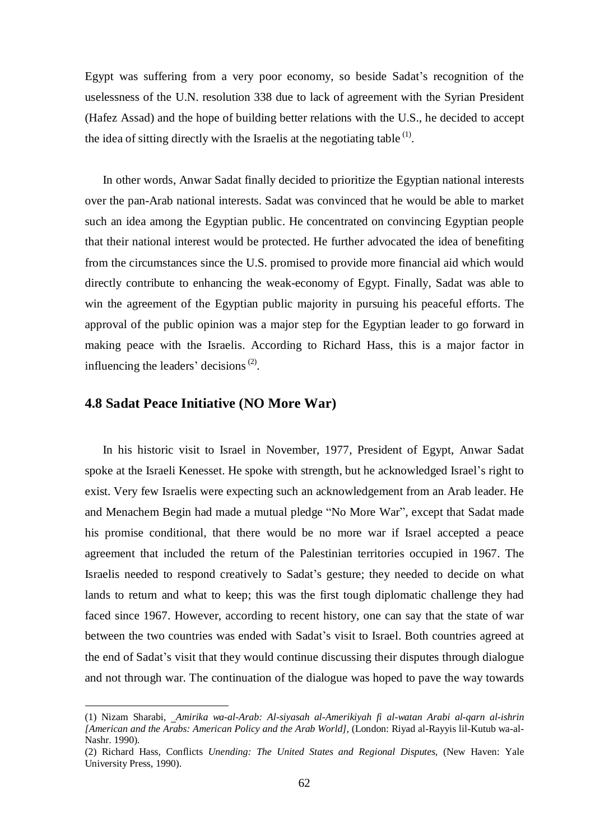Egypt was suffering from a very poor economy, so beside Sadat's recognition of the uselessness of the U.N. resolution 338 due to lack of agreement with the Syrian President (Hafez Assad) and the hope of building better relations with the U.S., he decided to accept the idea of sitting directly with the Israelis at the negotiating table  $<sup>(1)</sup>$ .</sup>

In other words, Anwar Sadat finally decided to prioritize the Egyptian national interests over the pan-Arab national interests. Sadat was convinced that he would be able to market such an idea among the Egyptian public. He concentrated on convincing Egyptian people that their national interest would be protected. He further advocated the idea of benefiting from the circumstances since the U.S. promised to provide more financial aid which would directly contribute to enhancing the weak-economy of Egypt. Finally, Sadat was able to win the agreement of the Egyptian public majority in pursuing his peaceful efforts. The approval of the public opinion was a major step for the Egyptian leader to go forward in making peace with the Israelis. According to Richard Hass, this is a major factor in influencing the leaders' decisions<sup> $(2)$ </sup>.

## **4.8 Sadat Peace Initiative (NO More War)**

 $\overline{a}$ 

In his historic visit to Israel in November, 1977, President of Egypt, Anwar Sadat spoke at the Israeli Kenesset. He spoke with strength, but he acknowledged Israel's right to exist. Very few Israelis were expecting such an acknowledgement from an Arab leader. He and Menachem Begin had made a mutual pledge "No More War", except that Sadat made his promise conditional, that there would be no more war if Israel accepted a peace agreement that included the return of the Palestinian territories occupied in 1967. The Israelis needed to respond creatively to Sadat's gesture; they needed to decide on what lands to return and what to keep; this was the first tough diplomatic challenge they had faced since 1967. However, according to recent history, one can say that the state of war between the two countries was ended with Sadat's visit to Israel. Both countries agreed at the end of Sadat's visit that they would continue discussing their disputes through dialogue and not through war. The continuation of the dialogue was hoped to pave the way towards

<sup>(1)</sup> Nizam Sharabi, *Amirika wa-al-Arab: Al-siyasah al-Amerikiyah fi al-watan Arabi al-qarn al-ishrin [American and the Arabs: American Policy and the Arab World],* (London: Riyad al-Rayyis lil-Kutub wa-al-Nashr. 1990).

<sup>(2)</sup> Richard Hass, Conflicts *Unending: The United States and Regional Disputes*, (New Haven: Yale University Press, 1990).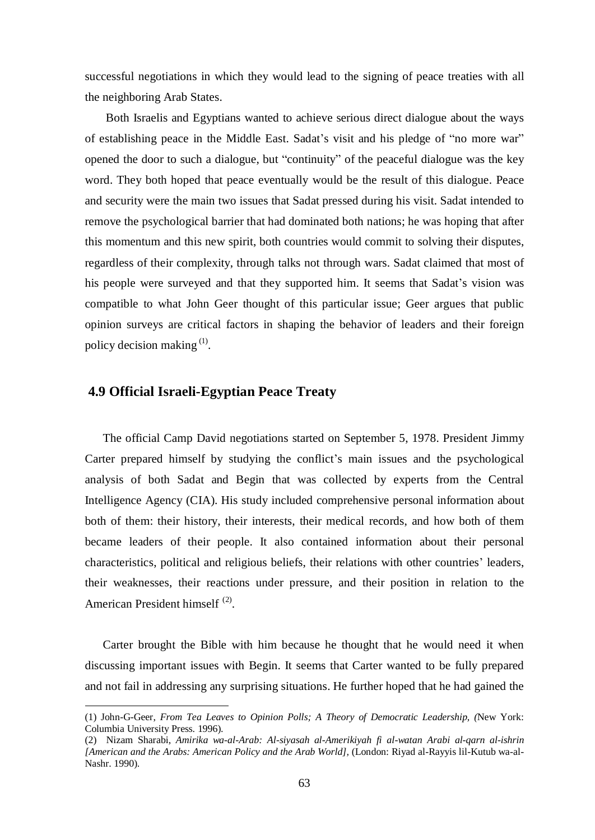successful negotiations in which they would lead to the signing of peace treaties with all the neighboring Arab States.

Both Israelis and Egyptians wanted to achieve serious direct dialogue about the ways of establishing peace in the Middle East. Sadat's visit and his pledge of "no more war" opened the door to such a dialogue, but "continuity" of the peaceful dialogue was the key word. They both hoped that peace eventually would be the result of this dialogue. Peace and security were the main two issues that Sadat pressed during his visit. Sadat intended to remove the psychological barrier that had dominated both nations; he was hoping that after this momentum and this new spirit, both countries would commit to solving their disputes, regardless of their complexity, through talks not through wars. Sadat claimed that most of his people were surveyed and that they supported him. It seems that Sadat's vision was compatible to what John Geer thought of this particular issue; Geer argues that public opinion surveys are critical factors in shaping the behavior of leaders and their foreign policy decision making  $(1)$ .

# **4.9 Official Israeli-Egyptian Peace Treaty**

 $\overline{a}$ 

The official Camp David negotiations started on September 5, 1978. President Jimmy Carter prepared himself by studying the conflict's main issues and the psychological analysis of both Sadat and Begin that was collected by experts from the Central Intelligence Agency (CIA). His study included comprehensive personal information about both of them: their history, their interests, their medical records, and how both of them became leaders of their people. It also contained information about their personal characteristics, political and religious beliefs, their relations with other countries' leaders, their weaknesses, their reactions under pressure, and their position in relation to the American President himself<sup>(2)</sup>.

Carter brought the Bible with him because he thought that he would need it when discussing important issues with Begin. It seems that Carter wanted to be fully prepared and not fail in addressing any surprising situations. He further hoped that he had gained the

<sup>(1)</sup> John-G-Geer, *From Tea Leaves to Opinion Polls; A Theory of Democratic Leadership, (*New York: Columbia University Press. 1996).

<sup>(2)</sup> Nizam Sharabi, *Amirika wa-al-Arab: Al-siyasah al-Amerikiyah fi al-watan Arabi al-qarn al-ishrin [American and the Arabs: American Policy and the Arab World],* (London: Riyad al-Rayyis lil-Kutub wa-al-Nashr. 1990).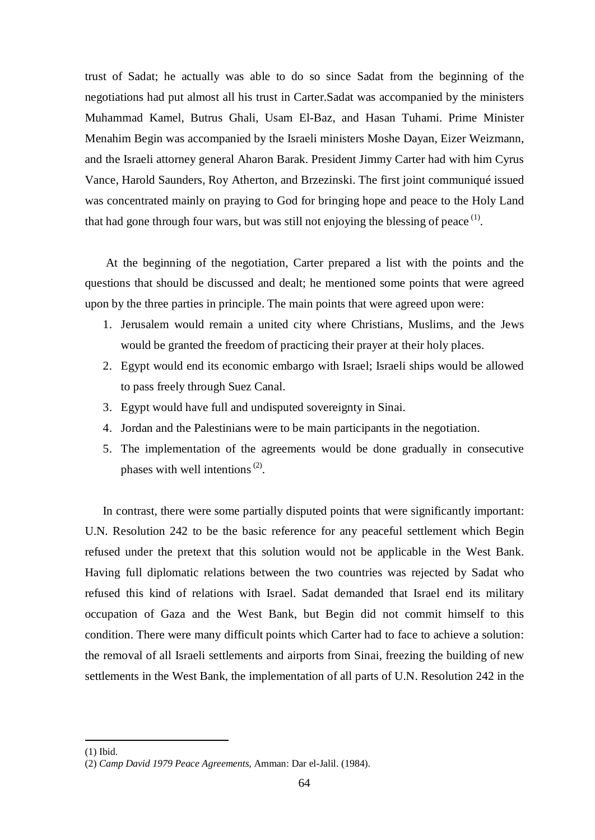trust of Sadat; he actually was able to do so since Sadat from the beginning of the negotiations had put almost all his trust in Carter.Sadat was accompanied by the ministers Muhammad Kamel, Butrus Ghali, Usam El-Baz, and Hasan Tuhami. Prime Minister Menahim Begin was accompanied by the Israeli ministers Moshe Dayan, Eizer Weizmann, and the Israeli attorney general Aharon Barak. President Jimmy Carter had with him Cyrus Vance, Harold Saunders, Roy Atherton, and Brzezinski. The first joint communiqué issued was concentrated mainly on praying to God for bringing hope and peace to the Holy Land that had gone through four wars, but was still not enjoying the blessing of peace  $<sup>(1)</sup>$ .</sup>

At the beginning of the negotiation, Carter prepared a list with the points and the questions that should be discussed and dealt; he mentioned some points that were agreed upon by the three parties in principle. The main points that were agreed upon were:

- 1. Jerusalem would remain a united city where Christians, Muslims, and the Jews would be granted the freedom of practicing their prayer at their holy places.
- 2. Egypt would end its economic embargo with Israel; Israeli ships would be allowed to pass freely through Suez Canal.
- 3. Egypt would have full and undisputed sovereignty in Sinai.
- 4. Jordan and the Palestinians were to be main participants in the negotiation.
- 5. The implementation of the agreements would be done gradually in consecutive phases with well intentions<sup> $(2)$ </sup>.

In contrast, there were some partially disputed points that were significantly important: U.N. Resolution 242 to be the basic reference for any peaceful settlement which Begin refused under the pretext that this solution would not be applicable in the West Bank. Having full diplomatic relations between the two countries was rejected by Sadat who refused this kind of relations with Israel. Sadat demanded that Israel end its military occupation of Gaza and the West Bank, but Begin did not commit himself to this condition. There were many difficult points which Carter had to face to achieve a solution: the removal of all Israeli settlements and airports from Sinai, freezing the building of new settlements in the West Bank, the implementation of all parts of U.N. Resolution 242 in the

<sup>(1)</sup> Ibid.

<sup>(2)</sup> *Camp David 1979 Peace Agreements,* Amman: Dar el-Jalil. (1984).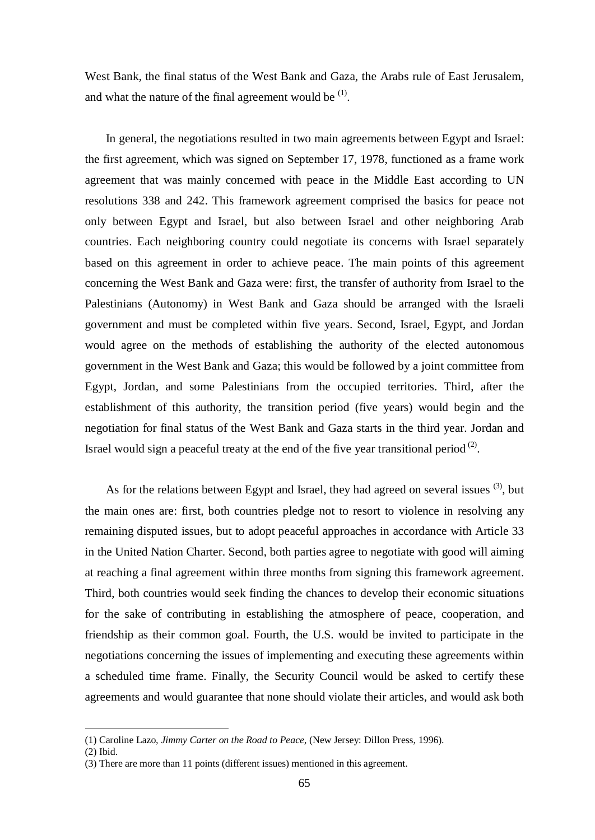West Bank, the final status of the West Bank and Gaza, the Arabs rule of East Jerusalem, and what the nature of the final agreement would be  $<sup>(1)</sup>$ .</sup>

In general, the negotiations resulted in two main agreements between Egypt and Israel: the first agreement, which was signed on September 17, 1978, functioned as a frame work agreement that was mainly concerned with peace in the Middle East according to UN resolutions 338 and 242. This framework agreement comprised the basics for peace not only between Egypt and Israel, but also between Israel and other neighboring Arab countries. Each neighboring country could negotiate its concerns with Israel separately based on this agreement in order to achieve peace. The main points of this agreement concerning the West Bank and Gaza were: first, the transfer of authority from Israel to the Palestinians (Autonomy) in West Bank and Gaza should be arranged with the Israeli government and must be completed within five years. Second, Israel, Egypt, and Jordan would agree on the methods of establishing the authority of the elected autonomous government in the West Bank and Gaza; this would be followed by a joint committee from Egypt, Jordan, and some Palestinians from the occupied territories. Third, after the establishment of this authority, the transition period (five years) would begin and the negotiation for final status of the West Bank and Gaza starts in the third year. Jordan and Israel would sign a peaceful treaty at the end of the five year transitional period  $(2)$ .

As for the relations between Egypt and Israel, they had agreed on several issues  $(3)$ , but the main ones are: first, both countries pledge not to resort to violence in resolving any remaining disputed issues, but to adopt peaceful approaches in accordance with Article 33 in the United Nation Charter. Second, both parties agree to negotiate with good will aiming at reaching a final agreement within three months from signing this framework agreement. Third, both countries would seek finding the chances to develop their economic situations for the sake of contributing in establishing the atmosphere of peace, cooperation, and friendship as their common goal. Fourth, the U.S. would be invited to participate in the negotiations concerning the issues of implementing and executing these agreements within a scheduled time frame. Finally, the Security Council would be asked to certify these agreements and would guarantee that none should violate their articles, and would ask both

<sup>(1)</sup> Caroline Lazo*, Jimmy Carter on the Road to Peace,* (New Jersey: Dillon Press, 1996).

<sup>(2)</sup> Ibid.

<sup>(3)</sup> There are more than 11 points (different issues) mentioned in this agreement.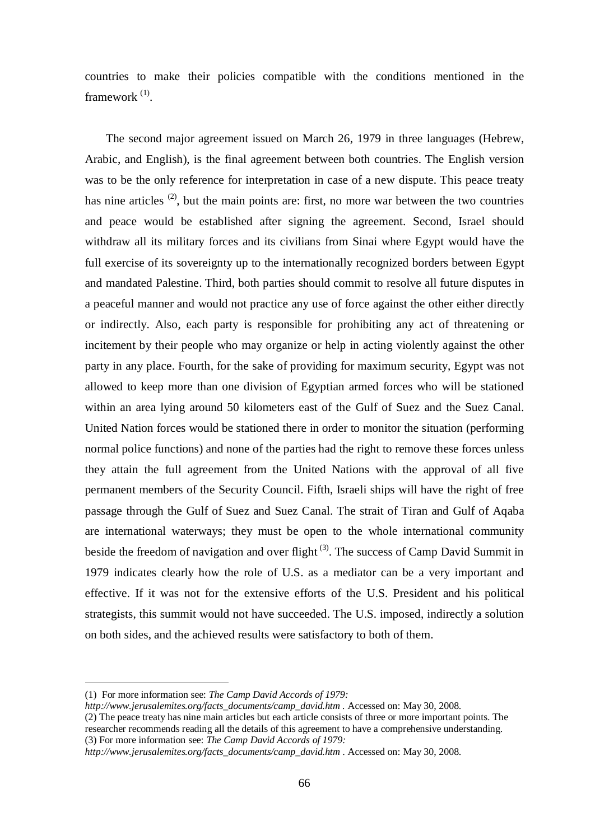countries to make their policies compatible with the conditions mentioned in the framework<sup>(1)</sup>.

The second major agreement issued on March 26, 1979 in three languages (Hebrew, Arabic, and English), is the final agreement between both countries. The English version was to be the only reference for interpretation in case of a new dispute. This peace treaty has nine articles  $(2)$ , but the main points are: first, no more war between the two countries and peace would be established after signing the agreement. Second, Israel should withdraw all its military forces and its civilians from Sinai where Egypt would have the full exercise of its sovereignty up to the internationally recognized borders between Egypt and mandated Palestine. Third, both parties should commit to resolve all future disputes in a peaceful manner and would not practice any use of force against the other either directly or indirectly. Also, each party is responsible for prohibiting any act of threatening or incitement by their people who may organize or help in acting violently against the other party in any place. Fourth, for the sake of providing for maximum security, Egypt was not allowed to keep more than one division of Egyptian armed forces who will be stationed within an area lying around 50 kilometers east of the Gulf of Suez and the Suez Canal. United Nation forces would be stationed there in order to monitor the situation (performing normal police functions) and none of the parties had the right to remove these forces unless they attain the full agreement from the United Nations with the approval of all five permanent members of the Security Council. Fifth, Israeli ships will have the right of free passage through the Gulf of Suez and Suez Canal. The strait of Tiran and Gulf of Aqaba are international waterways; they must be open to the whole international community beside the freedom of navigation and over flight<sup>(3)</sup>. The success of Camp David Summit in 1979 indicates clearly how the role of U.S. as a mediator can be a very important and effective. If it was not for the extensive efforts of the U.S. President and his political strategists, this summit would not have succeeded. The U.S. imposed, indirectly a solution on both sides, and the achieved results were satisfactory to both of them.

<sup>(1)</sup> For more information see: *The Camp David Accords of 1979:* 

*[http://www.jerusalemites.org/facts\\_documents/camp\\_david.htm](http://www.jerusalemites.org/facts_documents/camp_david.htm) .* Accessed on: May 30, 2008.

<sup>(2)</sup> The peace treaty has nine main articles but each article consists of three or more important points. The researcher recommends reading all the details of this agreement to have a comprehensive understanding. (3) For more information see: *The Camp David Accords of 1979:* 

*[http://www.jerusalemites.org/facts\\_documents/camp\\_david.htm](http://www.jerusalemites.org/facts_documents/camp_david.htm)* . Accessed on: May 30, 2008.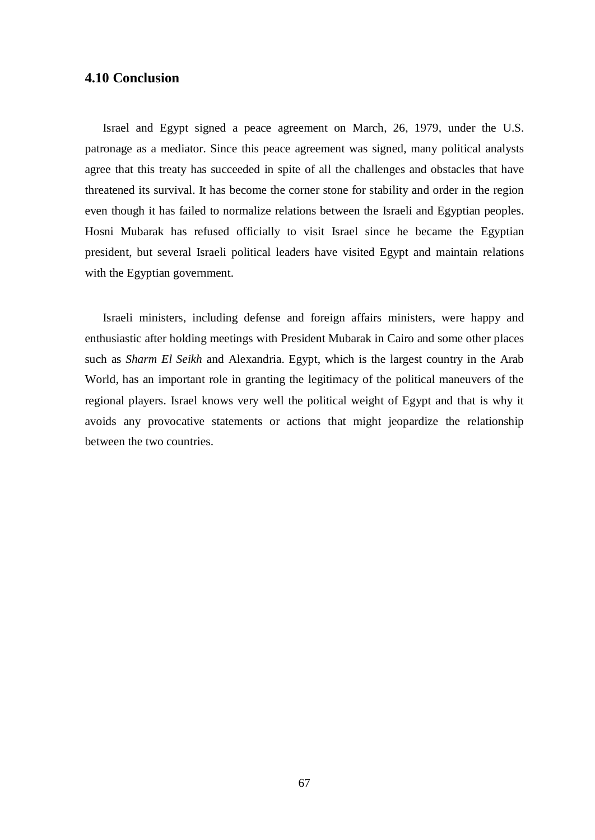# **4.10 Conclusion**

Israel and Egypt signed a peace agreement on March, 26, 1979, under the U.S. patronage as a mediator. Since this peace agreement was signed, many political analysts agree that this treaty has succeeded in spite of all the challenges and obstacles that have threatened its survival. It has become the corner stone for stability and order in the region even though it has failed to normalize relations between the Israeli and Egyptian peoples. Hosni Mubarak has refused officially to visit Israel since he became the Egyptian president, but several Israeli political leaders have visited Egypt and maintain relations with the Egyptian government.

Israeli ministers, including defense and foreign affairs ministers, were happy and enthusiastic after holding meetings with President Mubarak in Cairo and some other places such as *Sharm El Seikh* and Alexandria. Egypt, which is the largest country in the Arab World, has an important role in granting the legitimacy of the political maneuvers of the regional players. Israel knows very well the political weight of Egypt and that is why it avoids any provocative statements or actions that might jeopardize the relationship between the two countries.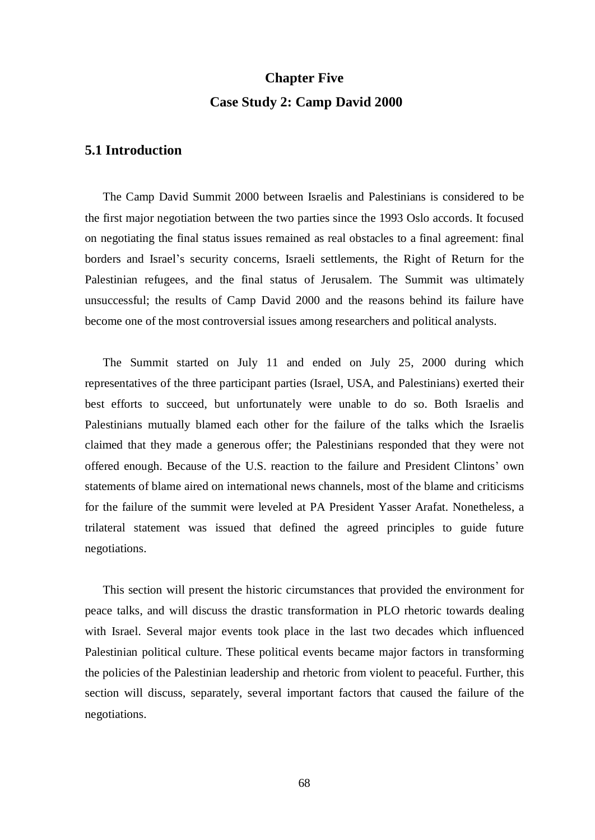# **Chapter Five Case Study 2: Camp David 2000**

# **5.1 Introduction**

The Camp David Summit 2000 between Israelis and Palestinians is considered to be the first major negotiation between the two parties since the 1993 Oslo accords. It focused on negotiating the final status issues remained as real obstacles to a final agreement: final borders and Israel's security concerns, Israeli settlements, the Right of Return for the Palestinian refugees, and the final status of Jerusalem. The Summit was ultimately unsuccessful; the results of Camp David 2000 and the reasons behind its failure have become one of the most controversial issues among researchers and political analysts.

The Summit started on July 11 and ended on July 25, 2000 during which representatives of the three participant parties (Israel, USA, and Palestinians) exerted their best efforts to succeed, but unfortunately were unable to do so. Both Israelis and Palestinians mutually blamed each other for the failure of the talks which the Israelis claimed that they made a generous offer; the Palestinians responded that they were not offered enough. Because of the U.S. reaction to the failure and President Clintons' own statements of blame aired on international news channels, most of the blame and criticisms for the failure of the summit were leveled at PA President Yasser Arafat. Nonetheless, a trilateral statement was issued that defined the agreed principles to guide future negotiations.

This section will present the historic circumstances that provided the environment for peace talks, and will discuss the drastic transformation in PLO rhetoric towards dealing with Israel. Several major events took place in the last two decades which influenced Palestinian political culture. These political events became major factors in transforming the policies of the Palestinian leadership and rhetoric from violent to peaceful. Further, this section will discuss, separately, several important factors that caused the failure of the negotiations.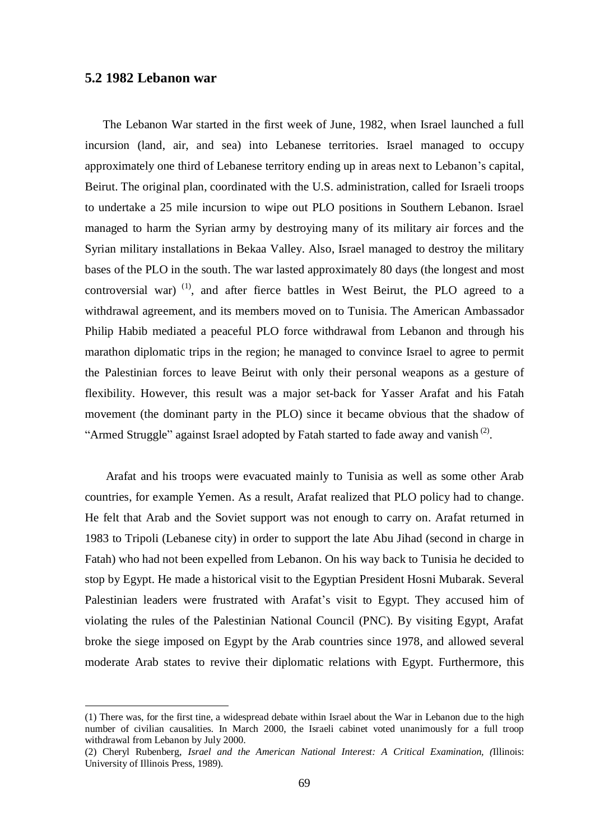## **5.2 1982 Lebanon war**

 $\overline{a}$ 

The Lebanon War started in the first week of June, 1982, when Israel launched a full incursion (land, air, and sea) into Lebanese territories. Israel managed to occupy approximately one third of Lebanese territory ending up in areas next to Lebanon's capital, Beirut. The original plan, coordinated with the U.S. administration, called for Israeli troops to undertake a 25 mile incursion to wipe out PLO positions in Southern Lebanon. Israel managed to harm the Syrian army by destroying many of its military air forces and the Syrian military installations in Bekaa Valley. Also, Israel managed to destroy the military bases of the PLO in the south. The war lasted approximately 80 days (the longest and most controversial war)  $(1)$ , and after fierce battles in West Beirut, the PLO agreed to a withdrawal agreement, and its members moved on to Tunisia. The American Ambassador Philip Habib mediated a peaceful PLO force withdrawal from Lebanon and through his marathon diplomatic trips in the region; he managed to convince Israel to agree to permit the Palestinian forces to leave Beirut with only their personal weapons as a gesture of flexibility. However, this result was a major set-back for Yasser Arafat and his Fatah movement (the dominant party in the PLO) since it became obvious that the shadow of "Armed Struggle" against Israel adopted by Fatah started to fade away and vanish  $(2)$ .

Arafat and his troops were evacuated mainly to Tunisia as well as some other Arab countries, for example Yemen. As a result, Arafat realized that PLO policy had to change. He felt that Arab and the Soviet support was not enough to carry on. Arafat returned in 1983 to Tripoli (Lebanese city) in order to support the late Abu Jihad (second in charge in Fatah) who had not been expelled from Lebanon. On his way back to Tunisia he decided to stop by Egypt. He made a historical visit to the Egyptian President Hosni Mubarak. Several Palestinian leaders were frustrated with Arafat's visit to Egypt. They accused him of violating the rules of the Palestinian National Council (PNC). By visiting Egypt, Arafat broke the siege imposed on Egypt by the Arab countries since 1978, and allowed several moderate Arab states to revive their diplomatic relations with Egypt. Furthermore, this

<sup>(1)</sup> There was, for the first tine, a widespread debate within Israel about the War in Lebanon due to the high number of civilian causalities. In March 2000, the Israeli cabinet voted unanimously for a full troop withdrawal from Lebanon by July 2000.

<sup>(2)</sup> Cheryl Rubenberg, *Israel and the American National Interest: A Critical Examination, (*Illinois: University of Illinois Press, 1989).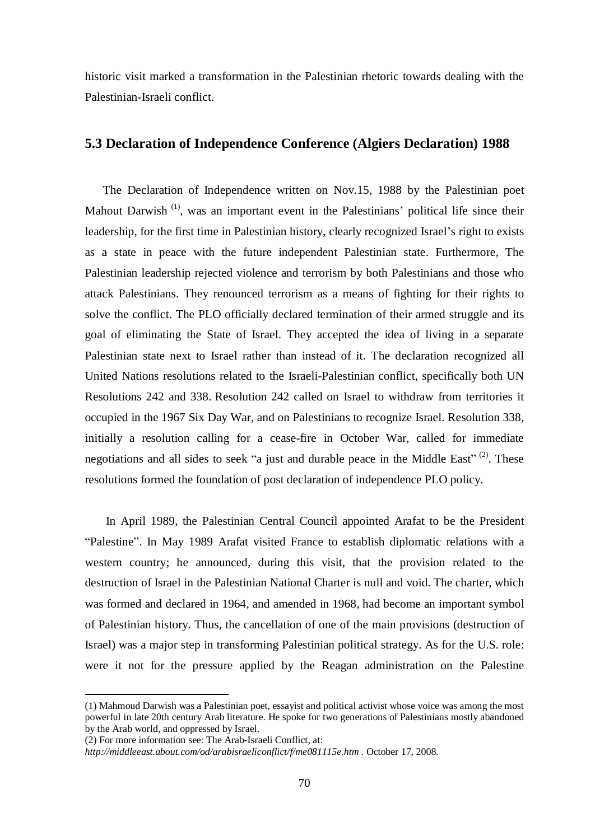historic visit marked a transformation in the Palestinian rhetoric towards dealing with the Palestinian-Israeli conflict.

#### **5.3 Declaration of Independence Conference (Algiers Declaration) 1988**

The Declaration of Independence written on Nov.15, 1988 by the Palestinian poet Mahout Darwish<sup>(1)</sup>, was an important event in the Palestinians' political life since their leadership, for the first time in Palestinian history, clearly recognized Israel's right to exists as a state in peace with the future independent Palestinian state. Furthermore, The Palestinian leadership rejected violence and terrorism by both Palestinians and those who attack Palestinians. They renounced terrorism as a means of fighting for their rights to solve the conflict. The PLO officially declared termination of their armed struggle and its goal of eliminating the State of Israel. They accepted the idea of living in a separate Palestinian state next to Israel rather than instead of it. The declaration recognized all United Nations resolutions related to the Israeli-Palestinian conflict, specifically both UN Resolutions 242 and 338. Resolution 242 called on Israel to withdraw from territories it occupied in the 1967 Six Day War, and on Palestinians to recognize Israel. Resolution 338, initially a resolution calling for a cease-fire in October War, called for immediate negotiations and all sides to seek "a just and durable peace in the Middle East"<sup>(2)</sup>. These resolutions formed the foundation of post declaration of independence PLO policy.

In April 1989, the Palestinian Central Council appointed Arafat to be the President "Palestine". In May 1989 Arafat visited France to establish diplomatic relations with a western country; he announced, during this visit, that the provision related to the destruction of Israel in the Palestinian National Charter is null and void. The charter, which was formed and declared in 1964, and amended in 1968, had become an important symbol of Palestinian history. Thus, the cancellation of one of the main provisions (destruction of Israel) was a major step in transforming Palestinian political strategy. As for the U.S. role: were it not for the pressure applied by the Reagan administration on the Palestine

<sup>(1)</sup> Mahmoud Darwish was a Palestinian poet, essayist and political activist whose voice was among the most powerful in late 20th century Arab literature. He spoke for two generations of Palestinians mostly abandoned by the Arab world, and oppressed by Israel.

<sup>(2)</sup> For more information see: The Arab-Israeli Conflict, at:

*<http://middleeast.about.com/od/arabisraeliconflict/f/me081115e.htm> .* October 17, 2008.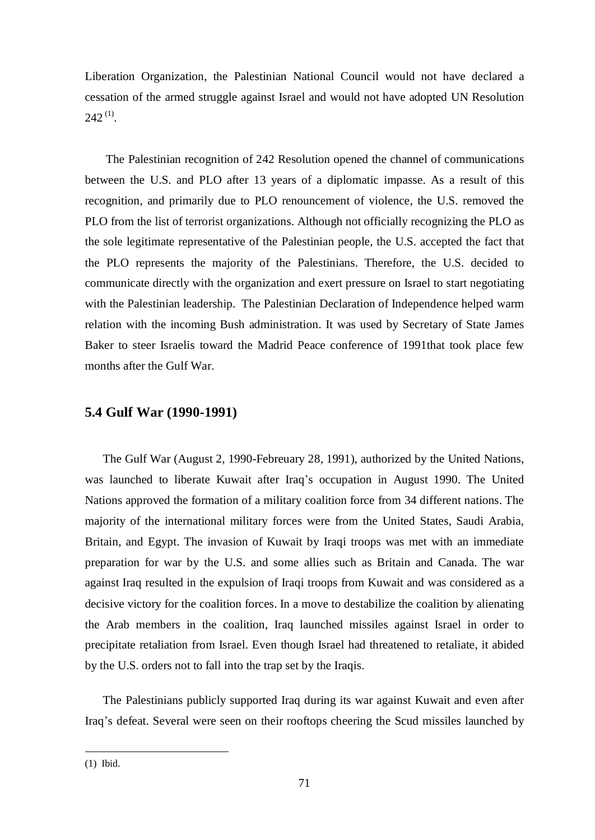Liberation Organization, the Palestinian National Council would not have declared a cessation of the armed struggle against Israel and would not have adopted UN Resolution  $242^{(1)}$ .

The Palestinian recognition of 242 Resolution opened the channel of communications between the U.S. and PLO after 13 years of a diplomatic impasse. As a result of this recognition, and primarily due to PLO renouncement of violence, the U.S. removed the PLO from the list of terrorist organizations. Although not officially recognizing the PLO as the sole legitimate representative of the Palestinian people, the U.S. accepted the fact that the PLO represents the majority of the Palestinians. Therefore, the U.S. decided to communicate directly with the organization and exert pressure on Israel to start negotiating with the Palestinian leadership. The Palestinian Declaration of Independence helped warm relation with the incoming Bush administration. It was used by Secretary of State James Baker to steer Israelis toward the Madrid Peace conference of 1991that took place few months after the Gulf War.

# **5.4 Gulf War (1990-1991)**

The Gulf War (August 2, 1990-Febreuary 28, 1991), authorized by the United Nations, was launched to liberate Kuwait after Iraq's occupation in August 1990. The United Nations approved the formation of a military coalition force from 34 different nations. The majority of the international military forces were from the United States, Saudi Arabia, Britain, and Egypt. The invasion of Kuwait by Iraqi troops was met with an immediate preparation for war by the U.S. and some allies such as Britain and Canada. The war against Iraq resulted in the expulsion of Iraqi troops from Kuwait and was considered as a decisive victory for the coalition forces. In a move to destabilize the coalition by alienating the Arab members in the coalition, Iraq launched missiles against Israel in order to precipitate retaliation from Israel. Even though Israel had threatened to retaliate, it abided by the U.S. orders not to fall into the trap set by the Iraqis.

The Palestinians publicly supported Iraq during its war against Kuwait and even after Iraq's defeat. Several were seen on their rooftops cheering the Scud missiles launched by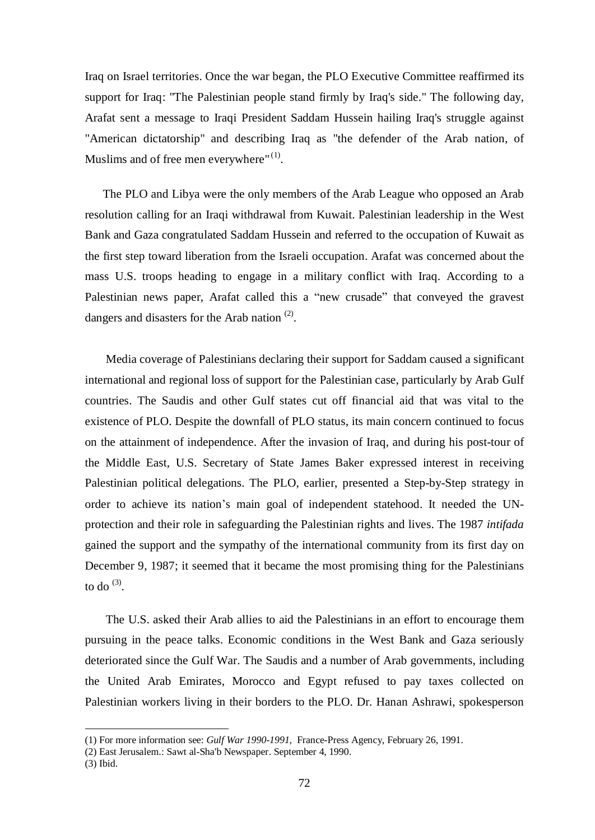Iraq on Israel territories. Once the war began, the PLO Executive Committee reaffirmed its support for Iraq: "The Palestinian people stand firmly by Iraq's side." The following day, Arafat sent a message to Iraqi President Saddam Hussein hailing Iraq's struggle against "American dictatorship" and describing Iraq as "the defender of the Arab nation, of Muslims and of free men everywhere" $(1)$ .

The PLO and Libya were the only members of the Arab League who opposed an Arab resolution calling for an Iraqi withdrawal from Kuwait. Palestinian leadership in the West Bank and Gaza congratulated Saddam Hussein and referred to the occupation of Kuwait as the first step toward liberation from the Israeli occupation. Arafat was concerned about the mass U.S. troops heading to engage in a military conflict with Iraq. According to a Palestinian news paper, Arafat called this a "new crusade" that conveyed the gravest dangers and disasters for the Arab nation  $(2)$ .

Media coverage of Palestinians declaring their support for Saddam caused a significant international and regional loss of support for the Palestinian case, particularly by Arab Gulf countries. The Saudis and other Gulf states cut off financial aid that was vital to the existence of PLO. Despite the downfall of PLO status, its main concern continued to focus on the attainment of independence. After the invasion of Iraq, and during his post-tour of the Middle East, U.S. Secretary of State James Baker expressed interest in receiving Palestinian political delegations. The PLO, earlier, presented a Step-by-Step strategy in order to achieve its nation's main goal of independent statehood. It needed the UNprotection and their role in safeguarding the Palestinian rights and lives. The 1987 *intifada* gained the support and the sympathy of the international community from its first day on December 9, 1987; it seemed that it became the most promising thing for the Palestinians to do  $^{(3)}$ .

The U.S. asked their Arab allies to aid the Palestinians in an effort to encourage them pursuing in the peace talks. Economic conditions in the West Bank and Gaza seriously deteriorated since the Gulf War. The Saudis and a number of Arab governments, including the United Arab Emirates, Morocco and Egypt refused to pay taxes collected on Palestinian workers living in their borders to the PLO. Dr. Hanan Ashrawi, spokesperson

<sup>(1)</sup> For more information see: *Gulf War 1990-1991,* France-Press Agency, February 26, 1991.

<sup>(2)</sup> East Jerusalem.: Sawt al-Sha'b Newspaper. September 4, 1990.

<sup>(3)</sup> Ibid.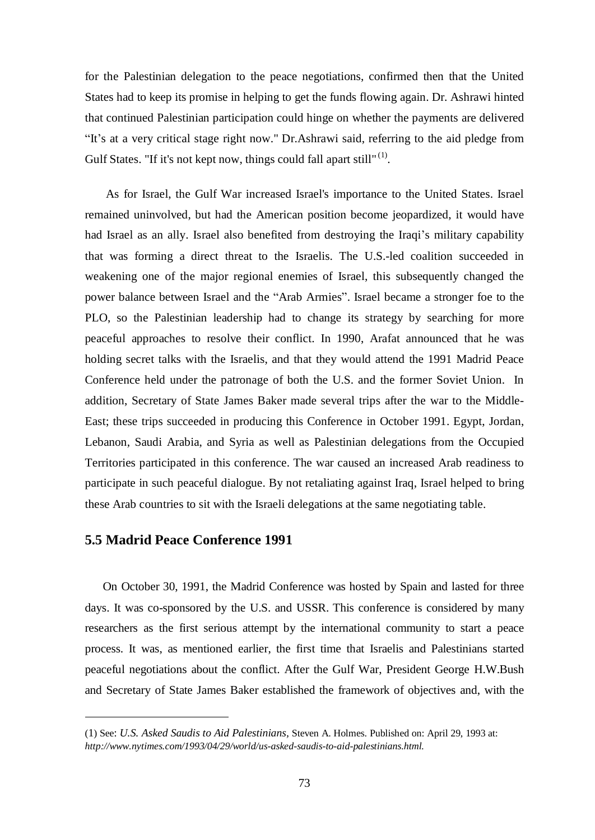for the Palestinian delegation to the peace negotiations, confirmed then that the United States had to keep its promise in helping to get the funds flowing again. Dr. Ashrawi hinted that continued Palestinian participation could hinge on whether the payments are delivered "It's at a very critical stage right now." Dr.Ashrawi said, referring to the aid pledge from Gulf States. "If it's not kept now, things could fall apart still"<sup>(1)</sup>.

As for Israel, the Gulf War increased Israel's importance to the United States. Israel remained uninvolved, but had the American position become jeopardized, it would have had Israel as an ally. Israel also benefited from destroying the Iraqi's military capability that was forming a direct threat to the Israelis. The U.S.-led coalition succeeded in weakening one of the major regional enemies of Israel, this subsequently changed the power balance between Israel and the "Arab Armies". Israel became a stronger foe to the PLO, so the Palestinian leadership had to change its strategy by searching for more peaceful approaches to resolve their conflict. In 1990, Arafat announced that he was holding secret talks with the Israelis, and that they would attend the 1991 Madrid Peace Conference held under the patronage of both the U.S. and the former Soviet Union. In addition, Secretary of State James Baker made several trips after the war to the Middle-East; these trips succeeded in producing this Conference in October 1991. Egypt, Jordan, Lebanon, Saudi Arabia, and Syria as well as Palestinian delegations from the Occupied Territories participated in this conference. The war caused an increased Arab readiness to participate in such peaceful dialogue. By not retaliating against Iraq, Israel helped to bring these Arab countries to sit with the Israeli delegations at the same negotiating table.

#### **5.5 Madrid Peace Conference 1991**

 $\overline{a}$ 

On October 30, 1991, the Madrid Conference was hosted by Spain and lasted for three days. It was co-sponsored by the U.S. and USSR. This conference is considered by many researchers as the first serious attempt by the international community to start a peace process. It was, as mentioned earlier, the first time that Israelis and Palestinians started peaceful negotiations about the conflict. After the Gulf War, President George H.W.Bush and Secretary of State James Baker established the framework of objectives and, with the

<sup>(</sup>1) See: *U.S. Asked Saudis to Aid Palestinians,* Steven A. Holmes. Published on: April 29, 1993 at: *[http://www.nytimes.com/1993/04/29/world/us-asked-saudis-to-aid-palestinians.html.](http://www.nytimes.com/1993/04/29/world/us-asked-saudis-to-aid-palestinians.html)*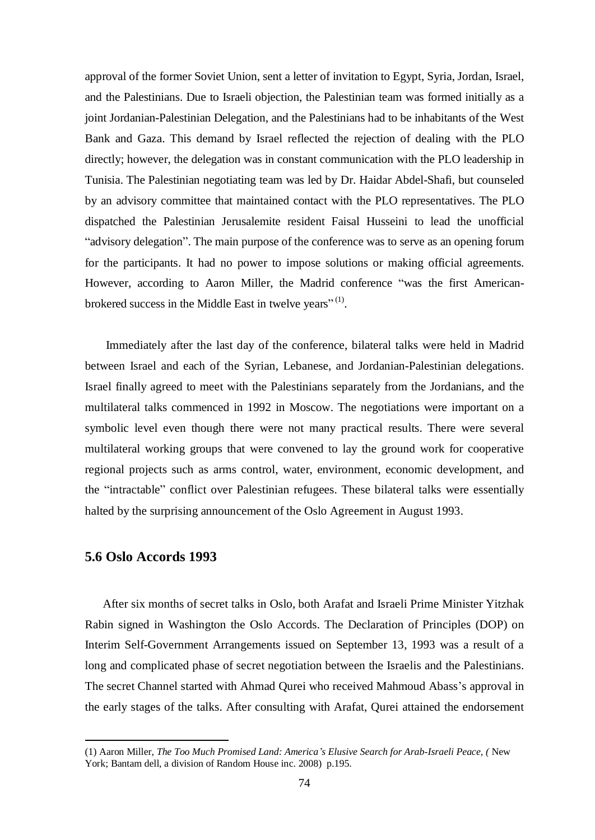approval of the former Soviet Union, sent a letter of invitation to Egypt, Syria, Jordan, Israel, and the Palestinians. Due to Israeli objection, the Palestinian team was formed initially as a joint Jordanian-Palestinian Delegation, and the Palestinians had to be inhabitants of the West Bank and Gaza. This demand by Israel reflected the rejection of dealing with the PLO directly; however, the delegation was in constant communication with the PLO leadership in Tunisia. The Palestinian negotiating team was led by Dr. Haidar Abdel-Shafi, but counseled by an advisory committee that maintained contact with the PLO representatives. The PLO dispatched the Palestinian Jerusalemite resident Faisal Husseini to lead the unofficial "advisory delegation". The main purpose of the conference was to serve as an opening forum for the participants. It had no power to impose solutions or making official agreements. However, according to Aaron Miller, the Madrid conference "was the first Americanbrokered success in the Middle East in twelve years"<sup>(1)</sup>.

Immediately after the last day of the conference, bilateral talks were held in Madrid between Israel and each of the Syrian, Lebanese, and Jordanian-Palestinian delegations. Israel finally agreed to meet with the Palestinians separately from the Jordanians, and the multilateral talks commenced in 1992 in Moscow. The negotiations were important on a symbolic level even though there were not many practical results. There were several multilateral working groups that were convened to lay the ground work for cooperative regional projects such as arms control, water, environment, economic development, and the "intractable" conflict over Palestinian refugees. These bilateral talks were essentially halted by the surprising announcement of the Oslo Agreement in August 1993.

### **5.6 Oslo Accords 1993**

 $\overline{a}$ 

After six months of secret talks in Oslo, both Arafat and Israeli Prime Minister Yitzhak Rabin signed in Washington the Oslo Accords. The Declaration of Principles (DOP) on Interim Self-Government Arrangements issued on September 13, 1993 was a result of a long and complicated phase of secret negotiation between the Israelis and the Palestinians. The secret Channel started with Ahmad Qurei who received Mahmoud Abass's approval in the early stages of the talks. After consulting with Arafat, Qurei attained the endorsement

<sup>(1)</sup> Aaron Miller, *The Too Much Promised Land: America's Elusive Search for Arab-Israeli Peace, (* New York; Bantam dell, a division of Random House inc. 2008) p.195.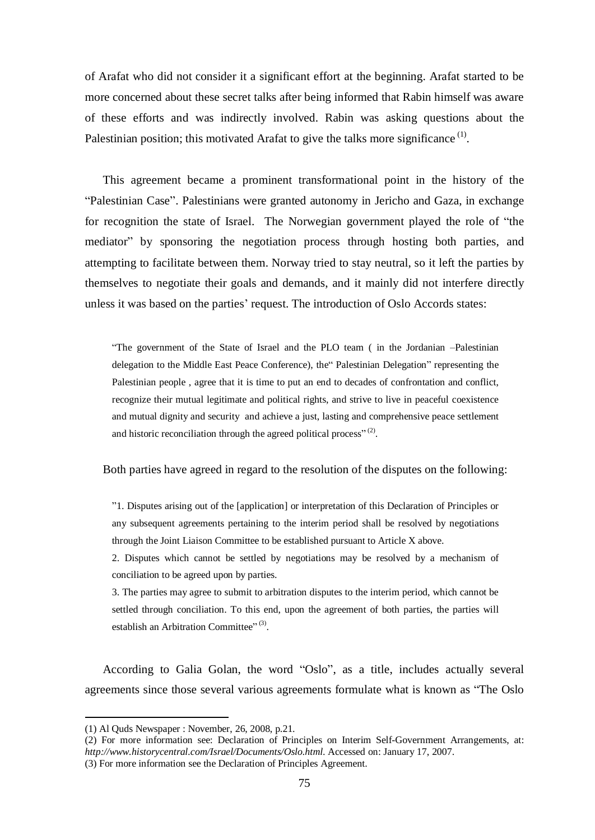of Arafat who did not consider it a significant effort at the beginning. Arafat started to be more concerned about these secret talks after being informed that Rabin himself was aware of these efforts and was indirectly involved. Rabin was asking questions about the Palestinian position; this motivated Arafat to give the talks more significance  $<sup>(1)</sup>$ .</sup>

This agreement became a prominent transformational point in the history of the "Palestinian Case". Palestinians were granted autonomy in Jericho and Gaza, in exchange for recognition the state of Israel. The Norwegian government played the role of "the mediator" by sponsoring the negotiation process through hosting both parties, and attempting to facilitate between them. Norway tried to stay neutral, so it left the parties by themselves to negotiate their goals and demands, and it mainly did not interfere directly unless it was based on the parties' request. The introduction of Oslo Accords states:

"The government of the State of Israel and the PLO team ( in the Jordanian –Palestinian delegation to the Middle East Peace Conference), the" Palestinian Delegation" representing the Palestinian people , agree that it is time to put an end to decades of confrontation and conflict, recognize their mutual legitimate and political rights, and strive to live in peaceful coexistence and mutual dignity and security and achieve a just, lasting and comprehensive peace settlement and historic reconciliation through the agreed political process" $(2)$ .

Both parties have agreed in regard to the resolution of the disputes on the following:

"1. Disputes arising out of the [application] or interpretation of this Declaration of Principles or any subsequent agreements pertaining to the interim period shall be resolved by negotiations through the Joint Liaison Committee to be established pursuant to Article X above.

2. Disputes which cannot be settled by negotiations may be resolved by a mechanism of conciliation to be agreed upon by parties.

3. The parties may agree to submit to arbitration disputes to the interim period, which cannot be settled through conciliation. To this end, upon the agreement of both parties, the parties will establish an Arbitration Committee"<sup>(3)</sup>.

According to Galia Golan, the word "Oslo", as a title, includes actually several agreements since those several various agreements formulate what is known as "The Oslo

<sup>(1)</sup> Al Quds Newspaper : November, 26, 2008, p.21.

<sup>(2)</sup> For more information see: Declaration of Principles on Interim Self-Government Arrangements, at: *<http://www.historycentral.com/Israel/Documents/Oslo.html>*. Accessed on: January 17, 2007.

<sup>(3)</sup> For more information see the Declaration of Principles Agreement.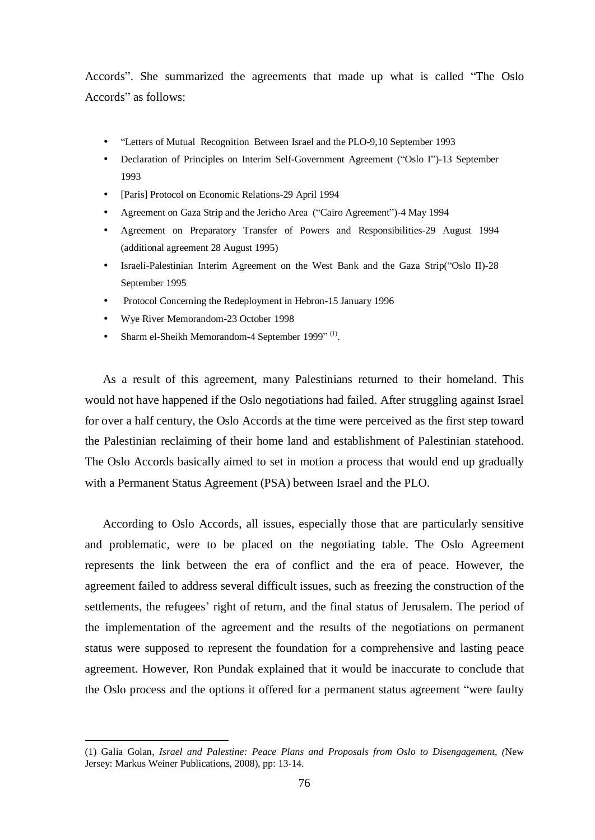Accords". She summarized the agreements that made up what is called "The Oslo Accords" as follows:

- "Letters of Mutual Recognition Between Israel and the PLO-9,10 September 1993
- Declaration of Principles on Interim Self-Government Agreement ("Oslo I")-13 September 1993
- [Paris] Protocol on Economic Relations-29 April 1994
- Agreement on Gaza Strip and the Jericho Area ("Cairo Agreement")-4 May 1994
- Agreement on Preparatory Transfer of Powers and Responsibilities-29 August 1994 (additional agreement 28 August 1995)
- Israeli-Palestinian Interim Agreement on the West Bank and the Gaza Strip("Oslo II)-28 September 1995
- Protocol Concerning the Redeployment in Hebron-15 January 1996
- Wye River Memorandom-23 October 1998

 $\overline{a}$ 

• Sharm el-Sheikh Memorandom-4 September 1999"<sup>(1)</sup>.

As a result of this agreement, many Palestinians returned to their homeland. This would not have happened if the Oslo negotiations had failed. After struggling against Israel for over a half century, the Oslo Accords at the time were perceived as the first step toward the Palestinian reclaiming of their home land and establishment of Palestinian statehood. The Oslo Accords basically aimed to set in motion a process that would end up gradually with a Permanent Status Agreement (PSA) between Israel and the PLO.

According to Oslo Accords, all issues, especially those that are particularly sensitive and problematic, were to be placed on the negotiating table. The Oslo Agreement represents the link between the era of conflict and the era of peace. However, the agreement failed to address several difficult issues, such as freezing the construction of the settlements, the refugees' right of return, and the final status of Jerusalem. The period of the implementation of the agreement and the results of the negotiations on permanent status were supposed to represent the foundation for a comprehensive and lasting peace agreement. However, Ron Pundak explained that it would be inaccurate to conclude that the Oslo process and the options it offered for a permanent status agreement "were faulty

<sup>(1)</sup> Galia Golan, *Israel and Palestine: Peace Plans and Proposals from Oslo to Disengagement, (*New Jersey: Markus Weiner Publications, 2008), pp: 13-14.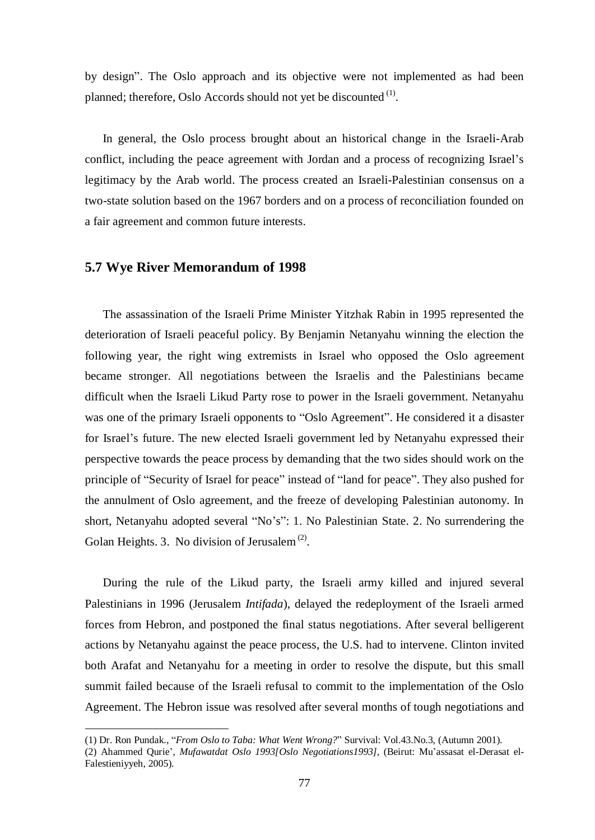by design". The Oslo approach and its objective were not implemented as had been planned; therefore, Oslo Accords should not yet be discounted <sup>(1)</sup>.

In general, the Oslo process brought about an historical change in the Israeli-Arab conflict, including the peace agreement with Jordan and a process of recognizing Israel's legitimacy by the Arab world. The process created an Israeli-Palestinian consensus on a two-state solution based on the 1967 borders and on a process of reconciliation founded on a fair agreement and common future interests.

## **5.7 Wye River Memorandum of 1998**

 $\overline{a}$ 

The assassination of the Israeli Prime Minister Yitzhak Rabin in 1995 represented the deterioration of Israeli peaceful policy. By Benjamin Netanyahu winning the election the following year, the right wing extremists in Israel who opposed the Oslo agreement became stronger. All negotiations between the Israelis and the Palestinians became difficult when the Israeli Likud Party rose to power in the Israeli government. Netanyahu was one of the primary Israeli opponents to "Oslo Agreement". He considered it a disaster for Israel's future. The new elected Israeli government led by Netanyahu expressed their perspective towards the peace process by demanding that the two sides should work on the principle of "Security of Israel for peace" instead of "land for peace". They also pushed for the annulment of Oslo agreement, and the freeze of developing Palestinian autonomy. In short, Netanyahu adopted several "No's": 1. No Palestinian State. 2. No surrendering the Golan Heights. 3. No division of Jerusalem<sup> $(2)$ </sup>.

During the rule of the Likud party, the Israeli army killed and injured several Palestinians in 1996 (Jerusalem *Intifada*), delayed the redeployment of the Israeli armed forces from Hebron, and postponed the final status negotiations. After several belligerent actions by Netanyahu against the peace process, the U.S. had to intervene. Clinton invited both Arafat and Netanyahu for a meeting in order to resolve the dispute, but this small summit failed because of the Israeli refusal to commit to the implementation of the Oslo Agreement. The Hebron issue was resolved after several months of tough negotiations and

<sup>(1)</sup> Dr. Ron Pundak., "*From Oslo to Taba: What Went Wrong?*" Survival: Vol.43.No.3, (Autumn 2001).

<sup>(2)</sup> Ahammed Qurie', *Mufawatdat Oslo 1993[Oslo Negotiations1993],* (Beirut: Mu'assasat el-Derasat el-Falestieniyyeh, 2005).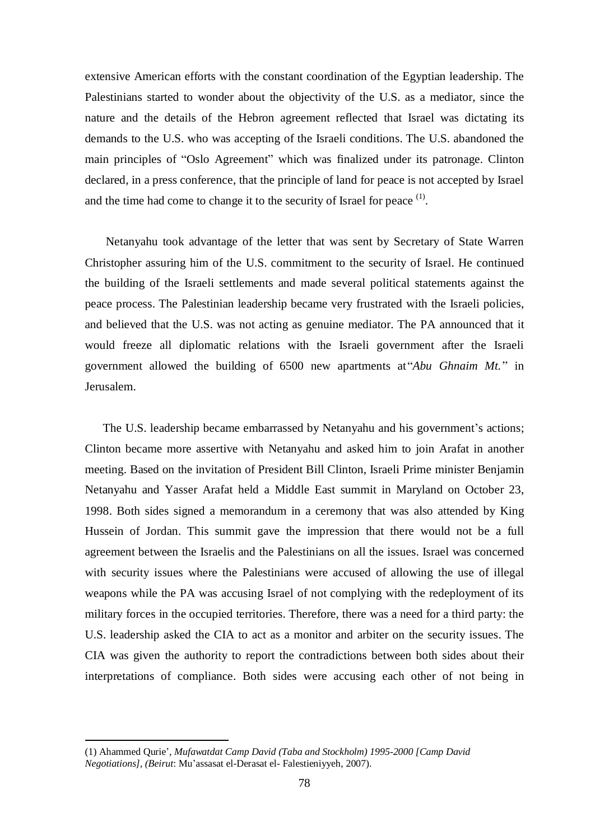extensive American efforts with the constant coordination of the Egyptian leadership. The Palestinians started to wonder about the objectivity of the U.S. as a mediator, since the nature and the details of the Hebron agreement reflected that Israel was dictating its demands to the U.S. who was accepting of the Israeli conditions. The U.S. abandoned the main principles of "Oslo Agreement" which was finalized under its patronage. Clinton declared, in a press conference, that the principle of land for peace is not accepted by Israel and the time had come to change it to the security of Israel for peace  $<sup>(1)</sup>$ .</sup>

Netanyahu took advantage of the letter that was sent by Secretary of State Warren Christopher assuring him of the U.S. commitment to the security of Israel. He continued the building of the Israeli settlements and made several political statements against the peace process. The Palestinian leadership became very frustrated with the Israeli policies, and believed that the U.S. was not acting as genuine mediator. The PA announced that it would freeze all diplomatic relations with the Israeli government after the Israeli government allowed the building of 6500 new apartments at*"Abu Ghnaim Mt."* in Jerusalem.

The U.S. leadership became embarrassed by Netanyahu and his government's actions; Clinton became more assertive with Netanyahu and asked him to join Arafat in another meeting. Based on the invitation of President Bill Clinton, Israeli Prime minister Benjamin Netanyahu and Yasser Arafat held a Middle East summit in Maryland on October 23, 1998. Both sides signed a memorandum in a ceremony that was also attended by King Hussein of Jordan. This summit gave the impression that there would not be a full agreement between the Israelis and the Palestinians on all the issues. Israel was concerned with security issues where the Palestinians were accused of allowing the use of illegal weapons while the PA was accusing Israel of not complying with the redeployment of its military forces in the occupied territories. Therefore, there was a need for a third party: the U.S. leadership asked the CIA to act as a monitor and arbiter on the security issues. The CIA was given the authority to report the contradictions between both sides about their interpretations of compliance. Both sides were accusing each other of not being in

<sup>(1)</sup> Ahammed Qurie', *Mufawatdat Camp David (Taba and Stockholm) 1995-2000 [Camp David Negotiations], (Beirut*: Mu'assasat el-Derasat el- Falestieniyyeh, 2007).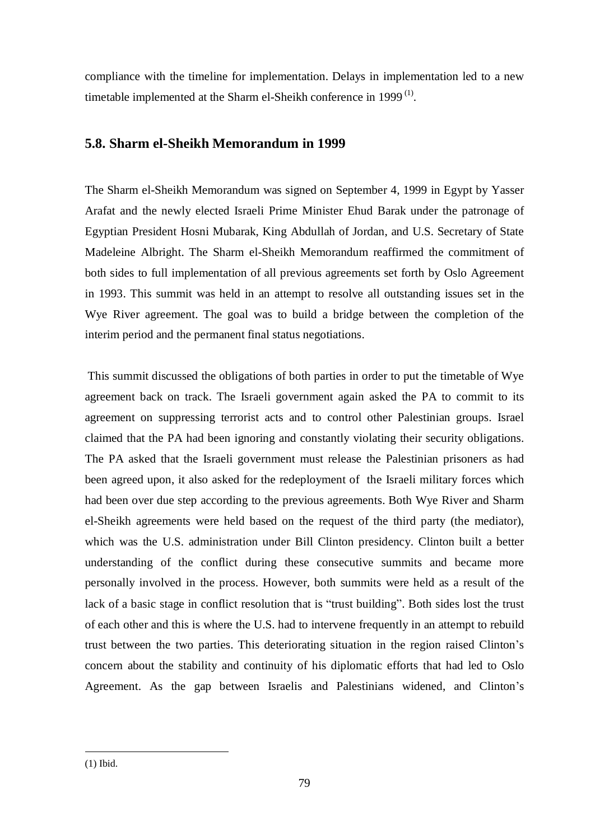compliance with the timeline for implementation. Delays in implementation led to a new timetable implemented at the Sharm el-Sheikh conference in 1999 $^{(1)}$ .

## **5.8. Sharm el-Sheikh Memorandum in 1999**

The Sharm el-Sheikh Memorandum was signed on September 4, 1999 in Egypt by Yasser Arafat and the newly elected Israeli Prime Minister Ehud Barak under the patronage of Egyptian President Hosni Mubarak, King Abdullah of Jordan, and U.S. Secretary of State Madeleine Albright. The Sharm el-Sheikh Memorandum reaffirmed the commitment of both sides to full implementation of all previous agreements set forth by Oslo Agreement in 1993. This summit was held in an attempt to resolve all outstanding issues set in the Wye River agreement. The goal was to build a bridge between the completion of the interim period and the permanent final status negotiations.

This summit discussed the obligations of both parties in order to put the timetable of Wye agreement back on track. The Israeli government again asked the PA to commit to its agreement on suppressing terrorist acts and to control other Palestinian groups. Israel claimed that the PA had been ignoring and constantly violating their security obligations. The PA asked that the Israeli government must release the Palestinian prisoners as had been agreed upon, it also asked for the redeployment of the Israeli military forces which had been over due step according to the previous agreements. Both Wye River and Sharm el-Sheikh agreements were held based on the request of the third party (the mediator), which was the U.S. administration under Bill Clinton presidency. Clinton built a better understanding of the conflict during these consecutive summits and became more personally involved in the process. However, both summits were held as a result of the lack of a basic stage in conflict resolution that is "trust building". Both sides lost the trust of each other and this is where the U.S. had to intervene frequently in an attempt to rebuild trust between the two parties. This deteriorating situation in the region raised Clinton's concern about the stability and continuity of his diplomatic efforts that had led to Oslo Agreement. As the gap between Israelis and Palestinians widened, and Clinton's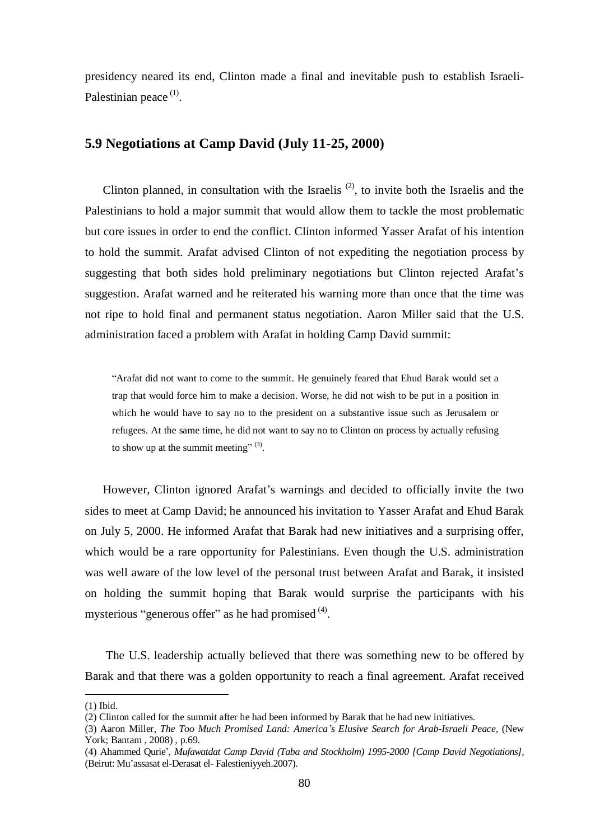presidency neared its end, Clinton made a final and inevitable push to establish Israeli-Palestinian peace<sup>(1)</sup>.

#### **5.9 Negotiations at Camp David (July 11-25, 2000)**

Clinton planned, in consultation with the Israelis<sup> $(2)$ </sup>, to invite both the Israelis and the Palestinians to hold a major summit that would allow them to tackle the most problematic but core issues in order to end the conflict. Clinton informed Yasser Arafat of his intention to hold the summit. Arafat advised Clinton of not expediting the negotiation process by suggesting that both sides hold preliminary negotiations but Clinton rejected Arafat's suggestion. Arafat warned and he reiterated his warning more than once that the time was not ripe to hold final and permanent status negotiation. Aaron Miller said that the U.S. administration faced a problem with Arafat in holding Camp David summit:

"Arafat did not want to come to the summit. He genuinely feared that Ehud Barak would set a trap that would force him to make a decision. Worse, he did not wish to be put in a position in which he would have to say no to the president on a substantive issue such as Jerusalem or refugees. At the same time, he did not want to say no to Clinton on process by actually refusing to show up at the summit meeting"  $(3)$ .

However, Clinton ignored Arafat's warnings and decided to officially invite the two sides to meet at Camp David; he announced his invitation to Yasser Arafat and Ehud Barak on July 5, 2000. He informed Arafat that Barak had new initiatives and a surprising offer, which would be a rare opportunity for Palestinians. Even though the U.S. administration was well aware of the low level of the personal trust between Arafat and Barak, it insisted on holding the summit hoping that Barak would surprise the participants with his mysterious "generous offer" as he had promised  $(4)$ .

The U.S. leadership actually believed that there was something new to be offered by Barak and that there was a golden opportunity to reach a final agreement. Arafat received

<sup>(1)</sup> Ibid.

<sup>(2)</sup> Clinton called for the summit after he had been informed by Barak that he had new initiatives.

<sup>(3)</sup> Aaron Miller, *The Too Much Promised Land: America's Elusive Search for Arab-Israeli Peace,* (New York; Bantam , 2008) , p.69.

<sup>(4)</sup> Ahammed Qurie', *Mufawatdat Camp David (Taba and Stockholm) 1995-2000 [Camp David Negotiations],*  (Beirut: Mu'assasat el-Derasat el- Falestieniyyeh.2007).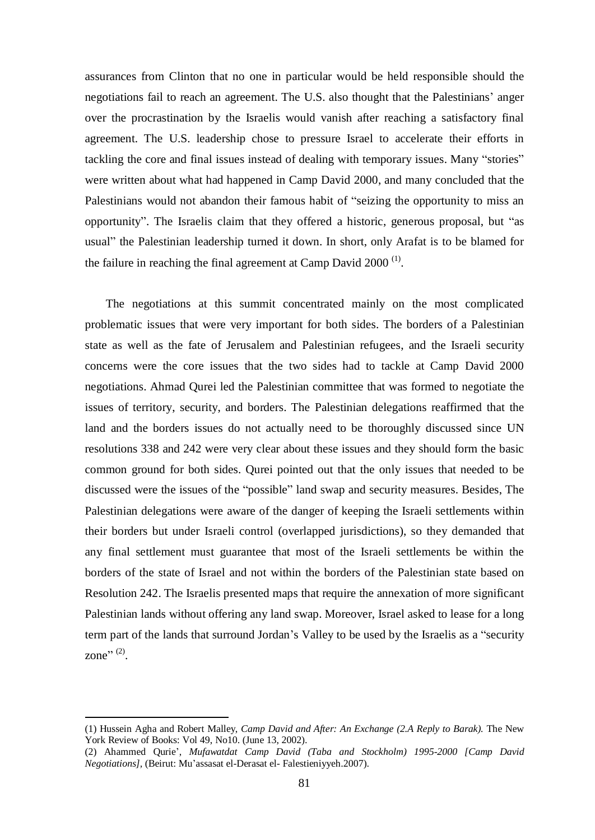assurances from Clinton that no one in particular would be held responsible should the negotiations fail to reach an agreement. The U.S. also thought that the Palestinians' anger over the procrastination by the Israelis would vanish after reaching a satisfactory final agreement. The U.S. leadership chose to pressure Israel to accelerate their efforts in tackling the core and final issues instead of dealing with temporary issues. Many "stories" were written about what had happened in Camp David 2000, and many concluded that the Palestinians would not abandon their famous habit of "seizing the opportunity to miss an opportunity". The Israelis claim that they offered a historic, generous proposal, but "as usual" the Palestinian leadership turned it down. In short, only Arafat is to be blamed for the failure in reaching the final agreement at Camp David  $2000$ <sup>(1)</sup>.

The negotiations at this summit concentrated mainly on the most complicated problematic issues that were very important for both sides. The borders of a Palestinian state as well as the fate of Jerusalem and Palestinian refugees, and the Israeli security concerns were the core issues that the two sides had to tackle at Camp David 2000 negotiations. Ahmad Qurei led the Palestinian committee that was formed to negotiate the issues of territory, security, and borders. The Palestinian delegations reaffirmed that the land and the borders issues do not actually need to be thoroughly discussed since UN resolutions 338 and 242 were very clear about these issues and they should form the basic common ground for both sides. Qurei pointed out that the only issues that needed to be discussed were the issues of the "possible" land swap and security measures. Besides, The Palestinian delegations were aware of the danger of keeping the Israeli settlements within their borders but under Israeli control (overlapped jurisdictions), so they demanded that any final settlement must guarantee that most of the Israeli settlements be within the borders of the state of Israel and not within the borders of the Palestinian state based on Resolution 242. The Israelis presented maps that require the annexation of more significant Palestinian lands without offering any land swap. Moreover, Israel asked to lease for a long term part of the lands that surround Jordan's Valley to be used by the Israelis as a "security zone" $(2)$ .

<sup>(1)</sup> Hussein Agha and Robert Malley, *Camp David and After: An Exchange (2.A Reply to Barak).* The New York Review of Books: Vol 49, No10. (June 13, 2002).

<sup>(2)</sup> Ahammed Qurie', *Mufawatdat Camp David (Taba and Stockholm) 1995-2000 [Camp David Negotiations],* (Beirut: Mu'assasat el-Derasat el- Falestieniyyeh.2007).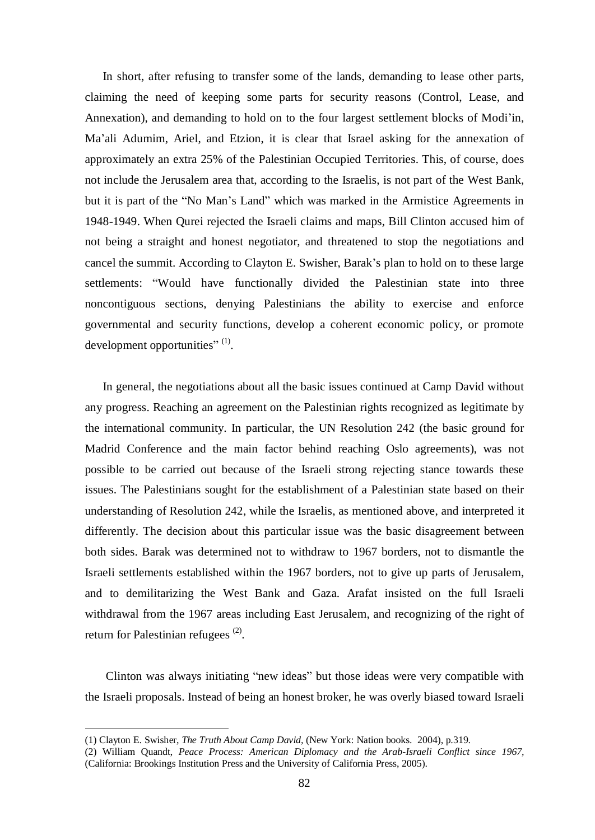In short, after refusing to transfer some of the lands, demanding to lease other parts, claiming the need of keeping some parts for security reasons (Control, Lease, and Annexation), and demanding to hold on to the four largest settlement blocks of Modi'in, Ma'ali Adumim, Ariel, and Etzion, it is clear that Israel asking for the annexation of approximately an extra 25% of the Palestinian Occupied Territories. This, of course, does not include the Jerusalem area that, according to the Israelis, is not part of the West Bank, but it is part of the "No Man's Land" which was marked in the Armistice Agreements in 1948-1949. When Qurei rejected the Israeli claims and maps, Bill Clinton accused him of not being a straight and honest negotiator, and threatened to stop the negotiations and cancel the summit. According to Clayton E. Swisher, Barak's plan to hold on to these large settlements: "Would have functionally divided the Palestinian state into three noncontiguous sections, denying Palestinians the ability to exercise and enforce governmental and security functions, develop a coherent economic policy, or promote development opportunities"  $^{(1)}$ .

In general, the negotiations about all the basic issues continued at Camp David without any progress. Reaching an agreement on the Palestinian rights recognized as legitimate by the international community. In particular, the UN Resolution 242 (the basic ground for Madrid Conference and the main factor behind reaching Oslo agreements), was not possible to be carried out because of the Israeli strong rejecting stance towards these issues. The Palestinians sought for the establishment of a Palestinian state based on their understanding of Resolution 242, while the Israelis, as mentioned above, and interpreted it differently. The decision about this particular issue was the basic disagreement between both sides. Barak was determined not to withdraw to 1967 borders, not to dismantle the Israeli settlements established within the 1967 borders, not to give up parts of Jerusalem, and to demilitarizing the West Bank and Gaza. Arafat insisted on the full Israeli withdrawal from the 1967 areas including East Jerusalem, and recognizing of the right of return for Palestinian refugees<sup>(2)</sup>.

Clinton was always initiating "new ideas" but those ideas were very compatible with the Israeli proposals. Instead of being an honest broker, he was overly biased toward Israeli

<sup>(1)</sup> Clayton E. Swisher, *The Truth About Camp David,* (New York: Nation books. 2004), p.319.

<sup>(2)</sup> William Quandt, *Peace Process: American Diplomacy and the Arab-Israeli Conflict since 1967,*  (California: Brookings Institution Press and the University of California Press, 2005).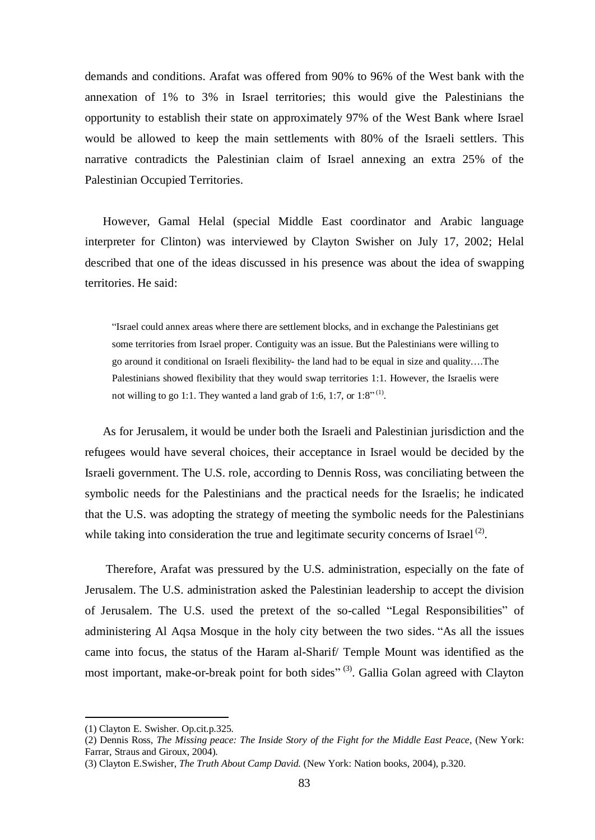demands and conditions. Arafat was offered from 90% to 96% of the West bank with the annexation of 1% to 3% in Israel territories; this would give the Palestinians the opportunity to establish their state on approximately 97% of the West Bank where Israel would be allowed to keep the main settlements with 80% of the Israeli settlers. This narrative contradicts the Palestinian claim of Israel annexing an extra 25% of the Palestinian Occupied Territories.

However, Gamal Helal (special Middle East coordinator and Arabic language interpreter for Clinton) was interviewed by Clayton Swisher on July 17, 2002; Helal described that one of the ideas discussed in his presence was about the idea of swapping territories. He said:

"Israel could annex areas where there are settlement blocks, and in exchange the Palestinians get some territories from Israel proper. Contiguity was an issue. But the Palestinians were willing to go around it conditional on Israeli flexibility- the land had to be equal in size and quality….The Palestinians showed flexibility that they would swap territories 1:1. However, the Israelis were not willing to go 1:1. They wanted a land grab of 1:6, 1:7, or  $1:8$ <sup>"(1)</sup>.

As for Jerusalem, it would be under both the Israeli and Palestinian jurisdiction and the refugees would have several choices, their acceptance in Israel would be decided by the Israeli government. The U.S. role, according to Dennis Ross, was conciliating between the symbolic needs for the Palestinians and the practical needs for the Israelis; he indicated that the U.S. was adopting the strategy of meeting the symbolic needs for the Palestinians while taking into consideration the true and legitimate security concerns of Israel<sup>(2)</sup>.

Therefore, Arafat was pressured by the U.S. administration, especially on the fate of Jerusalem. The U.S. administration asked the Palestinian leadership to accept the division of Jerusalem. The U.S. used the pretext of the so-called "Legal Responsibilities" of administering Al Aqsa Mosque in the holy city between the two sides. "As all the issues came into focus, the status of the Haram al-Sharif/ Temple Mount was identified as the most important, make-or-break point for both sides"<sup>(3)</sup>. Gallia Golan agreed with Clayton

<sup>(1)</sup> Clayton E. Swisher. Op.cit.p.325.

<sup>(2)</sup> Dennis Ross, *The Missing peace: The Inside Story of the Fight for the Middle East Peace,* (New York: Farrar, Straus and Giroux, 2004).

<sup>(3)</sup> Clayton E.Swisher, *The Truth About Camp David.* (New York: Nation books, 2004), p.320.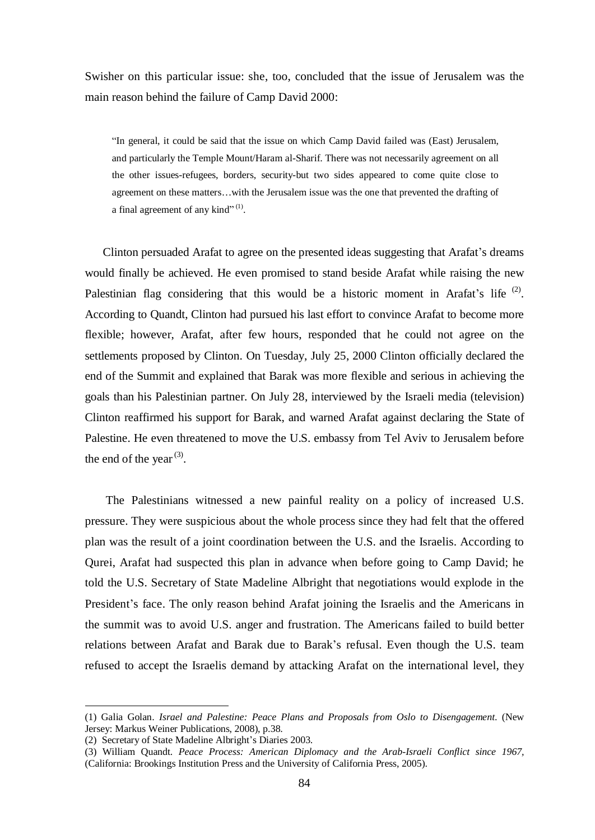Swisher on this particular issue: she, too, concluded that the issue of Jerusalem was the main reason behind the failure of Camp David 2000:

"In general, it could be said that the issue on which Camp David failed was (East) Jerusalem, and particularly the Temple Mount/Haram al-Sharif. There was not necessarily agreement on all the other issues-refugees, borders, security-but two sides appeared to come quite close to agreement on these matters…with the Jerusalem issue was the one that prevented the drafting of a final agreement of any kind"<sup>(1)</sup>.

Clinton persuaded Arafat to agree on the presented ideas suggesting that Arafat's dreams would finally be achieved. He even promised to stand beside Arafat while raising the new Palestinian flag considering that this would be a historic moment in Arafat's life  $(2)$ . According to Quandt, Clinton had pursued his last effort to convince Arafat to become more flexible; however, Arafat, after few hours, responded that he could not agree on the settlements proposed by Clinton. On Tuesday, July 25, 2000 Clinton officially declared the end of the Summit and explained that Barak was more flexible and serious in achieving the goals than his Palestinian partner. On July 28, interviewed by the Israeli media (television) Clinton reaffirmed his support for Barak, and warned Arafat against declaring the State of Palestine. He even threatened to move the U.S. embassy from Tel Aviv to Jerusalem before the end of the year<sup>(3)</sup>.

The Palestinians witnessed a new painful reality on a policy of increased U.S. pressure. They were suspicious about the whole process since they had felt that the offered plan was the result of a joint coordination between the U.S. and the Israelis. According to Qurei, Arafat had suspected this plan in advance when before going to Camp David; he told the U.S. Secretary of State Madeline Albright that negotiations would explode in the President's face. The only reason behind Arafat joining the Israelis and the Americans in the summit was to avoid U.S. anger and frustration. The Americans failed to build better relations between Arafat and Barak due to Barak's refusal. Even though the U.S. team refused to accept the Israelis demand by attacking Arafat on the international level, they

<sup>(1)</sup> Galia Golan. *Israel and Palestine: Peace Plans and Proposals from Oslo to Disengagement*. (New Jersey: Markus Weiner Publications, 2008), p.38.

<sup>(2)</sup> Secretary of State Madeline Albright's Diaries 2003.

<sup>(3)</sup> William Quandt. *Peace Process: American Diplomacy and the Arab-Israeli Conflict since 1967,*  (California: Brookings Institution Press and the University of California Press, 2005).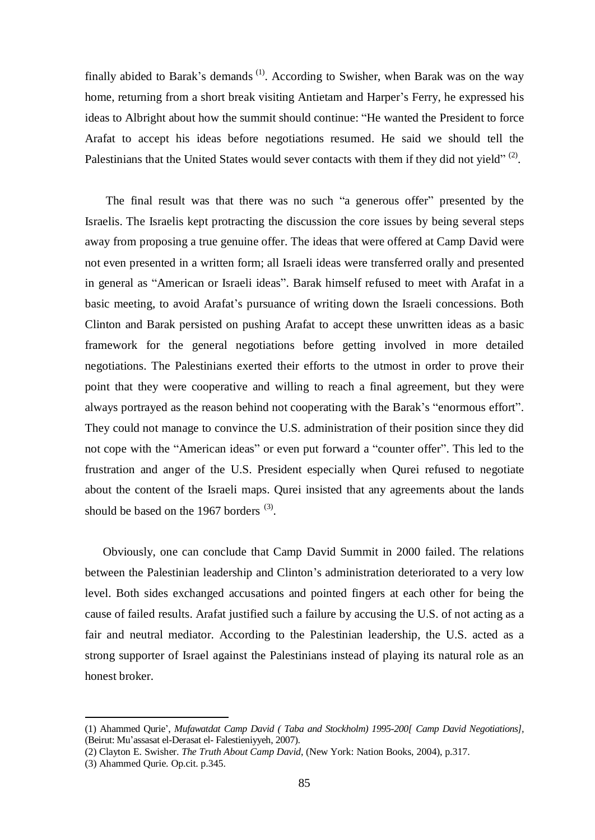finally abided to Barak's demands<sup>(1)</sup>. According to Swisher, when Barak was on the way home, returning from a short break visiting Antietam and Harper's Ferry, he expressed his ideas to Albright about how the summit should continue: "He wanted the President to force Arafat to accept his ideas before negotiations resumed. He said we should tell the Palestinians that the United States would sever contacts with them if they did not yield" $^{(2)}$ .

The final result was that there was no such "a generous offer" presented by the Israelis. The Israelis kept protracting the discussion the core issues by being several steps away from proposing a true genuine offer. The ideas that were offered at Camp David were not even presented in a written form; all Israeli ideas were transferred orally and presented in general as "American or Israeli ideas". Barak himself refused to meet with Arafat in a basic meeting, to avoid Arafat's pursuance of writing down the Israeli concessions. Both Clinton and Barak persisted on pushing Arafat to accept these unwritten ideas as a basic framework for the general negotiations before getting involved in more detailed negotiations. The Palestinians exerted their efforts to the utmost in order to prove their point that they were cooperative and willing to reach a final agreement, but they were always portrayed as the reason behind not cooperating with the Barak's "enormous effort". They could not manage to convince the U.S. administration of their position since they did not cope with the "American ideas" or even put forward a "counter offer". This led to the frustration and anger of the U.S. President especially when Qurei refused to negotiate about the content of the Israeli maps. Qurei insisted that any agreements about the lands should be based on the 1967 borders  $(3)$ .

Obviously, one can conclude that Camp David Summit in 2000 failed. The relations between the Palestinian leadership and Clinton's administration deteriorated to a very low level. Both sides exchanged accusations and pointed fingers at each other for being the cause of failed results. Arafat justified such a failure by accusing the U.S. of not acting as a fair and neutral mediator. According to the Palestinian leadership, the U.S. acted as a strong supporter of Israel against the Palestinians instead of playing its natural role as an honest broker.

<sup>(1)</sup> Ahammed Qurie', *Mufawatdat Camp David ( Taba and Stockholm) 1995-200[ Camp David Negotiations],*  (Beirut: Mu'assasat el-Derasat el- Falestieniyyeh, 2007).

<sup>(2)</sup> Clayton E. Swisher. *The Truth About Camp David*, (New York: Nation Books, 2004), p.317.

<sup>(3)</sup> Ahammed Qurie. Op.cit. p.345.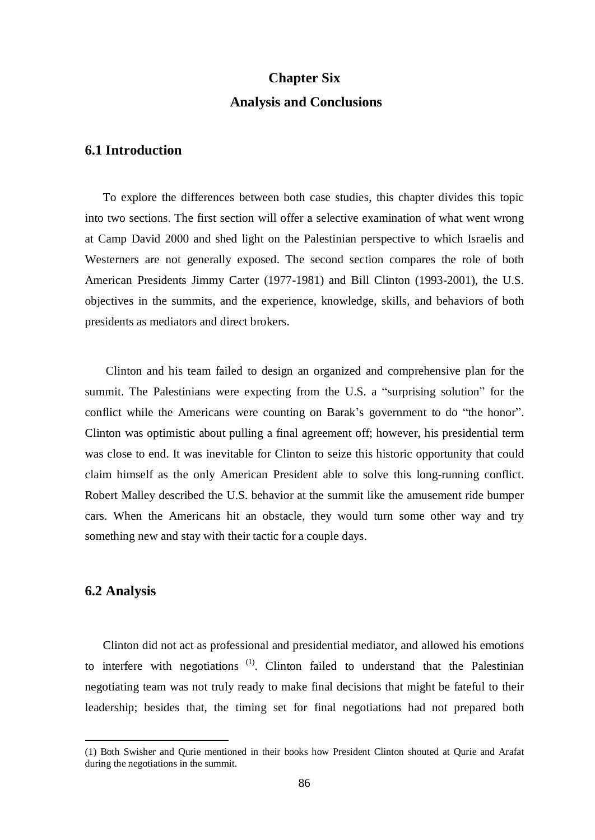# **Chapter Six Analysis and Conclusions**

# **6.1 Introduction**

To explore the differences between both case studies, this chapter divides this topic into two sections. The first section will offer a selective examination of what went wrong at Camp David 2000 and shed light on the Palestinian perspective to which Israelis and Westerners are not generally exposed. The second section compares the role of both American Presidents Jimmy Carter (1977-1981) and Bill Clinton (1993-2001), the U.S. objectives in the summits, and the experience, knowledge, skills, and behaviors of both presidents as mediators and direct brokers.

Clinton and his team failed to design an organized and comprehensive plan for the summit. The Palestinians were expecting from the U.S. a "surprising solution" for the conflict while the Americans were counting on Barak's government to do "the honor". Clinton was optimistic about pulling a final agreement off; however, his presidential term was close to end. It was inevitable for Clinton to seize this historic opportunity that could claim himself as the only American President able to solve this long-running conflict. Robert Malley described the U.S. behavior at the summit like the amusement ride bumper cars. When the Americans hit an obstacle, they would turn some other way and try something new and stay with their tactic for a couple days.

## **6.2 Analysis**

 $\overline{a}$ 

Clinton did not act as professional and presidential mediator, and allowed his emotions to interfere with negotiations  $(1)$ . Clinton failed to understand that the Palestinian negotiating team was not truly ready to make final decisions that might be fateful to their leadership; besides that, the timing set for final negotiations had not prepared both

<sup>(1)</sup> Both Swisher and Qurie mentioned in their books how President Clinton shouted at Qurie and Arafat during the negotiations in the summit.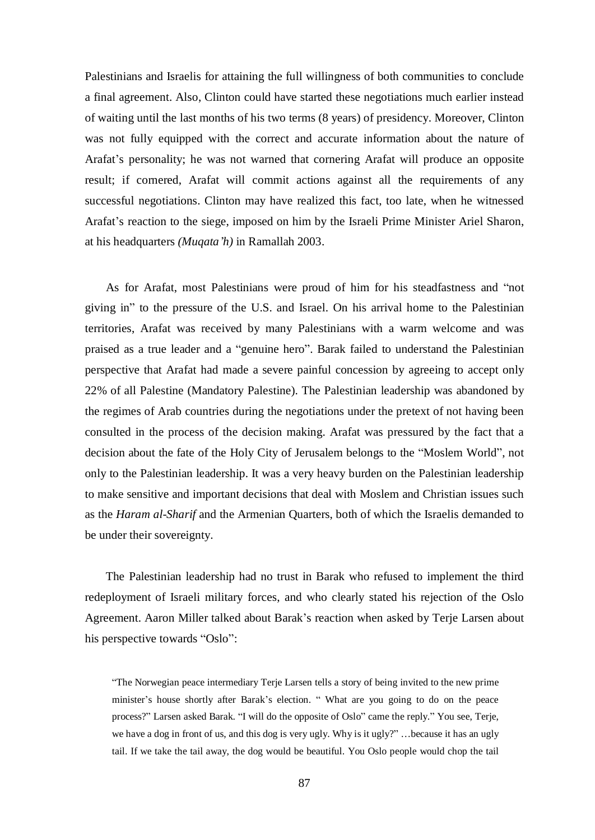Palestinians and Israelis for attaining the full willingness of both communities to conclude a final agreement. Also, Clinton could have started these negotiations much earlier instead of waiting until the last months of his two terms (8 years) of presidency. Moreover, Clinton was not fully equipped with the correct and accurate information about the nature of Arafat's personality; he was not warned that cornering Arafat will produce an opposite result; if cornered, Arafat will commit actions against all the requirements of any successful negotiations. Clinton may have realized this fact, too late, when he witnessed Arafat's reaction to the siege, imposed on him by the Israeli Prime Minister Ariel Sharon, at his headquarters *(Muqata'h)* in Ramallah 2003.

As for Arafat, most Palestinians were proud of him for his steadfastness and "not giving in" to the pressure of the U.S. and Israel. On his arrival home to the Palestinian territories, Arafat was received by many Palestinians with a warm welcome and was praised as a true leader and a "genuine hero". Barak failed to understand the Palestinian perspective that Arafat had made a severe painful concession by agreeing to accept only 22% of all Palestine (Mandatory Palestine). The Palestinian leadership was abandoned by the regimes of Arab countries during the negotiations under the pretext of not having been consulted in the process of the decision making. Arafat was pressured by the fact that a decision about the fate of the Holy City of Jerusalem belongs to the "Moslem World", not only to the Palestinian leadership. It was a very heavy burden on the Palestinian leadership to make sensitive and important decisions that deal with Moslem and Christian issues such as the *Haram al-Sharif* and the Armenian Quarters, both of which the Israelis demanded to be under their sovereignty.

The Palestinian leadership had no trust in Barak who refused to implement the third redeployment of Israeli military forces, and who clearly stated his rejection of the Oslo Agreement. Aaron Miller talked about Barak's reaction when asked by Terje Larsen about his perspective towards "Oslo":

"The Norwegian peace intermediary Terje Larsen tells a story of being invited to the new prime minister's house shortly after Barak's election. " What are you going to do on the peace process?" Larsen asked Barak. "I will do the opposite of Oslo" came the reply." You see, Terje, we have a dog in front of us, and this dog is very ugly. Why is it ugly?" …because it has an ugly tail. If we take the tail away, the dog would be beautiful. You Oslo people would chop the tail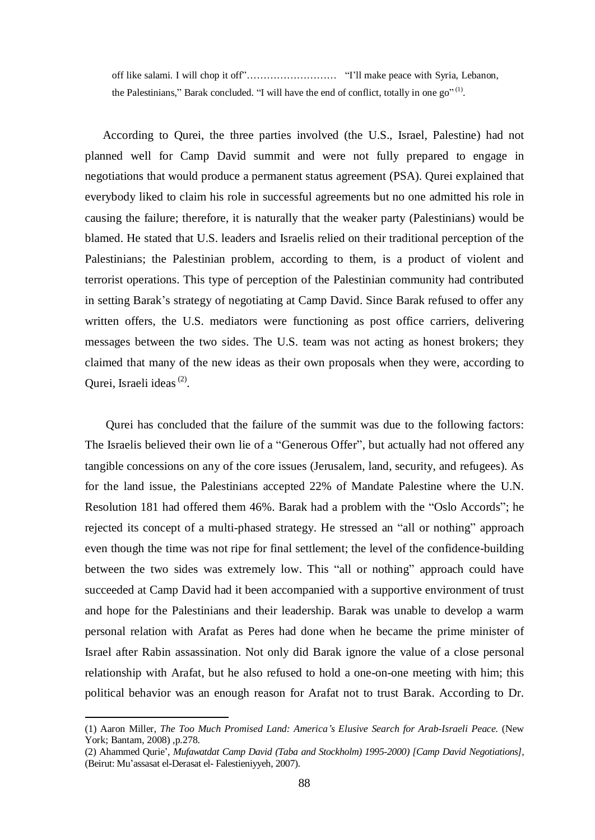off like salami. I will chop it off"……………………… "I'll make peace with Syria, Lebanon, the Palestinians," Barak concluded. "I will have the end of conflict, totally in one  $go''^{(1)}$ .

According to Qurei, the three parties involved (the U.S., Israel, Palestine) had not planned well for Camp David summit and were not fully prepared to engage in negotiations that would produce a permanent status agreement (PSA). Qurei explained that everybody liked to claim his role in successful agreements but no one admitted his role in causing the failure; therefore, it is naturally that the weaker party (Palestinians) would be blamed. He stated that U.S. leaders and Israelis relied on their traditional perception of the Palestinians; the Palestinian problem, according to them, is a product of violent and terrorist operations. This type of perception of the Palestinian community had contributed in setting Barak's strategy of negotiating at Camp David. Since Barak refused to offer any written offers, the U.S. mediators were functioning as post office carriers, delivering messages between the two sides. The U.S. team was not acting as honest brokers; they claimed that many of the new ideas as their own proposals when they were, according to Qurei, Israeli ideas<sup>(2)</sup>.

Qurei has concluded that the failure of the summit was due to the following factors: The Israelis believed their own lie of a "Generous Offer", but actually had not offered any tangible concessions on any of the core issues (Jerusalem, land, security, and refugees). As for the land issue, the Palestinians accepted 22% of Mandate Palestine where the U.N. Resolution 181 had offered them 46%. Barak had a problem with the "Oslo Accords"; he rejected its concept of a multi-phased strategy. He stressed an "all or nothing" approach even though the time was not ripe for final settlement; the level of the confidence-building between the two sides was extremely low. This "all or nothing" approach could have succeeded at Camp David had it been accompanied with a supportive environment of trust and hope for the Palestinians and their leadership. Barak was unable to develop a warm personal relation with Arafat as Peres had done when he became the prime minister of Israel after Rabin assassination. Not only did Barak ignore the value of a close personal relationship with Arafat, but he also refused to hold a one-on-one meeting with him; this political behavior was an enough reason for Arafat not to trust Barak. According to Dr.

<sup>(1)</sup> Aaron Miller, *The Too Much Promised Land: America's Elusive Search for Arab-Israeli Peace.* (New York; Bantam, 2008) ,p.278.

<sup>(2)</sup> Ahammed Qurie', *Mufawatdat Camp David (Taba and Stockholm) 1995-2000) [Camp David Negotiations],*  (Beirut: Mu'assasat el-Derasat el- Falestieniyyeh, 2007).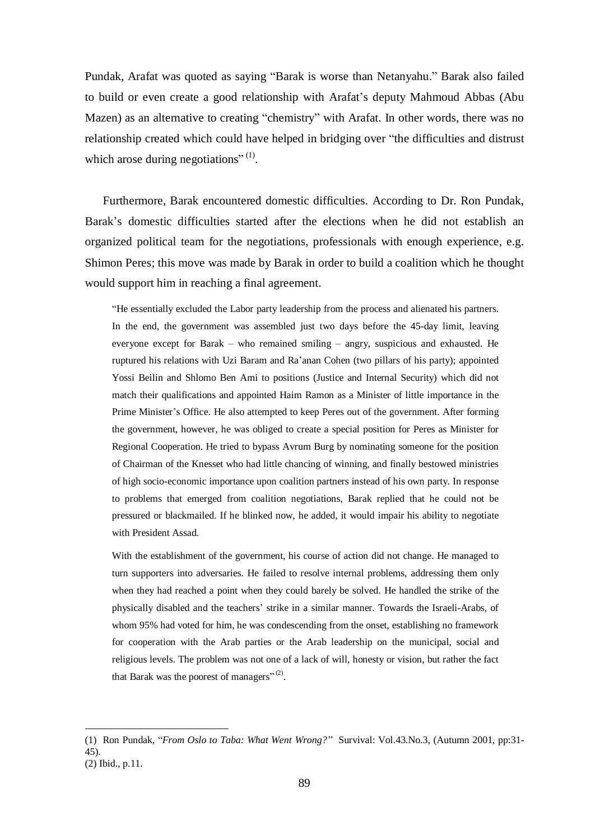Pundak, Arafat was quoted as saying "Barak is worse than Netanyahu." Barak also failed to build or even create a good relationship with Arafat's deputy Mahmoud Abbas (Abu Mazen) as an alternative to creating "chemistry" with Arafat. In other words, there was no relationship created which could have helped in bridging over "the difficulties and distrust which arose during negotiations" $^{(1)}$ .

Furthermore, Barak encountered domestic difficulties. According to Dr. Ron Pundak, Barak's domestic difficulties started after the elections when he did not establish an organized political team for the negotiations, professionals with enough experience, e.g. Shimon Peres; this move was made by Barak in order to build a coalition which he thought would support him in reaching a final agreement.

"He essentially excluded the Labor party leadership from the process and alienated his partners. In the end, the government was assembled just two days before the 45-day limit, leaving everyone except for Barak – who remained smiling – angry, suspicious and exhausted. He ruptured his relations with Uzi Baram and Ra'anan Cohen (two pillars of his party); appointed Yossi Beilin and Shlomo Ben Ami to positions (Justice and Internal Security) which did not match their qualifications and appointed Haim Ramon as a Minister of little importance in the Prime Minister's Office. He also attempted to keep Peres out of the government. After forming the government, however, he was obliged to create a special position for Peres as Minister for Regional Cooperation. He tried to bypass Avrum Burg by nominating someone for the position of Chairman of the Knesset who had little chancing of winning, and finally bestowed ministries of high socio-economic importance upon coalition partners instead of his own party. In response to problems that emerged from coalition negotiations, Barak replied that he could not be pressured or blackmailed. If he blinked now, he added, it would impair his ability to negotiate with President Assad.

With the establishment of the government, his course of action did not change. He managed to turn supporters into adversaries. He failed to resolve internal problems, addressing them only when they had reached a point when they could barely be solved. He handled the strike of the physically disabled and the teachers' strike in a similar manner. Towards the Israeli-Arabs, of whom 95% had voted for him, he was condescending from the onset, establishing no framework for cooperation with the Arab parties or the Arab leadership on the municipal, social and religious levels. The problem was not one of a lack of will, honesty or vision, but rather the fact that Barak was the poorest of managers" $(2)$ .

<sup>(1)</sup> Ron Pundak, "*From Oslo to Taba: What Went Wrong?"* Survival: Vol.43.No.3, (Autumn 2001, pp:31- 45).

<sup>(2)</sup> Ibid., p.11.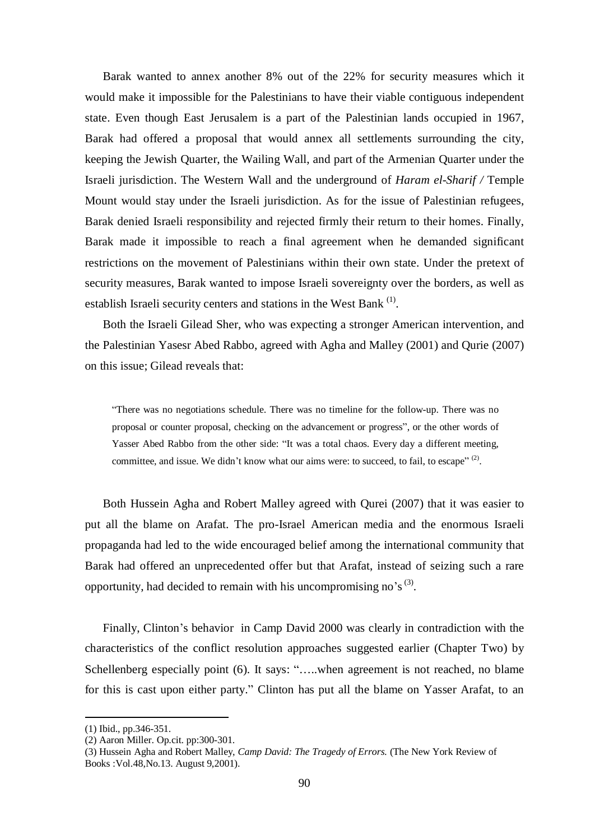Barak wanted to annex another 8% out of the 22% for security measures which it would make it impossible for the Palestinians to have their viable contiguous independent state. Even though East Jerusalem is a part of the Palestinian lands occupied in 1967, Barak had offered a proposal that would annex all settlements surrounding the city, keeping the Jewish Quarter, the Wailing Wall, and part of the Armenian Quarter under the Israeli jurisdiction. The Western Wall and the underground of *Haram el-Sharif /* Temple Mount would stay under the Israeli jurisdiction. As for the issue of Palestinian refugees, Barak denied Israeli responsibility and rejected firmly their return to their homes. Finally, Barak made it impossible to reach a final agreement when he demanded significant restrictions on the movement of Palestinians within their own state. Under the pretext of security measures, Barak wanted to impose Israeli sovereignty over the borders, as well as establish Israeli security centers and stations in the West Bank  $<sup>(1)</sup>$ .</sup>

Both the Israeli Gilead Sher, who was expecting a stronger American intervention, and the Palestinian Yasesr Abed Rabbo, agreed with Agha and Malley (2001) and Qurie (2007) on this issue; Gilead reveals that:

"There was no negotiations schedule. There was no timeline for the follow-up. There was no proposal or counter proposal, checking on the advancement or progress", or the other words of Yasser Abed Rabbo from the other side: "It was a total chaos. Every day a different meeting, committee, and issue. We didn't know what our aims were: to succeed, to fail, to escape"<sup>(2)</sup>.

Both Hussein Agha and Robert Malley agreed with Qurei (2007) that it was easier to put all the blame on Arafat. The pro-Israel American media and the enormous Israeli propaganda had led to the wide encouraged belief among the international community that Barak had offered an unprecedented offer but that Arafat, instead of seizing such a rare opportunity, had decided to remain with his uncompromising no's<sup>(3)</sup>.

Finally, Clinton's behavior in Camp David 2000 was clearly in contradiction with the characteristics of the conflict resolution approaches suggested earlier (Chapter Two) by Schellenberg especially point (6). It says: ".....when agreement is not reached, no blame for this is cast upon either party." Clinton has put all the blame on Yasser Arafat, to an

<sup>(1)</sup> Ibid., pp.346-351.

<sup>(2)</sup> Aaron Miller. Op.cit. pp:300-301.

<sup>(3)</sup> Hussein Agha and Robert Malley, *Camp David: The Tragedy of Errors.* (The New York Review of Books :Vol.48,No.13. August 9,2001).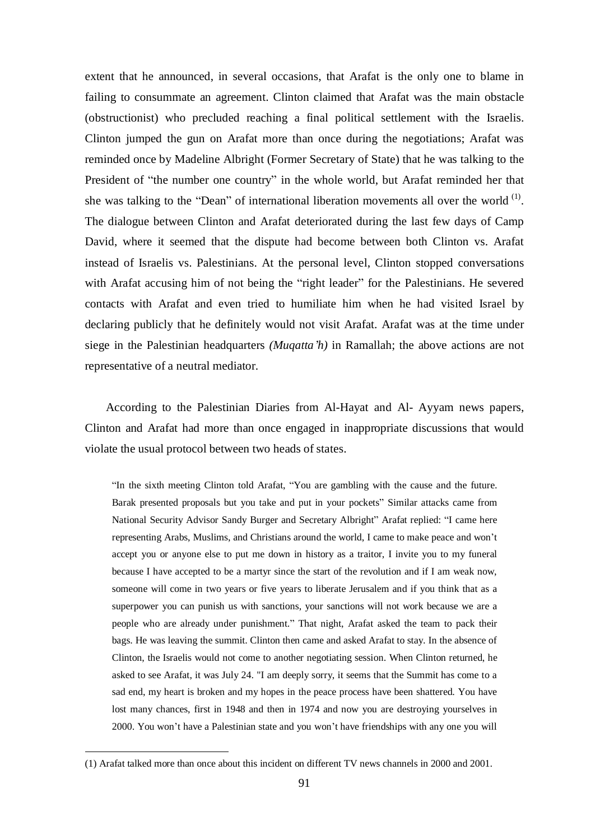extent that he announced, in several occasions, that Arafat is the only one to blame in failing to consummate an agreement. Clinton claimed that Arafat was the main obstacle (obstructionist) who precluded reaching a final political settlement with the Israelis. Clinton jumped the gun on Arafat more than once during the negotiations; Arafat was reminded once by Madeline Albright (Former Secretary of State) that he was talking to the President of "the number one country" in the whole world, but Arafat reminded her that she was talking to the "Dean" of international liberation movements all over the world  $<sup>(1)</sup>$ .</sup> The dialogue between Clinton and Arafat deteriorated during the last few days of Camp David, where it seemed that the dispute had become between both Clinton vs. Arafat instead of Israelis vs. Palestinians. At the personal level, Clinton stopped conversations with Arafat accusing him of not being the "right leader" for the Palestinians. He severed contacts with Arafat and even tried to humiliate him when he had visited Israel by declaring publicly that he definitely would not visit Arafat. Arafat was at the time under siege in the Palestinian headquarters *(Muqatta'h)* in Ramallah; the above actions are not representative of a neutral mediator.

According to the Palestinian Diaries from Al-Hayat and Al- Ayyam news papers, Clinton and Arafat had more than once engaged in inappropriate discussions that would violate the usual protocol between two heads of states.

"In the sixth meeting Clinton told Arafat, "You are gambling with the cause and the future. Barak presented proposals but you take and put in your pockets" Similar attacks came from National Security Advisor Sandy Burger and Secretary Albright" Arafat replied: "I came here representing Arabs, Muslims, and Christians around the world, I came to make peace and won't accept you or anyone else to put me down in history as a traitor, I invite you to my funeral because I have accepted to be a martyr since the start of the revolution and if I am weak now, someone will come in two years or five years to liberate Jerusalem and if you think that as a superpower you can punish us with sanctions, your sanctions will not work because we are a people who are already under punishment." That night, Arafat asked the team to pack their bags. He was leaving the summit. Clinton then came and asked Arafat to stay. In the absence of Clinton, the Israelis would not come to another negotiating session. When Clinton returned, he asked to see Arafat, it was July 24. "I am deeply sorry, it seems that the Summit has come to a sad end, my heart is broken and my hopes in the peace process have been shattered. You have lost many chances, first in 1948 and then in 1974 and now you are destroying yourselves in 2000. You won't have a Palestinian state and you won't have friendships with any one you will

<sup>(1)</sup> Arafat talked more than once about this incident on different TV news channels in 2000 and 2001.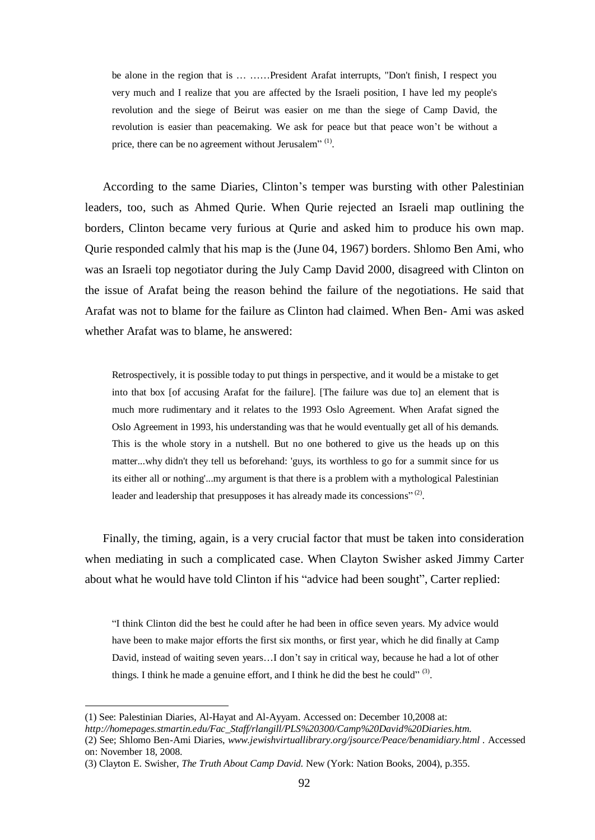be alone in the region that is … ……President Arafat interrupts, "Don't finish, I respect you very much and I realize that you are affected by the Israeli position, I have led my people's revolution and the siege of Beirut was easier on me than the siege of Camp David, the revolution is easier than peacemaking. We ask for peace but that peace won't be without a price, there can be no agreement without Jerusalem" $\binom{1}{k}$ .

According to the same Diaries, Clinton's temper was bursting with other Palestinian leaders, too, such as Ahmed Qurie. When Qurie rejected an Israeli map outlining the borders, Clinton became very furious at Qurie and asked him to produce his own map. Qurie responded calmly that his map is the (June 04, 1967) borders. Shlomo Ben Ami, who was an Israeli top negotiator during the July Camp David 2000, disagreed with Clinton on the issue of Arafat being the reason behind the failure of the negotiations. He said that Arafat was not to blame for the failure as Clinton had claimed. When Ben- Ami was asked whether Arafat was to blame, he answered:

Retrospectively, it is possible today to put things in perspective, and it would be a mistake to get into that box [of accusing Arafat for the failure]. [The failure was due to] an element that is much more rudimentary and it relates to the 1993 Oslo Agreement. When Arafat signed the Oslo Agreement in 1993, his understanding was that he would eventually get all of his demands. This is the whole story in a nutshell. But no one bothered to give us the heads up on this matter...why didn't they tell us beforehand: 'guys, its worthless to go for a summit since for us its either all or nothing'...my argument is that there is a problem with a mythological Palestinian leader and leadership that presupposes it has already made its concessions" $^{(2)}$ .

Finally, the timing, again, is a very crucial factor that must be taken into consideration when mediating in such a complicated case. When Clayton Swisher asked Jimmy Carter about what he would have told Clinton if his "advice had been sought", Carter replied:

"I think Clinton did the best he could after he had been in office seven years. My advice would have been to make major efforts the first six months, or first year, which he did finally at Camp David, instead of waiting seven years…I don't say in critical way, because he had a lot of other things. I think he made a genuine effort, and I think he did the best he could" $^{(3)}$ .

<sup>(1)</sup> See: Palestinian Diaries, Al-Hayat and Al-Ayyam. Accessed on: December 10,2008 at:

*[http://homepages.stmartin.edu/Fac\\_Staff/rlangill/PLS%20300/Camp%20David%20Diaries.htm.](http://homepages.stmartin.edu/Fac_Staff/rlangill/PLS%20300/Camp%20David%20Diaries.htm)* 

<sup>(2)</sup> See; Shlomo Ben-Ami Diaries, *[www.jewishvirtuallibrary.org/jsource/Peace/benamidiary.html](http://www.jewishvirtuallibrary.org/jsource/Peace/benamidiary.html) .* Accessed on: November 18, 2008.

<sup>(3)</sup> Clayton E. Swisher, *The Truth About Camp David.* New (York: Nation Books, 2004), p.355.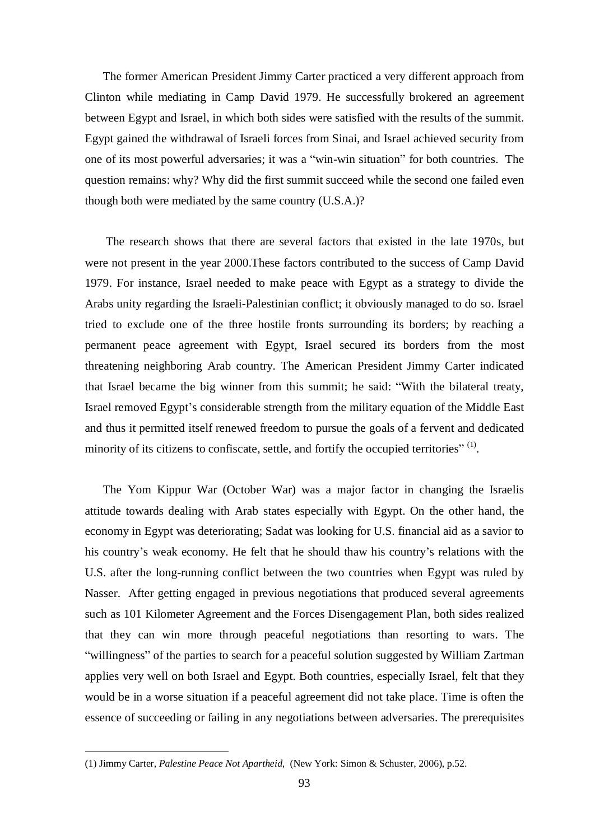The former American President Jimmy Carter practiced a very different approach from Clinton while mediating in Camp David 1979. He successfully brokered an agreement between Egypt and Israel, in which both sides were satisfied with the results of the summit. Egypt gained the withdrawal of Israeli forces from Sinai, and Israel achieved security from one of its most powerful adversaries; it was a "win-win situation" for both countries. The question remains: why? Why did the first summit succeed while the second one failed even though both were mediated by the same country (U.S.A.)?

The research shows that there are several factors that existed in the late 1970s, but were not present in the year 2000.These factors contributed to the success of Camp David 1979. For instance, Israel needed to make peace with Egypt as a strategy to divide the Arabs unity regarding the Israeli-Palestinian conflict; it obviously managed to do so. Israel tried to exclude one of the three hostile fronts surrounding its borders; by reaching a permanent peace agreement with Egypt, Israel secured its borders from the most threatening neighboring Arab country. The American President Jimmy Carter indicated that Israel became the big winner from this summit; he said: "With the bilateral treaty, Israel removed Egypt's considerable strength from the military equation of the Middle East and thus it permitted itself renewed freedom to pursue the goals of a fervent and dedicated minority of its citizens to confiscate, settle, and fortify the occupied territories<sup>"  $(1)$ </sup>.

The Yom Kippur War (October War) was a major factor in changing the Israelis attitude towards dealing with Arab states especially with Egypt. On the other hand, the economy in Egypt was deteriorating; Sadat was looking for U.S. financial aid as a savior to his country's weak economy. He felt that he should thaw his country's relations with the U.S. after the long-running conflict between the two countries when Egypt was ruled by Nasser. After getting engaged in previous negotiations that produced several agreements such as 101 Kilometer Agreement and the Forces Disengagement Plan, both sides realized that they can win more through peaceful negotiations than resorting to wars. The "willingness" of the parties to search for a peaceful solution suggested by William Zartman applies very well on both Israel and Egypt. Both countries, especially Israel, felt that they would be in a worse situation if a peaceful agreement did not take place. Time is often the essence of succeeding or failing in any negotiations between adversaries. The prerequisites

<sup>(1)</sup> Jimmy Carter, *Palestine Peace Not Apartheid,* (New York: Simon & Schuster, 2006), p.52.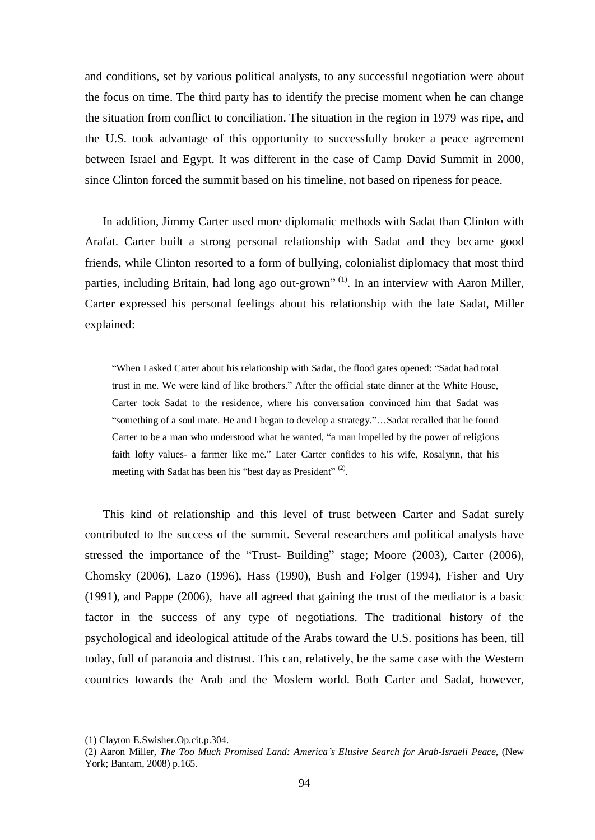and conditions, set by various political analysts, to any successful negotiation were about the focus on time. The third party has to identify the precise moment when he can change the situation from conflict to conciliation. The situation in the region in 1979 was ripe, and the U.S. took advantage of this opportunity to successfully broker a peace agreement between Israel and Egypt. It was different in the case of Camp David Summit in 2000, since Clinton forced the summit based on his timeline, not based on ripeness for peace.

In addition, Jimmy Carter used more diplomatic methods with Sadat than Clinton with Arafat. Carter built a strong personal relationship with Sadat and they became good friends, while Clinton resorted to a form of bullying, colonialist diplomacy that most third parties, including Britain, had long ago out-grown"<sup>(1)</sup>. In an interview with Aaron Miller, Carter expressed his personal feelings about his relationship with the late Sadat, Miller explained:

"When I asked Carter about his relationship with Sadat, the flood gates opened: "Sadat had total trust in me. We were kind of like brothers." After the official state dinner at the White House, Carter took Sadat to the residence, where his conversation convinced him that Sadat was "something of a soul mate. He and I began to develop a strategy."…Sadat recalled that he found Carter to be a man who understood what he wanted, "a man impelled by the power of religions faith lofty values- a farmer like me." Later Carter confides to his wife, Rosalynn, that his meeting with Sadat has been his "best day as President"<sup>(2)</sup>.

This kind of relationship and this level of trust between Carter and Sadat surely contributed to the success of the summit. Several researchers and political analysts have stressed the importance of the "Trust- Building" stage; Moore (2003), Carter (2006), Chomsky (2006), Lazo (1996), Hass (1990), Bush and Folger (1994), Fisher and Ury (1991), and Pappe (2006), have all agreed that gaining the trust of the mediator is a basic factor in the success of any type of negotiations. The traditional history of the psychological and ideological attitude of the Arabs toward the U.S. positions has been, till today, full of paranoia and distrust. This can, relatively, be the same case with the Western countries towards the Arab and the Moslem world. Both Carter and Sadat, however,

<sup>(1)</sup> Clayton E.Swisher.Op.cit.p.304.

<sup>(2)</sup> Aaron Miller, *The Too Much Promised Land: America's Elusive Search for Arab-Israeli Peace,* (New York; Bantam, 2008) p.165.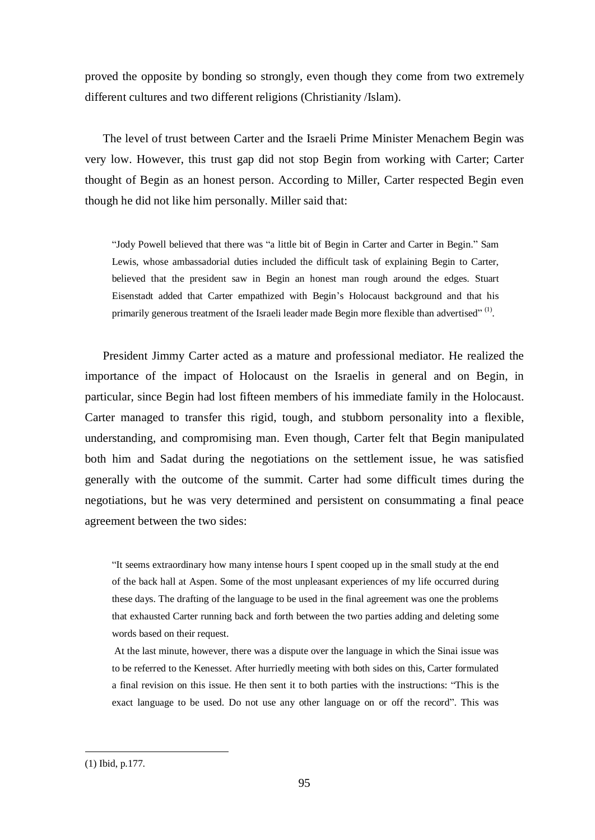proved the opposite by bonding so strongly, even though they come from two extremely different cultures and two different religions (Christianity /Islam).

The level of trust between Carter and the Israeli Prime Minister Menachem Begin was very low. However, this trust gap did not stop Begin from working with Carter; Carter thought of Begin as an honest person. According to Miller, Carter respected Begin even though he did not like him personally. Miller said that:

"Jody Powell believed that there was "a little bit of Begin in Carter and Carter in Begin." Sam Lewis, whose ambassadorial duties included the difficult task of explaining Begin to Carter, believed that the president saw in Begin an honest man rough around the edges. Stuart Eisenstadt added that Carter empathized with Begin's Holocaust background and that his primarily generous treatment of the Israeli leader made Begin more flexible than advertised"<sup>(1)</sup>.

President Jimmy Carter acted as a mature and professional mediator. He realized the importance of the impact of Holocaust on the Israelis in general and on Begin, in particular, since Begin had lost fifteen members of his immediate family in the Holocaust. Carter managed to transfer this rigid, tough, and stubborn personality into a flexible, understanding, and compromising man. Even though, Carter felt that Begin manipulated both him and Sadat during the negotiations on the settlement issue, he was satisfied generally with the outcome of the summit. Carter had some difficult times during the negotiations, but he was very determined and persistent on consummating a final peace agreement between the two sides:

"It seems extraordinary how many intense hours I spent cooped up in the small study at the end of the back hall at Aspen. Some of the most unpleasant experiences of my life occurred during these days. The drafting of the language to be used in the final agreement was one the problems that exhausted Carter running back and forth between the two parties adding and deleting some words based on their request.

At the last minute, however, there was a dispute over the language in which the Sinai issue was to be referred to the Kenesset. After hurriedly meeting with both sides on this, Carter formulated a final revision on this issue. He then sent it to both parties with the instructions: "This is the exact language to be used. Do not use any other language on or off the record". This was

<sup>(1)</sup> Ibid, p.177.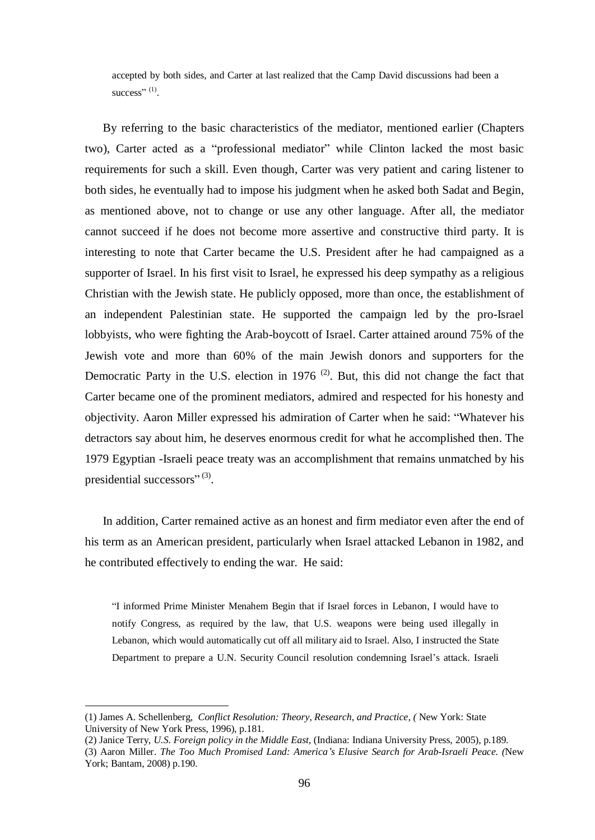accepted by both sides, and Carter at last realized that the Camp David discussions had been a success" $^{(1)}$ .

By referring to the basic characteristics of the mediator, mentioned earlier (Chapters two), Carter acted as a "professional mediator" while Clinton lacked the most basic requirements for such a skill. Even though, Carter was very patient and caring listener to both sides, he eventually had to impose his judgment when he asked both Sadat and Begin, as mentioned above, not to change or use any other language. After all, the mediator cannot succeed if he does not become more assertive and constructive third party. It is interesting to note that Carter became the U.S. President after he had campaigned as a supporter of Israel. In his first visit to Israel, he expressed his deep sympathy as a religious Christian with the Jewish state. He publicly opposed, more than once, the establishment of an independent Palestinian state. He supported the campaign led by the pro-Israel lobbyists, who were fighting the Arab-boycott of Israel. Carter attained around 75% of the Jewish vote and more than 60% of the main Jewish donors and supporters for the Democratic Party in the U.S. election in 1976<sup>(2)</sup>. But, this did not change the fact that Carter became one of the prominent mediators, admired and respected for his honesty and objectivity. Aaron Miller expressed his admiration of Carter when he said: "Whatever his detractors say about him, he deserves enormous credit for what he accomplished then. The 1979 Egyptian -Israeli peace treaty was an accomplishment that remains unmatched by his presidential successors" $^{(3)}$ .

In addition, Carter remained active as an honest and firm mediator even after the end of his term as an American president, particularly when Israel attacked Lebanon in 1982, and he contributed effectively to ending the war. He said:

"I informed Prime Minister Menahem Begin that if Israel forces in Lebanon, I would have to notify Congress, as required by the law, that U.S. weapons were being used illegally in Lebanon, which would automatically cut off all military aid to Israel. Also, I instructed the State Department to prepare a U.N. Security Council resolution condemning Israel's attack. Israeli

<sup>(1)</sup> James A. Schellenberg, *Conflict Resolution: Theory, Research, and Practice, (* New York: State University of New York Press, 1996), p.181.

<sup>(2)</sup> Janice Terry, *U.S. Foreign policy in the Middle East,* (Indiana: Indiana University Press, 2005), p.189.

<sup>(3)</sup> Aaron Miller. *The Too Much Promised Land: America's Elusive Search for Arab-Israeli Peace. (*New York; Bantam, 2008) p.190.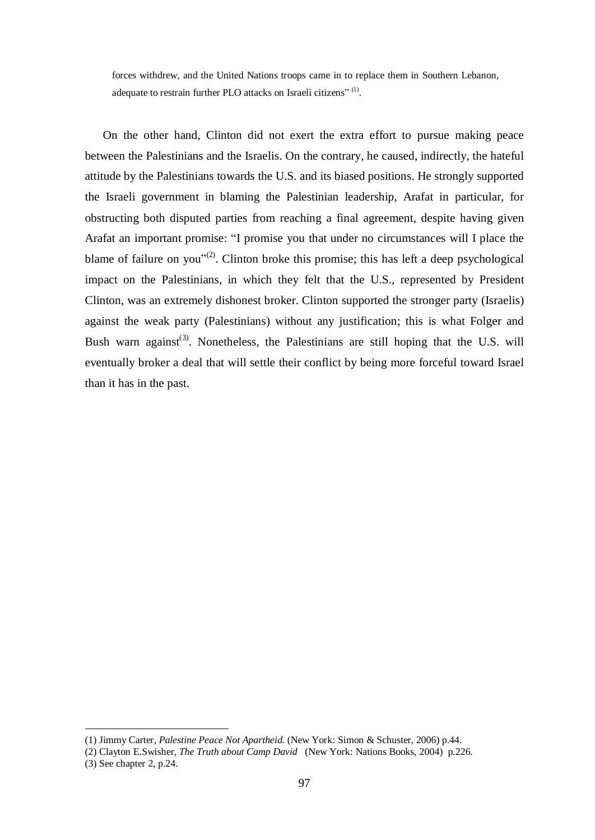forces withdrew, and the United Nations troops came in to replace them in Southern Lebanon, adequate to restrain further PLO attacks on Israeli citizens"<sup>(1)</sup>.

On the other hand, Clinton did not exert the extra effort to pursue making peace between the Palestinians and the Israelis. On the contrary, he caused, indirectly, the hateful attitude by the Palestinians towards the U.S. and its biased positions. He strongly supported the Israeli government in blaming the Palestinian leadership, Arafat in particular, for obstructing both disputed parties from reaching a final agreement, despite having given Arafat an important promise: "I promise you that under no circumstances will I place the blame of failure on you"<sup>(2)</sup>. Clinton broke this promise; this has left a deep psychological impact on the Palestinians, in which they felt that the U.S., represented by President Clinton, was an extremely dishonest broker. Clinton supported the stronger party (Israelis) against the weak party (Palestinians) without any justification; this is what Folger and Bush warn against<sup>(3)</sup>. Nonetheless, the Palestinians are still hoping that the U.S. will eventually broker a deal that will settle their conflict by being more forceful toward Israel than it has in the past.

<sup>(1)</sup> Jimmy Carter, *Palestine Peace Not Apartheid.* (New York: Simon & Schuster, 2006) p.44.

<sup>(2)</sup> Clayton E.Swisher, *The Truth about Camp David* (New York: Nations Books, 2004) p.226. (3) See chapter 2, p.24.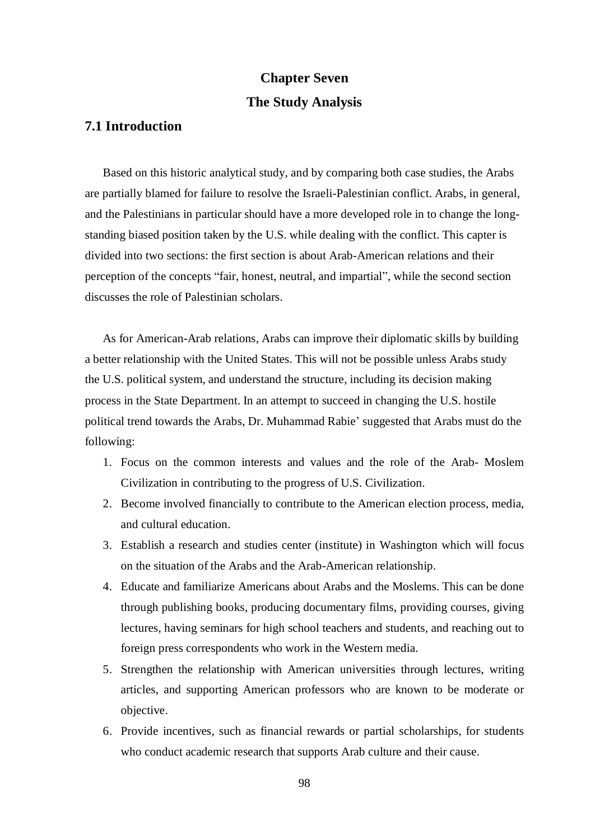# **Chapter Seven The Study Analysis**

### **7.1 Introduction**

Based on this historic analytical study, and by comparing both case studies, the Arabs are partially blamed for failure to resolve the Israeli-Palestinian conflict. Arabs, in general, and the Palestinians in particular should have a more developed role in to change the longstanding biased position taken by the U.S. while dealing with the conflict. This capter is divided into two sections: the first section is about Arab-American relations and their perception of the concepts "fair, honest, neutral, and impartial", while the second section discusses the role of Palestinian scholars.

As for American-Arab relations, Arabs can improve their diplomatic skills by building a better relationship with the United States. This will not be possible unless Arabs study the U.S. political system, and understand the structure, including its decision making process in the State Department. In an attempt to succeed in changing the U.S. hostile political trend towards the Arabs, Dr. Muhammad Rabie' suggested that Arabs must do the following:

- 1. Focus on the common interests and values and the role of the Arab- Moslem Civilization in contributing to the progress of U.S. Civilization.
- 2. Become involved financially to contribute to the American election process, media, and cultural education.
- 3. Establish a research and studies center (institute) in Washington which will focus on the situation of the Arabs and the Arab-American relationship.
- 4. Educate and familiarize Americans about Arabs and the Moslems. This can be done through publishing books, producing documentary films, providing courses, giving lectures, having seminars for high school teachers and students, and reaching out to foreign press correspondents who work in the Western media.
- 5. Strengthen the relationship with American universities through lectures, writing articles, and supporting American professors who are known to be moderate or objective.
- 6. Provide incentives, such as financial rewards or partial scholarships, for students who conduct academic research that supports Arab culture and their cause.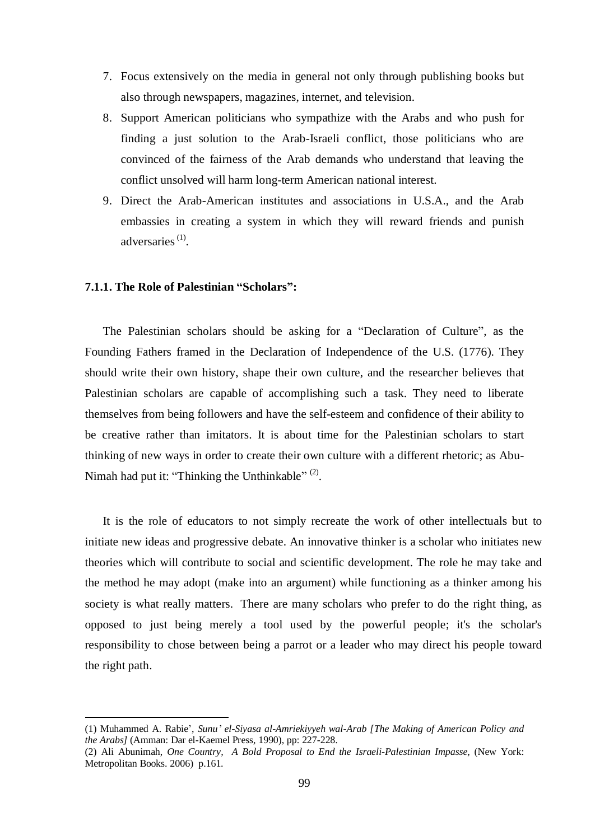- 7. Focus extensively on the media in general not only through publishing books but also through newspapers, magazines, internet, and television.
- 8. Support American politicians who sympathize with the Arabs and who push for finding a just solution to the Arab-Israeli conflict, those politicians who are convinced of the fairness of the Arab demands who understand that leaving the conflict unsolved will harm long-term American national interest.
- 9. Direct the Arab-American institutes and associations in U.S.A., and the Arab embassies in creating a system in which they will reward friends and punish adversaries<sup>(1)</sup>.

#### **7.1.1. The Role of Palestinian "Scholars":**

 $\overline{a}$ 

The Palestinian scholars should be asking for a "Declaration of Culture", as the Founding Fathers framed in the Declaration of Independence of the U.S. (1776). They should write their own history, shape their own culture, and the researcher believes that Palestinian scholars are capable of accomplishing such a task. They need to liberate themselves from being followers and have the self-esteem and confidence of their ability to be creative rather than imitators. It is about time for the Palestinian scholars to start thinking of new ways in order to create their own culture with a different rhetoric; as Abu-Nimah had put it: "Thinking the Unthinkable"  $^{(2)}$ .

It is the role of educators to not simply recreate the work of other intellectuals but to initiate new ideas and progressive debate. An innovative thinker is a scholar who initiates new theories which will contribute to social and scientific development. The role he may take and the method he may adopt (make into an argument) while functioning as a thinker among his society is what really matters. There are many scholars who prefer to do the right thing, as opposed to just being merely a tool used by the powerful people; it's the scholar's responsibility to chose between being a parrot or a leader who may direct his people toward the right path.

<sup>(1)</sup> Muhammed A. Rabie', *Sunu' el-Siyasa al-Amriekiyyeh wal-Arab [The Making of American Policy and the Arabs]* (Amman: Dar el-Kaemel Press, 1990), pp: 227-228.

<sup>(2)</sup> Ali Abunimah, *One Country, A Bold Proposal to End the Israeli-Palestinian Impasse*, (New York: Metropolitan Books. 2006) p.161.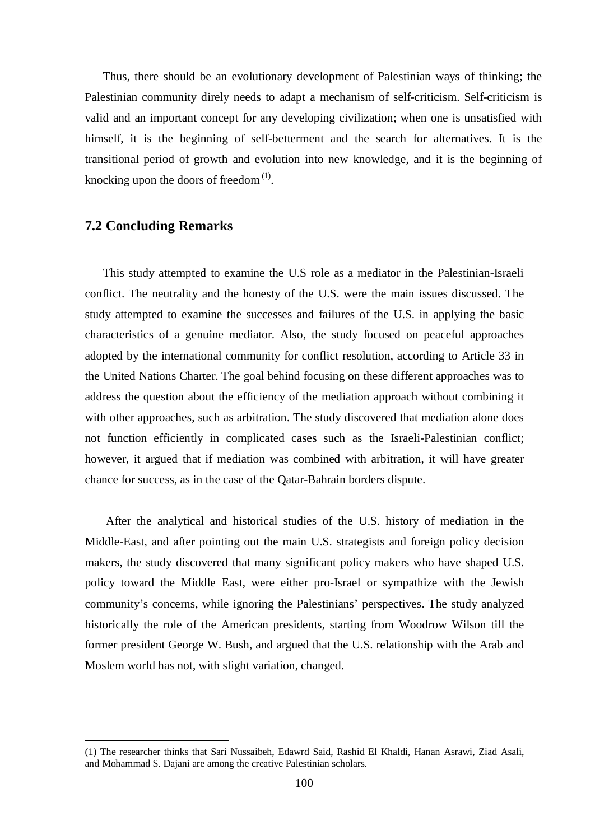Thus, there should be an evolutionary development of Palestinian ways of thinking; the Palestinian community direly needs to adapt a mechanism of self-criticism. Self-criticism is valid and an important concept for any developing civilization; when one is unsatisfied with himself, it is the beginning of self-betterment and the search for alternatives. It is the transitional period of growth and evolution into new knowledge, and it is the beginning of knocking upon the doors of freedom $^{(1)}$ .

#### **7.2 Concluding Remarks**

 $\overline{a}$ 

This study attempted to examine the U.S role as a mediator in the Palestinian-Israeli conflict. The neutrality and the honesty of the U.S. were the main issues discussed. The study attempted to examine the successes and failures of the U.S. in applying the basic characteristics of a genuine mediator. Also, the study focused on peaceful approaches adopted by the international community for conflict resolution, according to Article 33 in the United Nations Charter. The goal behind focusing on these different approaches was to address the question about the efficiency of the mediation approach without combining it with other approaches, such as arbitration. The study discovered that mediation alone does not function efficiently in complicated cases such as the Israeli-Palestinian conflict; however, it argued that if mediation was combined with arbitration, it will have greater chance for success, as in the case of the Qatar-Bahrain borders dispute.

After the analytical and historical studies of the U.S. history of mediation in the Middle-East, and after pointing out the main U.S. strategists and foreign policy decision makers, the study discovered that many significant policy makers who have shaped U.S. policy toward the Middle East, were either pro-Israel or sympathize with the Jewish community's concerns, while ignoring the Palestinians' perspectives. The study analyzed historically the role of the American presidents, starting from Woodrow Wilson till the former president George W. Bush, and argued that the U.S. relationship with the Arab and Moslem world has not, with slight variation, changed.

<sup>(1)</sup> The researcher thinks that Sari Nussaibeh, Edawrd Said, Rashid El Khaldi, Hanan Asrawi, Ziad Asali, and Mohammad S. Dajani are among the creative Palestinian scholars.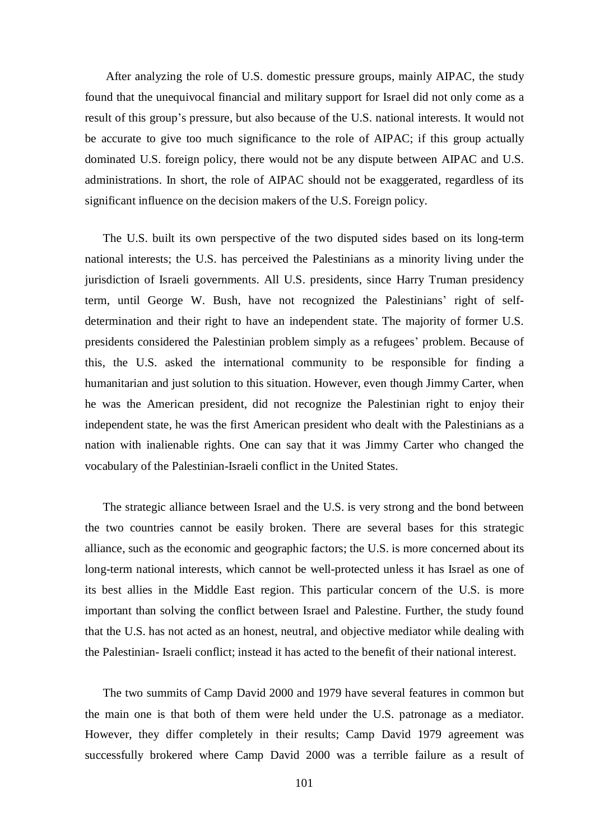After analyzing the role of U.S. domestic pressure groups, mainly AIPAC, the study found that the unequivocal financial and military support for Israel did not only come as a result of this group's pressure, but also because of the U.S. national interests. It would not be accurate to give too much significance to the role of AIPAC; if this group actually dominated U.S. foreign policy, there would not be any dispute between AIPAC and U.S. administrations. In short, the role of AIPAC should not be exaggerated, regardless of its significant influence on the decision makers of the U.S. Foreign policy.

The U.S. built its own perspective of the two disputed sides based on its long-term national interests; the U.S. has perceived the Palestinians as a minority living under the jurisdiction of Israeli governments. All U.S. presidents, since Harry Truman presidency term, until George W. Bush, have not recognized the Palestinians' right of selfdetermination and their right to have an independent state. The majority of former U.S. presidents considered the Palestinian problem simply as a refugees' problem. Because of this, the U.S. asked the international community to be responsible for finding a humanitarian and just solution to this situation. However, even though Jimmy Carter, when he was the American president, did not recognize the Palestinian right to enjoy their independent state, he was the first American president who dealt with the Palestinians as a nation with inalienable rights. One can say that it was Jimmy Carter who changed the vocabulary of the Palestinian-Israeli conflict in the United States.

The strategic alliance between Israel and the U.S. is very strong and the bond between the two countries cannot be easily broken. There are several bases for this strategic alliance, such as the economic and geographic factors; the U.S. is more concerned about its long-term national interests, which cannot be well-protected unless it has Israel as one of its best allies in the Middle East region. This particular concern of the U.S. is more important than solving the conflict between Israel and Palestine. Further, the study found that the U.S. has not acted as an honest, neutral, and objective mediator while dealing with the Palestinian- Israeli conflict; instead it has acted to the benefit of their national interest.

The two summits of Camp David 2000 and 1979 have several features in common but the main one is that both of them were held under the U.S. patronage as a mediator. However, they differ completely in their results; Camp David 1979 agreement was successfully brokered where Camp David 2000 was a terrible failure as a result of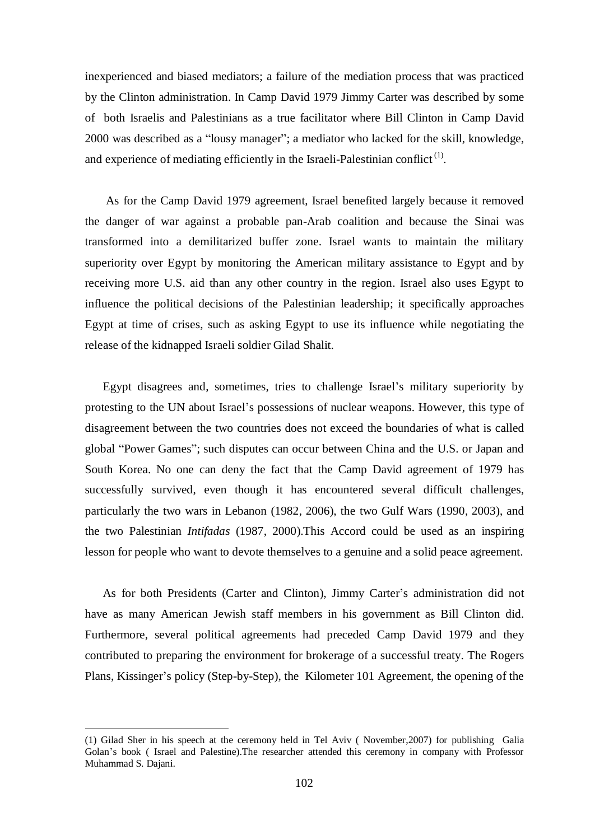inexperienced and biased mediators; a failure of the mediation process that was practiced by the Clinton administration. In Camp David 1979 Jimmy Carter was described by some of both Israelis and Palestinians as a true facilitator where Bill Clinton in Camp David 2000 was described as a "lousy manager"; a mediator who lacked for the skill, knowledge, and experience of mediating efficiently in the Israeli-Palestinian conflict<sup>(1)</sup>.

As for the Camp David 1979 agreement, Israel benefited largely because it removed the danger of war against a probable pan-Arab coalition and because the Sinai was transformed into a demilitarized buffer zone. Israel wants to maintain the military superiority over Egypt by monitoring the American military assistance to Egypt and by receiving more U.S. aid than any other country in the region. Israel also uses Egypt to influence the political decisions of the Palestinian leadership; it specifically approaches Egypt at time of crises, such as asking Egypt to use its influence while negotiating the release of the kidnapped Israeli soldier Gilad Shalit.

Egypt disagrees and, sometimes, tries to challenge Israel's military superiority by protesting to the UN about Israel's possessions of nuclear weapons. However, this type of disagreement between the two countries does not exceed the boundaries of what is called global "Power Games"; such disputes can occur between China and the U.S. or Japan and South Korea. No one can deny the fact that the Camp David agreement of 1979 has successfully survived, even though it has encountered several difficult challenges, particularly the two wars in Lebanon (1982, 2006), the two Gulf Wars (1990, 2003), and the two Palestinian *Intifadas* (1987, 2000).This Accord could be used as an inspiring lesson for people who want to devote themselves to a genuine and a solid peace agreement.

As for both Presidents (Carter and Clinton), Jimmy Carter's administration did not have as many American Jewish staff members in his government as Bill Clinton did. Furthermore, several political agreements had preceded Camp David 1979 and they contributed to preparing the environment for brokerage of a successful treaty. The Rogers Plans, Kissinger's policy (Step-by-Step), the Kilometer 101 Agreement, the opening of the

<sup>(1)</sup> Gilad Sher in his speech at the ceremony held in Tel Aviv ( November,2007) for publishing Galia Golan's book ( Israel and Palestine).The researcher attended this ceremony in company with Professor Muhammad S. Dajani.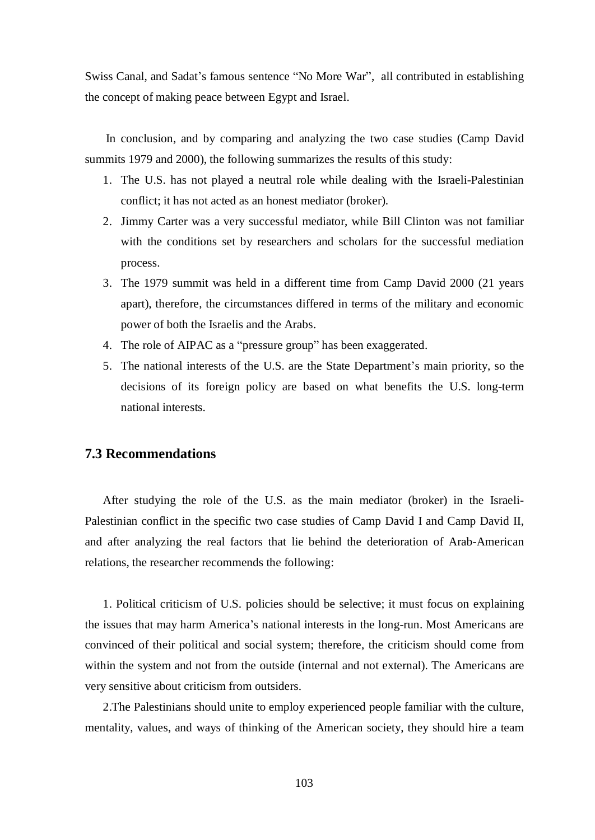Swiss Canal, and Sadat's famous sentence "No More War", all contributed in establishing the concept of making peace between Egypt and Israel.

In conclusion, and by comparing and analyzing the two case studies (Camp David summits 1979 and 2000), the following summarizes the results of this study:

- 1. The U.S. has not played a neutral role while dealing with the Israeli-Palestinian conflict; it has not acted as an honest mediator (broker).
- 2. Jimmy Carter was a very successful mediator, while Bill Clinton was not familiar with the conditions set by researchers and scholars for the successful mediation process.
- 3. The 1979 summit was held in a different time from Camp David 2000 (21 years apart), therefore, the circumstances differed in terms of the military and economic power of both the Israelis and the Arabs.
- 4. The role of AIPAC as a "pressure group" has been exaggerated.
- 5. The national interests of the U.S. are the State Department's main priority, so the decisions of its foreign policy are based on what benefits the U.S. long-term national interests.

#### **7.3 Recommendations**

After studying the role of the U.S. as the main mediator (broker) in the Israeli-Palestinian conflict in the specific two case studies of Camp David I and Camp David II, and after analyzing the real factors that lie behind the deterioration of Arab-American relations, the researcher recommends the following:

1. Political criticism of U.S. policies should be selective; it must focus on explaining the issues that may harm America's national interests in the long-run. Most Americans are convinced of their political and social system; therefore, the criticism should come from within the system and not from the outside (internal and not external). The Americans are very sensitive about criticism from outsiders.

2.The Palestinians should unite to employ experienced people familiar with the culture, mentality, values, and ways of thinking of the American society, they should hire a team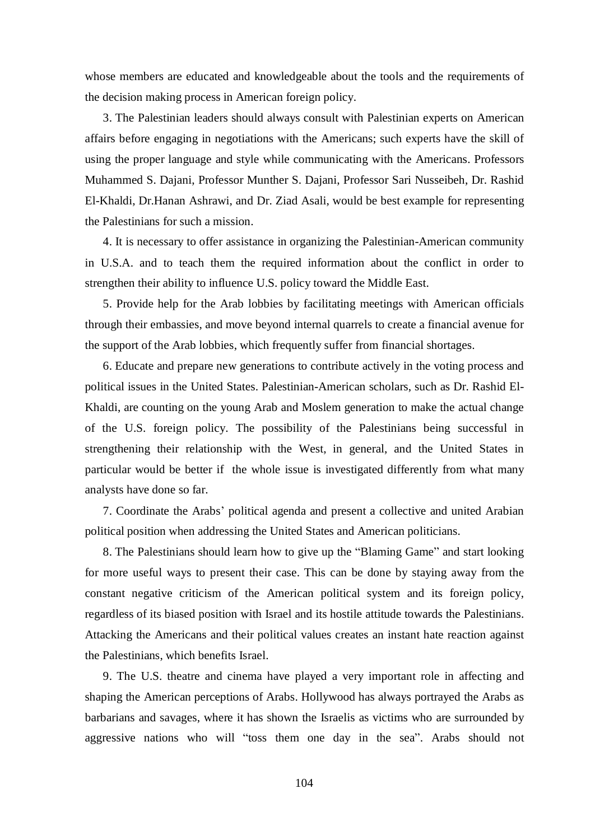whose members are educated and knowledgeable about the tools and the requirements of the decision making process in American foreign policy.

3. The Palestinian leaders should always consult with Palestinian experts on American affairs before engaging in negotiations with the Americans; such experts have the skill of using the proper language and style while communicating with the Americans. Professors Muhammed S. Dajani, Professor Munther S. Dajani, Professor Sari Nusseibeh, Dr. Rashid El-Khaldi, Dr.Hanan Ashrawi, and Dr. Ziad Asali, would be best example for representing the Palestinians for such a mission.

4. It is necessary to offer assistance in organizing the Palestinian-American community in U.S.A. and to teach them the required information about the conflict in order to strengthen their ability to influence U.S. policy toward the Middle East.

5. Provide help for the Arab lobbies by facilitating meetings with American officials through their embassies, and move beyond internal quarrels to create a financial avenue for the support of the Arab lobbies, which frequently suffer from financial shortages.

6. Educate and prepare new generations to contribute actively in the voting process and political issues in the United States. Palestinian-American scholars, such as Dr. Rashid El-Khaldi, are counting on the young Arab and Moslem generation to make the actual change of the U.S. foreign policy. The possibility of the Palestinians being successful in strengthening their relationship with the West, in general, and the United States in particular would be better if the whole issue is investigated differently from what many analysts have done so far.

7. Coordinate the Arabs' political agenda and present a collective and united Arabian political position when addressing the United States and American politicians.

8. The Palestinians should learn how to give up the "Blaming Game" and start looking for more useful ways to present their case. This can be done by staying away from the constant negative criticism of the American political system and its foreign policy, regardless of its biased position with Israel and its hostile attitude towards the Palestinians. Attacking the Americans and their political values creates an instant hate reaction against the Palestinians, which benefits Israel.

9. The U.S. theatre and cinema have played a very important role in affecting and shaping the American perceptions of Arabs. Hollywood has always portrayed the Arabs as barbarians and savages, where it has shown the Israelis as victims who are surrounded by aggressive nations who will "toss them one day in the sea". Arabs should not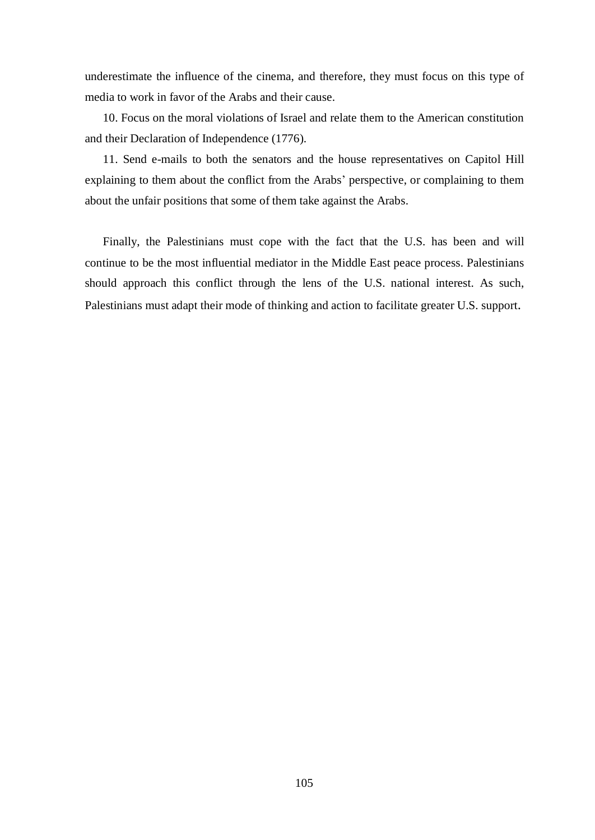underestimate the influence of the cinema, and therefore, they must focus on this type of media to work in favor of the Arabs and their cause.

10. Focus on the moral violations of Israel and relate them to the American constitution and their Declaration of Independence (1776).

11. Send e-mails to both the senators and the house representatives on Capitol Hill explaining to them about the conflict from the Arabs' perspective, or complaining to them about the unfair positions that some of them take against the Arabs.

Finally, the Palestinians must cope with the fact that the U.S. has been and will continue to be the most influential mediator in the Middle East peace process. Palestinians should approach this conflict through the lens of the U.S. national interest. As such, Palestinians must adapt their mode of thinking and action to facilitate greater U.S. support.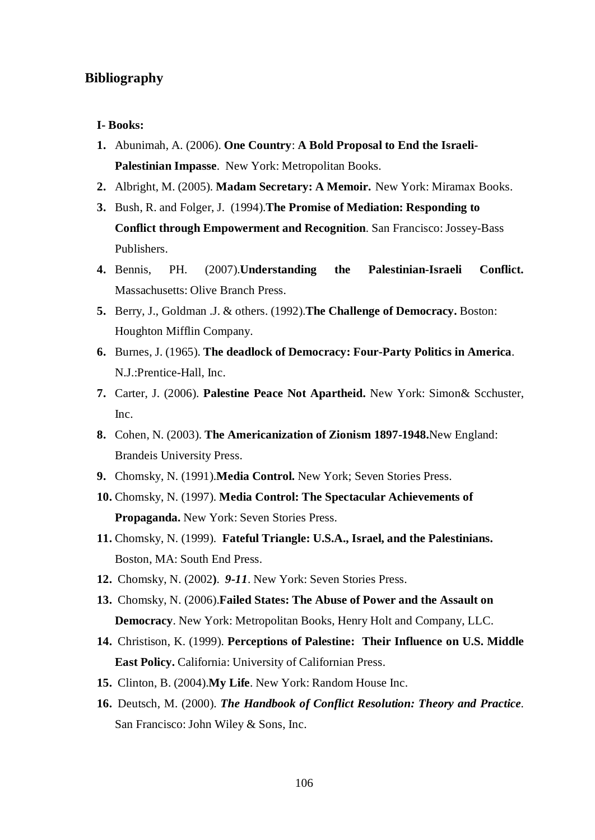#### **Bibliography**

#### **I- Books:**

- **1.** Abunimah, A. (2006). **One Country**: **A Bold Proposal to End the Israeli-Palestinian Impasse**. New York: Metropolitan Books.
- **2.** Albright, M. (2005). **Madam Secretary: A Memoir.** New York: Miramax Books.
- **3.** Bush, R. and Folger, J. (1994).**The Promise of Mediation: Responding to Conflict through Empowerment and Recognition**. San Francisco: Jossey-Bass Publishers.
- **4.** Bennis, PH. (2007).**Understanding the Palestinian-Israeli Conflict.** Massachusetts: Olive Branch Press.
- **5.** Berry, J., Goldman .J. & others. (1992).**The Challenge of Democracy.** Boston: Houghton Mifflin Company.
- **6.** Burnes, J. (1965). **The deadlock of Democracy: Four-Party Politics in America**. N.J.:Prentice-Hall, Inc.
- **7.** Carter, J. (2006). **Palestine Peace Not Apartheid.** New York: Simon& Scchuster, Inc.
- **8.** Cohen, N. (2003). **The Americanization of Zionism 1897-1948.**New England: Brandeis University Press.
- **9.** Chomsky, N. (1991).**Media Control.** New York; Seven Stories Press.
- **10.** Chomsky, N. (1997). **Media Control: The Spectacular Achievements of Propaganda.** New York: Seven Stories Press.
- **11.** Chomsky, N. (1999). **Fateful Triangle: U.S.A., Israel, and the Palestinians.**  Boston, MA: South End Press.
- **12.** Chomsky, N. (2002**)**. *9-11*. New York: Seven Stories Press.
- **13.** Chomsky, N. (2006).**Failed States: The Abuse of Power and the Assault on Democracy**. New York: Metropolitan Books, Henry Holt and Company, LLC.
- **14.** Christison, K. (1999). **Perceptions of Palestine:****Their Influence on U.S. Middle East Policy.** California: University of Californian Press.
- **15.** Clinton, B. (2004).**My Life**. New York: Random House Inc.
- **16.** Deutsch, M. (2000). *The Handbook of Conflict Resolution: Theory and Practice.*  San Francisco: John Wiley & Sons, Inc.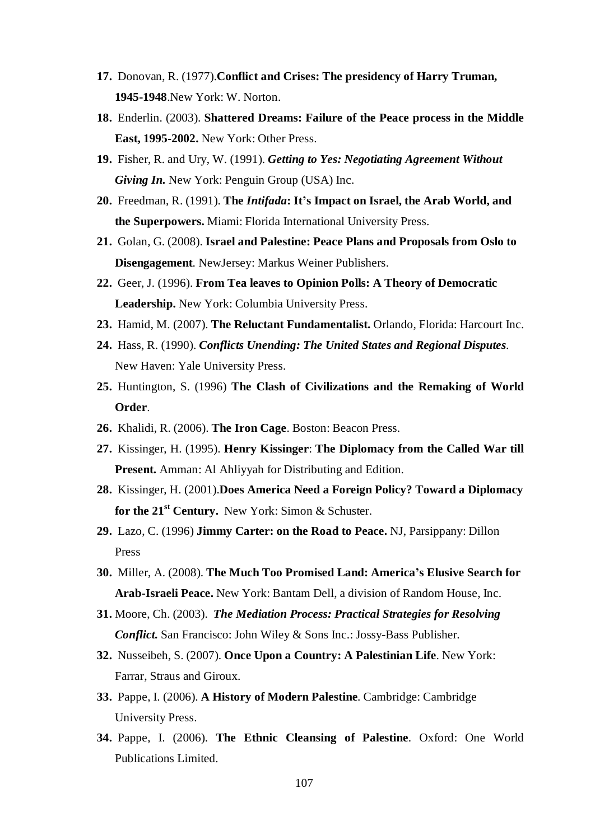- **17.** Donovan, R. (1977).**Conflict and Crises: The presidency of Harry Truman, 1945-1948**.New York: W. Norton.
- **18.** Enderlin. (2003). **Shattered Dreams: Failure of the Peace process in the Middle East, 1995-2002.** New York: Other Press.
- **19.** Fisher, R. and Ury, W. (1991). *Getting to Yes: Negotiating Agreement Without Giving In.* New York: Penguin Group (USA) Inc.
- **20.** Freedman, R. (1991). **The** *Intifada***: It's Impact on Israel, the Arab World, and the Superpowers.** Miami: Florida International University Press.
- **21.** Golan, G. (2008). **Israel and Palestine: Peace Plans and Proposals from Oslo to Disengagement**. NewJersey: Markus Weiner Publishers.
- **22.** Geer, J. (1996). **From Tea leaves to Opinion Polls: A Theory of Democratic Leadership.** New York: Columbia University Press.
- **23.** Hamid, M. (2007). **The Reluctant Fundamentalist.** Orlando, Florida: Harcourt Inc.
- **24.** Hass, R. (1990). *Conflicts Unending: The United States and Regional Disputes.*  New Haven: Yale University Press.
- **25.** Huntington, S. (1996) **The Clash of Civilizations and the Remaking of World Order**.
- **26.** Khalidi, R. (2006). **The Iron Cage**. Boston: Beacon Press.
- **27.** Kissinger, H. (1995). **Henry Kissinger**: **The Diplomacy from the Called War till Present.** Amman: Al Ahliyyah for Distributing and Edition.
- **28.** Kissinger, H. (2001).**Does America Need a Foreign Policy? Toward a Diplomacy for the 21st Century.** New York: Simon & Schuster.
- **29.** Lazo, C. (1996) **Jimmy Carter: on the Road to Peace.** NJ, Parsippany: Dillon Press
- **30.** Miller, A. (2008). **The Much Too Promised Land: America's Elusive Search for Arab-Israeli Peace.** New York: Bantam Dell, a division of Random House, Inc.
- **31.** Moore, Ch. (2003). *The Mediation Process: Practical Strategies for Resolving Conflict.* San Francisco: John Wiley & Sons Inc.: Jossy-Bass Publisher.
- **32.** Nusseibeh, S. (2007). **Once Upon a Country: A Palestinian Life**. New York: Farrar, Straus and Giroux.
- **33.** Pappe, I. (2006). **A History of Modern Palestine**. Cambridge: Cambridge University Press.
- **34.** Pappe, I. (2006). **The Ethnic Cleansing of Palestine**. Oxford: One World Publications Limited.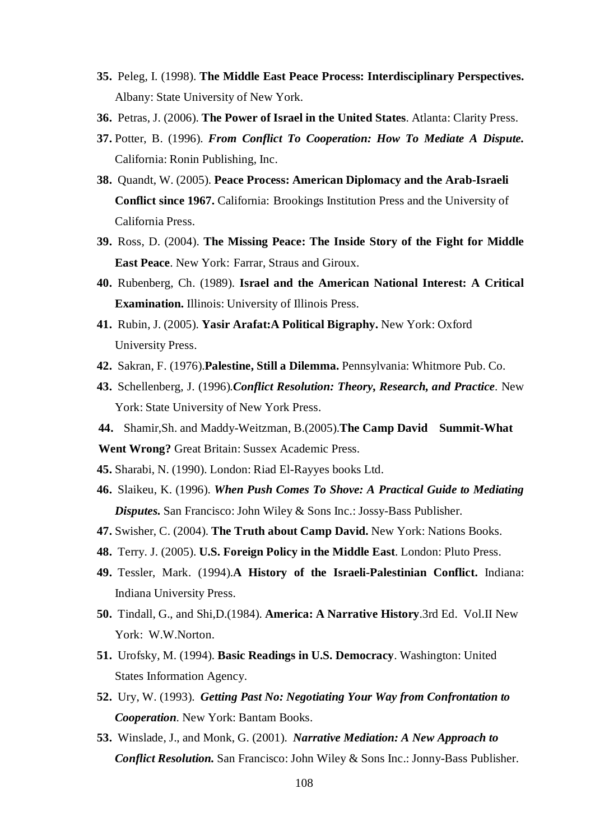- **35.** Peleg, I. (1998). **The Middle East Peace Process: Interdisciplinary Perspectives.** Albany: State University of New York.
- **36.** Petras, J. (2006). **The Power of Israel in the United States**. Atlanta: Clarity Press.
- **37.** Potter, B. (1996). *From Conflict To Cooperation: How To Mediate A Dispute.* California: Ronin Publishing, Inc.
- **38.** Quandt, W. (2005). **Peace Process: American Diplomacy and the Arab-Israeli Conflict since 1967.** California: Brookings Institution Press and the University of California Press.
- **39.** Ross, D. (2004). **The Missing Peace: The Inside Story of the Fight for Middle East Peace**. New York: Farrar, Straus and Giroux.
- **40.** Rubenberg, Ch. (1989). **Israel and the American National Interest: A Critical Examination.** Illinois: University of Illinois Press.
- **41.** Rubin, J. (2005). **Yasir Arafat:A Political Bigraphy.** New York: Oxford University Press.
- **42.** Sakran, F. (1976).**Palestine, Still a Dilemma.** Pennsylvania: Whitmore Pub. Co.
- **43.** Schellenberg, J. (1996)*.Conflict Resolution: Theory, Research, and Practice.* New York: State University of New York Press.
- **44.** Shamir,Sh. and Maddy-Weitzman, B.(2005).**The Camp David Summit-What**

**Went Wrong?** Great Britain: Sussex Academic Press.

- **45.** Sharabi, N. (1990). London: Riad El-Rayyes books Ltd.
- **46.** Slaikeu, K. (1996). *When Push Comes To Shove: A Practical Guide to Mediating Disputes.* San Francisco: John Wiley & Sons Inc.: Jossy-Bass Publisher.
- **47.** Swisher, C. (2004). **The Truth about Camp David.** New York: Nations Books.
- **48.** Terry. J. (2005). **U.S. Foreign Policy in the Middle East**. London: Pluto Press.
- **49.** Tessler, Mark. (1994).**A History of the Israeli-Palestinian Conflict.** Indiana: Indiana University Press.
- **50.** Tindall, G., and Shi,D.(1984). **America: A Narrative History**.3rd Ed. Vol.II New York: W.W.Norton.
- **51.** Urofsky, M. (1994). **Basic Readings in U.S. Democracy**. Washington: United States Information Agency.
- **52.** Ury, W. (1993). *Getting Past No: Negotiating Your Way from Confrontation to Cooperation.* New York: Bantam Books.
- **53.** Winslade, J., and Monk, G. (2001). *Narrative Mediation: A New Approach to Conflict Resolution.* San Francisco: John Wiley & Sons Inc.: Jonny-Bass Publisher.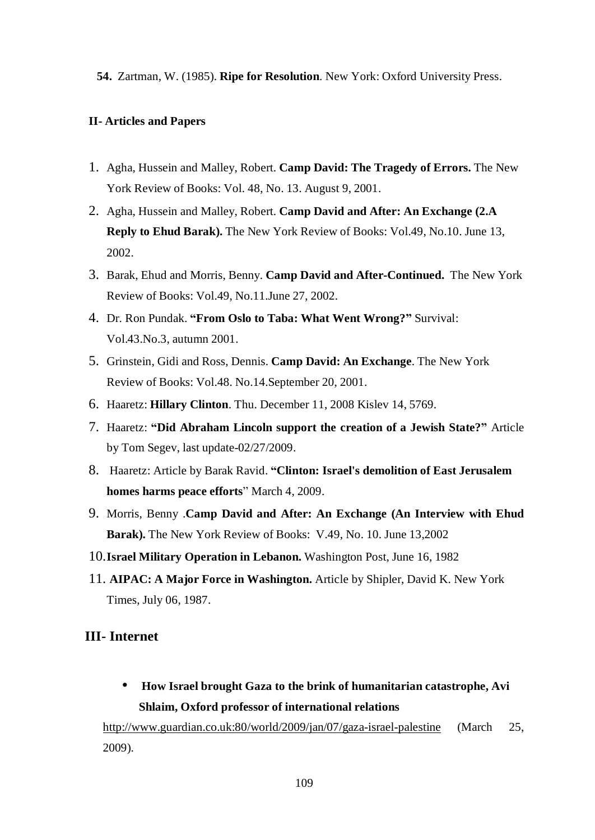**54.** Zartman, W. (1985). **Ripe for Resolution**. New York: Oxford University Press.

#### **II- Articles and Papers**

- 1. Agha, Hussein and Malley, Robert. **Camp David: The Tragedy of Errors.** The New York Review of Books: Vol. 48, No. 13. August 9, 2001.
- 2. Agha, Hussein and Malley, Robert. **Camp David and After: An Exchange (2.A Reply to Ehud Barak).** The New York Review of Books: Vol.49, No.10. June 13, 2002.
- 3. Barak, Ehud and Morris, Benny. **Camp David and After-Continued.** The New York Review of Books: Vol.49, No.11.June 27, 2002.
- 4. Dr. Ron Pundak. **"From Oslo to Taba: What Went Wrong?"** Survival: Vol.43.No.3, autumn 2001.
- 5. Grinstein, Gidi and Ross, Dennis. **Camp David: An Exchange**. The New York Review of Books: Vol.48. No.14.September 20, 2001.
- 6. Haaretz: **Hillary Clinton**. Thu. December 11, 2008 Kislev 14, 5769.
- 7. Haaretz: **"Did Abraham Lincoln support the creation of a Jewish State?"** Article by Tom Segev, last update-02/27/2009.
- 8. Haaretz: Article by Barak Ravid. **"Clinton: Israel's demolition of East Jerusalem homes harms peace efforts**" March 4, 2009.
- 9. Morris, Benny .**Camp David and After: An Exchange (An Interview with Ehud Barak).** The New York Review of Books: V.49, No. 10. June 13,2002
- 10.**Israel Military Operation in Lebanon.** Washington Post, June 16, 1982
- 11. **AIPAC: A Major Force in Washington.** Article by Shipler, David K. New York Times, July 06, 1987.

#### **III- Internet**

• **How Israel brought Gaza to the brink of humanitarian catastrophe, Avi Shlaim, Oxford professor of international relations** 

<http://www.guardian.co.uk:80/world/2009/jan/07/gaza-israel-palestine> (March 25, 2009).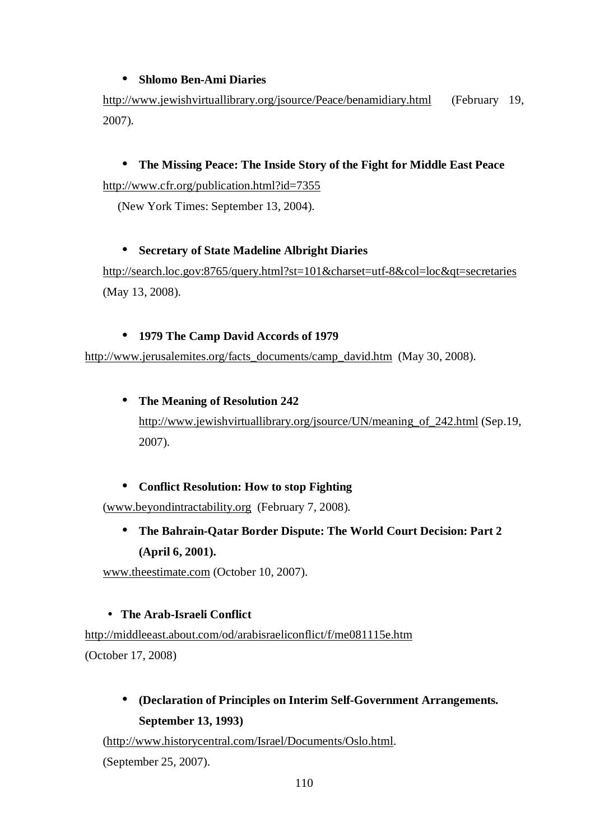## • **Shlomo Ben-Ami Diaries**

<http://www.jewishvirtuallibrary.org/jsource/Peace/benamidiary.html>(February 19, 2007).

# • **The Missing Peace: The Inside Story of the Fight for Middle East Peace**  <http://www.cfr.org/publication.html?id=7355>

(New York Times: September 13, 2004).

## • **Secretary of State Madeline Albright Diaries**

<http://search.loc.gov:8765/query.html?st=101&charset=utf-8&col=loc&qt=secretaries> (May 13, 2008).

## • **1979 The Camp David Accords of 1979**

[http://www.jerusalemites.org/facts\\_documents/camp\\_david.htm](http://www.jerusalemites.org/facts_documents/camp_david.htm) (May 30, 2008).

## • **The Meaning of Resolution 242**

[http://www.jewishvirtuallibrary.org/jsource/UN/meaning\\_of\\_242.html](http://www.jewishvirtuallibrary.org/jsource/UN/meaning_of_242.html) (Sep.19, 2007).

# • **Conflict Resolution: How to stop Fighting**

([www.beyondintractability.org](http://www.beyondintractability.org) (February 7, 2008).

• **The Bahrain-Qatar Border Dispute: The World Court Decision: Part 2 (April 6, 2001).** 

[www.theestimate.com](http://www.theestimate.com) (October 10, 2007).

#### • **The Arab-Israeli Conflict**

<http://middleeast.about.com/od/arabisraeliconflict/f/me081115e.htm> (October 17, 2008)

# • **(Declaration of Principles on Interim Self-Government Arrangements***.*  **September 13, 1993)**

([http://www.historycentral.com/Israel/Documents/Oslo.html.](http://www.historycentral.com/Israel/Documents/Oslo.html)

(September 25, 2007).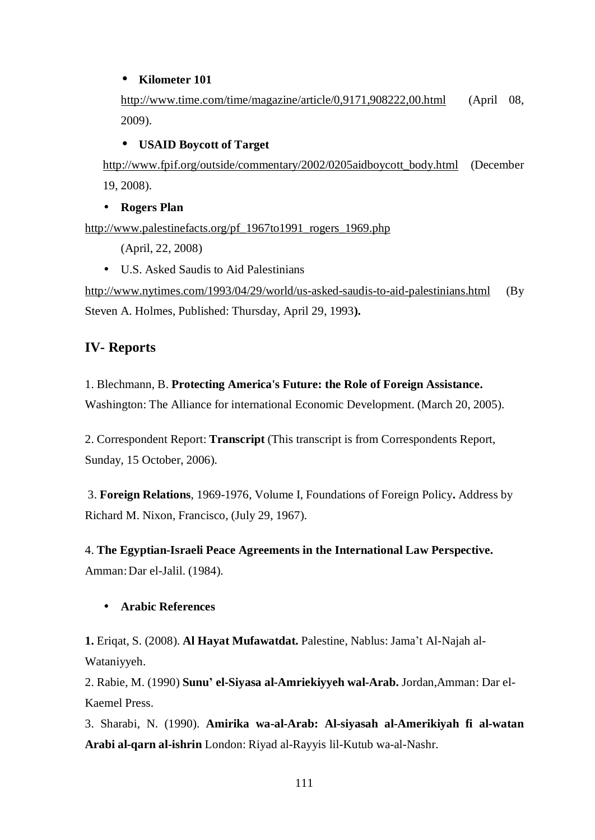## • **Kilometer 101**

<http://www.time.com/time/magazine/article/0,9171,908222,00.html> (April 08, 2009).

## • **USAID Boycott of Target**

[http://www.fpif.org/outside/commentary/2002/0205aidboycott\\_body.html](http://www.fpif.org/outside/commentary/2002/0205aidboycott_body.html) (December 19, 2008).

#### • **Rogers Plan**

[http://www.palestinefacts.org/pf\\_1967to1991\\_rogers\\_1969.php](http://www.palestinefacts.org/pf_1967to1991_rogers_1969.php)

(April, 22, 2008)

• U.S. Asked Saudis to Aid Palestinians

<http://www.nytimes.com/1993/04/29/world/us-asked-saudis-to-aid-palestinians.html> (By Steven A. Holmes, Published: Thursday, April 29, 1993**).** 

# **IV- Reports**

## 1. Blechmann, B. **Protecting America's Future: the Role of Foreign Assistance.**

Washington: The Alliance for international Economic Development. (March 20, 2005).

2. Correspondent Report: **Transcript** (This transcript is from Correspondents Report, Sunday, 15 October, 2006).

3. **Foreign Relations**, 1969-1976, Volume I, Foundations of Foreign Policy**.** Address by Richard M. Nixon, Francisco, (July 29, 1967).

4. **The Egyptian-Israeli Peace Agreements in the International Law Perspective.** Amman:Dar el-Jalil. (1984).

# • **Arabic References**

**1.** Eriqat, S. (2008). **Al Hayat Mufawatdat.** Palestine, Nablus: Jama't Al-Najah al-Wataniyyeh.

2. Rabie, M. (1990) **Sunu' el-Siyasa al-Amriekiyyeh wal-Arab.** Jordan,Amman: Dar el-Kaemel Press.

3. Sharabi, N. (1990). **Amirika wa-al-Arab: Al-siyasah al-Amerikiyah fi al-watan Arabi al-qarn al-ishrin** London: Riyad al-Rayyis lil-Kutub wa-al-Nashr.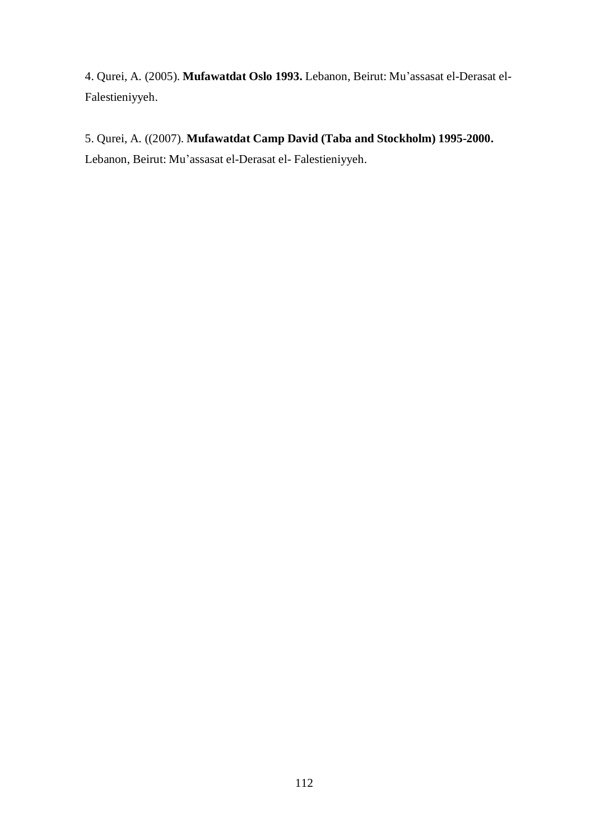4. Qurei, A. (2005). **Mufawatdat Oslo 1993.** Lebanon, Beirut: Mu'assasat el-Derasat el-Falestieniyyeh.

# 5. Qurei, A. ((2007). **Mufawatdat Camp David (Taba and Stockholm) 1995-2000.**

Lebanon, Beirut: Mu'assasat el-Derasat el- Falestieniyyeh.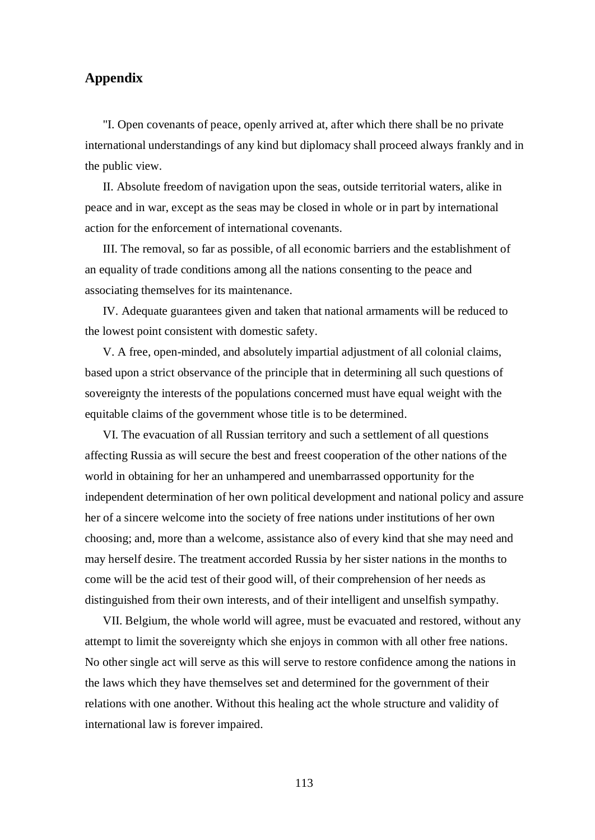# **Appendix**

"I. Open covenants of peace, openly arrived at, after which there shall be no private international understandings of any kind but diplomacy shall proceed always frankly and in the public view.

II. Absolute freedom of navigation upon the seas, outside territorial waters, alike in peace and in war, except as the seas may be closed in whole or in part by international action for the enforcement of international covenants.

III. The removal, so far as possible, of all economic barriers and the establishment of an equality of trade conditions among all the nations consenting to the peace and associating themselves for its maintenance.

IV. Adequate guarantees given and taken that national armaments will be reduced to the lowest point consistent with domestic safety.

V. A free, open-minded, and absolutely impartial adjustment of all colonial claims, based upon a strict observance of the principle that in determining all such questions of sovereignty the interests of the populations concerned must have equal weight with the equitable claims of the government whose title is to be determined.

VI. The evacuation of all Russian territory and such a settlement of all questions affecting Russia as will secure the best and freest cooperation of the other nations of the world in obtaining for her an unhampered and unembarrassed opportunity for the independent determination of her own political development and national policy and assure her of a sincere welcome into the society of free nations under institutions of her own choosing; and, more than a welcome, assistance also of every kind that she may need and may herself desire. The treatment accorded Russia by her sister nations in the months to come will be the acid test of their good will, of their comprehension of her needs as distinguished from their own interests, and of their intelligent and unselfish sympathy.

VII. Belgium, the whole world will agree, must be evacuated and restored, without any attempt to limit the sovereignty which she enjoys in common with all other free nations. No other single act will serve as this will serve to restore confidence among the nations in the laws which they have themselves set and determined for the government of their relations with one another. Without this healing act the whole structure and validity of international law is forever impaired.

113